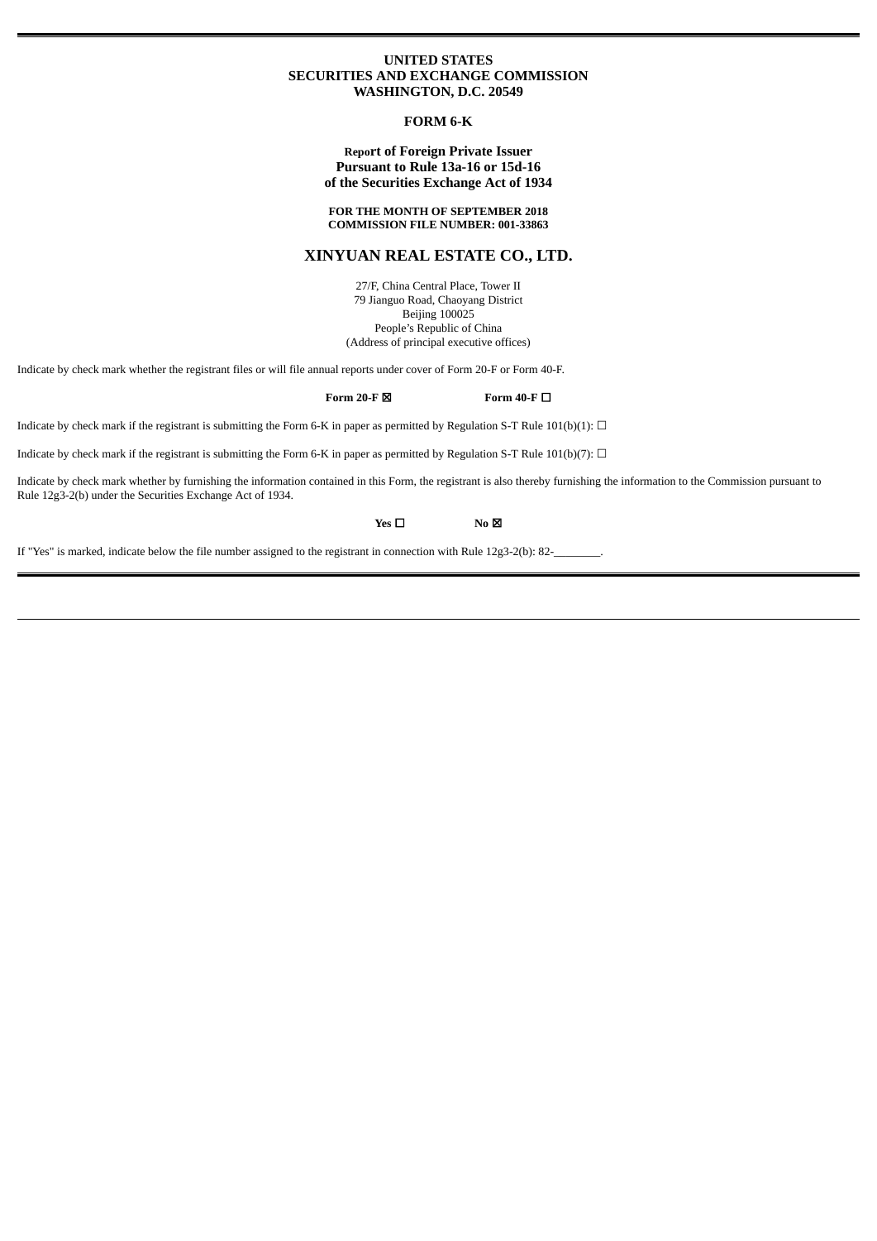# **UNITED STATES SECURITIES AND EXCHANGE COMMISSION WASHINGTON, D.C. 20549**

# **FORM 6-K**

# **Report of Foreign Private Issuer Pursuant to Rule 13a-16 or 15d-16 of the Securities Exchange Act of 1934**

# **FOR THE MONTH OF SEPTEMBER 2018 COMMISSION FILE NUMBER: 001-33863**

# **XINYUAN REAL ESTATE CO., LTD.**

27/F, China Central Place, Tower II 79 Jianguo Road, Chaoyang District Beijing 100025 People's Republic of China (Address of principal executive offices)

Indicate by check mark whether the registrant files or will file annual reports under cover of Form 20-F or Form 40-F.

# **Form 20-F** ☒ **Form 40-F** ☐

Indicate by check mark if the registrant is submitting the Form 6-K in paper as permitted by Regulation S-T Rule 101(b)(1):  $\Box$ 

Indicate by check mark if the registrant is submitting the Form 6-K in paper as permitted by Regulation S-T Rule 101(b)(7):  $\Box$ 

Indicate by check mark whether by furnishing the information contained in this Form, the registrant is also thereby furnishing the information to the Commission pursuant to Rule 12g3-2(b) under the Securities Exchange Act of 1934.

**Yes** □ **No** ⊠

If "Yes" is marked, indicate below the file number assigned to the registrant in connection with Rule 12g3-2(b): 82-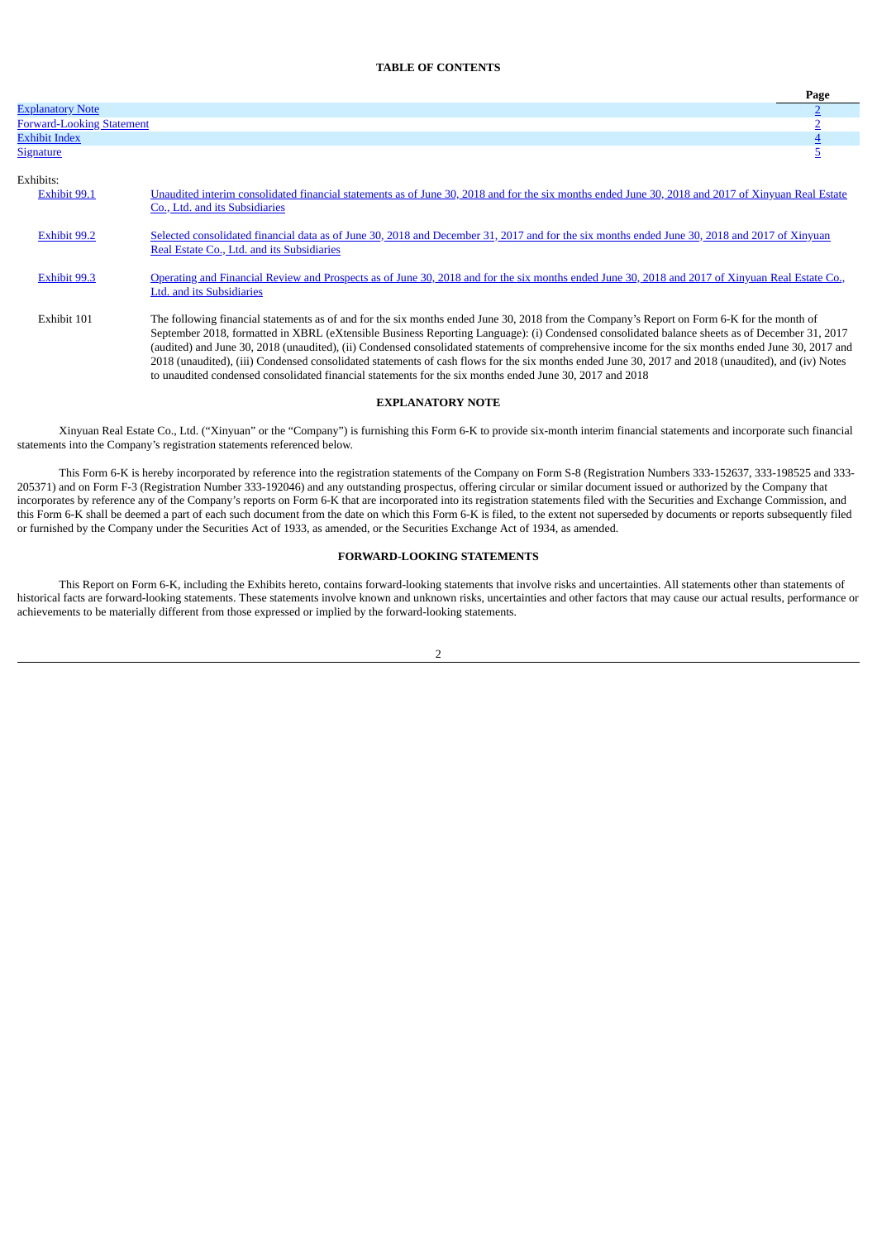# **TABLE OF CONTENTS**

|                                  |                                                                                                                                                                                                                                                                                                                                                                                                                                                                                                                                                                                                                                                                                                                      | Page |
|----------------------------------|----------------------------------------------------------------------------------------------------------------------------------------------------------------------------------------------------------------------------------------------------------------------------------------------------------------------------------------------------------------------------------------------------------------------------------------------------------------------------------------------------------------------------------------------------------------------------------------------------------------------------------------------------------------------------------------------------------------------|------|
| <b>Explanatory Note</b>          |                                                                                                                                                                                                                                                                                                                                                                                                                                                                                                                                                                                                                                                                                                                      |      |
| <b>Forward-Looking Statement</b> |                                                                                                                                                                                                                                                                                                                                                                                                                                                                                                                                                                                                                                                                                                                      |      |
| <b>Exhibit Index</b>             |                                                                                                                                                                                                                                                                                                                                                                                                                                                                                                                                                                                                                                                                                                                      |      |
| <b>Signature</b>                 |                                                                                                                                                                                                                                                                                                                                                                                                                                                                                                                                                                                                                                                                                                                      | ⊇    |
| Exhibits:                        |                                                                                                                                                                                                                                                                                                                                                                                                                                                                                                                                                                                                                                                                                                                      |      |
| Exhibit 99.1                     | Unaudited interim consolidated financial statements as of June 30, 2018 and for the six months ended June 30, 2018 and 2017 of Xinyuan Real Estate<br>Co., Ltd. and its Subsidiaries                                                                                                                                                                                                                                                                                                                                                                                                                                                                                                                                 |      |
| <b>Exhibit 99.2</b>              | Selected consolidated financial data as of June 30, 2018 and December 31, 2017 and for the six months ended June 30, 2018 and 2017 of Xinyuan<br>Real Estate Co., Ltd. and its Subsidiaries                                                                                                                                                                                                                                                                                                                                                                                                                                                                                                                          |      |
| <b>Exhibit 99.3</b>              | Operating and Financial Review and Prospects as of June 30, 2018 and for the six months ended June 30, 2018 and 2017 of Xinyuan Real Estate Co.,<br><b>Ltd. and its Subsidiaries</b>                                                                                                                                                                                                                                                                                                                                                                                                                                                                                                                                 |      |
| Exhibit 101                      | The following financial statements as of and for the six months ended June 30, 2018 from the Company's Report on Form 6-K for the month of<br>September 2018, formatted in XBRL (eXtensible Business Reporting Language): (i) Condensed consolidated balance sheets as of December 31, 2017<br>(audited) and June 30, 2018 (unaudited), (ii) Condensed consolidated statements of comprehensive income for the six months ended June 30, 2017 and<br>2018 (unaudited), (iii) Condensed consolidated statements of cash flows for the six months ended June 30, 2017 and 2018 (unaudited), and (iv) Notes<br>to unaudited condensed consolidated financial statements for the six months ended June 30, 2017 and 2018 |      |

# **EXPLANATORY NOTE**

<span id="page-1-0"></span>Xinyuan Real Estate Co., Ltd. ("Xinyuan" or the "Company") is furnishing this Form 6-K to provide six-month interim financial statements and incorporate such financial statements into the Company's registration statements referenced below.

This Form 6-K is hereby incorporated by reference into the registration statements of the Company on Form S-8 (Registration Numbers 333-152637, 333-198525 and 333- 205371) and on Form F-3 (Registration Number 333-192046) and any outstanding prospectus, offering circular or similar document issued or authorized by the Company that incorporates by reference any of the Company's reports on Form 6-K that are incorporated into its registration statements filed with the Securities and Exchange Commission, and this Form 6-K shall be deemed a part of each such document from the date on which this Form 6-K is filed, to the extent not superseded by documents or reports subsequently filed or furnished by the Company under the Securities Act of 1933, as amended, or the Securities Exchange Act of 1934, as amended.

# **FORWARD-LOOKING STATEMENTS**

<span id="page-1-1"></span>This Report on Form 6-K, including the Exhibits hereto, contains forward-looking statements that involve risks and uncertainties. All statements other than statements of historical facts are forward-looking statements. These statements involve known and unknown risks, uncertainties and other factors that may cause our actual results, performance or achievements to be materially different from those expressed or implied by the forward-looking statements.

2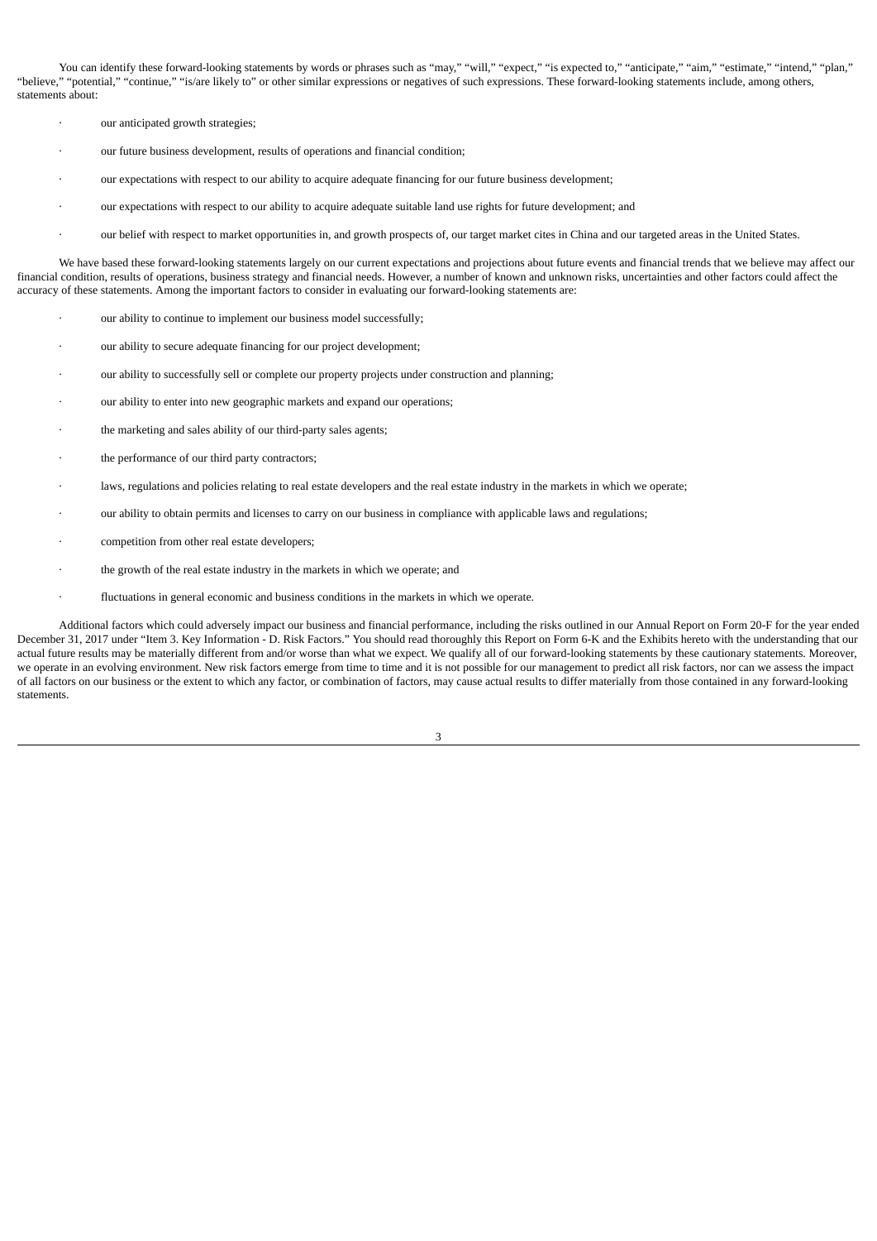You can identify these forward-looking statements by words or phrases such as "may," "will," "expect," "is expected to," "anticipate," "aim," "estimate," "intend," "plan," "believe," "potential," "continue," "is/are likely to" or other similar expressions or negatives of such expressions. These forward-looking statements include, among others, statements about:

- our anticipated growth strategies;
- our future business development, results of operations and financial condition;
- our expectations with respect to our ability to acquire adequate financing for our future business development;
- · our expectations with respect to our ability to acquire adequate suitable land use rights for future development; and
- · our belief with respect to market opportunities in, and growth prospects of, our target market cites in China and our targeted areas in the United States.

We have based these forward-looking statements largely on our current expectations and projections about future events and financial trends that we believe may affect our financial condition, results of operations, business strategy and financial needs. However, a number of known and unknown risks, uncertainties and other factors could affect the accuracy of these statements. Among the important factors to consider in evaluating our forward-looking statements are:

- our ability to continue to implement our business model successfully;
- · our ability to secure adequate financing for our project development;
- our ability to successfully sell or complete our property projects under construction and planning;
- our ability to enter into new geographic markets and expand our operations;
- the marketing and sales ability of our third-party sales agents;
- · the performance of our third party contractors;
- laws, regulations and policies relating to real estate developers and the real estate industry in the markets in which we operate;
- · our ability to obtain permits and licenses to carry on our business in compliance with applicable laws and regulations;
- competition from other real estate developers;
- · the growth of the real estate industry in the markets in which we operate; and
- fluctuations in general economic and business conditions in the markets in which we operate.

Additional factors which could adversely impact our business and financial performance, including the risks outlined in our Annual Report on Form 20-F for the year ended December 31, 2017 under "Item 3. Key Information - D. Risk Factors." You should read thoroughly this Report on Form 6-K and the Exhibits hereto with the understanding that our actual future results may be materially different from and/or worse than what we expect. We qualify all of our forward-looking statements by these cautionary statements. Moreover, we operate in an evolving environment. New risk factors emerge from time to time and it is not possible for our management to predict all risk factors, nor can we assess the impact of all factors on our business or the extent to which any factor, or combination of factors, may cause actual results to differ materially from those contained in any forward-looking statements.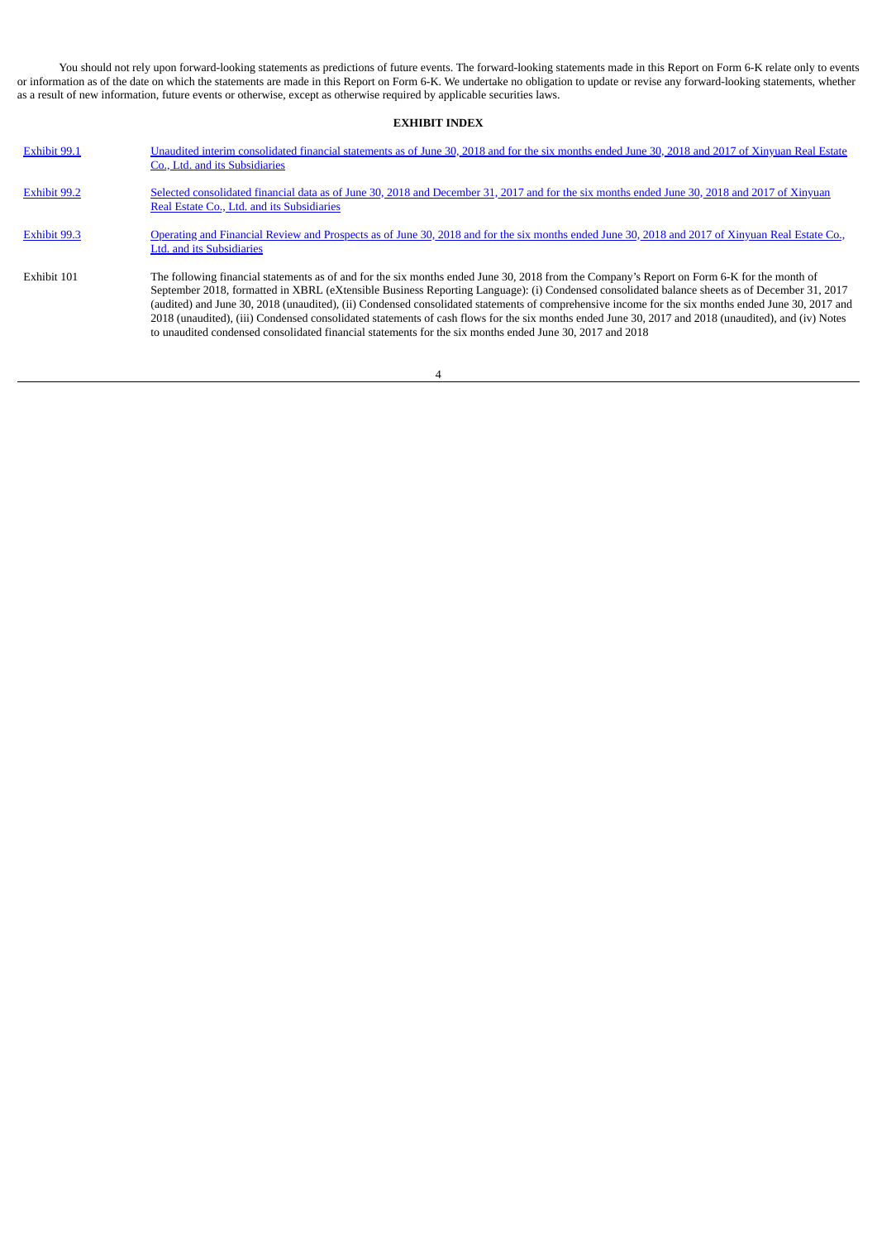You should not rely upon forward-looking statements as predictions of future events. The forward-looking statements made in this Report on Form 6-K relate only to events or information as of the date on which the statements are made in this Report on Form 6-K. We undertake no obligation to update or revise any forward-looking statements, whether as a result of new information, future events or otherwise, except as otherwise required by applicable securities laws.

# **EXHIBIT INDEX**

<span id="page-3-0"></span>

| Exhibit 99.1        | Unaudited interim consolidated financial statements as of June 30, 2018 and for the six months ended June 30, 2018 and 2017 of Xinyuan Real Estate<br>Co., Ltd. and its Subsidiaries                                                                                                                                                                                                                                                                                                                                                                                                                                                                                                                                 |
|---------------------|----------------------------------------------------------------------------------------------------------------------------------------------------------------------------------------------------------------------------------------------------------------------------------------------------------------------------------------------------------------------------------------------------------------------------------------------------------------------------------------------------------------------------------------------------------------------------------------------------------------------------------------------------------------------------------------------------------------------|
| Exhibit 99.2        | Selected consolidated financial data as of June 30, 2018 and December 31, 2017 and for the six months ended June 30, 2018 and 2017 of Xinyuan<br>Real Estate Co., Ltd. and its Subsidiaries                                                                                                                                                                                                                                                                                                                                                                                                                                                                                                                          |
| <b>Exhibit 99.3</b> | Operating and Financial Review and Prospects as of June 30, 2018 and for the six months ended June 30, 2018 and 2017 of Xinyuan Real Estate Co.,<br>Ltd. and its Subsidiaries                                                                                                                                                                                                                                                                                                                                                                                                                                                                                                                                        |
| Exhibit 101         | The following financial statements as of and for the six months ended June 30, 2018 from the Company's Report on Form 6-K for the month of<br>September 2018, formatted in XBRL (eXtensible Business Reporting Language): (i) Condensed consolidated balance sheets as of December 31, 2017<br>(audited) and June 30, 2018 (unaudited), (ii) Condensed consolidated statements of comprehensive income for the six months ended June 30, 2017 and<br>2018 (unaudited), (iii) Condensed consolidated statements of cash flows for the six months ended June 30, 2017 and 2018 (unaudited), and (iv) Notes<br>to unaudited condensed consolidated financial statements for the six months ended June 30, 2017 and 2018 |

4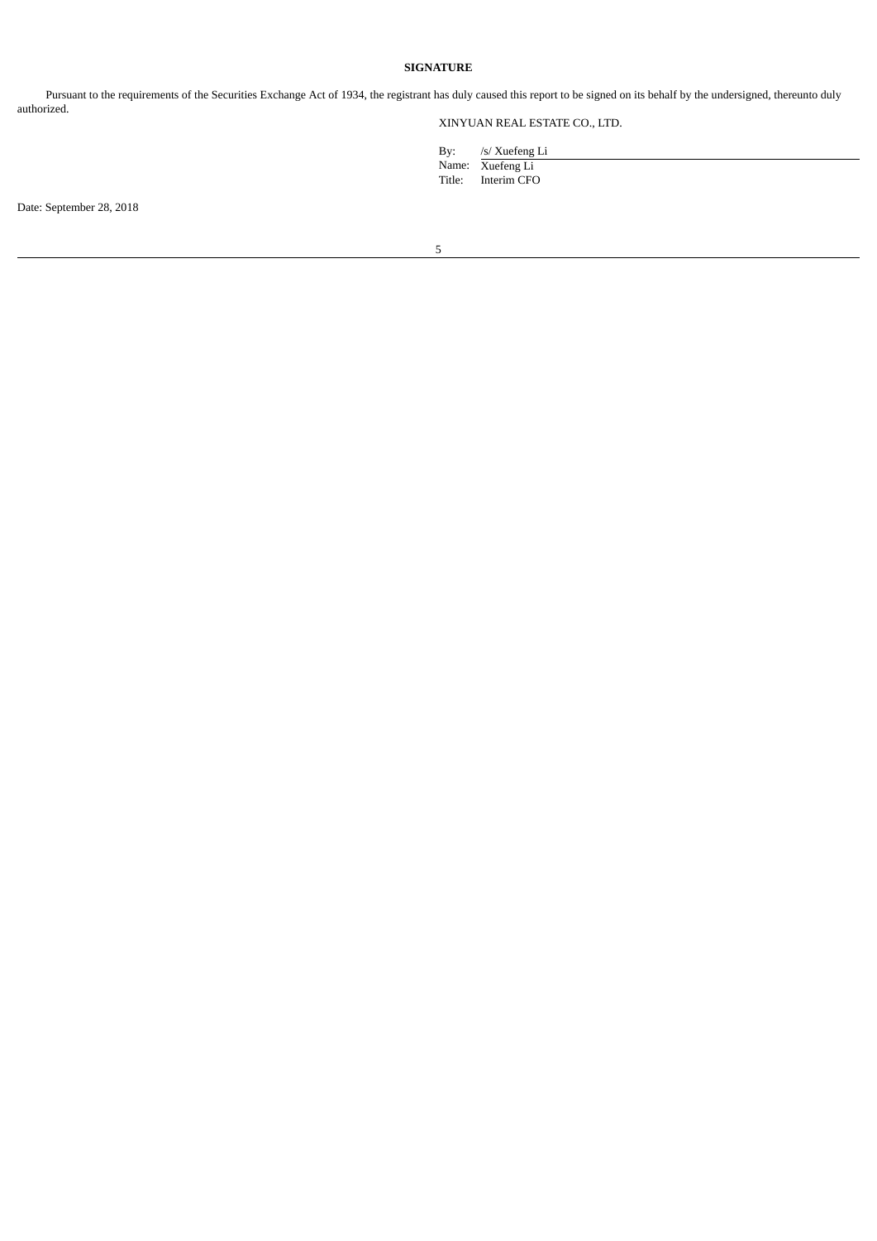# **SIGNATURE**

<span id="page-4-0"></span>Pursuant to the requirements of the Securities Exchange Act of 1934, the registrant has duly caused this report to be signed on its behalf by the undersigned, thereunto duly authorized.

XINYUAN REAL ESTATE CO., LTD.

| By:    | /s/ Xuefeng Li   |
|--------|------------------|
|        | Name: Xuefeng Li |
| Title: | Interim CFO      |

Date: September 28, 2018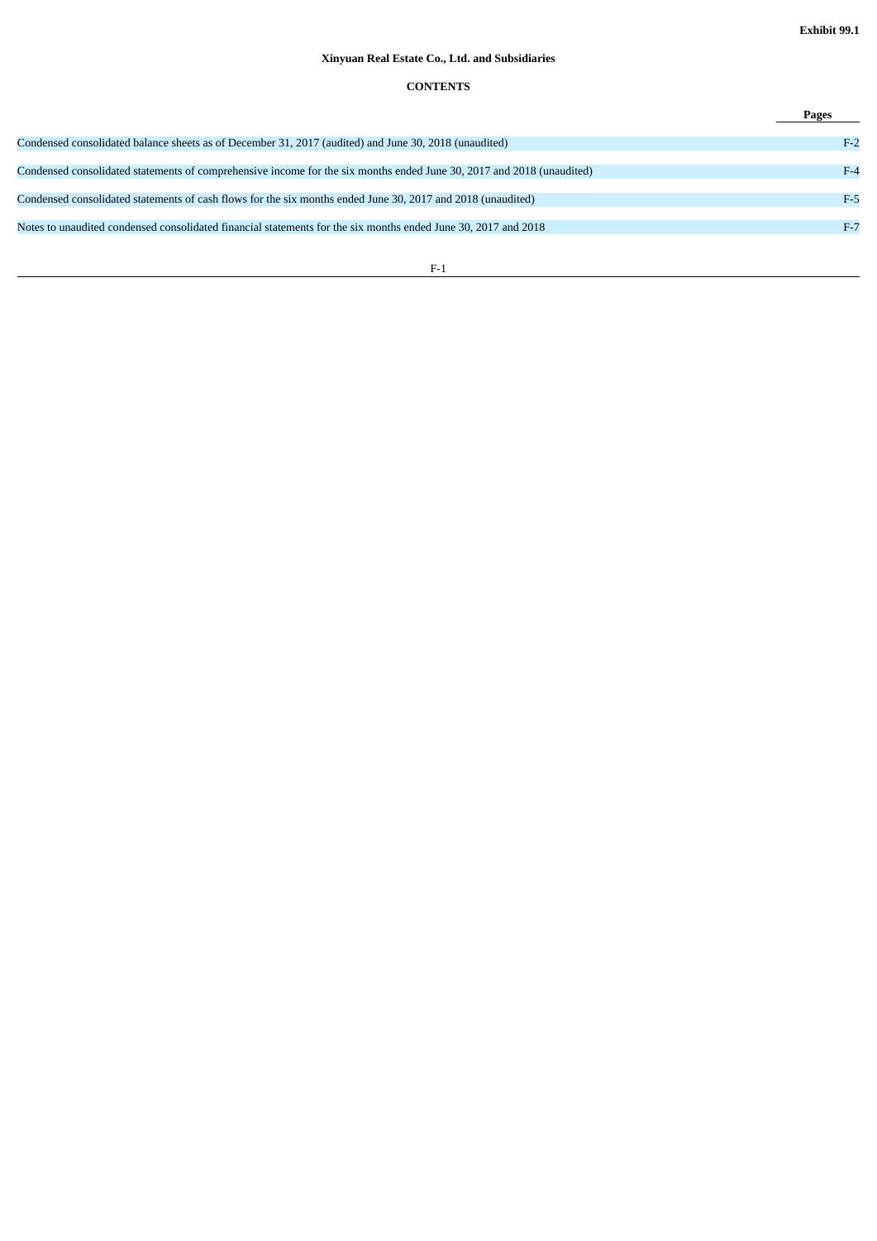# **Xinyuan Real Estate Co., Ltd. and Subsidiaries**

# **CONTENTS**

|                                                                                                                       | Pages |
|-----------------------------------------------------------------------------------------------------------------------|-------|
| Condensed consolidated balance sheets as of December 31, 2017 (audited) and June 30, 2018 (unaudited)                 | $F-2$ |
| Condensed consolidated statements of comprehensive income for the six months ended June 30, 2017 and 2018 (unaudited) | $F-4$ |
| Condensed consolidated statements of cash flows for the six months ended June 30, 2017 and 2018 (unaudited)           | $F-5$ |
| Notes to unaudited condensed consolidated financial statements for the six months ended June 30, 2017 and 2018        | $F-7$ |
|                                                                                                                       |       |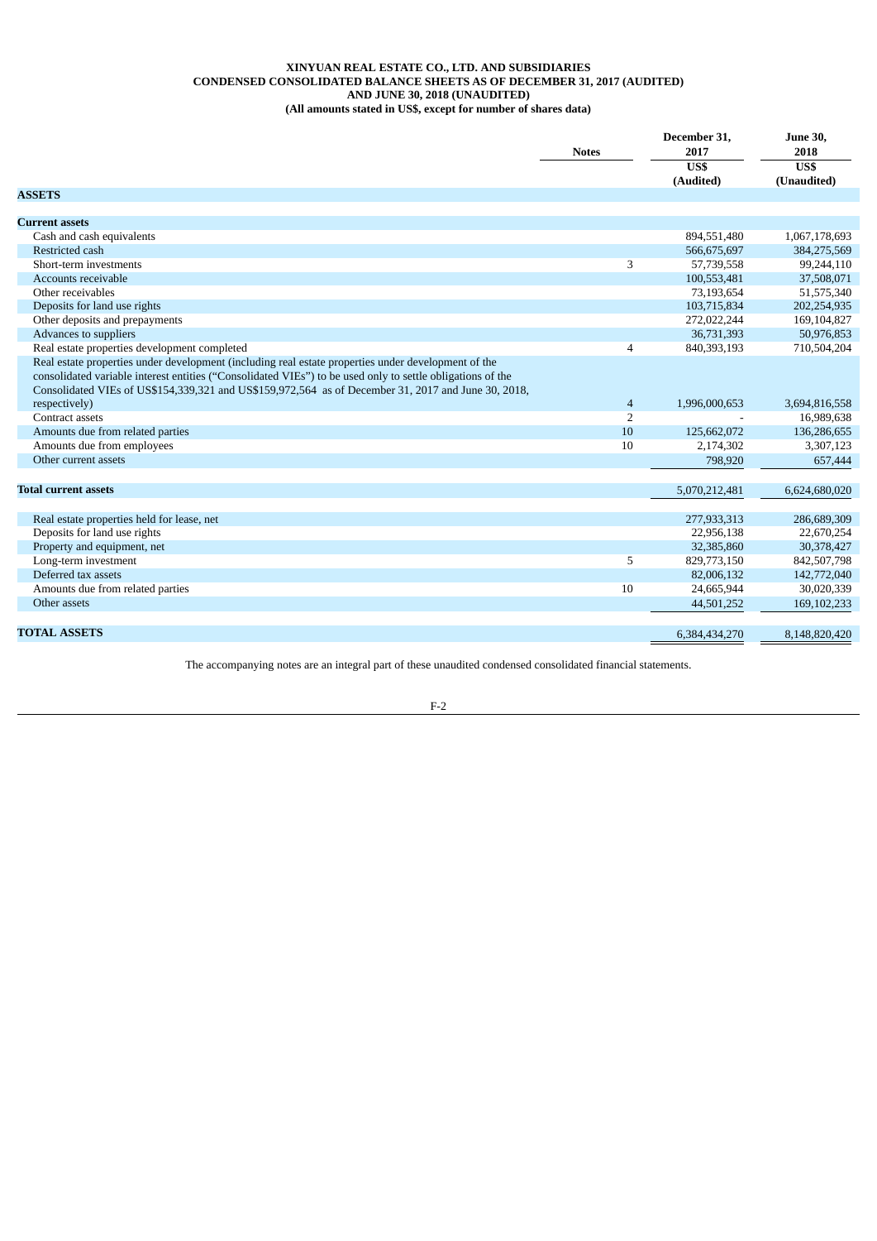## **XINYUAN REAL ESTATE CO., LTD. AND SUBSIDIARIES CONDENSED CONSOLIDATED BALANCE SHEETS AS OF DECEMBER 31, 2017 (AUDITED) AND JUNE 30, 2018 (UNAUDITED) (All amounts stated in US\$, except for number of shares data)**

|                                                                                                                                                                                                                                                                                                                          | <b>Notes</b>   | December 31,<br>2017 |               |
|--------------------------------------------------------------------------------------------------------------------------------------------------------------------------------------------------------------------------------------------------------------------------------------------------------------------------|----------------|----------------------|---------------|
|                                                                                                                                                                                                                                                                                                                          |                | US\$                 | US\$          |
|                                                                                                                                                                                                                                                                                                                          |                | (Audited)            | (Unaudited)   |
| <b>ASSETS</b>                                                                                                                                                                                                                                                                                                            |                |                      |               |
|                                                                                                                                                                                                                                                                                                                          |                |                      |               |
| <b>Current assets</b>                                                                                                                                                                                                                                                                                                    |                |                      |               |
| Cash and cash equivalents                                                                                                                                                                                                                                                                                                |                | 894,551,480          | 1,067,178,693 |
| Restricted cash                                                                                                                                                                                                                                                                                                          |                | 566,675,697          | 384,275,569   |
| Short-term investments                                                                                                                                                                                                                                                                                                   | 3              | 57,739,558           | 99,244,110    |
| Accounts receivable                                                                                                                                                                                                                                                                                                      |                | 100,553,481          | 37,508,071    |
| Other receivables                                                                                                                                                                                                                                                                                                        |                | 73,193,654           | 51,575,340    |
| Deposits for land use rights                                                                                                                                                                                                                                                                                             |                | 103,715,834          | 202,254,935   |
| Other deposits and prepayments                                                                                                                                                                                                                                                                                           |                | 272,022,244          | 169,104,827   |
| Advances to suppliers                                                                                                                                                                                                                                                                                                    |                | 36,731,393           | 50,976,853    |
| Real estate properties development completed                                                                                                                                                                                                                                                                             | $\overline{4}$ | 840,393,193          | 710,504,204   |
| Real estate properties under development (including real estate properties under development of the<br>consolidated variable interest entities ("Consolidated VIEs") to be used only to settle obligations of the<br>Consolidated VIEs of US\$154,339,321 and US\$159,972,564 as of December 31, 2017 and June 30, 2018, |                |                      |               |
| respectively)                                                                                                                                                                                                                                                                                                            | $\overline{4}$ | 1,996,000,653        | 3,694,816,558 |
| Contract assets                                                                                                                                                                                                                                                                                                          | $\overline{2}$ |                      | 16,989,638    |
| Amounts due from related parties                                                                                                                                                                                                                                                                                         | 10             | 125,662,072          | 136,286,655   |
| Amounts due from employees                                                                                                                                                                                                                                                                                               | 10             | 2,174,302            | 3,307,123     |
| Other current assets                                                                                                                                                                                                                                                                                                     |                | 798,920              | 657,444       |
|                                                                                                                                                                                                                                                                                                                          |                |                      |               |
| <b>Total current assets</b>                                                                                                                                                                                                                                                                                              |                | 5,070,212,481        | 6,624,680,020 |
|                                                                                                                                                                                                                                                                                                                          |                |                      |               |
| Real estate properties held for lease, net                                                                                                                                                                                                                                                                               |                | 277,933,313          | 286,689,309   |
| Deposits for land use rights                                                                                                                                                                                                                                                                                             |                | 22,956,138           | 22,670,254    |
| Property and equipment, net                                                                                                                                                                                                                                                                                              |                | 32,385,860           | 30,378,427    |
| Long-term investment                                                                                                                                                                                                                                                                                                     | 5              | 829,773,150          | 842,507,798   |
| Deferred tax assets                                                                                                                                                                                                                                                                                                      |                | 82,006,132           | 142,772,040   |
| Amounts due from related parties                                                                                                                                                                                                                                                                                         | 10             | 24,665,944           | 30,020,339    |
| Other assets                                                                                                                                                                                                                                                                                                             |                | 44,501,252           | 169, 102, 233 |
|                                                                                                                                                                                                                                                                                                                          |                |                      |               |
| <b>TOTAL ASSETS</b>                                                                                                                                                                                                                                                                                                      |                | 6,384,434,270        | 8,148,820,420 |

The accompanying notes are an integral part of these unaudited condensed consolidated financial statements.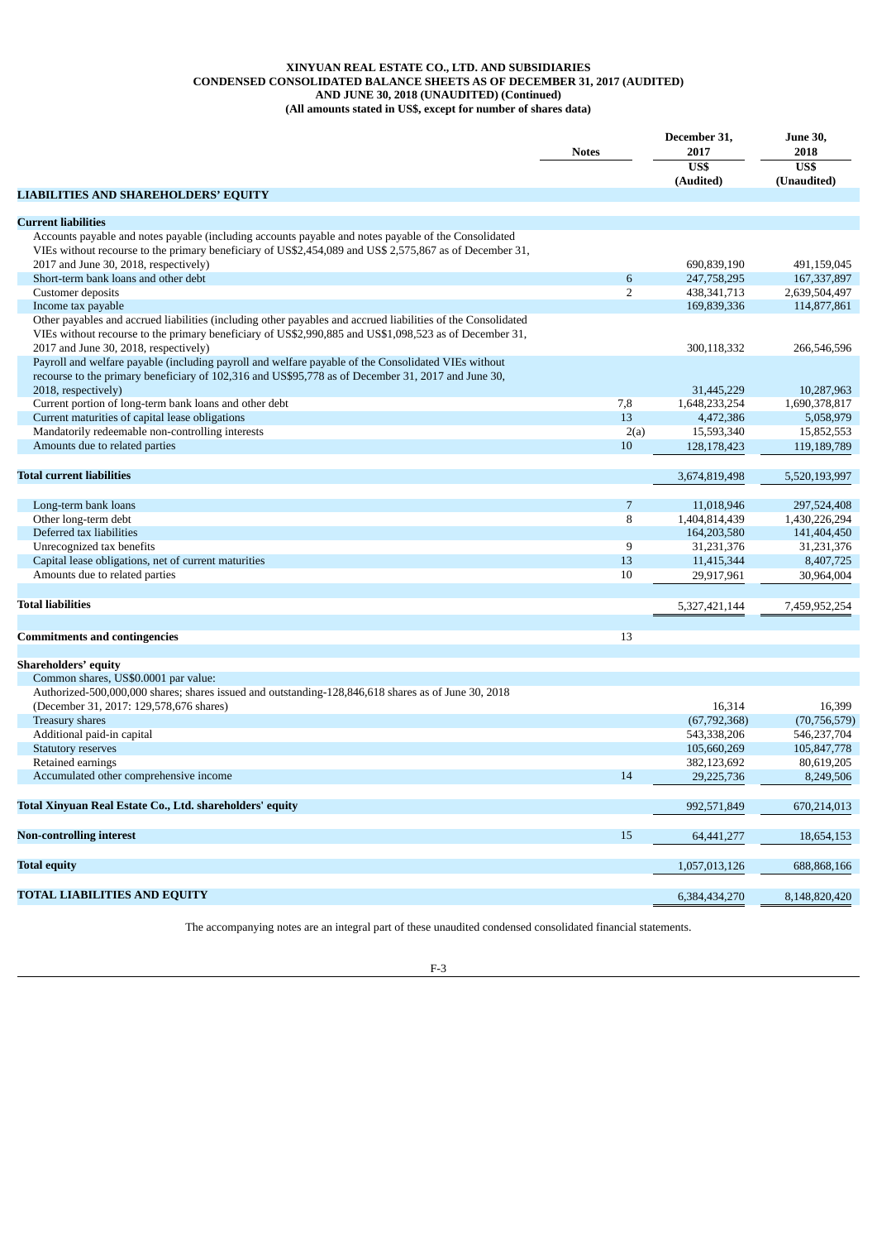## **XINYUAN REAL ESTATE CO., LTD. AND SUBSIDIARIES CONDENSED CONSOLIDATED BALANCE SHEETS AS OF DECEMBER 31, 2017 (AUDITED) AND JUNE 30, 2018 (UNAUDITED) (Continued) (All amounts stated in US\$, except for number of shares data)**

|                                                                                                                                                  | <b>Notes</b>   | December 31,<br>2017<br>US\$<br>(Audited) | <b>June 30,</b><br>2018<br>US\$<br>(Unaudited) |
|--------------------------------------------------------------------------------------------------------------------------------------------------|----------------|-------------------------------------------|------------------------------------------------|
| <b>LIABILITIES AND SHAREHOLDERS' EQUITY</b>                                                                                                      |                |                                           |                                                |
|                                                                                                                                                  |                |                                           |                                                |
| <b>Current liabilities</b>                                                                                                                       |                |                                           |                                                |
| Accounts payable and notes payable (including accounts payable and notes payable of the Consolidated                                             |                |                                           |                                                |
| VIEs without recourse to the primary beneficiary of US\$2,454,089 and US\$ 2,575,867 as of December 31,<br>2017 and June 30, 2018, respectively) |                |                                           |                                                |
| Short-term bank loans and other debt                                                                                                             | $\sqrt{6}$     | 690,839,190<br>247,758,295                | 491,159,045<br>167, 337, 897                   |
| Customer deposits                                                                                                                                | $\overline{2}$ | 438, 341, 713                             | 2,639,504,497                                  |
| Income tax payable                                                                                                                               |                | 169,839,336                               | 114,877,861                                    |
| Other payables and accrued liabilities (including other payables and accrued liabilities of the Consolidated                                     |                |                                           |                                                |
| VIEs without recourse to the primary beneficiary of US\$2,990,885 and US\$1,098,523 as of December 31,                                           |                |                                           |                                                |
| 2017 and June 30, 2018, respectively)                                                                                                            |                | 300,118,332                               | 266,546,596                                    |
| Payroll and welfare payable (including payroll and welfare payable of the Consolidated VIEs without                                              |                |                                           |                                                |
| recourse to the primary beneficiary of 102,316 and US\$95,778 as of December 31, 2017 and June 30,                                               |                |                                           |                                                |
| 2018, respectively)                                                                                                                              |                | 31,445,229                                | 10,287,963                                     |
| Current portion of long-term bank loans and other debt                                                                                           | 7,8            | 1,648,233,254                             | 1,690,378,817                                  |
| Current maturities of capital lease obligations                                                                                                  | 13             | 4,472,386                                 | 5,058,979                                      |
| Mandatorily redeemable non-controlling interests                                                                                                 | 2(a)           | 15,593,340                                | 15,852,553                                     |
| Amounts due to related parties                                                                                                                   | 10             | 128,178,423                               | 119,189,789                                    |
|                                                                                                                                                  |                |                                           |                                                |
| <b>Total current liabilities</b>                                                                                                                 |                | 3,674,819,498                             | 5,520,193,997                                  |
|                                                                                                                                                  |                |                                           |                                                |
| Long-term bank loans                                                                                                                             | 7              | 11,018,946                                | 297,524,408                                    |
| Other long-term debt                                                                                                                             | 8              | 1,404,814,439                             | 1,430,226,294                                  |
| Deferred tax liabilities                                                                                                                         |                | 164,203,580                               | 141,404,450                                    |
| Unrecognized tax benefits                                                                                                                        | 9              | 31,231,376                                | 31,231,376                                     |
| Capital lease obligations, net of current maturities                                                                                             | 13             | 11,415,344                                | 8,407,725                                      |
| Amounts due to related parties                                                                                                                   | 10             | 29,917,961                                | 30,964,004                                     |
|                                                                                                                                                  |                |                                           |                                                |
| <b>Total liabilities</b>                                                                                                                         |                | 5,327,421,144                             | 7,459,952,254                                  |
|                                                                                                                                                  |                |                                           |                                                |
| <b>Commitments and contingencies</b>                                                                                                             | 13             |                                           |                                                |
|                                                                                                                                                  |                |                                           |                                                |
| Shareholders' equity                                                                                                                             |                |                                           |                                                |
| Common shares, US\$0.0001 par value:                                                                                                             |                |                                           |                                                |
| Authorized-500,000,000 shares; shares issued and outstanding-128,846,618 shares as of June 30, 2018                                              |                |                                           |                                                |
| (December 31, 2017: 129,578,676 shares)                                                                                                          |                | 16,314                                    | 16,399                                         |
| Treasury shares                                                                                                                                  |                | (67, 792, 368)                            | (70, 756, 579)                                 |
| Additional paid-in capital                                                                                                                       |                | 543,338,206                               | 546,237,704                                    |
| <b>Statutory reserves</b>                                                                                                                        |                | 105,660,269                               | 105,847,778                                    |
| Retained earnings                                                                                                                                |                | 382,123,692                               | 80,619,205                                     |
| Accumulated other comprehensive income                                                                                                           | 14             | 29,225,736                                | 8,249,506                                      |
|                                                                                                                                                  |                |                                           |                                                |
| Total Xinyuan Real Estate Co., Ltd. shareholders' equity                                                                                         |                | 992,571,849                               | 670,214,013                                    |
|                                                                                                                                                  |                |                                           |                                                |
| <b>Non-controlling interest</b>                                                                                                                  | 15             | 64,441,277                                | 18,654,153                                     |
|                                                                                                                                                  |                |                                           |                                                |
| <b>Total equity</b>                                                                                                                              |                | 1,057,013,126                             | 688,868,166                                    |
|                                                                                                                                                  |                |                                           |                                                |
| <b>TOTAL LIABILITIES AND EQUITY</b>                                                                                                              |                | 6,384,434,270                             | 8,148,820,420                                  |
|                                                                                                                                                  |                |                                           |                                                |

The accompanying notes are an integral part of these unaudited condensed consolidated financial statements.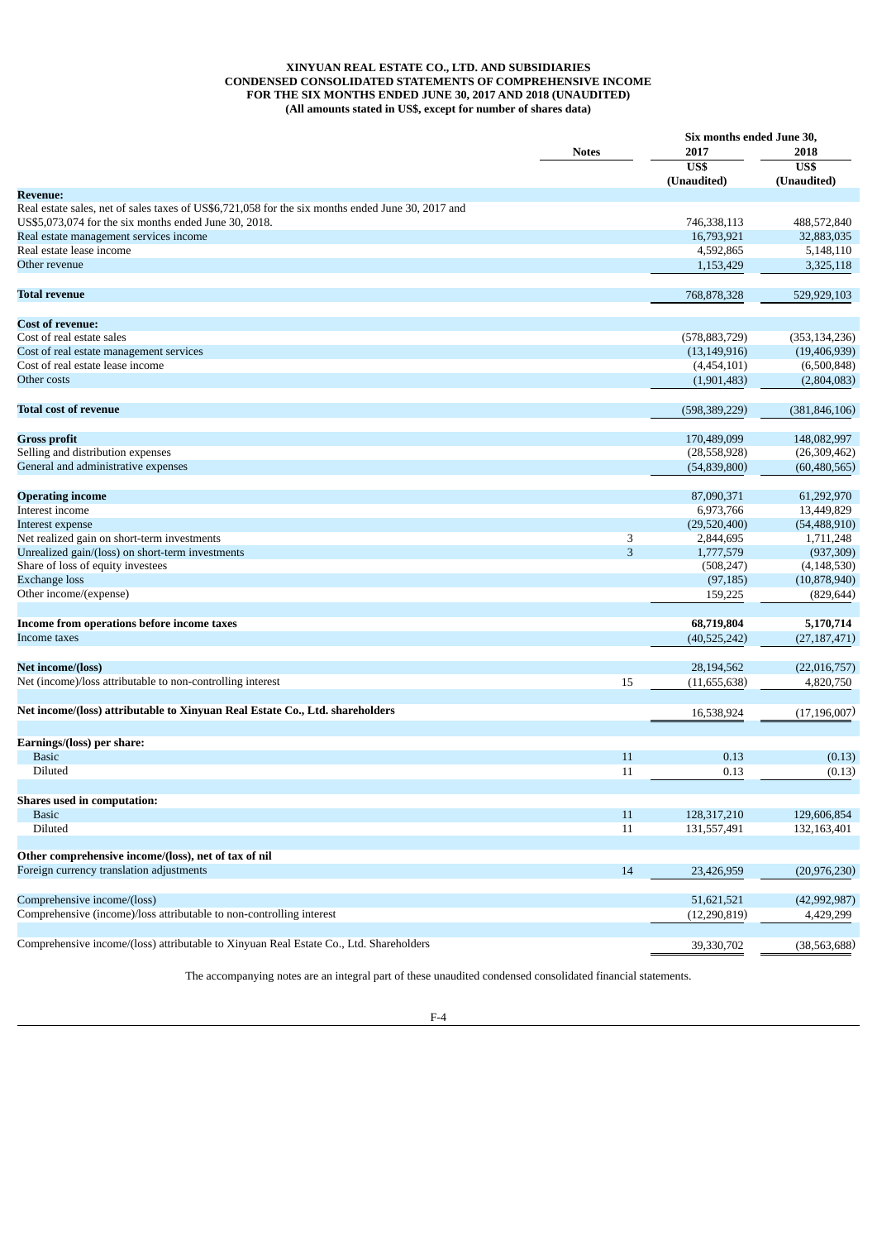## **XINYUAN REAL ESTATE CO., LTD. AND SUBSIDIARIES CONDENSED CONSOLIDATED STATEMENTS OF COMPREHENSIVE INCOME FOR THE SIX MONTHS ENDED JUNE 30, 2017 AND 2018 (UNAUDITED) (All amounts stated in US\$, except for number of shares data)**

|                                                                                                   |              | Six months ended June 30, |                         |  |
|---------------------------------------------------------------------------------------------------|--------------|---------------------------|-------------------------|--|
|                                                                                                   | <b>Notes</b> | 2017                      | 2018                    |  |
|                                                                                                   |              | US\$<br>(Unaudited)       | US\$<br>(Unaudited)     |  |
| <b>Revenue:</b>                                                                                   |              |                           |                         |  |
| Real estate sales, net of sales taxes of US\$6,721,058 for the six months ended June 30, 2017 and |              |                           |                         |  |
| US\$5,073,074 for the six months ended June 30, 2018.                                             |              | 746,338,113               | 488,572,840             |  |
| Real estate management services income                                                            |              | 16,793,921                | 32,883,035              |  |
| Real estate lease income                                                                          |              | 4,592,865                 | 5,148,110               |  |
| Other revenue                                                                                     |              | 1,153,429                 | 3,325,118               |  |
|                                                                                                   |              |                           |                         |  |
| <b>Total revenue</b>                                                                              |              | 768,878,328               | 529,929,103             |  |
| <b>Cost of revenue:</b>                                                                           |              |                           |                         |  |
| Cost of real estate sales                                                                         |              | (578, 883, 729)           | (353, 134, 236)         |  |
| Cost of real estate management services                                                           |              | (13, 149, 916)            | (19, 406, 939)          |  |
| Cost of real estate lease income                                                                  |              | (4,454,101)               | (6,500,848)             |  |
| Other costs                                                                                       |              | (1,901,483)               | (2,804,083)             |  |
|                                                                                                   |              |                           |                         |  |
| <b>Total cost of revenue</b>                                                                      |              | (598, 389, 229)           | (381, 846, 106)         |  |
| <b>Gross profit</b>                                                                               |              | 170,489,099               | 148,082,997             |  |
| Selling and distribution expenses                                                                 |              | (28, 558, 928)            | (26, 309, 462)          |  |
| General and administrative expenses                                                               |              | (54, 839, 800)            | (60, 480, 565)          |  |
| <b>Operating income</b>                                                                           |              | 87,090,371                | 61,292,970              |  |
| Interest income                                                                                   |              | 6,973,766                 | 13,449,829              |  |
|                                                                                                   |              |                           |                         |  |
| Interest expense<br>Net realized gain on short-term investments                                   |              | (29,520,400)<br>2,844,695 | (54, 488, 910)          |  |
|                                                                                                   | 3<br>3       | 1,777,579                 | 1,711,248<br>(937, 309) |  |
| Unrealized gain/(loss) on short-term investments                                                  |              |                           |                         |  |
| Share of loss of equity investees                                                                 |              | (508, 247)                | (4, 148, 530)           |  |
| <b>Exchange loss</b>                                                                              |              | (97, 185)                 | (10,878,940)            |  |
| Other income/(expense)                                                                            |              | 159,225                   | (829, 644)              |  |
| Income from operations before income taxes                                                        |              | 68,719,804                | 5,170,714               |  |
| Income taxes                                                                                      |              | (40,525,242)              | (27, 187, 471)          |  |
| Net income/(loss)                                                                                 |              | 28,194,562                | (22,016,757)            |  |
| Net (income)/loss attributable to non-controlling interest                                        | 15           | (11,655,638)              | 4,820,750               |  |
|                                                                                                   |              |                           |                         |  |
| Net income/(loss) attributable to Xinyuan Real Estate Co., Ltd. shareholders                      |              | 16,538,924                | (17, 196, 007)          |  |
| Earnings/(loss) per share:                                                                        |              |                           |                         |  |
|                                                                                                   |              |                           |                         |  |
| <b>Basic</b><br>Diluted                                                                           | 11           | 0.13                      | (0.13)                  |  |
|                                                                                                   | 11           | 0.13                      | (0.13)                  |  |
| <b>Shares used in computation:</b>                                                                |              |                           |                         |  |
| <b>Basic</b>                                                                                      | 11           | 128,317,210               | 129,606,854             |  |
| Diluted                                                                                           | 11           | 131,557,491               | 132,163,401             |  |
| Other comprehensive income/(loss), net of tax of nil                                              |              |                           |                         |  |
| Foreign currency translation adjustments                                                          | 14           | 23,426,959                | (20, 976, 230)          |  |
|                                                                                                   |              |                           |                         |  |
| Comprehensive income/(loss)                                                                       |              | 51,621,521                | (42,992,987)            |  |
| Comprehensive (income)/loss attributable to non-controlling interest                              |              | (12, 290, 819)            | 4,429,299               |  |
|                                                                                                   |              |                           |                         |  |
| Comprehensive income/(loss) attributable to Xinyuan Real Estate Co., Ltd. Shareholders            |              | 39,330,702                | (38, 563, 688)          |  |

The accompanying notes are an integral part of these unaudited condensed consolidated financial statements.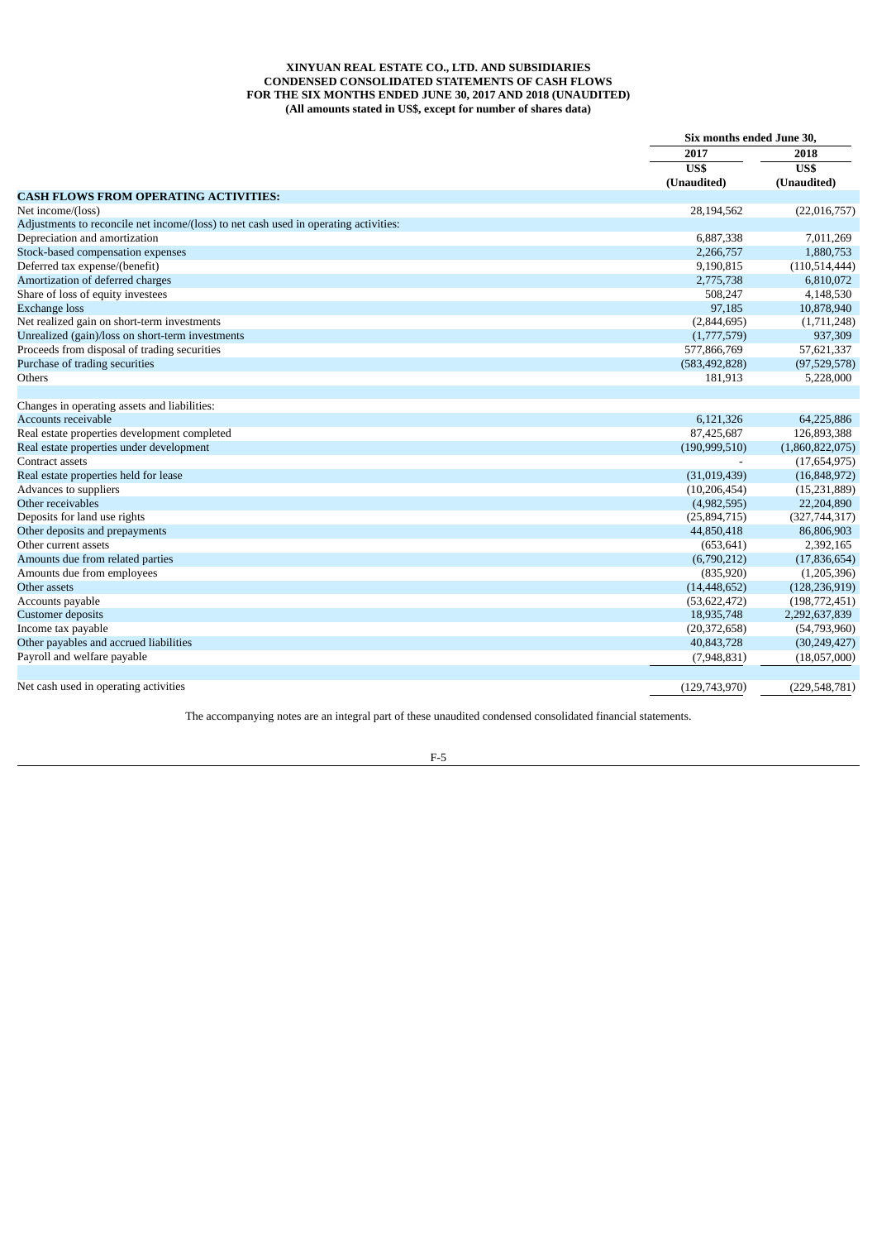## **XINYUAN REAL ESTATE CO., LTD. AND SUBSIDIARIES CONDENSED CONSOLIDATED STATEMENTS OF CASH FLOWS FOR THE SIX MONTHS ENDED JUNE 30, 2017 AND 2018 (UNAUDITED) (All amounts stated in US\$, except for number of shares data)**

|                                                                                      |                 | Six months ended June 30, |  |
|--------------------------------------------------------------------------------------|-----------------|---------------------------|--|
|                                                                                      | 2017            | 2018<br>US\$              |  |
|                                                                                      | US\$            |                           |  |
|                                                                                      | (Unaudited)     | (Unaudited)               |  |
| <b>CASH FLOWS FROM OPERATING ACTIVITIES:</b>                                         |                 |                           |  |
| Net income/(loss)                                                                    | 28,194,562      | (22,016,757)              |  |
| Adjustments to reconcile net income/(loss) to net cash used in operating activities: |                 |                           |  |
| Depreciation and amortization                                                        | 6,887,338       | 7,011,269                 |  |
| Stock-based compensation expenses                                                    | 2,266,757       | 1,880,753                 |  |
| Deferred tax expense/(benefit)                                                       | 9,190,815       | (110, 514, 444)           |  |
| Amortization of deferred charges                                                     | 2,775,738       | 6,810,072                 |  |
| Share of loss of equity investees                                                    | 508,247         | 4,148,530                 |  |
| <b>Exchange loss</b>                                                                 | 97,185          | 10,878,940                |  |
| Net realized gain on short-term investments                                          | (2,844,695)     | (1,711,248)               |  |
| Unrealized (gain)/loss on short-term investments                                     | (1,777,579)     | 937,309                   |  |
| Proceeds from disposal of trading securities                                         | 577,866,769     | 57,621,337                |  |
| Purchase of trading securities                                                       | (583, 492, 828) | (97,529,578)              |  |
| Others                                                                               | 181,913         | 5,228,000                 |  |
|                                                                                      |                 |                           |  |
| Changes in operating assets and liabilities:                                         |                 |                           |  |
| <b>Accounts receivable</b>                                                           | 6,121,326       | 64,225,886                |  |
| Real estate properties development completed                                         | 87,425,687      | 126,893,388               |  |
| Real estate properties under development                                             | (190, 999, 510) | (1,860,822,075)           |  |
| Contract assets                                                                      |                 | (17,654,975)              |  |
| Real estate properties held for lease                                                | (31,019,439)    | (16,848,972)              |  |
| Advances to suppliers                                                                | (10, 206, 454)  | (15, 231, 889)            |  |
| Other receivables                                                                    | (4,982,595)     | 22,204,890                |  |
| Deposits for land use rights                                                         | (25,894,715)    | (327,744,317)             |  |
| Other deposits and prepayments                                                       | 44,850,418      | 86,806,903                |  |
| Other current assets                                                                 | (653, 641)      | 2,392,165                 |  |
| Amounts due from related parties                                                     | (6,790,212)     | (17, 836, 654)            |  |
| Amounts due from employees                                                           | (835,920)       | (1,205,396)               |  |
| Other assets                                                                         | (14, 448, 652)  | (128, 236, 919)           |  |
| Accounts payable                                                                     | (53, 622, 472)  | (198, 772, 451)           |  |
| <b>Customer</b> deposits                                                             | 18,935,748      | 2,292,637,839             |  |
| Income tax payable                                                                   | (20, 372, 658)  | (54,793,960)              |  |
| Other payables and accrued liabilities                                               | 40,843,728      | (30, 249, 427)            |  |
| Payroll and welfare payable                                                          | (7,948,831)     | (18,057,000)              |  |
|                                                                                      |                 |                           |  |
| Net cash used in operating activities                                                | (129.743.970)   | (229.548.781)             |  |

The accompanying notes are an integral part of these unaudited condensed consolidated financial statements.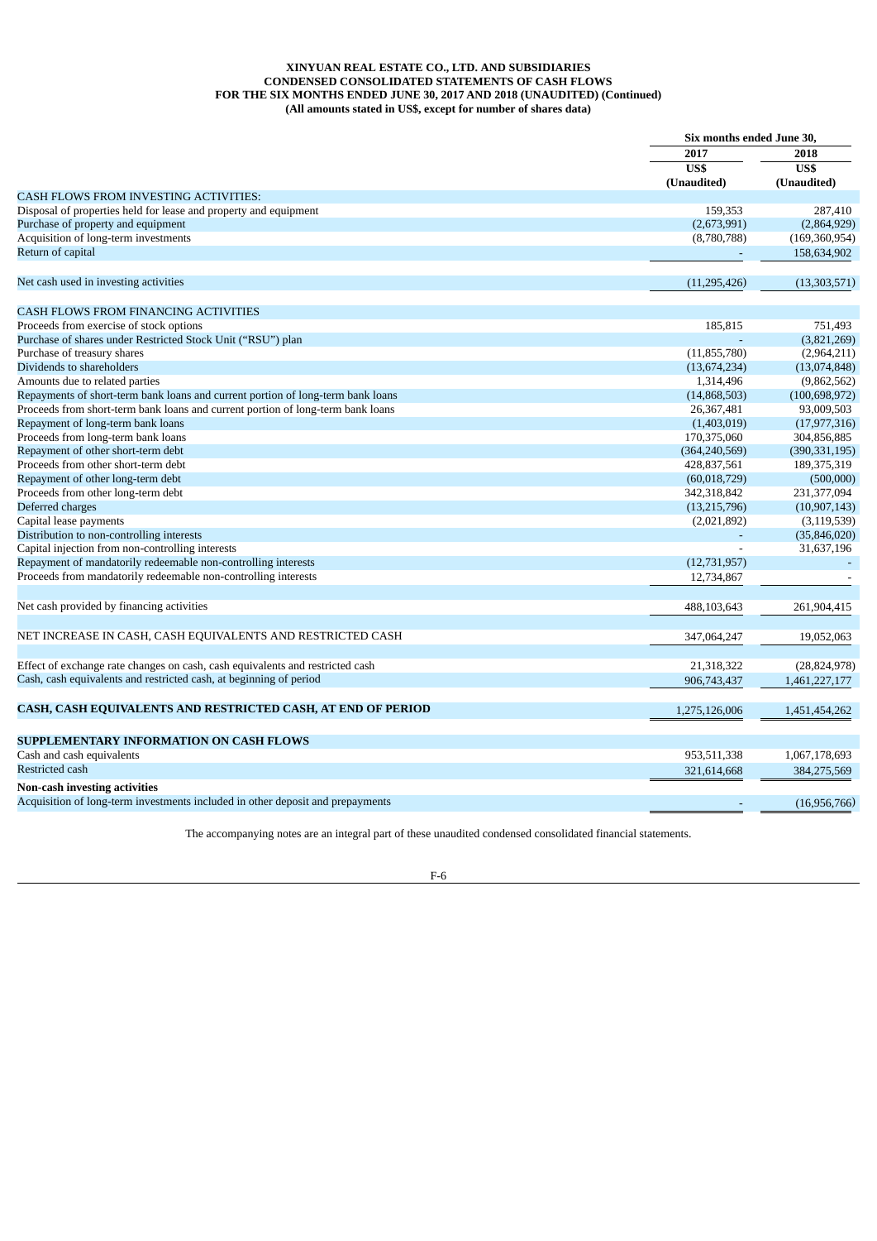## **XINYUAN REAL ESTATE CO., LTD. AND SUBSIDIARIES CONDENSED CONSOLIDATED STATEMENTS OF CASH FLOWS FOR THE SIX MONTHS ENDED JUNE 30, 2017 AND 2018 (UNAUDITED) (Continued) (All amounts stated in US\$, except for number of shares data)**

|                                                                                 | Six months ended June 30, |                          |  |
|---------------------------------------------------------------------------------|---------------------------|--------------------------|--|
|                                                                                 | 2017<br>US\$              | 2018<br>$\overline{USS}$ |  |
|                                                                                 | (Unaudited)               | (Unaudited)              |  |
| <b>CASH FLOWS FROM INVESTING ACTIVITIES:</b>                                    |                           |                          |  |
| Disposal of properties held for lease and property and equipment                | 159,353                   | 287,410                  |  |
| Purchase of property and equipment                                              | (2,673,991)               | (2,864,929)              |  |
| Acquisition of long-term investments                                            | (8,780,788)               | (169, 360, 954)          |  |
| Return of capital                                                               |                           | 158,634,902              |  |
| Net cash used in investing activities                                           | (11, 295, 426)            | (13,303,571)             |  |
|                                                                                 |                           |                          |  |
| <b>CASH FLOWS FROM FINANCING ACTIVITIES</b>                                     |                           |                          |  |
| Proceeds from exercise of stock options                                         | 185,815                   | 751,493                  |  |
| Purchase of shares under Restricted Stock Unit ("RSU") plan                     |                           | (3,821,269)              |  |
| Purchase of treasury shares                                                     | (11, 855, 780)            | (2,964,211)              |  |
| Dividends to shareholders                                                       | (13,674,234)              | (13,074,848)             |  |
| Amounts due to related parties                                                  | 1,314,496                 | (9,862,562)              |  |
| Repayments of short-term bank loans and current portion of long-term bank loans | (14,868,503)              | (100, 698, 972)          |  |
| Proceeds from short-term bank loans and current portion of long-term bank loans | 26,367,481                | 93,009,503               |  |
| Repayment of long-term bank loans                                               | (1,403,019)               | (17, 977, 316)           |  |
| Proceeds from long-term bank loans                                              | 170,375,060               | 304,856,885              |  |
| Repayment of other short-term debt                                              | (364, 240, 569)           | (390, 331, 195)          |  |
| Proceeds from other short-term debt                                             | 428,837,561               | 189,375,319              |  |
| Repayment of other long-term debt                                               | (60,018,729)              | (500,000)                |  |
|                                                                                 |                           |                          |  |
| Proceeds from other long-term debt                                              | 342,318,842               | 231,377,094              |  |
| Deferred charges                                                                | (13,215,796)              | (10, 907, 143)           |  |
| Capital lease payments                                                          | (2,021,892)               | (3, 119, 539)            |  |
| Distribution to non-controlling interests                                       |                           | (35,846,020)             |  |
| Capital injection from non-controlling interests                                |                           | 31,637,196               |  |
| Repayment of mandatorily redeemable non-controlling interests                   | (12,731,957)              |                          |  |
| Proceeds from mandatorily redeemable non-controlling interests                  | 12,734,867                |                          |  |
| Net cash provided by financing activities                                       | 488,103,643               | 261,904,415              |  |
|                                                                                 |                           |                          |  |
| NET INCREASE IN CASH, CASH EQUIVALENTS AND RESTRICTED CASH                      | 347,064,247               | 19,052,063               |  |
|                                                                                 |                           |                          |  |
| Effect of exchange rate changes on cash, cash equivalents and restricted cash   | 21,318,322                | (28, 824, 978)           |  |
| Cash, cash equivalents and restricted cash, at beginning of period              | 906,743,437               | 1,461,227,177            |  |
| CASH, CASH EQUIVALENTS AND RESTRICTED CASH, AT END OF PERIOD                    | 1,275,126,006             | 1,451,454,262            |  |
|                                                                                 |                           |                          |  |
| SUPPLEMENTARY INFORMATION ON CASH FLOWS                                         |                           |                          |  |
| Cash and cash equivalents                                                       | 953,511,338               | 1,067,178,693            |  |
| Restricted cash                                                                 | 321,614,668               | 384,275,569              |  |
| Non-cash investing activities                                                   |                           |                          |  |
| Acquisition of long-term investments included in other deposit and prepayments  |                           | (16,956,766)             |  |

The accompanying notes are an integral part of these unaudited condensed consolidated financial statements.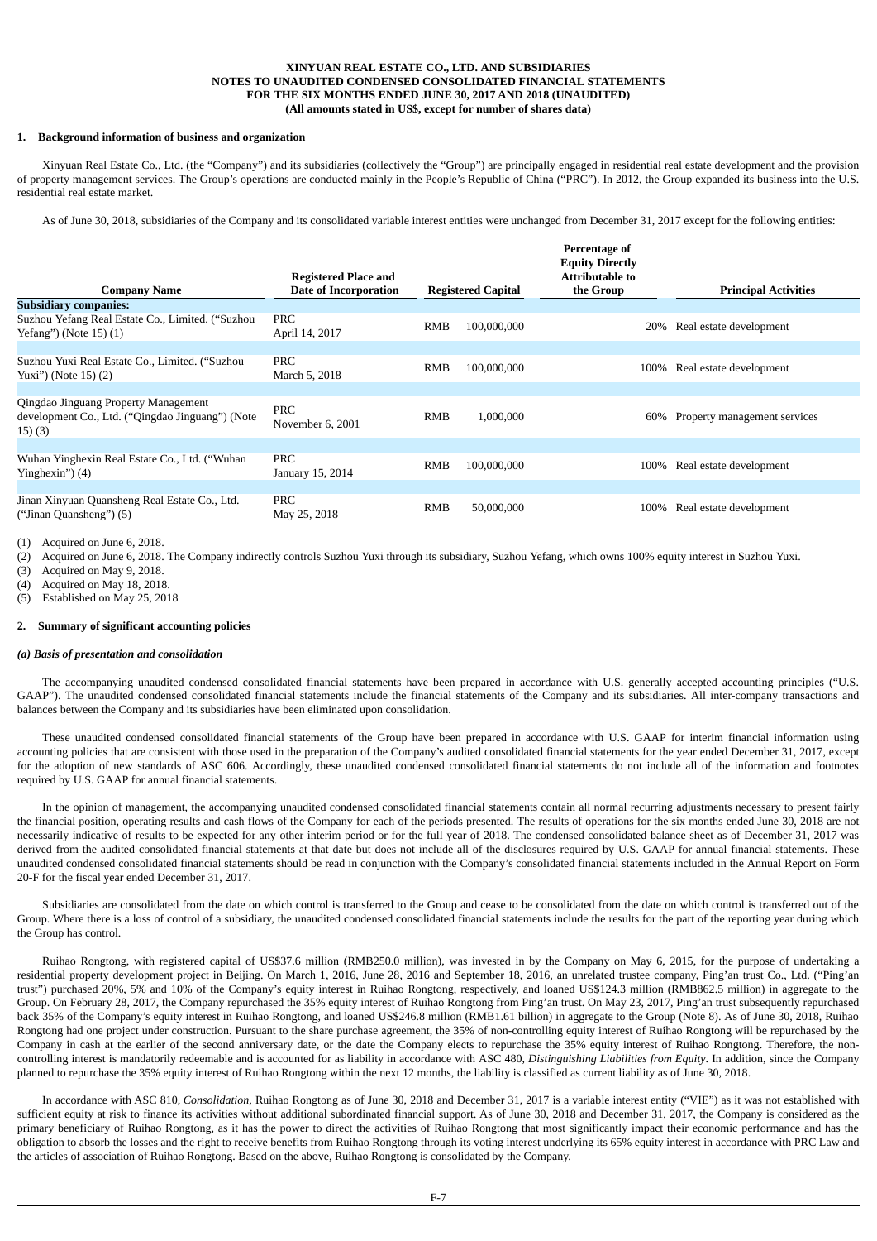## **XINYUAN REAL ESTATE CO., LTD. AND SUBSIDIARIES NOTES TO UNAUDITED CONDENSED CONSOLIDATED FINANCIAL STATEMENTS FOR THE SIX MONTHS ENDED JUNE 30, 2017 AND 2018 (UNAUDITED) (All amounts stated in US\$, except for number of shares data)**

## **1. Background information of business and organization**

Xinyuan Real Estate Co., Ltd. (the "Company") and its subsidiaries (collectively the "Group") are principally engaged in residential real estate development and the provision of property management services. The Group's operations are conducted mainly in the People's Republic of China ("PRC"). In 2012, the Group expanded its business into the U.S. residential real estate market.

As of June 30, 2018, subsidiaries of the Company and its consolidated variable interest entities were unchanged from December 31, 2017 except for the following entities:

| <b>Company Name</b>                                                                               | <b>Registered Place and</b><br><b>Date of Incorporation</b> |            | <b>Registered Capital</b> | Percentage of<br><b>Equity Directly</b><br>Attributable to<br>the Group | <b>Principal Activities</b>  |
|---------------------------------------------------------------------------------------------------|-------------------------------------------------------------|------------|---------------------------|-------------------------------------------------------------------------|------------------------------|
| <b>Subsidiary companies:</b>                                                                      |                                                             |            |                           |                                                                         |                              |
| Suzhou Yefang Real Estate Co., Limited. ("Suzhou<br>Yefang") (Note 15) (1)                        | <b>PRC</b><br>April 14, 2017                                | RMB        | 100,000,000               | 20%                                                                     | Real estate development      |
|                                                                                                   |                                                             |            |                           |                                                                         |                              |
| Suzhou Yuxi Real Estate Co., Limited. ("Suzhou<br>Yuxi") (Note 15) (2)                            | PRC<br>March 5, 2018                                        | <b>RMB</b> | 100,000,000               | 100%                                                                    | Real estate development      |
|                                                                                                   |                                                             |            |                           |                                                                         |                              |
| Qingdao Jinguang Property Management<br>development Co., Ltd. ("Qingdao Jinguang") (Note<br>15(3) | PRC<br>November 6, 2001                                     | <b>RMB</b> | 1.000.000                 | 60%                                                                     | Property management services |
|                                                                                                   |                                                             |            |                           |                                                                         |                              |
| Wuhan Yinghexin Real Estate Co., Ltd. ("Wuhan<br>Yinghexin") (4)                                  | PRC<br>January 15, 2014                                     | <b>RMB</b> | 100,000,000               | 100%                                                                    | Real estate development      |
|                                                                                                   |                                                             |            |                           |                                                                         |                              |
| Jinan Xinyuan Quansheng Real Estate Co., Ltd.<br>("Jinan Quansheng") (5)                          | <b>PRC</b><br>May 25, 2018                                  | RMB        | 50,000,000                | 100%                                                                    | Real estate development      |

(1) Acquired on June 6, 2018.

(2) Acquired on June 6, 2018. The Company indirectly controls Suzhou Yuxi through its subsidiary, Suzhou Yefang, which owns 100% equity interest in Suzhou Yuxi.

(3) Acquired on May 9, 2018.

(4) Acquired on May 18, 2018.

(5) Established on May 25, 2018

### **2. Summary of significant accounting policies**

## *(a) Basis of presentation and consolidation*

The accompanying unaudited condensed consolidated financial statements have been prepared in accordance with U.S. generally accepted accounting principles ("U.S. GAAP"). The unaudited condensed consolidated financial statements include the financial statements of the Company and its subsidiaries. All inter-company transactions and balances between the Company and its subsidiaries have been eliminated upon consolidation.

These unaudited condensed consolidated financial statements of the Group have been prepared in accordance with U.S. GAAP for interim financial information using accounting policies that are consistent with those used in the preparation of the Company's audited consolidated financial statements for the year ended December 31, 2017, except for the adoption of new standards of ASC 606. Accordingly, these unaudited condensed consolidated financial statements do not include all of the information and footnotes required by U.S. GAAP for annual financial statements.

In the opinion of management, the accompanying unaudited condensed consolidated financial statements contain all normal recurring adjustments necessary to present fairly the financial position, operating results and cash flows of the Company for each of the periods presented. The results of operations for the six months ended June 30, 2018 are not necessarily indicative of results to be expected for any other interim period or for the full year of 2018. The condensed consolidated balance sheet as of December 31, 2017 was derived from the audited consolidated financial statements at that date but does not include all of the disclosures required by U.S. GAAP for annual financial statements. These unaudited condensed consolidated financial statements should be read in conjunction with the Company's consolidated financial statements included in the Annual Report on Form 20-F for the fiscal year ended December 31, 2017.

Subsidiaries are consolidated from the date on which control is transferred to the Group and cease to be consolidated from the date on which control is transferred out of the Group. Where there is a loss of control of a subsidiary, the unaudited condensed consolidated financial statements include the results for the part of the reporting year during which the Group has control.

Ruihao Rongtong, with registered capital of US\$37.6 million (RMB250.0 million), was invested in by the Company on May 6, 2015, for the purpose of undertaking a residential property development project in Beijing. On March 1, 2016, June 28, 2016 and September 18, 2016, an unrelated trustee company, Ping'an trust Co., Ltd. ("Ping'an trust") purchased 20%, 5% and 10% of the Company's equity interest in Ruihao Rongtong, respectively, and loaned US\$124.3 million (RMB862.5 million) in aggregate to the Group. On February 28, 2017, the Company repurchased the 35% equity interest of Ruihao Rongtong from Ping'an trust. On May 23, 2017, Ping'an trust subsequently repurchased back 35% of the Company's equity interest in Ruihao Rongtong, and loaned US\$246.8 million (RMB1.61 billion) in aggregate to the Group (Note 8). As of June 30, 2018, Ruihao Rongtong had one project under construction. Pursuant to the share purchase agreement, the 35% of non-controlling equity interest of Ruihao Rongtong will be repurchased by the Company in cash at the earlier of the second anniversary date, or the date the Company elects to repurchase the 35% equity interest of Ruihao Rongtong. Therefore, the noncontrolling interest is mandatorily redeemable and is accounted for as liability in accordance with ASC 480*, Distinguishing Liabilities from Equity*. In addition, since the Company planned to repurchase the 35% equity interest of Ruihao Rongtong within the next 12 months, the liability is classified as current liability as of June 30, 2018.

In accordance with ASC 810*, Consolidation*, Ruihao Rongtong as of June 30, 2018 and December 31, 2017 is a variable interest entity ("VIE") as it was not established with sufficient equity at risk to finance its activities without additional subordinated financial support. As of June 30, 2018 and December 31, 2017, the Company is considered as the primary beneficiary of Ruihao Rongtong, as it has the power to direct the activities of Ruihao Rongtong that most significantly impact their economic performance and has the obligation to absorb the losses and the right to receive benefits from Ruihao Rongtong through its voting interest underlying its 65% equity interest in accordance with PRC Law and the articles of association of Ruihao Rongtong. Based on the above, Ruihao Rongtong is consolidated by the Company.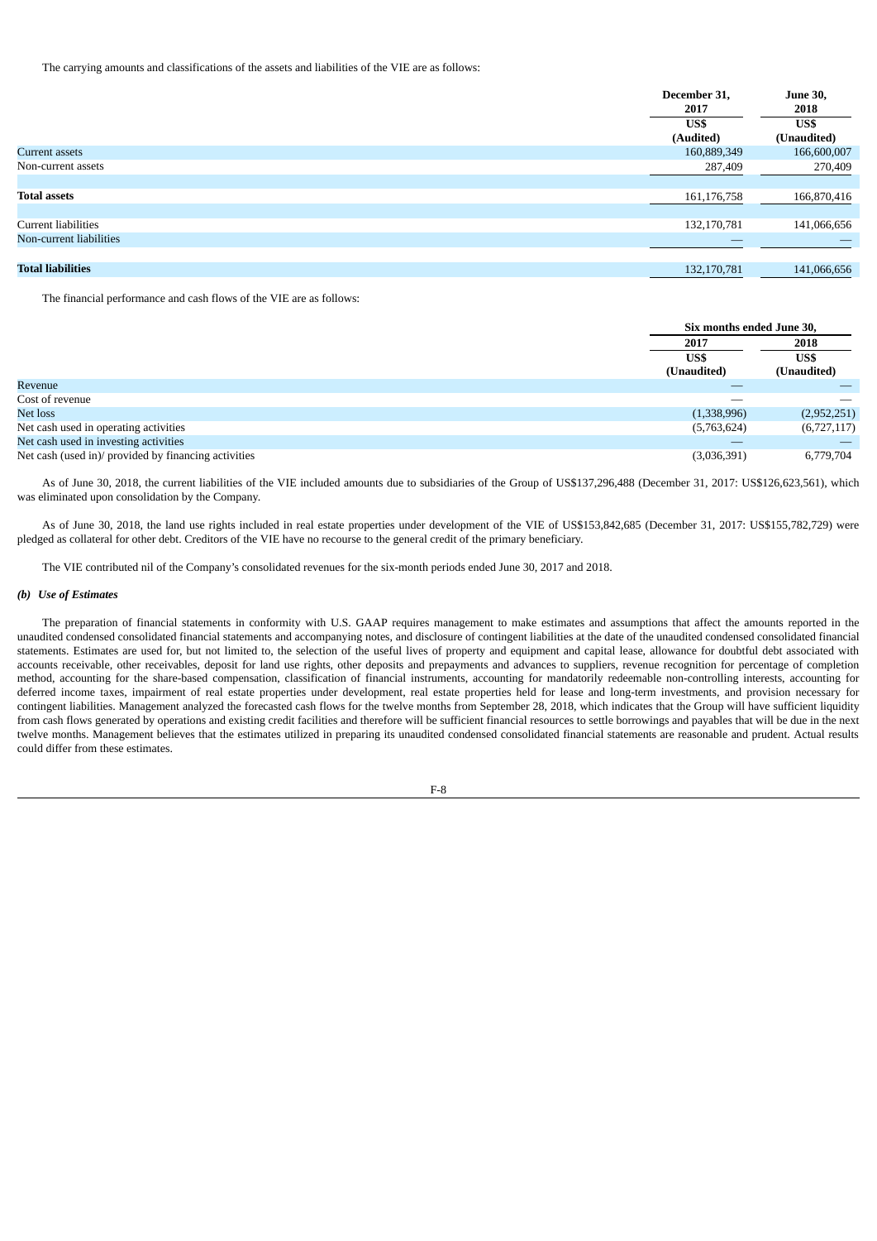The carrying amounts and classifications of the assets and liabilities of the VIE are as follows:

|                          | December 31, | <b>June 30,</b> |
|--------------------------|--------------|-----------------|
|                          | 2017         | 2018            |
|                          | US\$         | US\$            |
|                          | (Audited)    | (Unaudited)     |
| Current assets           | 160,889,349  | 166,600,007     |
| Non-current assets       | 287,409      | 270,409         |
|                          |              |                 |
| <b>Total assets</b>      | 161,176,758  | 166,870,416     |
|                          |              |                 |
| Current liabilities      | 132,170,781  | 141,066,656     |
| Non-current liabilities  |              |                 |
|                          |              |                 |
| <b>Total liabilities</b> | 132,170,781  | 141,066,656     |

The financial performance and cash flows of the VIE are as follows:

|                                                      |                     | Six months ended June 30, |  |
|------------------------------------------------------|---------------------|---------------------------|--|
|                                                      | 2017                | 2018                      |  |
|                                                      | US\$<br>(Unaudited) | US\$<br>(Unaudited)       |  |
| Revenue                                              |                     |                           |  |
| Cost of revenue                                      |                     | __                        |  |
| Net loss                                             | (1,338,996)         | (2,952,251)               |  |
| Net cash used in operating activities                | (5,763,624)         | (6,727,117)               |  |
| Net cash used in investing activities                |                     |                           |  |
| Net cash (used in)/ provided by financing activities | (3,036,391)         | 6,779,704                 |  |

As of June 30, 2018, the current liabilities of the VIE included amounts due to subsidiaries of the Group of US\$137,296,488 (December 31, 2017: US\$126,623,561), which was eliminated upon consolidation by the Company.

As of June 30, 2018, the land use rights included in real estate properties under development of the VIE of US\$153,842,685 (December 31, 2017: US\$155,782,729) were pledged as collateral for other debt. Creditors of the VIE have no recourse to the general credit of the primary beneficiary.

The VIE contributed nil of the Company's consolidated revenues for the six-month periods ended June 30, 2017 and 2018.

## *(b) Use of Estimates*

The preparation of financial statements in conformity with U.S. GAAP requires management to make estimates and assumptions that affect the amounts reported in the unaudited condensed consolidated financial statements and accompanying notes, and disclosure of contingent liabilities at the date of the unaudited condensed consolidated financial statements. Estimates are used for, but not limited to, the selection of the useful lives of property and equipment and capital lease, allowance for doubtful debt associated with accounts receivable, other receivables, deposit for land use rights, other deposits and prepayments and advances to suppliers, revenue recognition for percentage of completion method, accounting for the share-based compensation, classification of financial instruments, accounting for mandatorily redeemable non-controlling interests, accounting for deferred income taxes, impairment of real estate properties under development, real estate properties held for lease and long-term investments, and provision necessary for contingent liabilities. Management analyzed the forecasted cash flows for the twelve months from September 28, 2018, which indicates that the Group will have sufficient liquidity from cash flows generated by operations and existing credit facilities and therefore will be sufficient financial resources to settle borrowings and payables that will be due in the next twelve months. Management believes that the estimates utilized in preparing its unaudited condensed consolidated financial statements are reasonable and prudent. Actual results could differ from these estimates.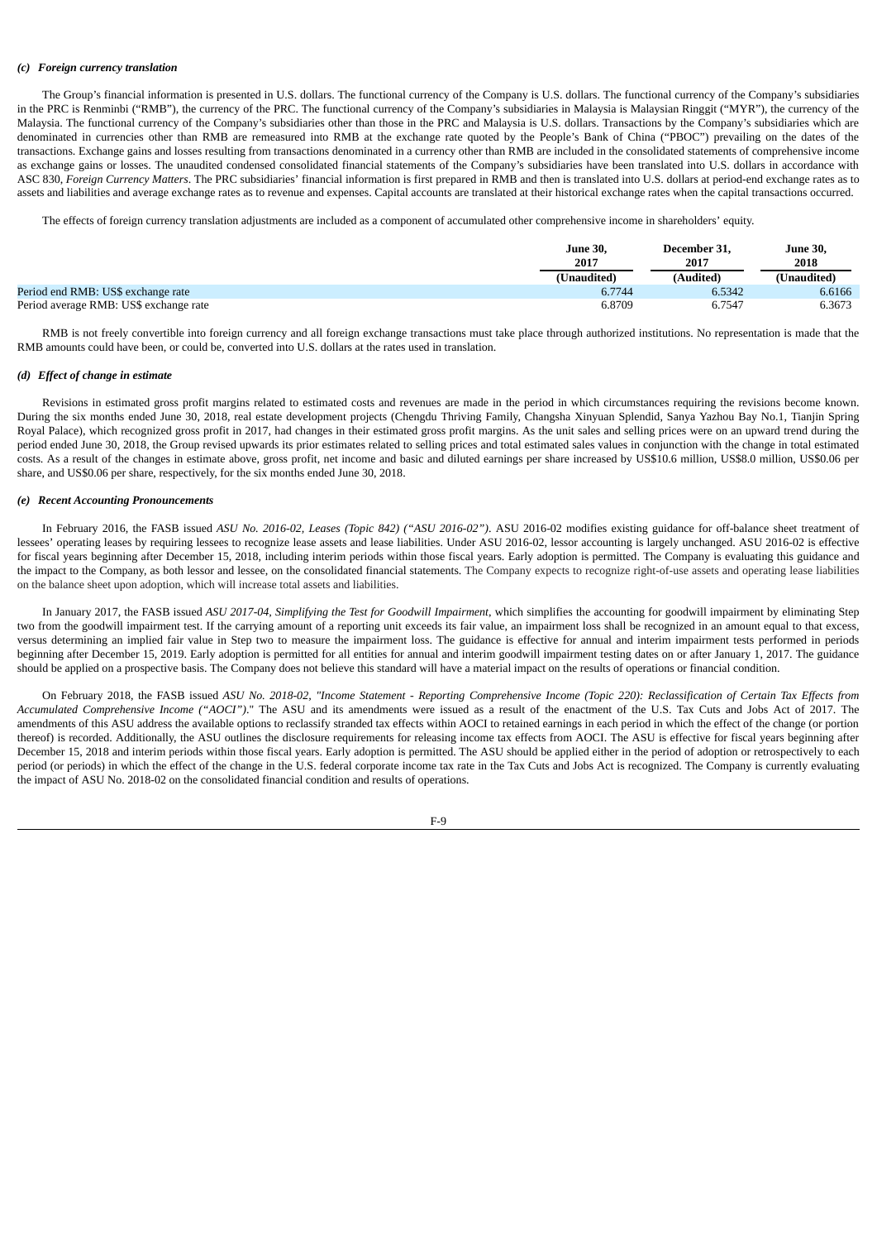### *(c) Foreign currency translation*

The Group's financial information is presented in U.S. dollars. The functional currency of the Company is U.S. dollars. The functional currency of the Company's subsidiaries in the PRC is Renminbi ("RMB"), the currency of the PRC. The functional currency of the Company's subsidiaries in Malaysia is Malaysian Ringgit ("MYR"), the currency of the Malaysia. The functional currency of the Company's subsidiaries other than those in the PRC and Malaysia is U.S. dollars. Transactions by the Company's subsidiaries which are denominated in currencies other than RMB are remeasured into RMB at the exchange rate quoted by the People's Bank of China ("PBOC") prevailing on the dates of the transactions. Exchange gains and losses resulting from transactions denominated in a currency other than RMB are included in the consolidated statements of comprehensive income as exchange gains or losses. The unaudited condensed consolidated financial statements of the Company's subsidiaries have been translated into U.S. dollars in accordance with ASC 830, *Foreign Currency Matters*. The PRC subsidiaries' financial information is first prepared in RMB and then is translated into U.S. dollars at period-end exchange rates as to assets and liabilities and average exchange rates as to revenue and expenses. Capital accounts are translated at their historical exchange rates when the capital transactions occurred.

The effects of foreign currency translation adjustments are included as a component of accumulated other comprehensive income in shareholders' equity.

|                                        | <b>June 30,</b> | December 31. | June 30,                   |
|----------------------------------------|-----------------|--------------|----------------------------|
|                                        | 2017            | 2017         | 2018                       |
|                                        | (Unaudited)     | (Audited)    | <b><i>'Unaudited</i></b> ) |
| Period end RMB: US\$ exchange rate     | 6.7744          | 6.5342       | 6.6166                     |
| Period average RMB: US\$ exchange rate | 6.8709          | 6.7547       | 6.3673                     |

RMB is not freely convertible into foreign currency and all foreign exchange transactions must take place through authorized institutions. No representation is made that the RMB amounts could have been, or could be, converted into U.S. dollars at the rates used in translation.

#### *(d) Effect of change in estimate*

Revisions in estimated gross profit margins related to estimated costs and revenues are made in the period in which circumstances requiring the revisions become known. During the six months ended June 30, 2018, real estate development projects (Chengdu Thriving Family, Changsha Xinyuan Splendid, Sanya Yazhou Bay No.1, Tianjin Spring Royal Palace), which recognized gross profit in 2017, had changes in their estimated gross profit margins. As the unit sales and selling prices were on an upward trend during the period ended June 30, 2018, the Group revised upwards its prior estimates related to selling prices and total estimated sales values in conjunction with the change in total estimated costs. As a result of the changes in estimate above, gross profit, net income and basic and diluted earnings per share increased by US\$10.6 million, US\$8.0 million, US\$0.06 per share, and US\$0.06 per share, respectively, for the six months ended June 30, 2018.

## *(e) Recent Accounting Pronouncements*

In February 2016, the FASB issued *ASU No. 2016-02, Leases (Topic 842) ("ASU 2016-02")*. ASU 2016-02 modifies existing guidance for off-balance sheet treatment of lessees' operating leases by requiring lessees to recognize lease assets and lease liabilities. Under ASU 2016-02, lessor accounting is largely unchanged. ASU 2016-02 is effective for fiscal years beginning after December 15, 2018, including interim periods within those fiscal years. Early adoption is permitted. The Company is evaluating this guidance and the impact to the Company, as both lessor and lessee, on the consolidated financial statements. The Company expects to recognize right-of-use assets and operating lease liabilities on the balance sheet upon adoption, which will increase total assets and liabilities.

In January 2017, the FASB issued *ASU 2017-04, Simplifying the Test for Goodwill Impairment*, which simplifies the accounting for goodwill impairment by eliminating Step two from the goodwill impairment test. If the carrying amount of a reporting unit exceeds its fair value, an impairment loss shall be recognized in an amount equal to that excess, versus determining an implied fair value in Step two to measure the impairment loss. The guidance is effective for annual and interim impairment tests performed in periods beginning after December 15, 2019. Early adoption is permitted for all entities for annual and interim goodwill impairment testing dates on or after January 1, 2017. The guidance should be applied on a prospective basis. The Company does not believe this standard will have a material impact on the results of operations or financial condition.

On February 2018, the FASB issued ASU No. 2018-02, "Income Statement - Reporting Comprehensive Income (Topic 220): Reclassification of Certain Tax Effects from *Accumulated Comprehensive Income ("AOCI")*." The ASU and its amendments were issued as a result of the enactment of the U.S. Tax Cuts and Jobs Act of 2017. The amendments of this ASU address the available options to reclassify stranded tax effects within AOCI to retained earnings in each period in which the effect of the change (or portion thereof) is recorded. Additionally, the ASU outlines the disclosure requirements for releasing income tax effects from AOCI. The ASU is effective for fiscal years beginning after December 15, 2018 and interim periods within those fiscal years. Early adoption is permitted. The ASU should be applied either in the period of adoption or retrospectively to each period (or periods) in which the effect of the change in the U.S. federal corporate income tax rate in the Tax Cuts and Jobs Act is recognized. The Company is currently evaluating the impact of ASU No. 2018-02 on the consolidated financial condition and results of operations.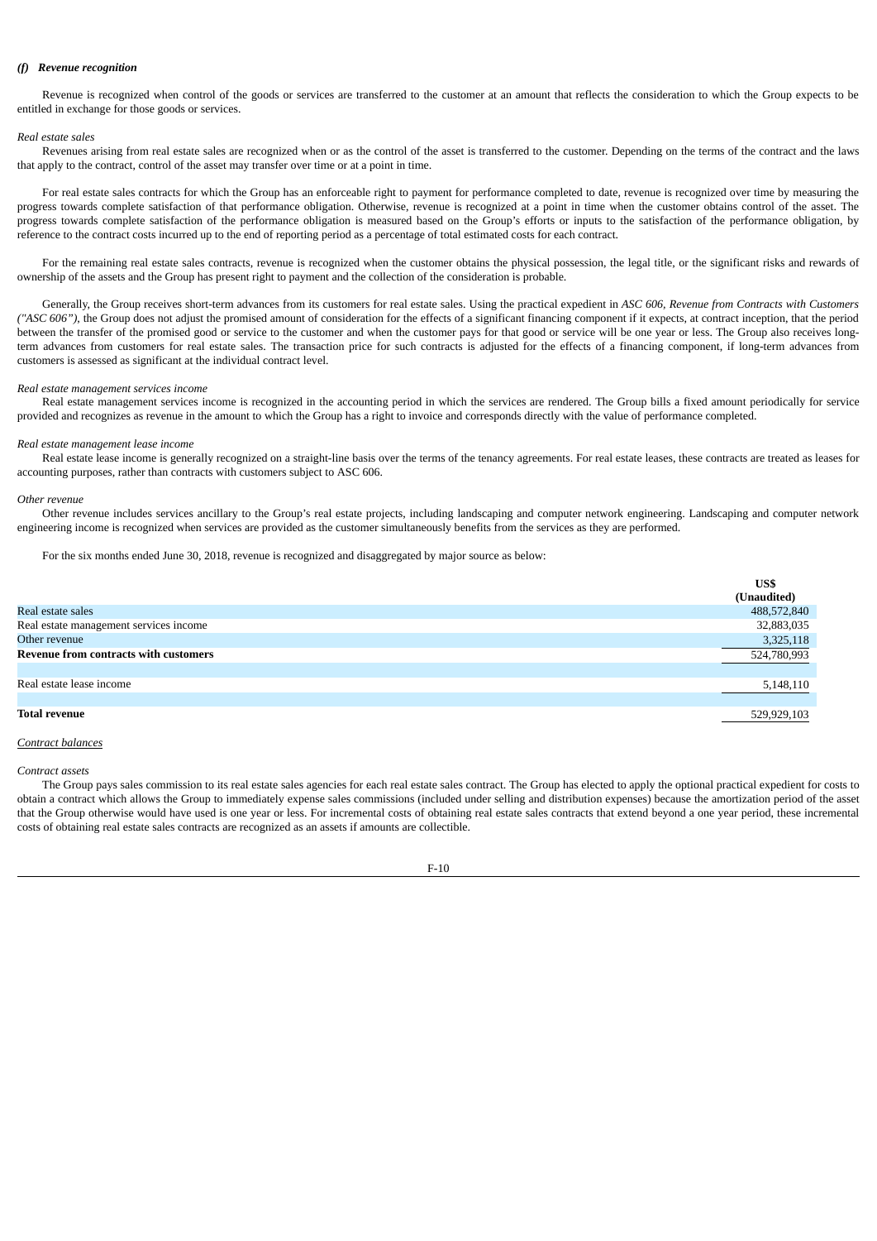### *(f) Revenue recognition*

Revenue is recognized when control of the goods or services are transferred to the customer at an amount that reflects the consideration to which the Group expects to be entitled in exchange for those goods or services.

### *Real estate sales*

Revenues arising from real estate sales are recognized when or as the control of the asset is transferred to the customer. Depending on the terms of the contract and the laws that apply to the contract, control of the asset may transfer over time or at a point in time.

For real estate sales contracts for which the Group has an enforceable right to payment for performance completed to date, revenue is recognized over time by measuring the progress towards complete satisfaction of that performance obligation. Otherwise, revenue is recognized at a point in time when the customer obtains control of the asset. The progress towards complete satisfaction of the performance obligation is measured based on the Group's efforts or inputs to the satisfaction of the performance obligation, by reference to the contract costs incurred up to the end of reporting period as a percentage of total estimated costs for each contract.

For the remaining real estate sales contracts, revenue is recognized when the customer obtains the physical possession, the legal title, or the significant risks and rewards of ownership of the assets and the Group has present right to payment and the collection of the consideration is probable.

Generally, the Group receives short-term advances from its customers for real estate sales. Using the practical expedient in *ASC 606, Revenue from Contracts with Customers ("ASC 606")*, the Group does not adjust the promised amount of consideration for the effects of a significant financing component if it expects, at contract inception, that the period between the transfer of the promised good or service to the customer and when the customer pays for that good or service will be one year or less. The Group also receives longterm advances from customers for real estate sales. The transaction price for such contracts is adjusted for the effects of a financing component, if long-term advances from customers is assessed as significant at the individual contract level.

### *Real estate management services income*

Real estate management services income is recognized in the accounting period in which the services are rendered. The Group bills a fixed amount periodically for service provided and recognizes as revenue in the amount to which the Group has a right to invoice and corresponds directly with the value of performance completed.

#### *Real estate management lease income*

Real estate lease income is generally recognized on a straight-line basis over the terms of the tenancy agreements. For real estate leases, these contracts are treated as leases for accounting purposes, rather than contracts with customers subject to ASC 606.

#### *Other revenue*

Other revenue includes services ancillary to the Group's real estate projects, including landscaping and computer network engineering. Landscaping and computer network engineering income is recognized when services are provided as the customer simultaneously benefits from the services as they are performed.

For the six months ended June 30, 2018, revenue is recognized and disaggregated by major source as below:

| US\$        |
|-------------|
| (Unaudited) |
| 488,572,840 |
| 32,883,035  |
| 3,325,118   |
| 524,780,993 |
|             |
| 5,148,110   |
|             |
| 529,929,103 |
|             |

#### *Contract balances*

#### *Contract assets*

The Group pays sales commission to its real estate sales agencies for each real estate sales contract. The Group has elected to apply the optional practical expedient for costs to obtain a contract which allows the Group to immediately expense sales commissions (included under selling and distribution expenses) because the amortization period of the asset that the Group otherwise would have used is one year or less. For incremental costs of obtaining real estate sales contracts that extend beyond a one year period, these incremental costs of obtaining real estate sales contracts are recognized as an assets if amounts are collectible.

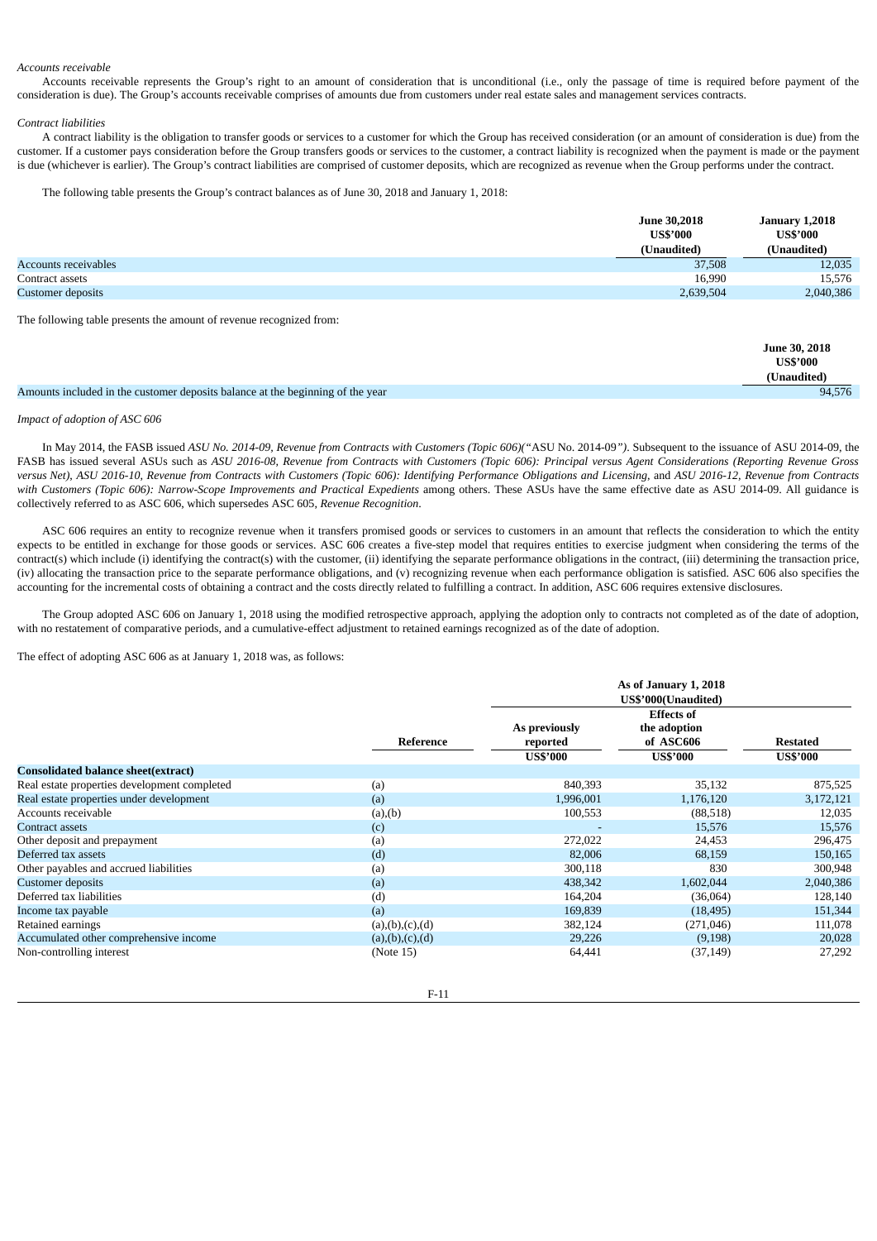#### *Accounts receivable*

Accounts receivable represents the Group's right to an amount of consideration that is unconditional (i.e., only the passage of time is required before payment of the consideration is due). The Group's accounts receivable comprises of amounts due from customers under real estate sales and management services contracts.

### *Contract liabilities*

A contract liability is the obligation to transfer goods or services to a customer for which the Group has received consideration (or an amount of consideration is due) from the customer. If a customer pays consideration before the Group transfers goods or services to the customer, a contract liability is recognized when the payment is made or the payment is due (whichever is earlier). The Group's contract liabilities are comprised of customer deposits, which are recognized as revenue when the Group performs under the contract.

The following table presents the Group's contract balances as of June 30, 2018 and January 1, 2018:

|                             | <b>June 30,2018</b><br><b>US\$'000</b> | <b>January 1,2018</b><br><b>US\$'000</b> |
|-----------------------------|----------------------------------------|------------------------------------------|
|                             | (Unaudited)                            | (Unaudited)                              |
| <b>Accounts receivables</b> | 37,508                                 | 12,035                                   |
| Contract assets             | 16.990                                 | 15.576                                   |
| <b>Customer deposits</b>    | 2,639,504                              | 2,040,386                                |

The following table presents the amount of revenue recognized from:

|                                                                                | <b>June 30, 2018</b><br><b>US\$'000</b> |
|--------------------------------------------------------------------------------|-----------------------------------------|
|                                                                                | (Unaudited)                             |
| Amounts included in the customer deposits balance at the beginning of the year | 94.576                                  |

### *Impact of adoption of ASC 606*

In May 2014, the FASB issued ASU No. 2014-09, Revenue from Contracts with Customers (Topic 606)("ASU No. 2014-09"). Subsequent to the issuance of ASU 2014-09, the FASB has issued several ASUs such as ASU 2016-08, Revenue from Contracts with Customers (Topic 606): Principal versus Agent Considerations (Reporting Revenue Gross versus Net), ASU 2016-10, Revenue from Contracts with Customers (Topic 606): Identifying Performance Obligations and Licensing, and ASU 2016-12, Revenue from Contracts with Customers (Topic 606): Narrow-Scope Improvements and Practical Expedients among others. These ASUs have the same effective date as ASU 2014-09. All guidance is collectively referred to as ASC 606, which supersedes ASC 605, *Revenue Recognition*.

ASC 606 requires an entity to recognize revenue when it transfers promised goods or services to customers in an amount that reflects the consideration to which the entity expects to be entitled in exchange for those goods or services. ASC 606 creates a five-step model that requires entities to exercise judgment when considering the terms of the contract(s) which include (i) identifying the contract(s) with the customer, (ii) identifying the separate performance obligations in the contract, (iii) determining the transaction price, (iv) allocating the transaction price to the separate performance obligations, and (v) recognizing revenue when each performance obligation is satisfied. ASC 606 also specifies the accounting for the incremental costs of obtaining a contract and the costs directly related to fulfilling a contract. In addition, ASC 606 requires extensive disclosures.

The Group adopted ASC 606 on January 1, 2018 using the modified retrospective approach, applying the adoption only to contracts not completed as of the date of adoption, with no restatement of comparative periods, and a cumulative-effect adjustment to retained earnings recognized as of the date of adoption.

The effect of adopting ASC 606 as at January 1, 2018 was, as follows:

|                                              |                    | As of January 1, 2018<br>US\$'000(Unaudited) |                                                                   |                                    |
|----------------------------------------------|--------------------|----------------------------------------------|-------------------------------------------------------------------|------------------------------------|
|                                              | Reference          | As previously<br>reported<br><b>US\$'000</b> | <b>Effects of</b><br>the adoption<br>of ASC606<br><b>US\$'000</b> | <b>Restated</b><br><b>US\$'000</b> |
| <b>Consolidated balance sheet(extract)</b>   |                    |                                              |                                                                   |                                    |
| Real estate properties development completed | (a)                | 840,393                                      | 35,132                                                            | 875,525                            |
| Real estate properties under development     | (a)                | 1,996,001                                    | 1,176,120                                                         | 3,172,121                          |
| Accounts receivable                          | (a),(b)            | 100,553                                      | (88,518)                                                          | 12,035                             |
| <b>Contract assets</b>                       | (c)                |                                              | 15,576                                                            | 15,576                             |
| Other deposit and prepayment                 | (a)                | 272,022                                      | 24,453                                                            | 296,475                            |
| Deferred tax assets                          | (d)                | 82,006                                       | 68,159                                                            | 150,165                            |
| Other payables and accrued liabilities       | (a)                | 300,118                                      | 830                                                               | 300,948                            |
| <b>Customer deposits</b>                     | (a)                | 438,342                                      | 1,602,044                                                         | 2,040,386                          |
| Deferred tax liabilities                     | (d)                | 164,204                                      | (36,064)                                                          | 128,140                            |
| Income tax payable                           | (a)                | 169,839                                      | (18, 495)                                                         | 151,344                            |
| Retained earnings                            | (a), (b), (c), (d) | 382,124                                      | (271, 046)                                                        | 111,078                            |
| Accumulated other comprehensive income       | (a), (b), (c), (d) | 29,226                                       | (9, 198)                                                          | 20,028                             |
| Non-controlling interest                     | (Note 15)          | 64,441                                       | (37, 149)                                                         | 27,292                             |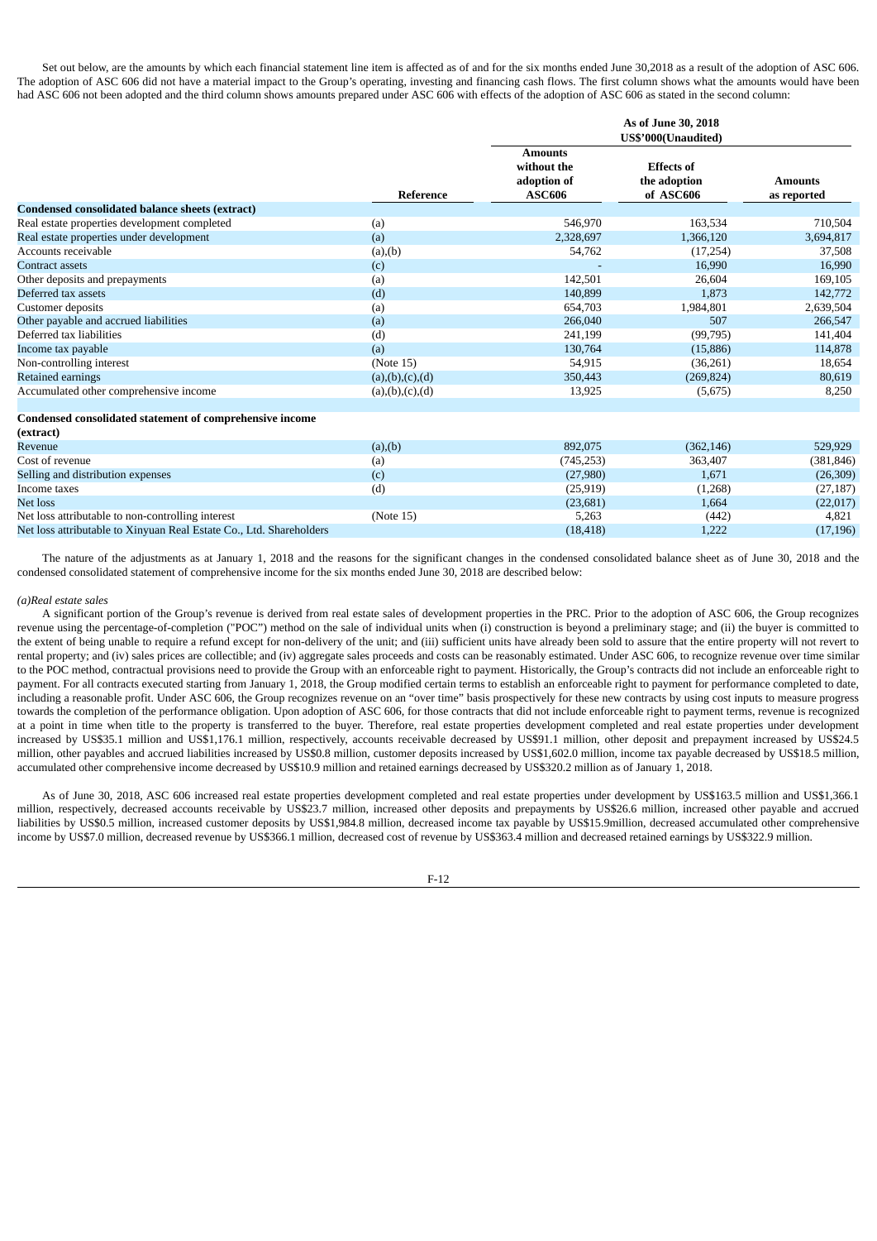Set out below, are the amounts by which each financial statement line item is affected as of and for the six months ended June 30,2018 as a result of the adoption of ASC 606. The adoption of ASC 606 did not have a material impact to the Group's operating, investing and financing cash flows. The first column shows what the amounts would have been had ASC 606 not been adopted and the third column shows amounts prepared under ASC 606 with effects of the adoption of ASC 606 as stated in the second column:

|                                                 |                    | As of June 30, 2018<br>US\$'000(Unaudited)                    |                                                |                               |
|-------------------------------------------------|--------------------|---------------------------------------------------------------|------------------------------------------------|-------------------------------|
|                                                 | Reference          | <b>Amounts</b><br>without the<br>adoption of<br><b>ASC606</b> | <b>Effects of</b><br>the adoption<br>of ASC606 | <b>Amounts</b><br>as reported |
| Condensed consolidated balance sheets (extract) |                    |                                                               |                                                |                               |
| Real estate properties development completed    | (a)                | 546,970                                                       | 163,534                                        | 710,504                       |
| Real estate properties under development        | (a)                | 2,328,697                                                     | 1,366,120                                      | 3,694,817                     |
| Accounts receivable                             | (a), (b)           | 54,762                                                        | (17, 254)                                      | 37,508                        |
| <b>Contract assets</b>                          | (c)                |                                                               | 16,990                                         | 16,990                        |
| Other deposits and prepayments                  | (a)                | 142,501                                                       | 26,604                                         | 169,105                       |
| Deferred tax assets                             | (d)                | 140,899                                                       | 1,873                                          | 142,772                       |
| Customer deposits                               | (a)                | 654,703                                                       | 1,984,801                                      | 2,639,504                     |
| Other payable and accrued liabilities           | (a)                | 266,040                                                       | 507                                            | 266,547                       |
| Deferred tax liabilities                        | (d)                | 241,199                                                       | (99, 795)                                      | 141,404                       |
| Income tax payable                              | (a)                | 130,764                                                       | (15, 886)                                      | 114,878                       |
| Non-controlling interest                        | (Note 15)          | 54,915                                                        | (36,261)                                       | 18,654                        |
| Retained earnings                               | (a), (b), (c), (d) | 350,443                                                       | (269, 824)                                     | 80,619                        |
| Accumulated other comprehensive income          | (a), (b), (c), (d) | 13,925                                                        | (5,675)                                        | 8,250                         |

# **Condensed consolidated statement of comprehensive income**

| (extract)                                                           |           |            |            |            |
|---------------------------------------------------------------------|-----------|------------|------------|------------|
| Revenue                                                             | (a), (b)  | 892,075    | (362, 146) | 529,929    |
| Cost of revenue                                                     | (a)       | (745, 253) | 363,407    | (381, 846) |
| Selling and distribution expenses                                   | (c)       | (27,980)   | 1,671      | (26,309)   |
| Income taxes                                                        | (d)       | (25, 919)  | (1,268)    | (27, 187)  |
| Net loss                                                            |           | (23, 681)  | 1,664      | (22,017)   |
| Net loss attributable to non-controlling interest                   | (Note 15) | 5,263      | (442)      | 4,821      |
| Net loss attributable to Xinyuan Real Estate Co., Ltd. Shareholders |           | (18, 418)  | 1,222      | (17, 196)  |

The nature of the adjustments as at January 1, 2018 and the reasons for the significant changes in the condensed consolidated balance sheet as of June 30, 2018 and the condensed consolidated statement of comprehensive income for the six months ended June 30, 2018 are described below:

### *(a)Real estate sales*

A significant portion of the Group's revenue is derived from real estate sales of development properties in the PRC. Prior to the adoption of ASC 606, the Group recognizes revenue using the percentage-of-completion ("POC") method on the sale of individual units when (i) construction is beyond a preliminary stage; and (ii) the buyer is committed to the extent of being unable to require a refund except for non-delivery of the unit; and (iii) sufficient units have already been sold to assure that the entire property will not revert to rental property; and (iv) sales prices are collectible; and (iv) aggregate sales proceeds and costs can be reasonably estimated. Under ASC 606, to recognize revenue over time similar to the POC method, contractual provisions need to provide the Group with an enforceable right to payment. Historically, the Group's contracts did not include an enforceable right to payment. For all contracts executed starting from January 1, 2018, the Group modified certain terms to establish an enforceable right to payment for performance completed to date, including a reasonable profit. Under ASC 606, the Group recognizes revenue on an "over time" basis prospectively for these new contracts by using cost inputs to measure progress towards the completion of the performance obligation. Upon adoption of ASC 606, for those contracts that did not include enforceable right to payment terms, revenue is recognized at a point in time when title to the property is transferred to the buyer. Therefore, real estate properties development completed and real estate properties under development increased by US\$35.1 million and US\$1,176.1 million, respectively, accounts receivable decreased by US\$91.1 million, other deposit and prepayment increased by US\$24.5 million, other payables and accrued liabilities increased by US\$0.8 million, customer deposits increased by US\$1,602.0 million, income tax payable decreased by US\$18.5 million, accumulated other comprehensive income decreased by US\$10.9 million and retained earnings decreased by US\$320.2 million as of January 1, 2018.

As of June 30, 2018, ASC 606 increased real estate properties development completed and real estate properties under development by US\$163.5 million and US\$1,366.1 million, respectively, decreased accounts receivable by US\$23.7 million, increased other deposits and prepayments by US\$26.6 million, increased other payable and accrued liabilities by US\$0.5 million, increased customer deposits by US\$1,984.8 million, decreased income tax payable by US\$15.9million, decreased accumulated other comprehensive income by US\$7.0 million, decreased revenue by US\$366.1 million, decreased cost of revenue by US\$363.4 million and decreased retained earnings by US\$322.9 million.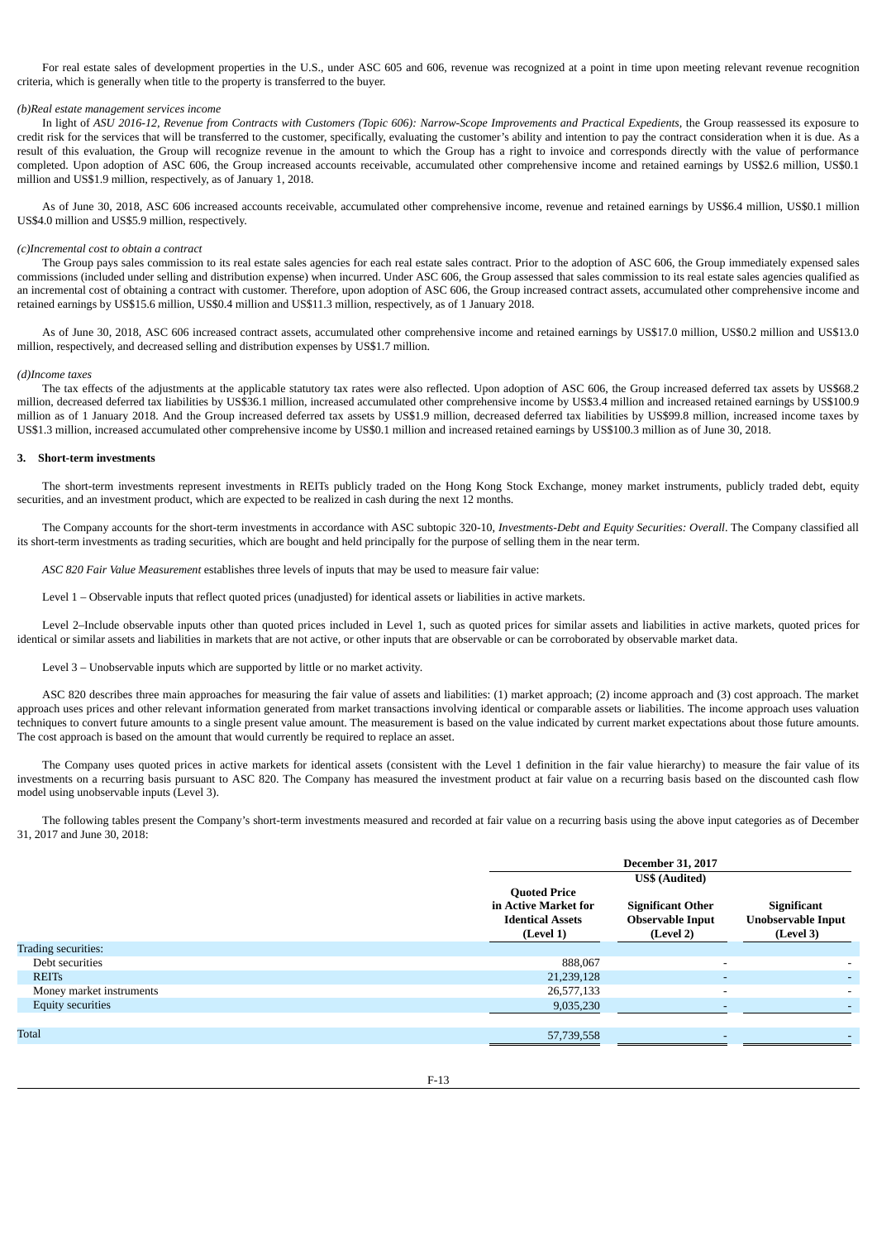For real estate sales of development properties in the U.S., under ASC 605 and 606, revenue was recognized at a point in time upon meeting relevant revenue recognition criteria, which is generally when title to the property is transferred to the buyer.

### *(b)Real estate management services income*

In light of ASU 2016-12, Revenue from Contracts with Customers (Topic 606): Narrow-Scope Improvements and Practical Expedients, the Group reassessed its exposure to credit risk for the services that will be transferred to the customer, specifically, evaluating the customer's ability and intention to pay the contract consideration when it is due. As a result of this evaluation, the Group will recognize revenue in the amount to which the Group has a right to invoice and corresponds directly with the value of performance completed. Upon adoption of ASC 606, the Group increased accounts receivable, accumulated other comprehensive income and retained earnings by US\$2.6 million, US\$0.1 million and US\$1.9 million, respectively, as of January 1, 2018.

As of June 30, 2018, ASC 606 increased accounts receivable, accumulated other comprehensive income, revenue and retained earnings by US\$6.4 million, US\$0.1 million US\$4.0 million and US\$5.9 million, respectively.

### *(c)Incremental cost to obtain a contract*

The Group pays sales commission to its real estate sales agencies for each real estate sales contract. Prior to the adoption of ASC 606, the Group immediately expensed sales commissions (included under selling and distribution expense) when incurred. Under ASC 606, the Group assessed that sales commission to its real estate sales agencies qualified as an incremental cost of obtaining a contract with customer. Therefore, upon adoption of ASC 606, the Group increased contract assets, accumulated other comprehensive income and retained earnings by US\$15.6 million, US\$0.4 million and US\$11.3 million, respectively, as of 1 January 2018.

As of June 30, 2018, ASC 606 increased contract assets, accumulated other comprehensive income and retained earnings by US\$17.0 million, US\$0.2 million and US\$13.0 million, respectively, and decreased selling and distribution expenses by US\$1.7 million.

#### *(d)Income taxes*

The tax effects of the adjustments at the applicable statutory tax rates were also reflected. Upon adoption of ASC 606, the Group increased deferred tax assets by US\$68.2 million, decreased deferred tax liabilities by US\$36.1 million, increased accumulated other comprehensive income by US\$3.4 million and increased retained earnings by US\$100.9 million as of 1 January 2018. And the Group increased deferred tax assets by US\$1.9 million, decreased deferred tax liabilities by US\$99.8 million, increased income taxes by US\$1.3 million, increased accumulated other comprehensive income by US\$0.1 million and increased retained earnings by US\$100.3 million as of June 30, 2018.

## **3. Short-term investments**

The short-term investments represent investments in REITs publicly traded on the Hong Kong Stock Exchange, money market instruments, publicly traded debt, equity securities, and an investment product, which are expected to be realized in cash during the next 12 months.

The Company accounts for the short-term investments in accordance with ASC subtopic 320-10, *Investments-Debt and Equity Securities: Overall*. The Company classified all its short-term investments as trading securities, which are bought and held principally for the purpose of selling them in the near term.

*ASC 820 Fair Value Measurement* establishes three levels of inputs that may be used to measure fair value:

Level 1 – Observable inputs that reflect quoted prices (unadjusted) for identical assets or liabilities in active markets.

Level 2–Include observable inputs other than quoted prices included in Level 1, such as quoted prices for similar assets and liabilities in active markets, quoted prices for identical or similar assets and liabilities in markets that are not active, or other inputs that are observable or can be corroborated by observable market data.

Level 3 – Unobservable inputs which are supported by little or no market activity.

ASC 820 describes three main approaches for measuring the fair value of assets and liabilities: (1) market approach; (2) income approach and (3) cost approach. The market approach uses prices and other relevant information generated from market transactions involving identical or comparable assets or liabilities. The income approach uses valuation techniques to convert future amounts to a single present value amount. The measurement is based on the value indicated by current market expectations about those future amounts. The cost approach is based on the amount that would currently be required to replace an asset.

The Company uses quoted prices in active markets for identical assets (consistent with the Level 1 definition in the fair value hierarchy) to measure the fair value of its investments on a recurring basis pursuant to ASC 820. The Company has measured the investment product at fair value on a recurring basis based on the discounted cash flow model using unobservable inputs (Level 3).

The following tables present the Company's short-term investments measured and recorded at fair value on a recurring basis using the above input categories as of December 31, 2017 and June 30, 2018:

|                          |                                                                                     | <b>December 31, 2017</b>                                         |                                                       |
|--------------------------|-------------------------------------------------------------------------------------|------------------------------------------------------------------|-------------------------------------------------------|
|                          |                                                                                     | <b>US\$</b> (Audited)                                            |                                                       |
|                          | <b>Quoted Price</b><br>in Active Market for<br><b>Identical Assets</b><br>(Level 1) | <b>Significant Other</b><br><b>Observable Input</b><br>(Level 2) | Significant<br><b>Unobservable Input</b><br>(Level 3) |
| Trading securities:      |                                                                                     |                                                                  |                                                       |
| Debt securities          | 888,067                                                                             |                                                                  |                                                       |
| <b>REITs</b>             | 21,239,128                                                                          |                                                                  |                                                       |
| Money market instruments | 26,577,133                                                                          |                                                                  |                                                       |
| Equity securities        | 9,035,230                                                                           |                                                                  |                                                       |
| Total                    | 57,739,558                                                                          |                                                                  |                                                       |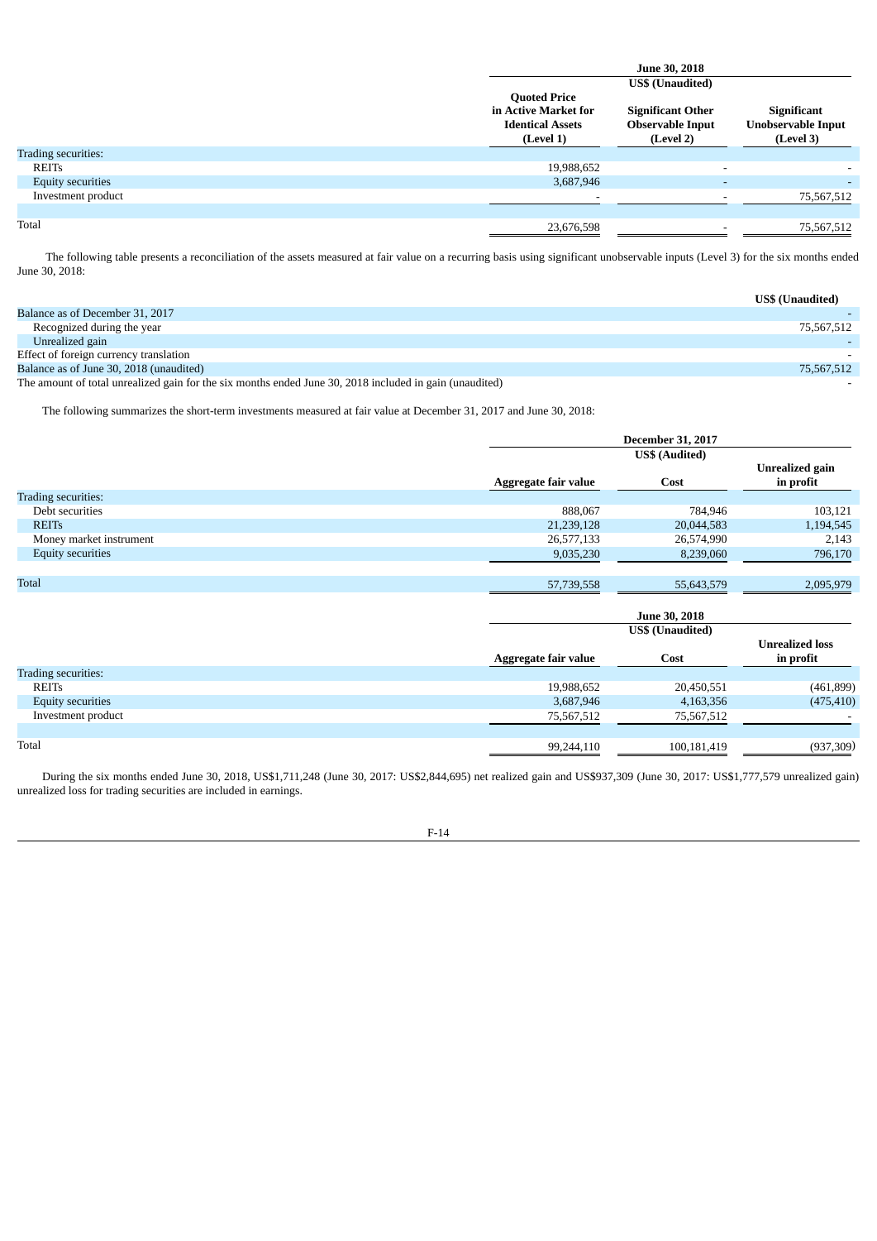|                     |                                                                                     | <b>June 30, 2018</b>                                             |                                                              |
|---------------------|-------------------------------------------------------------------------------------|------------------------------------------------------------------|--------------------------------------------------------------|
|                     |                                                                                     | <b>US\$</b> (Unaudited)                                          |                                                              |
|                     | <b>Quoted Price</b><br>in Active Market for<br><b>Identical Assets</b><br>(Level 1) | <b>Significant Other</b><br><b>Observable Input</b><br>(Level 2) | <b>Significant</b><br><b>Unobservable Input</b><br>(Level 3) |
| Trading securities: |                                                                                     |                                                                  |                                                              |
| <b>REITs</b>        | 19,988,652                                                                          | $\overline{\phantom{a}}$                                         |                                                              |
| Equity securities   | 3,687,946                                                                           |                                                                  |                                                              |
| Investment product  |                                                                                     |                                                                  | 75,567,512                                                   |
| Total               | 23,676,598                                                                          |                                                                  | 75,567,512                                                   |

The following table presents a reconciliation of the assets measured at fair value on a recurring basis using significant unobservable inputs (Level 3) for the six months ended June 30, 2018:

|                                                                                                                     | <b>US\$</b> (Unaudited) |
|---------------------------------------------------------------------------------------------------------------------|-------------------------|
| Balance as of December 31, 2017                                                                                     |                         |
| Recognized during the year                                                                                          | 75,567,512              |
| Unrealized gain                                                                                                     |                         |
| Effect of foreign currency translation                                                                              |                         |
| Balance as of June 30, 2018 (unaudited)                                                                             | 75,567,512              |
| the contract of the contract of the second second the second second that the second second the second second s<br>. |                         |

The amount of total unrealized gain for the six months ended June 30, 2018 included in gain (unaudited)

The following summarizes the short-term investments measured at fair value at December 31, 2017 and June 30, 2018:

|                          |                      | <b>December 31, 2017</b> |                              |
|--------------------------|----------------------|--------------------------|------------------------------|
|                          |                      | <b>US\$</b> (Audited)    |                              |
|                          | Aggregate fair value | Cost                     | Unrealized gain<br>in profit |
| Trading securities:      |                      |                          |                              |
| Debt securities          | 888.067              | 784,946                  | 103,121                      |
| <b>REITs</b>             | 21,239,128           | 20,044,583               | 1,194,545                    |
| Money market instrument  | 26,577,133           | 26,574,990               | 2,143                        |
| <b>Equity securities</b> | 9,035,230            | 8,239,060                | 796,170                      |
|                          |                      |                          |                              |

| <b>Total</b> | 57,739,558 | 342.570<br>-- -<br>55,643,57 | 2.095.979 |
|--------------|------------|------------------------------|-----------|
|              |            |                              |           |

|                     | June 30, 2018        |                         |                                     |
|---------------------|----------------------|-------------------------|-------------------------------------|
|                     |                      | <b>US\$</b> (Unaudited) |                                     |
|                     | Aggregate fair value | Cost                    | <b>Unrealized loss</b><br>in profit |
| Trading securities: |                      |                         |                                     |
| REITs               | 19,988,652           | 20,450,551              | (461,899)                           |
| Equity securities   | 3,687,946            | 4,163,356               | (475, 410)                          |
| Investment product  | 75,567,512           | 75,567,512              | $\overline{\phantom{0}}$            |
| Total               | 99,244,110           | 100,181,419             | (937,309)                           |

During the six months ended June 30, 2018, US\$1,711,248 (June 30, 2017: US\$2,844,695) net realized gain and US\$937,309 (June 30, 2017: US\$1,777,579 unrealized gain) unrealized loss for trading securities are included in earnings.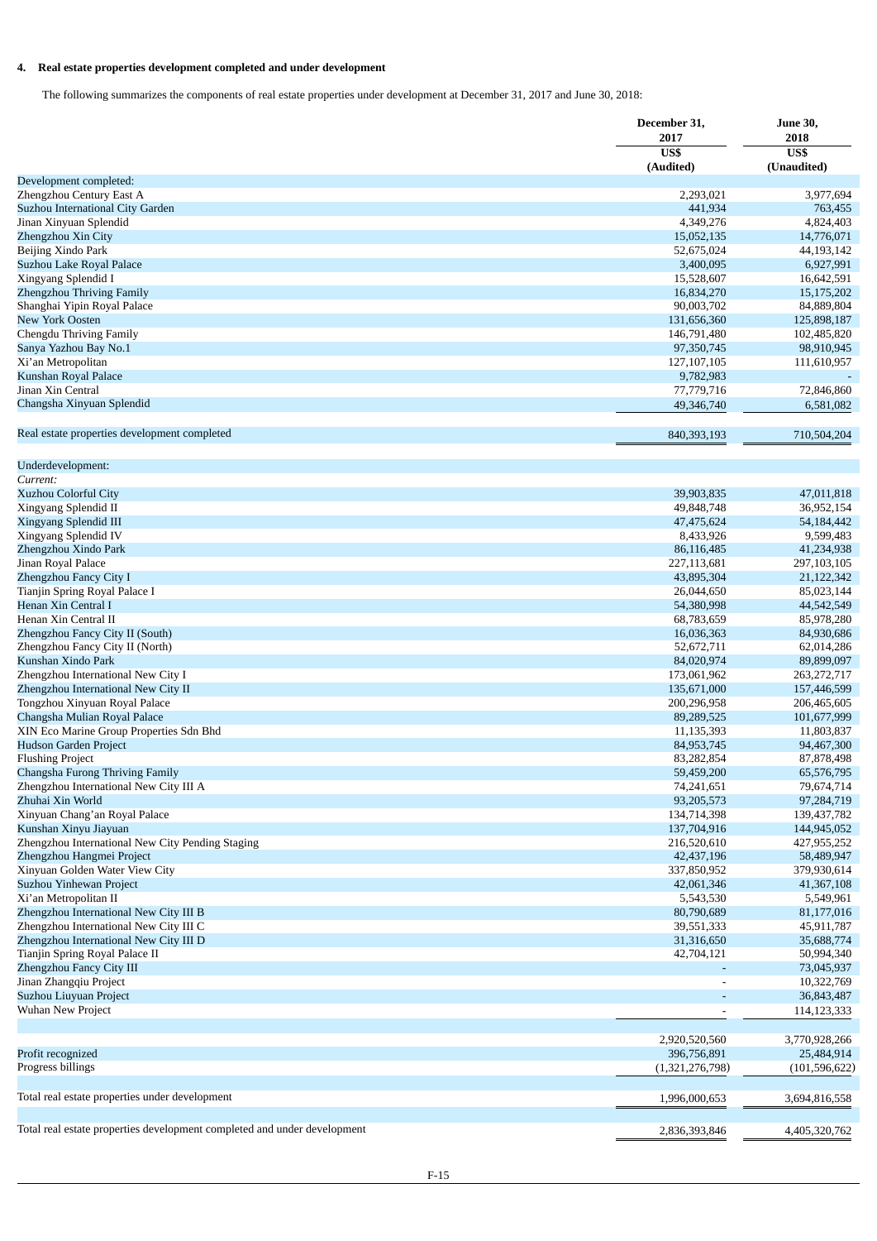# **4. Real estate properties development completed and under development**

The following summarizes the components of real estate properties under development at December 31, 2017 and June 30, 2018:

|                                                                           | December 31,<br>2017         | <b>June 30,</b><br>2018<br>US\$<br>(Unaudited) |
|---------------------------------------------------------------------------|------------------------------|------------------------------------------------|
|                                                                           | US\$<br>(Audited)            |                                                |
| Development completed:                                                    |                              |                                                |
| Zhengzhou Century East A                                                  | 2,293,021                    | 3,977,694                                      |
| Suzhou International City Garden                                          | 441,934                      | 763,455                                        |
| Jinan Xinyuan Splendid                                                    | 4,349,276                    | 4,824,403                                      |
| Zhengzhou Xin City                                                        | 15,052,135                   | 14,776,071                                     |
| Beijing Xindo Park                                                        | 52,675,024                   | 44,193,142<br>6,927,991                        |
| Suzhou Lake Royal Palace<br>Xingyang Splendid I                           | 3,400,095<br>15,528,607      | 16,642,591                                     |
| Zhengzhou Thriving Family                                                 | 16,834,270                   | 15,175,202                                     |
| Shanghai Yipin Royal Palace                                               | 90,003,702                   | 84,889,804                                     |
| New York Oosten                                                           | 131,656,360                  | 125,898,187                                    |
| Chengdu Thriving Family                                                   | 146,791,480                  | 102,485,820                                    |
| Sanya Yazhou Bay No.1                                                     | 97,350,745                   | 98,910,945                                     |
| Xi'an Metropolitan                                                        | 127,107,105                  | 111,610,957                                    |
| Kunshan Royal Palace                                                      | 9,782,983                    |                                                |
| Jinan Xin Central                                                         | 77,779,716                   | 72,846,860                                     |
| Changsha Xinyuan Splendid                                                 | 49,346,740                   | 6,581,082                                      |
| Real estate properties development completed                              | 840,393,193                  | 710,504,204                                    |
|                                                                           |                              |                                                |
| Underdevelopment:<br>Current:                                             |                              |                                                |
| Xuzhou Colorful City                                                      | 39,903,835                   | 47,011,818                                     |
| Xingyang Splendid II                                                      | 49,848,748                   | 36,952,154                                     |
| Xingyang Splendid III                                                     | 47,475,624                   | 54,184,442                                     |
| Xingyang Splendid IV                                                      | 8,433,926                    | 9,599,483                                      |
| Zhengzhou Xindo Park                                                      | 86,116,485                   | 41,234,938                                     |
| Jinan Royal Palace                                                        | 227,113,681                  | 297,103,105                                    |
| Zhengzhou Fancy City I                                                    | 43,895,304                   | 21,122,342                                     |
| Tianjin Spring Royal Palace I                                             | 26,044,650                   | 85,023,144                                     |
| Henan Xin Central I                                                       | 54,380,998                   | 44,542,549                                     |
| Henan Xin Central II                                                      | 68,783,659                   | 85,978,280                                     |
| Zhengzhou Fancy City II (South)                                           | 16,036,363                   | 84,930,686                                     |
| Zhengzhou Fancy City II (North)                                           | 52,672,711                   | 62,014,286                                     |
| Kunshan Xindo Park                                                        | 84,020,974                   | 89,899,097                                     |
| Zhengzhou International New City I<br>Zhengzhou International New City II | 173,061,962<br>135,671,000   | 263, 272, 717                                  |
| Tongzhou Xinyuan Royal Palace                                             | 200,296,958                  | 157,446,599<br>206,465,605                     |
| Changsha Mulian Royal Palace                                              | 89,289,525                   | 101,677,999                                    |
| XIN Eco Marine Group Properties Sdn Bhd                                   | 11,135,393                   | 11,803,837                                     |
| <b>Hudson Garden Project</b>                                              | 84,953,745                   | 94,467,300                                     |
| <b>Flushing Project</b>                                                   | 83,282,854                   | 87,878,498                                     |
| Changsha Furong Thriving Family                                           | 59,459,200                   | 65,576,795                                     |
| Zhengzhou International New City III A                                    | 74,241,651                   | 79,674,714                                     |
| Zhuhai Xin World                                                          | 93,205,573                   | 97,284,719                                     |
| Xinyuan Chang'an Royal Palace                                             | 134,714,398                  | 139,437,782                                    |
| Kunshan Xinyu Jiayuan                                                     | 137,704,916                  | 144,945,052                                    |
| Zhengzhou International New City Pending Staging                          | 216,520,610                  | 427,955,252                                    |
| Zhengzhou Hangmei Project                                                 | 42,437,196                   | 58,489,947                                     |
| Xinyuan Golden Water View City                                            | 337,850,952                  | 379,930,614                                    |
| Suzhou Yinhewan Project                                                   | 42,061,346                   | 41,367,108                                     |
| Xi'an Metropolitan II                                                     | 5,543,530                    | 5,549,961                                      |
| Zhengzhou International New City III B                                    | 80,790,689                   | 81,177,016                                     |
| Zhengzhou International New City III C                                    | 39,551,333                   | 45,911,787                                     |
| Zhengzhou International New City III D                                    | 31,316,650                   | 35,688,774                                     |
| Tianjin Spring Royal Palace II                                            | 42,704,121                   | 50,994,340                                     |
| Zhengzhou Fancy City III<br>Jinan Zhangqiu Project                        |                              | 73,045,937<br>10,322,769                       |
| Suzhou Liuyuan Project                                                    |                              | 36,843,487                                     |
| Wuhan New Project                                                         |                              | 114,123,333                                    |
|                                                                           |                              |                                                |
| Profit recognized                                                         | 2,920,520,560<br>396,756,891 | 3,770,928,266<br>25,484,914                    |
| Progress billings                                                         | (1,321,276,798)              | (101, 596, 622)                                |
|                                                                           |                              |                                                |
| Total real estate properties under development                            | 1,996,000,653                | 3,694,816,558                                  |
| Total real estate properties development completed and under development  | 2,836,393,846                | 4,405,320,762                                  |
|                                                                           |                              |                                                |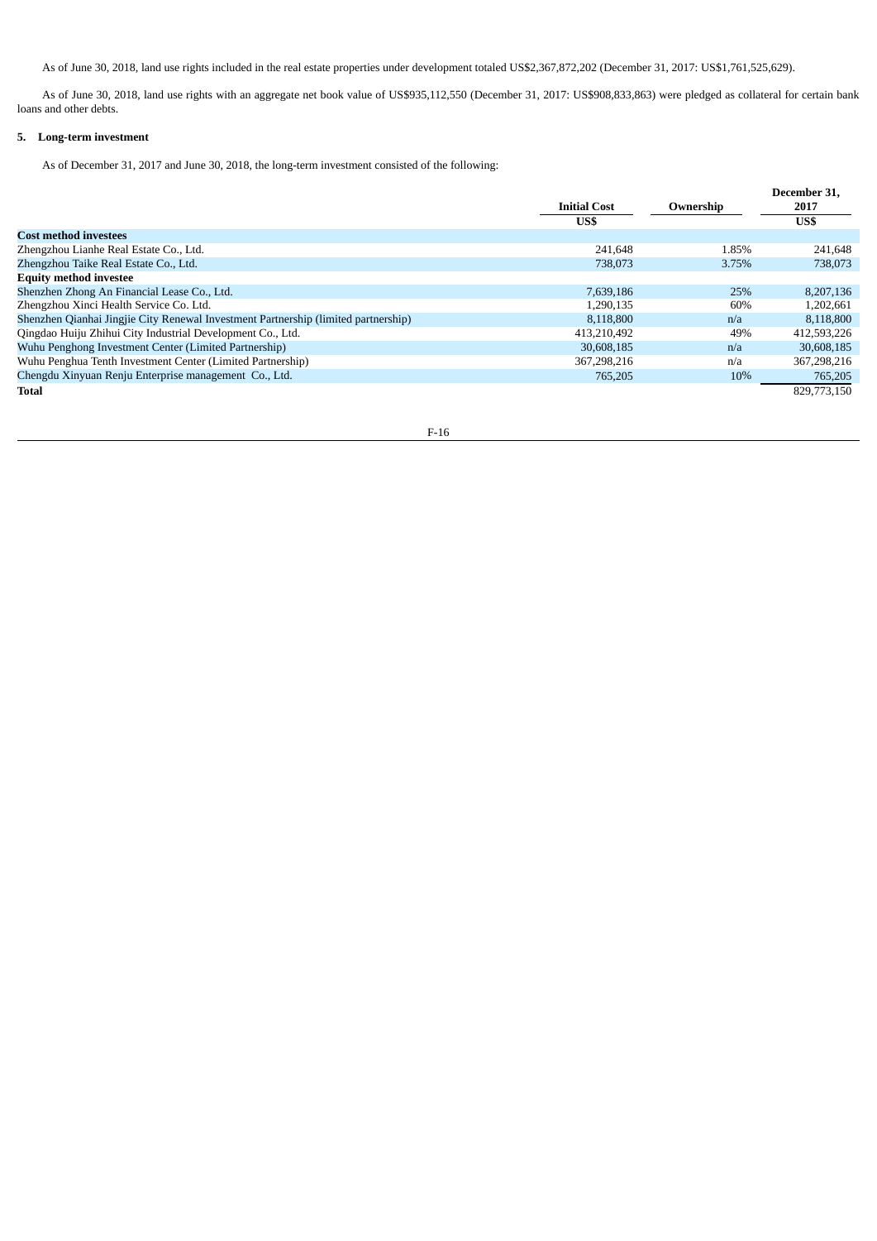As of June 30, 2018, land use rights included in the real estate properties under development totaled US\$2,367,872,202 (December 31, 2017: US\$1,761,525,629).

As of June 30, 2018, land use rights with an aggregate net book value of US\$935,112,550 (December 31, 2017: US\$908,833,863) were pledged as collateral for certain bank loans and other debts.

# **5. Long-term investment**

As of December 31, 2017 and June 30, 2018, the long-term investment consisted of the following:

|                                                                                    |                     |           | December 31. |
|------------------------------------------------------------------------------------|---------------------|-----------|--------------|
|                                                                                    | <b>Initial Cost</b> | Ownership | 2017         |
|                                                                                    | US\$                |           | US\$         |
| <b>Cost method investees</b>                                                       |                     |           |              |
| Zhengzhou Lianhe Real Estate Co., Ltd.                                             | 241,648             | 1.85%     | 241,648      |
| Zhengzhou Taike Real Estate Co., Ltd.                                              | 738,073             | 3.75%     | 738,073      |
| <b>Equity method investee</b>                                                      |                     |           |              |
| Shenzhen Zhong An Financial Lease Co., Ltd.                                        | 7,639,186           | 25%       | 8,207,136    |
| Zhengzhou Xinci Health Service Co. Ltd.                                            | 1.290.135           | 60%       | 1,202,661    |
| Shenzhen Qianhai Jingjie City Renewal Investment Partnership (limited partnership) | 8.118.800           | n/a       | 8,118,800    |
| Qingdao Huiju Zhihui City Industrial Development Co., Ltd.                         | 413.210.492         | 49%       | 412,593,226  |
| Wuhu Penghong Investment Center (Limited Partnership)                              | 30,608,185          | n/a       | 30,608,185   |
| Wuhu Penghua Tenth Investment Center (Limited Partnership)                         | 367,298,216         | n/a       | 367,298,216  |
| Chengdu Xinyuan Renju Enterprise management Co., Ltd.                              | 765,205             | 10%       | 765,205      |
| Total                                                                              |                     |           | 829,773,150  |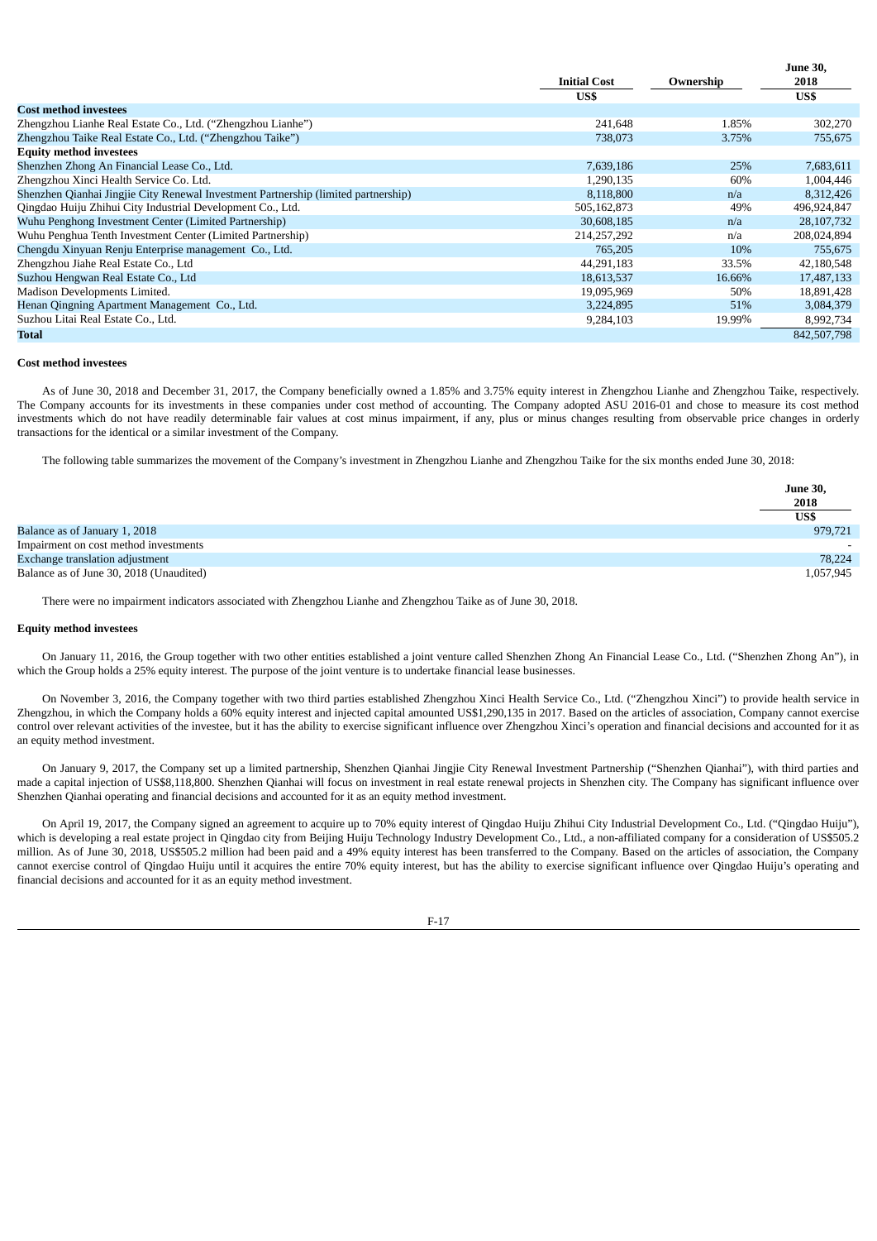|                                                                                    |                     |           | June 30,    |
|------------------------------------------------------------------------------------|---------------------|-----------|-------------|
|                                                                                    | <b>Initial Cost</b> | Ownership | 2018        |
|                                                                                    | US\$                |           | US\$        |
| <b>Cost method investees</b>                                                       |                     |           |             |
| Zhengzhou Lianhe Real Estate Co., Ltd. ("Zhengzhou Lianhe")                        | 241,648             | 1.85%     | 302,270     |
| Zhengzhou Taike Real Estate Co., Ltd. ("Zhengzhou Taike")                          | 738,073             | 3.75%     | 755,675     |
| <b>Equity method investees</b>                                                     |                     |           |             |
| Shenzhen Zhong An Financial Lease Co., Ltd.                                        | 7,639,186           | 25%       | 7,683,611   |
| Zhengzhou Xinci Health Service Co. Ltd.                                            | 1,290,135           | 60%       | 1,004,446   |
| Shenzhen Qianhai Jingjie City Renewal Investment Partnership (limited partnership) | 8,118,800           | n/a       | 8,312,426   |
| Qingdao Huiju Zhihui City Industrial Development Co., Ltd.                         | 505,162,873         | 49%       | 496,924,847 |
| Wuhu Penghong Investment Center (Limited Partnership)                              | 30,608,185          | n/a       | 28,107,732  |
| Wuhu Penghua Tenth Investment Center (Limited Partnership)                         | 214,257,292         | n/a       | 208,024,894 |
| Chengdu Xinyuan Renju Enterprise management Co., Ltd.                              | 765,205             | 10%       | 755,675     |
| Zhengzhou Jiahe Real Estate Co., Ltd                                               | 44,291,183          | 33.5%     | 42,180,548  |
| Suzhou Hengwan Real Estate Co., Ltd                                                | 18,613,537          | 16.66%    | 17,487,133  |
| Madison Developments Limited.                                                      | 19,095,969          | 50%       | 18,891,428  |
| Henan Qingning Apartment Management Co., Ltd.                                      | 3,224,895           | 51%       | 3,084,379   |
| Suzhou Litai Real Estate Co., Ltd.                                                 | 9,284,103           | 19.99%    | 8,992,734   |
| Total                                                                              |                     |           | 842,507,798 |

### **Cost method investees**

As of June 30, 2018 and December 31, 2017, the Company beneficially owned a 1.85% and 3.75% equity interest in Zhengzhou Lianhe and Zhengzhou Taike, respectively. The Company accounts for its investments in these companies under cost method of accounting. The Company adopted ASU 2016-01 and chose to measure its cost method investments which do not have readily determinable fair values at cost minus impairment, if any, plus or minus changes resulting from observable price changes in orderly transactions for the identical or a similar investment of the Company.

The following table summarizes the movement of the Company's investment in Zhengzhou Lianhe and Zhengzhou Taike for the six months ended June 30, 2018:

|                                         | <b>June 30,</b>          |
|-----------------------------------------|--------------------------|
|                                         | 2018                     |
|                                         | US\$                     |
| Balance as of January 1, 2018           | 979,721                  |
| Impairment on cost method investments   | $\overline{\phantom{0}}$ |
| Exchange translation adjustment         | 78,224                   |
| Balance as of June 30, 2018 (Unaudited) | 1,057,945                |

There were no impairment indicators associated with Zhengzhou Lianhe and Zhengzhou Taike as of June 30, 2018.

## **Equity method investees**

On January 11, 2016, the Group together with two other entities established a joint venture called Shenzhen Zhong An Financial Lease Co., Ltd. ("Shenzhen Zhong An"), in which the Group holds a 25% equity interest. The purpose of the joint venture is to undertake financial lease businesses.

On November 3, 2016, the Company together with two third parties established Zhengzhou Xinci Health Service Co., Ltd. ("Zhengzhou Xinci") to provide health service in Zhengzhou, in which the Company holds a 60% equity interest and injected capital amounted US\$1,290,135 in 2017. Based on the articles of association, Company cannot exercise control over relevant activities of the investee, but it has the ability to exercise significant influence over Zhengzhou Xinci's operation and financial decisions and accounted for it as an equity method investment.

On January 9, 2017, the Company set up a limited partnership, Shenzhen Qianhai Jingjie City Renewal Investment Partnership ("Shenzhen Qianhai"), with third parties and made a capital injection of US\$8,118,800. Shenzhen Qianhai will focus on investment in real estate renewal projects in Shenzhen city. The Company has significant influence over Shenzhen Qianhai operating and financial decisions and accounted for it as an equity method investment.

On April 19, 2017, the Company signed an agreement to acquire up to 70% equity interest of Qingdao Huiju Zhihui City Industrial Development Co., Ltd. ("Qingdao Huiju"), which is developing a real estate project in Qingdao city from Beijing Huiju Technology Industry Development Co., Ltd., a non-affiliated company for a consideration of US\$505.2 million. As of June 30, 2018, US\$505.2 million had been paid and a 49% equity interest has been transferred to the Company. Based on the articles of association, the Company cannot exercise control of Qingdao Huiju until it acquires the entire 70% equity interest, but has the ability to exercise significant influence over Qingdao Huiju's operating and financial decisions and accounted for it as an equity method investment.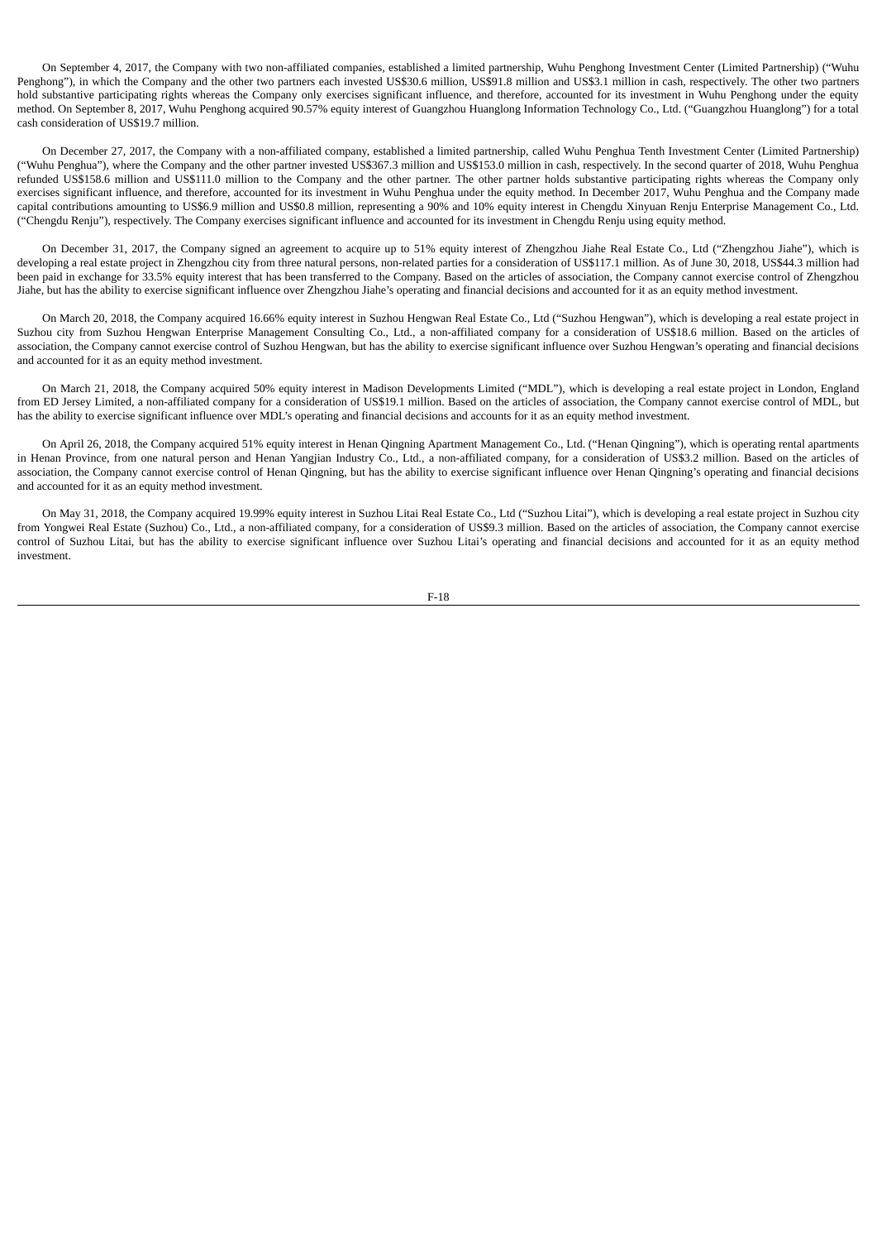On September 4, 2017, the Company with two non-affiliated companies, established a limited partnership, Wuhu Penghong Investment Center (Limited Partnership) ("Wuhu Penghong"), in which the Company and the other two partners each invested US\$30.6 million, US\$91.8 million and US\$3.1 million in cash, respectively. The other two partners hold substantive participating rights whereas the Company only exercises significant influence, and therefore, accounted for its investment in Wuhu Penghong under the equity method. On September 8, 2017, Wuhu Penghong acquired 90.57% equity interest of Guangzhou Huanglong Information Technology Co., Ltd. ("Guangzhou Huanglong") for a total cash consideration of US\$19.7 million.

On December 27, 2017, the Company with a non-affiliated company, established a limited partnership, called Wuhu Penghua Tenth Investment Center (Limited Partnership) ("Wuhu Penghua"), where the Company and the other partner invested US\$367.3 million and US\$153.0 million in cash, respectively. In the second quarter of 2018, Wuhu Penghua refunded US\$158.6 million and US\$111.0 million to the Company and the other partner. The other partner holds substantive participating rights whereas the Company only exercises significant influence, and therefore, accounted for its investment in Wuhu Penghua under the equity method. In December 2017, Wuhu Penghua and the Company made capital contributions amounting to US\$6.9 million and US\$0.8 million, representing a 90% and 10% equity interest in Chengdu Xinyuan Renju Enterprise Management Co., Ltd. ("Chengdu Renju"), respectively. The Company exercises significant influence and accounted for its investment in Chengdu Renju using equity method.

On December 31, 2017, the Company signed an agreement to acquire up to 51% equity interest of Zhengzhou Jiahe Real Estate Co., Ltd ("Zhengzhou Jiahe"), which is developing a real estate project in Zhengzhou city from three natural persons, non-related parties for a consideration of US\$117.1 million. As of June 30, 2018, US\$44.3 million had been paid in exchange for 33.5% equity interest that has been transferred to the Company. Based on the articles of association, the Company cannot exercise control of Zhengzhou Jiahe, but has the ability to exercise significant influence over Zhengzhou Jiahe's operating and financial decisions and accounted for it as an equity method investment.

On March 20, 2018, the Company acquired 16.66% equity interest in Suzhou Hengwan Real Estate Co., Ltd ("Suzhou Hengwan"), which is developing a real estate project in Suzhou city from Suzhou Hengwan Enterprise Management Consulting Co., Ltd., a non-affiliated company for a consideration of US\$18.6 million. Based on the articles of association, the Company cannot exercise control of Suzhou Hengwan, but has the ability to exercise significant influence over Suzhou Hengwan's operating and financial decisions and accounted for it as an equity method investment.

On March 21, 2018, the Company acquired 50% equity interest in Madison Developments Limited ("MDL"), which is developing a real estate project in London, England from ED Jersey Limited, a non-affiliated company for a consideration of US\$19.1 million. Based on the articles of association, the Company cannot exercise control of MDL, but has the ability to exercise significant influence over MDL's operating and financial decisions and accounts for it as an equity method investment.

On April 26, 2018, the Company acquired 51% equity interest in Henan Qingning Apartment Management Co., Ltd. ("Henan Qingning"), which is operating rental apartments in Henan Province, from one natural person and Henan Yangjian Industry Co., Ltd., a non-affiliated company, for a consideration of US\$3.2 million. Based on the articles of association, the Company cannot exercise control of Henan Qingning, but has the ability to exercise significant influence over Henan Qingning's operating and financial decisions and accounted for it as an equity method investment.

On May 31, 2018, the Company acquired 19.99% equity interest in Suzhou Litai Real Estate Co., Ltd ("Suzhou Litai"), which is developing a real estate project in Suzhou city from Yongwei Real Estate (Suzhou) Co., Ltd., a non-affiliated company, for a consideration of US\$9.3 million. Based on the articles of association, the Company cannot exercise control of Suzhou Litai, but has the ability to exercise significant influence over Suzhou Litai's operating and financial decisions and accounted for it as an equity method investment.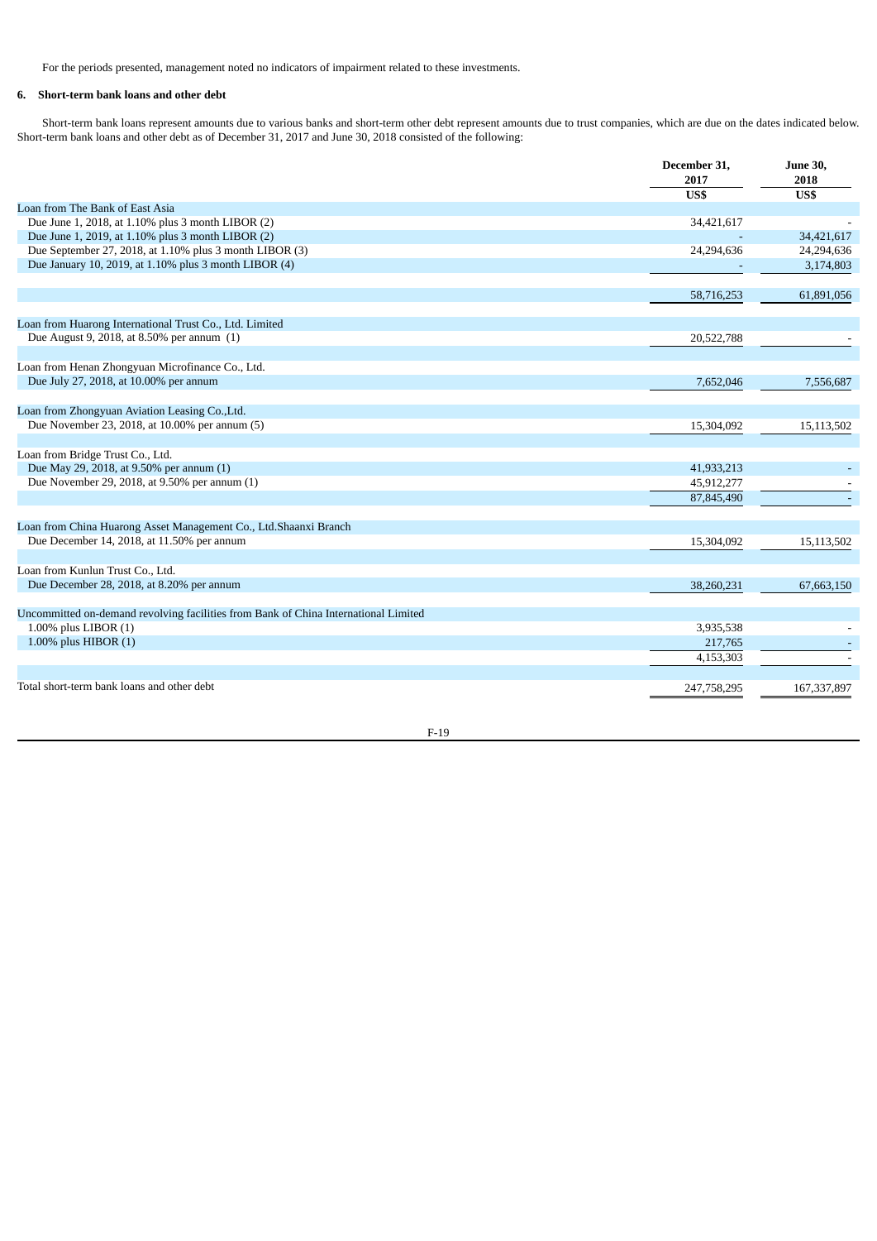For the periods presented, management noted no indicators of impairment related to these investments.

# **6. Short-term bank loans and other debt**

Short-term bank loans represent amounts due to various banks and short-term other debt represent amounts due to trust companies, which are due on the dates indicated below. Short-term bank loans and other debt as of December 31, 2017 and June 30, 2018 consisted of the following:

|                                                                                     | December 31,<br>2017 | <b>June 30,</b><br>2018 |
|-------------------------------------------------------------------------------------|----------------------|-------------------------|
|                                                                                     | US\$                 | $\overline{USS}$        |
| Loan from The Bank of East Asia                                                     |                      |                         |
| Due June 1, 2018, at 1.10% plus 3 month LIBOR (2)                                   | 34,421,617           |                         |
| Due June 1, 2019, at 1.10% plus 3 month LIBOR (2)                                   |                      | 34,421,617              |
| Due September 27, 2018, at 1.10% plus 3 month LIBOR (3)                             | 24,294,636           | 24,294,636              |
| Due January 10, 2019, at 1.10% plus 3 month LIBOR (4)                               |                      | 3,174,803               |
|                                                                                     | 58,716,253           | 61,891,056              |
| Loan from Huarong International Trust Co., Ltd. Limited                             |                      |                         |
| Due August 9, 2018, at 8.50% per annum (1)                                          | 20,522,788           |                         |
| Loan from Henan Zhongyuan Microfinance Co., Ltd.                                    |                      |                         |
| Due July 27, 2018, at 10.00% per annum                                              | 7,652,046            | 7,556,687               |
| Loan from Zhongyuan Aviation Leasing Co., Ltd.                                      |                      |                         |
| Due November 23, 2018, at 10.00% per annum (5)                                      | 15,304,092           | 15,113,502              |
| Loan from Bridge Trust Co., Ltd.                                                    |                      |                         |
| Due May 29, 2018, at 9.50% per annum (1)                                            | 41,933,213           |                         |
| Due November 29, 2018, at 9.50% per annum (1)                                       | 45,912,277           |                         |
|                                                                                     | 87,845,490           |                         |
| Loan from China Huarong Asset Management Co., Ltd.Shaanxi Branch                    |                      |                         |
| Due December 14, 2018, at 11.50% per annum                                          | 15,304,092           | 15,113,502              |
| Loan from Kunlun Trust Co., Ltd.                                                    |                      |                         |
| Due December 28, 2018, at 8.20% per annum                                           | 38,260,231           | 67,663,150              |
| Uncommitted on-demand revolving facilities from Bank of China International Limited |                      |                         |
| $1.00\%$ plus LIBOR $(1)$                                                           | 3,935,538            |                         |
| 1.00% plus HIBOR $(1)$                                                              | 217,765              |                         |
|                                                                                     | 4,153,303            |                         |
| Total short-term bank loans and other debt                                          | 247,758,295          | 167,337,897             |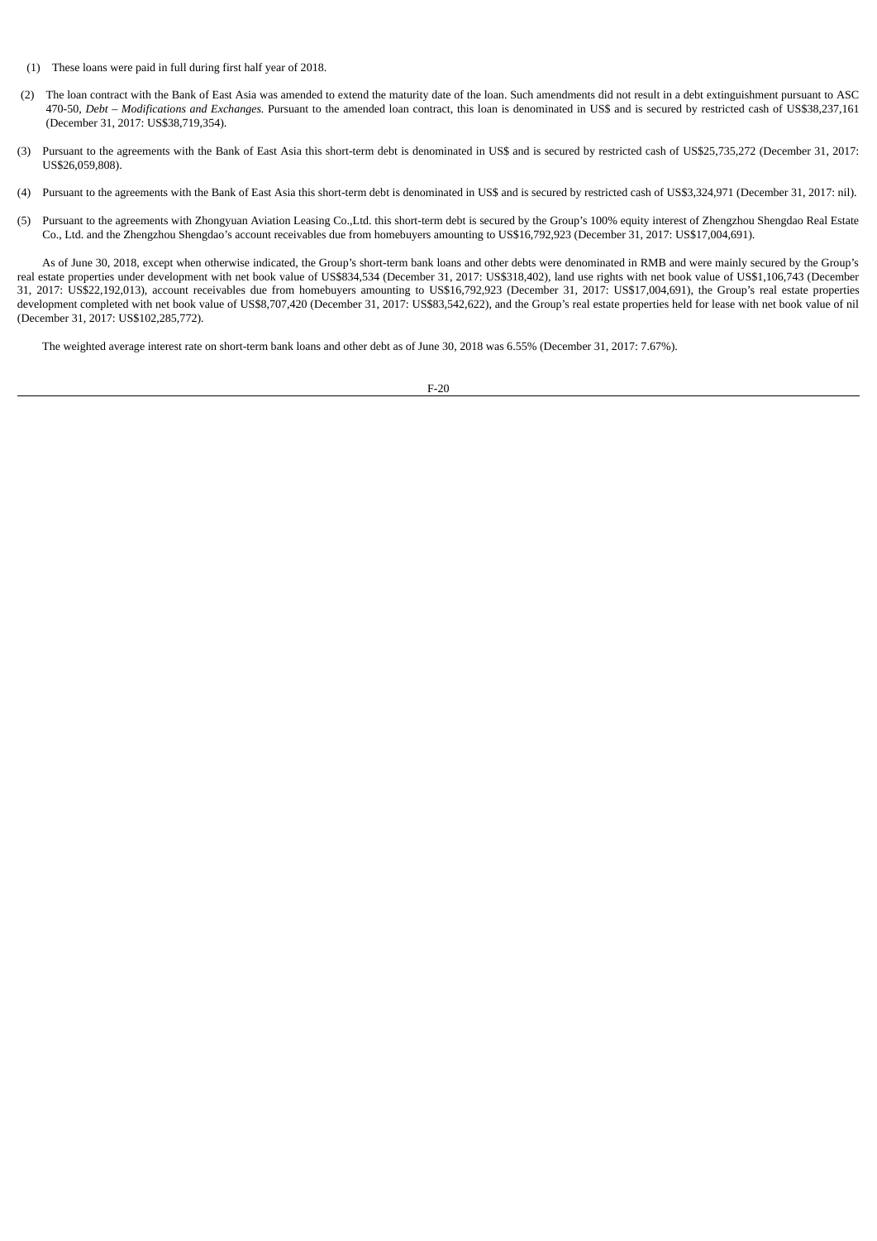- (1) These loans were paid in full during first half year of 2018.
- (2) The loan contract with the Bank of East Asia was amended to extend the maturity date of the loan. Such amendments did not result in a debt extinguishment pursuant to ASC 470-50*, Debt – Modifications and Exchanges.* Pursuant to the amended loan contract, this loan is denominated in US\$ and is secured by restricted cash of US\$38,237,161 (December 31, 2017: US\$38,719,354).
- (3) Pursuant to the agreements with the Bank of East Asia this short-term debt is denominated in US\$ and is secured by restricted cash of US\$25,735,272 (December 31, 2017: US\$26,059,808).
- (4) Pursuant to the agreements with the Bank of East Asia this short-term debt is denominated in US\$ and is secured by restricted cash of US\$3,324,971 (December 31, 2017: nil).
- (5) Pursuant to the agreements with Zhongyuan Aviation Leasing Co.,Ltd. this short-term debt is secured by the Group's 100% equity interest of Zhengzhou Shengdao Real Estate Co., Ltd. and the Zhengzhou Shengdao's account receivables due from homebuyers amounting to US\$16,792,923 (December 31, 2017: US\$17,004,691).

As of June 30, 2018, except when otherwise indicated, the Group's short-term bank loans and other debts were denominated in RMB and were mainly secured by the Group's real estate properties under development with net book value of US\$834,534 (December 31, 2017: US\$318,402), land use rights with net book value of US\$1,106,743 (December 31, 2017: US\$22,192,013), account receivables due from homebuyers amounting to US\$16,792,923 (December 31, 2017: US\$17,004,691), the Group's real estate properties development completed with net book value of US\$8,707,420 (December 31, 2017: US\$83,542,622), and the Group's real estate properties held for lease with net book value of nil (December 31, 2017: US\$102,285,772).

The weighted average interest rate on short-term bank loans and other debt as of June 30, 2018 was 6.55% (December 31, 2017: 7.67%).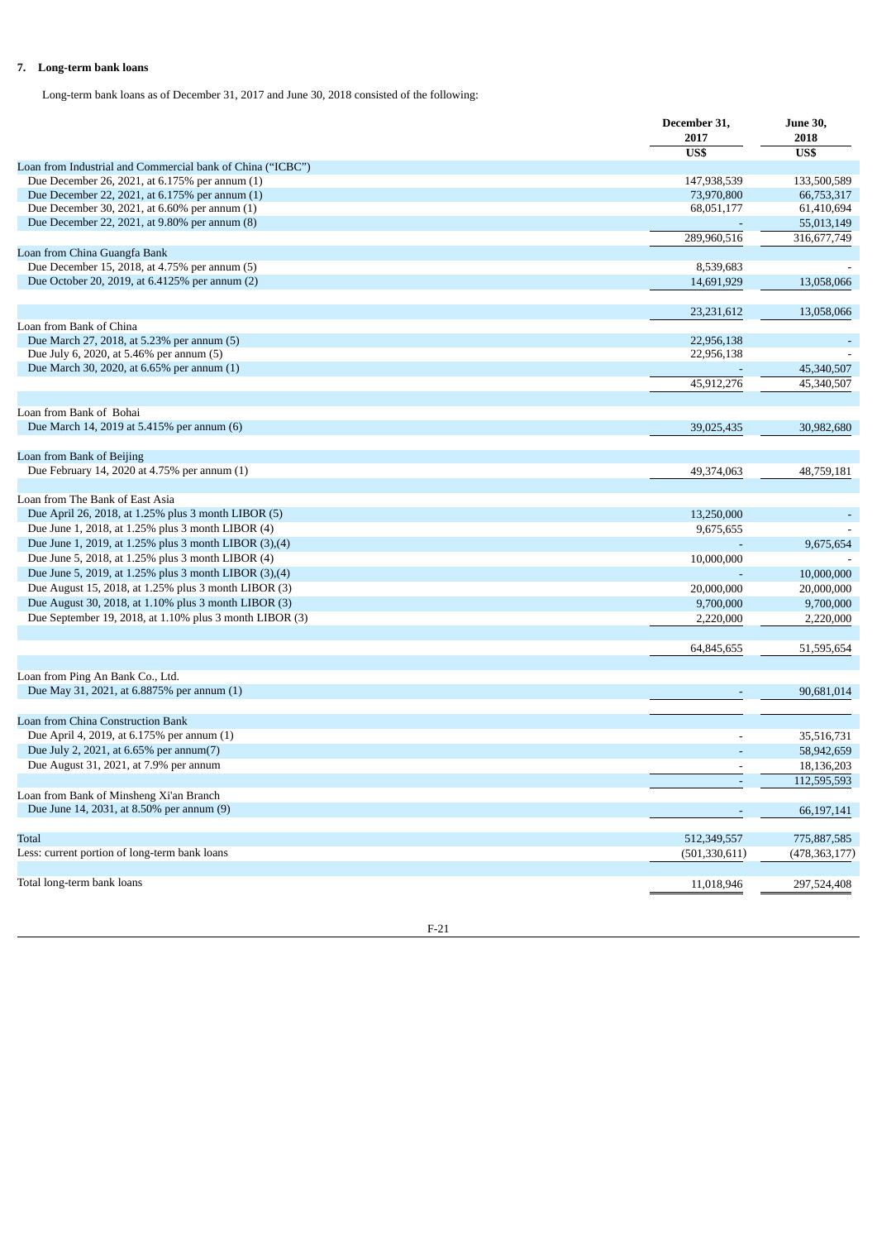# **7. Long-term bank loans**

Long-term bank loans as of December 31, 2017 and June 30, 2018 consisted of the following:

|                                                            | December 31,<br>2017 | <b>June 30,</b><br>2018 |
|------------------------------------------------------------|----------------------|-------------------------|
|                                                            | US\$                 | US\$                    |
| Loan from Industrial and Commercial bank of China ("ICBC") |                      |                         |
| Due December 26, 2021, at 6.175% per annum (1)             | 147,938,539          | 133,500,589             |
| Due December 22, 2021, at 6.175% per annum (1)             | 73,970,800           | 66,753,317              |
| Due December 30, 2021, at 6.60% per annum (1)              | 68,051,177           | 61,410,694              |
| Due December 22, 2021, at 9.80% per annum (8)              |                      | 55,013,149              |
|                                                            | 289,960,516          | 316,677,749             |
| Loan from China Guangfa Bank                               |                      |                         |
| Due December 15, 2018, at 4.75% per annum (5)              | 8,539,683            |                         |
| Due October 20, 2019, at 6.4125% per annum (2)             | 14,691,929           | 13,058,066              |
|                                                            |                      |                         |
|                                                            | 23,231,612           | 13,058,066              |
| Loan from Bank of China                                    |                      |                         |
| Due March 27, 2018, at 5.23% per annum (5)                 | 22,956,138           |                         |
| Due July 6, 2020, at 5.46% per annum (5)                   | 22,956,138           |                         |
| Due March 30, 2020, at 6.65% per annum (1)                 |                      | 45,340,507              |
|                                                            | 45,912,276           | 45,340,507              |
|                                                            |                      |                         |
| Loan from Bank of Bohai                                    |                      |                         |
| Due March 14, 2019 at 5.415% per annum (6)                 | 39,025,435           | 30,982,680              |
| Loan from Bank of Beijing                                  |                      |                         |
| Due February 14, 2020 at 4.75% per annum (1)               | 49,374,063           | 48,759,181              |
|                                                            |                      |                         |
| Loan from The Bank of East Asia                            |                      |                         |
| Due April 26, 2018, at 1.25% plus 3 month LIBOR (5)        | 13,250,000           |                         |
| Due June 1, 2018, at 1.25% plus 3 month LIBOR (4)          | 9,675,655            |                         |
| Due June 1, 2019, at 1.25% plus 3 month LIBOR (3), (4)     |                      | 9,675,654               |
| Due June 5, 2018, at 1.25% plus 3 month LIBOR (4)          |                      |                         |
| Due June 5, 2019, at 1.25% plus 3 month LIBOR (3), (4)     | 10,000,000           |                         |
|                                                            |                      | 10,000,000              |
| Due August 15, 2018, at 1.25% plus 3 month LIBOR (3)       | 20,000,000           | 20,000,000              |
| Due August 30, 2018, at 1.10% plus 3 month LIBOR (3)       | 9,700,000            | 9,700,000               |
| Due September 19, 2018, at 1.10% plus 3 month LIBOR (3)    | 2,220,000            | 2,220,000               |
|                                                            |                      |                         |
|                                                            | 64,845,655           | 51,595,654              |
| Loan from Ping An Bank Co., Ltd.                           |                      |                         |
| Due May 31, 2021, at 6.8875% per annum (1)                 |                      | 90,681,014              |
|                                                            |                      |                         |
| Loan from China Construction Bank                          |                      |                         |
| Due April 4, 2019, at 6.175% per annum (1)                 |                      | 35,516,731              |
| Due July 2, 2021, at 6.65% per annum(7)                    |                      |                         |
| Due August 31, 2021, at 7.9% per annum                     |                      | 58,942,659              |
|                                                            | $\blacksquare$       | 18,136,203              |
| Loan from Bank of Minsheng Xi'an Branch                    |                      | 112,595,593             |
| Due June 14, 2031, at 8.50% per annum (9)                  |                      |                         |
|                                                            |                      | 66,197,141              |
| Total                                                      | 512,349,557          | 775,887,585             |
| Less: current portion of long-term bank loans              | (501, 330, 611)      | (478, 363, 177)         |
|                                                            |                      |                         |
| Total long-term bank loans                                 | 11,018,946           | 297,524,408             |
|                                                            |                      |                         |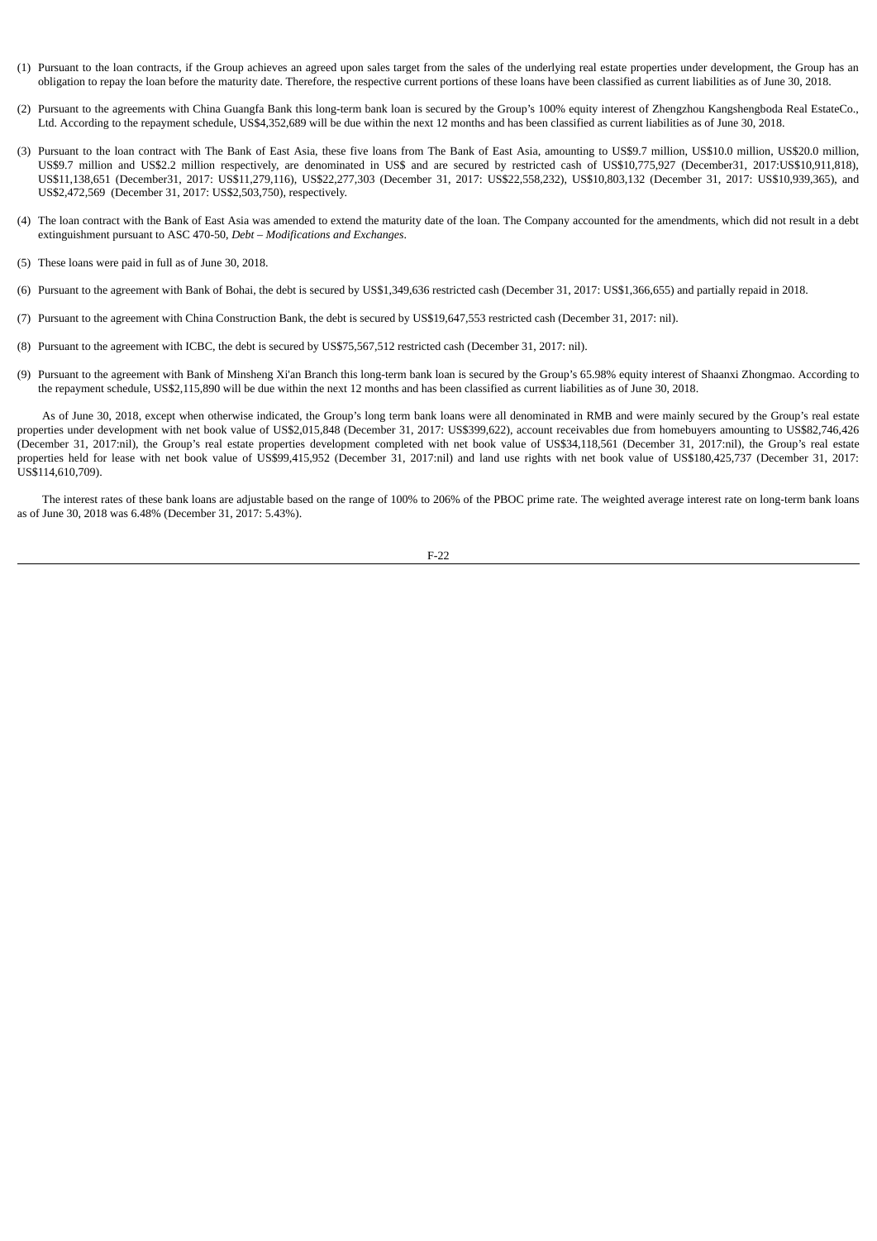- (1) Pursuant to the loan contracts, if the Group achieves an agreed upon sales target from the sales of the underlying real estate properties under development, the Group has an obligation to repay the loan before the maturity date. Therefore, the respective current portions of these loans have been classified as current liabilities as of June 30, 2018.
- (2) Pursuant to the agreements with China Guangfa Bank this long-term bank loan is secured by the Group's 100% equity interest of Zhengzhou Kangshengboda Real EstateCo., Ltd. According to the repayment schedule, US\$4,352,689 will be due within the next 12 months and has been classified as current liabilities as of June 30, 2018.
- (3) Pursuant to the loan contract with The Bank of East Asia, these five loans from The Bank of East Asia, amounting to US\$9.7 million, US\$10.0 million, US\$20.0 million, US\$9.7 million and US\$2.2 million respectively, are denominated in US\$ and are secured by restricted cash of US\$10,775,927 (December31, 2017:US\$10,911,818), US\$11,138,651 (December31, 2017: US\$11,279,116), US\$22,277,303 (December 31, 2017: US\$22,558,232), US\$10,803,132 (December 31, 2017: US\$10,939,365), and US\$2,472,569 (December 31, 2017: US\$2,503,750), respectively.
- (4) The loan contract with the Bank of East Asia was amended to extend the maturity date of the loan. The Company accounted for the amendments, which did not result in a debt extinguishment pursuant to ASC 470-50, *Debt – Modifications and Exchanges*.
- (5) These loans were paid in full as of June 30, 2018.
- (6) Pursuant to the agreement with Bank of Bohai, the debt is secured by US\$1,349,636 restricted cash (December 31, 2017: US\$1,366,655) and partially repaid in 2018.
- (7) Pursuant to the agreement with China Construction Bank, the debt is secured by US\$19,647,553 restricted cash (December 31, 2017: nil).
- (8) Pursuant to the agreement with ICBC, the debt is secured by US\$75,567,512 restricted cash (December 31, 2017: nil).
- (9) Pursuant to the agreement with Bank of Minsheng Xi'an Branch this long-term bank loan is secured by the Group's 65.98% equity interest of Shaanxi Zhongmao. According to the repayment schedule, US\$2,115,890 will be due within the next 12 months and has been classified as current liabilities as of June 30, 2018.

As of June 30, 2018, except when otherwise indicated, the Group's long term bank loans were all denominated in RMB and were mainly secured by the Group's real estate properties under development with net book value of US\$2,015,848 (December 31, 2017: US\$399,622), account receivables due from homebuyers amounting to US\$82,746,426 (December 31, 2017:nil), the Group's real estate properties development completed with net book value of US\$34,118,561 (December 31, 2017:nil), the Group's real estate properties held for lease with net book value of US\$99,415,952 (December 31, 2017:nil) and land use rights with net book value of US\$180,425,737 (December 31, 2017: US\$114,610,709).

The interest rates of these bank loans are adjustable based on the range of 100% to 206% of the PBOC prime rate. The weighted average interest rate on long-term bank loans as of June 30, 2018 was 6.48% (December 31, 2017: 5.43%).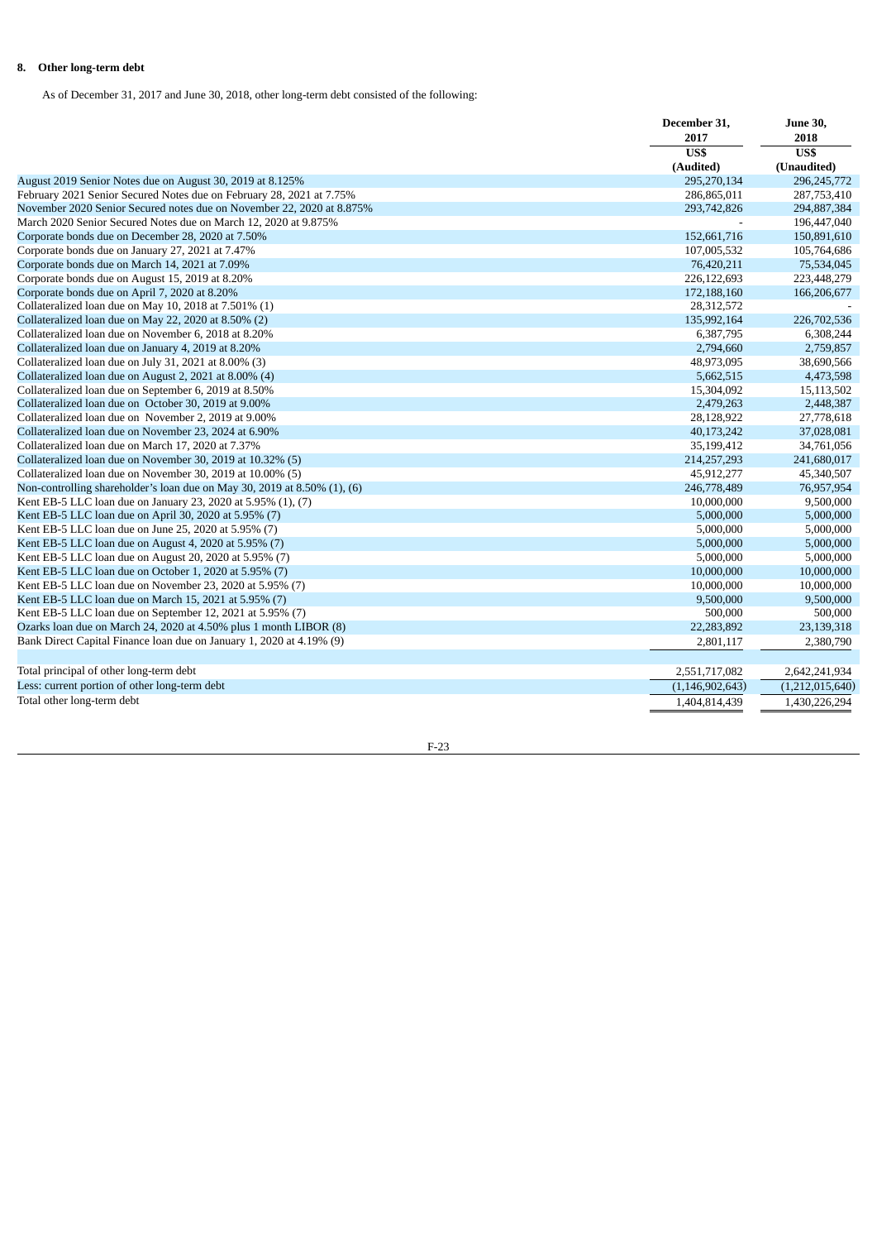# **8. Other long-term debt**

As of December 31, 2017 and June 30, 2018, other long-term debt consisted of the following:

|                                                                          | December 31,       | <b>June 30,</b><br>2018<br>US\$<br>(Unaudited) |
|--------------------------------------------------------------------------|--------------------|------------------------------------------------|
|                                                                          | 2017               |                                                |
|                                                                          | US\$               |                                                |
|                                                                          | (Audited)          |                                                |
| August 2019 Senior Notes due on August 30, 2019 at 8.125%                | 295,270,134        | 296,245,772                                    |
| February 2021 Senior Secured Notes due on February 28, 2021 at 7.75%     | 286,865,011        | 287,753,410                                    |
| November 2020 Senior Secured notes due on November 22, 2020 at 8.875%    | 293,742,826        | 294,887,384                                    |
| March 2020 Senior Secured Notes due on March 12, 2020 at 9.875%          |                    | 196,447,040                                    |
| Corporate bonds due on December 28, 2020 at 7.50%                        | 152,661,716        | 150,891,610                                    |
| Corporate bonds due on January 27, 2021 at 7.47%                         | 107,005,532        | 105,764,686                                    |
| Corporate bonds due on March 14, 2021 at 7.09%                           | 76,420,211         | 75,534,045                                     |
| Corporate bonds due on August 15, 2019 at 8.20%                          | 226,122,693        | 223,448,279                                    |
| Corporate bonds due on April 7, 2020 at 8.20%                            | 172,188,160        | 166,206,677                                    |
| Collateralized loan due on May 10, 2018 at 7.501% (1)                    | 28,312,572         |                                                |
| Collateralized loan due on May 22, 2020 at 8.50% (2)                     | 135,992,164        | 226,702,536                                    |
| Collateralized loan due on November 6, 2018 at 8.20%                     | 6,387,795          | 6,308,244                                      |
| Collateralized loan due on January 4, 2019 at 8.20%                      | 2,794,660          | 2,759,857                                      |
| Collateralized loan due on July 31, 2021 at 8.00% (3)                    | 48,973,095         | 38,690,566                                     |
| Collateralized loan due on August 2, 2021 at 8.00% (4)                   | 5,662,515          | 4,473,598                                      |
| Collateralized loan due on September 6, 2019 at 8.50%                    | 15,304,092         | 15,113,502                                     |
| Collateralized loan due on October 30, 2019 at 9.00%                     | 2,479,263          | 2,448,387                                      |
| Collateralized loan due on November 2, 2019 at 9.00%                     | 28,128,922         | 27,778,618                                     |
| Collateralized loan due on November 23, 2024 at 6.90%                    | 40,173,242         | 37,028,081                                     |
| Collateralized loan due on March 17, 2020 at 7.37%                       | 35,199,412         | 34,761,056                                     |
| Collateralized loan due on November 30, 2019 at 10.32% (5)               | 214,257,293        | 241,680,017                                    |
| Collateralized loan due on November 30, 2019 at 10.00% (5)               | 45,912,277         | 45,340,507                                     |
| Non-controlling shareholder's loan due on May 30, 2019 at 8.50% (1), (6) | 246,778,489        | 76,957,954                                     |
| Kent EB-5 LLC loan due on January 23, 2020 at 5.95% (1), (7)             | 10,000,000         | 9,500,000                                      |
| Kent EB-5 LLC loan due on April 30, 2020 at 5.95% (7)                    | 5,000,000          | 5,000,000                                      |
| Kent EB-5 LLC loan due on June 25, 2020 at 5.95% (7)                     | 5,000,000          | 5,000,000                                      |
| Kent EB-5 LLC loan due on August 4, 2020 at 5.95% (7)                    | 5,000,000          | 5,000,000                                      |
| Kent EB-5 LLC loan due on August 20, 2020 at 5.95% (7)                   | 5,000,000          | 5,000,000                                      |
| Kent EB-5 LLC loan due on October 1, 2020 at 5.95% (7)                   | 10,000,000         | 10,000,000                                     |
| Kent EB-5 LLC loan due on November 23, 2020 at 5.95% (7)                 | 10,000,000         | 10,000,000                                     |
| Kent EB-5 LLC loan due on March 15, 2021 at 5.95% (7)                    | 9,500,000          | 9,500,000                                      |
| Kent EB-5 LLC loan due on September 12, 2021 at 5.95% (7)                | 500,000            | 500,000                                        |
| Ozarks loan due on March 24, 2020 at 4.50% plus 1 month LIBOR (8)        | 22,283,892         | 23,139,318                                     |
| Bank Direct Capital Finance loan due on January 1, 2020 at 4.19% (9)     | 2,801,117          | 2,380,790                                      |
|                                                                          |                    |                                                |
| Total principal of other long-term debt                                  | 2,551,717,082      | 2,642,241,934                                  |
| Less: current portion of other long-term debt                            | (1, 146, 902, 643) | (1,212,015,640)                                |
| Total other long-term debt                                               | 1,404,814,439      | 1,430,226,294                                  |
|                                                                          |                    |                                                |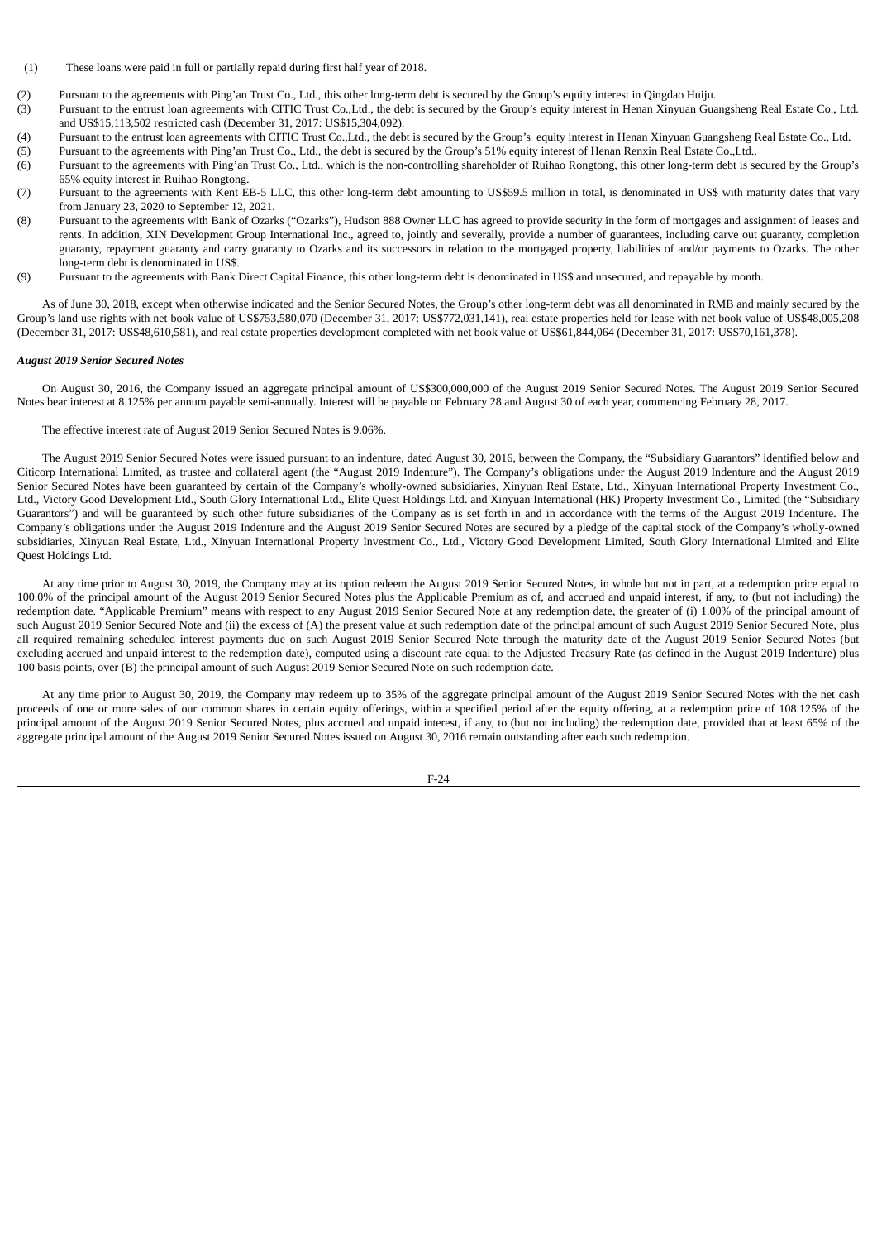- (1) These loans were paid in full or partially repaid during first half year of 2018.
- (2) Pursuant to the agreements with Ping'an Trust Co., Ltd., this other long-term debt is secured by the Group's equity interest in Qingdao Huiju.
- (3) Pursuant to the entrust loan agreements with CITIC Trust Co.,Ltd., the debt is secured by the Group's equity interest in Henan Xinyuan Guangsheng Real Estate Co., Ltd. and US\$15,113,502 restricted cash (December 31, 2017: US\$15,304,092).
- (4) Pursuant to the entrust loan agreements with CITIC Trust Co.,Ltd., the debt is secured by the Group's equity interest in Henan Xinyuan Guangsheng Real Estate Co., Ltd.
- (5) Pursuant to the agreements with Ping'an Trust Co., Ltd., the debt is secured by the Group's 51% equity interest of Henan Renxin Real Estate Co.,Ltd.. (6) Pursuant to the agreements with Ping'an Trust Co., Ltd., which is the non-controlling shareholder of Ruihao Rongtong, this other long-term debt is secured by the Group's
- 65% equity interest in Ruihao Rongtong. (7) Pursuant to the agreements with Kent EB-5 LLC, this other long-term debt amounting to US\$59.5 million in total, is denominated in US\$ with maturity dates that vary
- from January 23, 2020 to September 12, 2021. (8) Pursuant to the agreements with Bank of Ozarks ("Ozarks"), Hudson 888 Owner LLC has agreed to provide security in the form of mortgages and assignment of leases and rents. In addition, XIN Development Group International Inc., agreed to, jointly and severally, provide a number of guarantees, including carve out guaranty, completion guaranty, repayment guaranty and carry guaranty to Ozarks and its successors in relation to the mortgaged property, liabilities of and/or payments to Ozarks. The other
- long-term debt is denominated in US\$. (9) Pursuant to the agreements with Bank Direct Capital Finance, this other long-term debt is denominated in US\$ and unsecured, and repayable by month.

As of June 30, 2018, except when otherwise indicated and the Senior Secured Notes, the Group's other long-term debt was all denominated in RMB and mainly secured by the Group's land use rights with net book value of US\$753,580,070 (December 31, 2017: US\$772,031,141), real estate properties held for lease with net book value of US\$48,005,208 (December 31, 2017: US\$48,610,581), and real estate properties development completed with net book value of US\$61,844,064 (December 31, 2017: US\$70,161,378).

### *August 2019 Senior Secured Notes*

On August 30, 2016, the Company issued an aggregate principal amount of US\$300,000,000 of the August 2019 Senior Secured Notes. The August 2019 Senior Secured Notes bear interest at 8.125% per annum payable semi-annually. Interest will be payable on February 28 and August 30 of each year, commencing February 28, 2017.

The effective interest rate of August 2019 Senior Secured Notes is 9.06%.

The August 2019 Senior Secured Notes were issued pursuant to an indenture, dated August 30, 2016, between the Company, the "Subsidiary Guarantors" identified below and Citicorp International Limited, as trustee and collateral agent (the "August 2019 Indenture"). The Company's obligations under the August 2019 Indenture and the August 2019 Senior Secured Notes have been guaranteed by certain of the Company's wholly-owned subsidiaries, Xinyuan Real Estate, Ltd., Xinyuan International Property Investment Co., Ltd., Victory Good Development Ltd., South Glory International Ltd., Elite Quest Holdings Ltd. and Xinyuan International (HK) Property Investment Co., Limited (the "Subsidiary Guarantors") and will be guaranteed by such other future subsidiaries of the Company as is set forth in and in accordance with the terms of the August 2019 Indenture. The Company's obligations under the August 2019 Indenture and the August 2019 Senior Secured Notes are secured by a pledge of the capital stock of the Company's wholly-owned subsidiaries, Xinyuan Real Estate, Ltd., Xinyuan International Property Investment Co., Ltd., Victory Good Development Limited, South Glory International Limited and Elite Quest Holdings Ltd.

At any time prior to August 30, 2019, the Company may at its option redeem the August 2019 Senior Secured Notes, in whole but not in part, at a redemption price equal to 100.0% of the principal amount of the August 2019 Senior Secured Notes plus the Applicable Premium as of, and accrued and unpaid interest, if any, to (but not including) the redemption date. "Applicable Premium" means with respect to any August 2019 Senior Secured Note at any redemption date, the greater of (i) 1.00% of the principal amount of such August 2019 Senior Secured Note and (ii) the excess of (A) the present value at such redemption date of the principal amount of such August 2019 Senior Secured Note, plus all required remaining scheduled interest payments due on such August 2019 Senior Secured Note through the maturity date of the August 2019 Senior Secured Notes (but excluding accrued and unpaid interest to the redemption date), computed using a discount rate equal to the Adjusted Treasury Rate (as defined in the August 2019 Indenture) plus 100 basis points, over (B) the principal amount of such August 2019 Senior Secured Note on such redemption date.

At any time prior to August 30, 2019, the Company may redeem up to 35% of the aggregate principal amount of the August 2019 Senior Secured Notes with the net cash proceeds of one or more sales of our common shares in certain equity offerings, within a specified period after the equity offering, at a redemption price of 108.125% of the principal amount of the August 2019 Senior Secured Notes, plus accrued and unpaid interest, if any, to (but not including) the redemption date, provided that at least 65% of the aggregate principal amount of the August 2019 Senior Secured Notes issued on August 30, 2016 remain outstanding after each such redemption.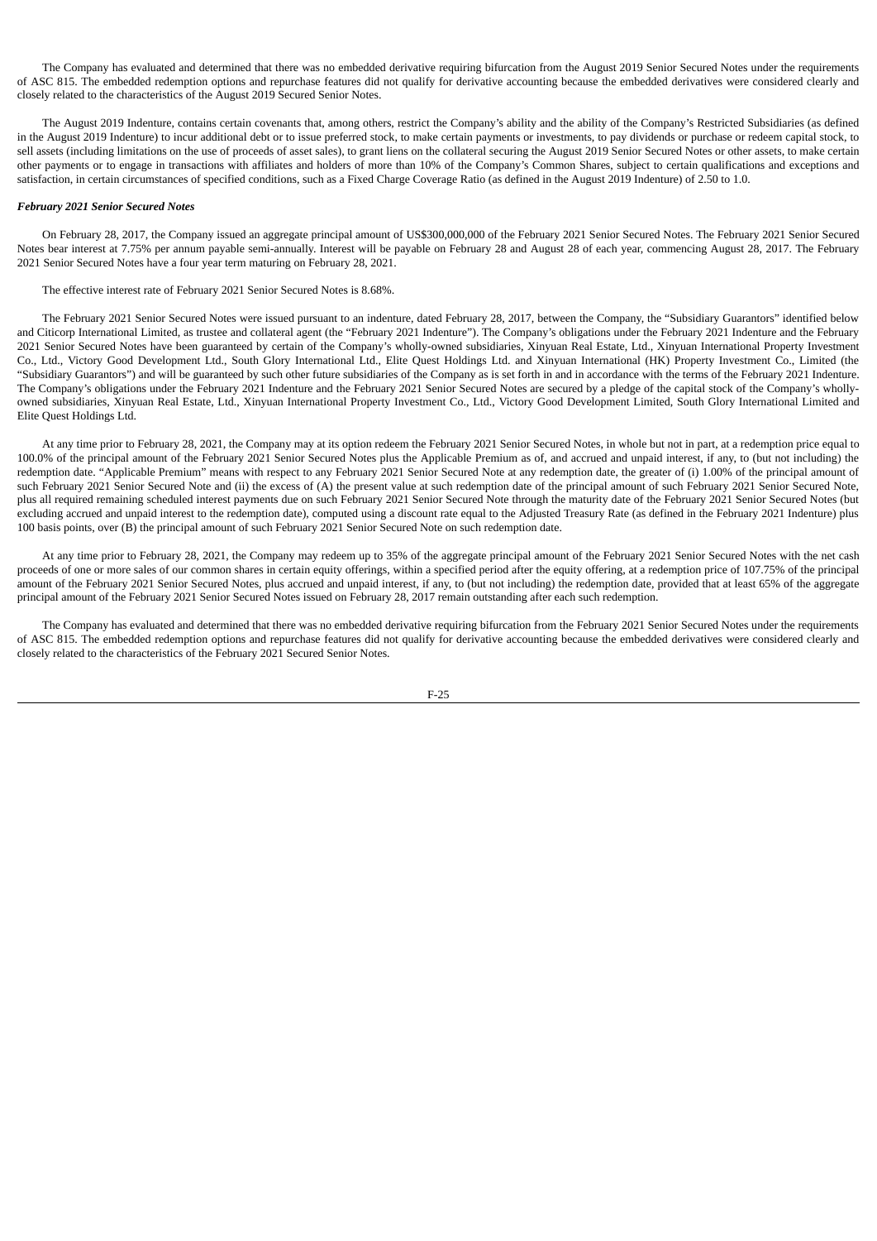The Company has evaluated and determined that there was no embedded derivative requiring bifurcation from the August 2019 Senior Secured Notes under the requirements of ASC 815. The embedded redemption options and repurchase features did not qualify for derivative accounting because the embedded derivatives were considered clearly and closely related to the characteristics of the August 2019 Secured Senior Notes.

The August 2019 Indenture, contains certain covenants that, among others, restrict the Company's ability and the ability of the Company's Restricted Subsidiaries (as defined in the August 2019 Indenture) to incur additional debt or to issue preferred stock, to make certain payments or investments, to pay dividends or purchase or redeem capital stock, to sell assets (including limitations on the use of proceeds of asset sales), to grant liens on the collateral securing the August 2019 Senior Secured Notes or other assets, to make certain other payments or to engage in transactions with affiliates and holders of more than 10% of the Company's Common Shares, subject to certain qualifications and exceptions and satisfaction, in certain circumstances of specified conditions, such as a Fixed Charge Coverage Ratio (as defined in the August 2019 Indenture) of 2.50 to 1.0.

### *February 2021 Senior Secured Notes*

On February 28, 2017, the Company issued an aggregate principal amount of US\$300,000,000 of the February 2021 Senior Secured Notes. The February 2021 Senior Secured Notes bear interest at 7.75% per annum payable semi-annually. Interest will be payable on February 28 and August 28 of each year, commencing August 28, 2017. The February 2021 Senior Secured Notes have a four year term maturing on February 28, 2021.

The effective interest rate of February 2021 Senior Secured Notes is 8.68%.

The February 2021 Senior Secured Notes were issued pursuant to an indenture, dated February 28, 2017, between the Company, the "Subsidiary Guarantors" identified below and Citicorp International Limited, as trustee and collateral agent (the "February 2021 Indenture"). The Company's obligations under the February 2021 Indenture and the February 2021 Senior Secured Notes have been guaranteed by certain of the Company's wholly-owned subsidiaries, Xinyuan Real Estate, Ltd., Xinyuan International Property Investment Co., Ltd., Victory Good Development Ltd., South Glory International Ltd., Elite Quest Holdings Ltd. and Xinyuan International (HK) Property Investment Co., Limited (the "Subsidiary Guarantors") and will be guaranteed by such other future subsidiaries of the Company as is set forth in and in accordance with the terms of the February 2021 Indenture. The Company's obligations under the February 2021 Indenture and the February 2021 Senior Secured Notes are secured by a pledge of the capital stock of the Company's whollyowned subsidiaries, Xinyuan Real Estate, Ltd., Xinyuan International Property Investment Co., Ltd., Victory Good Development Limited, South Glory International Limited and Elite Quest Holdings Ltd.

At any time prior to February 28, 2021, the Company may at its option redeem the February 2021 Senior Secured Notes, in whole but not in part, at a redemption price equal to 100.0% of the principal amount of the February 2021 Senior Secured Notes plus the Applicable Premium as of, and accrued and unpaid interest, if any, to (but not including) the redemption date. "Applicable Premium" means with respect to any February 2021 Senior Secured Note at any redemption date, the greater of (i) 1.00% of the principal amount of such February 2021 Senior Secured Note and (ii) the excess of (A) the present value at such redemption date of the principal amount of such February 2021 Senior Secured Note, plus all required remaining scheduled interest payments due on such February 2021 Senior Secured Note through the maturity date of the February 2021 Senior Secured Notes (but excluding accrued and unpaid interest to the redemption date), computed using a discount rate equal to the Adjusted Treasury Rate (as defined in the February 2021 Indenture) plus 100 basis points, over (B) the principal amount of such February 2021 Senior Secured Note on such redemption date.

At any time prior to February 28, 2021, the Company may redeem up to 35% of the aggregate principal amount of the February 2021 Senior Secured Notes with the net cash proceeds of one or more sales of our common shares in certain equity offerings, within a specified period after the equity offering, at a redemption price of 107.75% of the principal amount of the February 2021 Senior Secured Notes, plus accrued and unpaid interest, if any, to (but not including) the redemption date, provided that at least 65% of the aggregate principal amount of the February 2021 Senior Secured Notes issued on February 28, 2017 remain outstanding after each such redemption.

The Company has evaluated and determined that there was no embedded derivative requiring bifurcation from the February 2021 Senior Secured Notes under the requirements of ASC 815. The embedded redemption options and repurchase features did not qualify for derivative accounting because the embedded derivatives were considered clearly and closely related to the characteristics of the February 2021 Secured Senior Notes.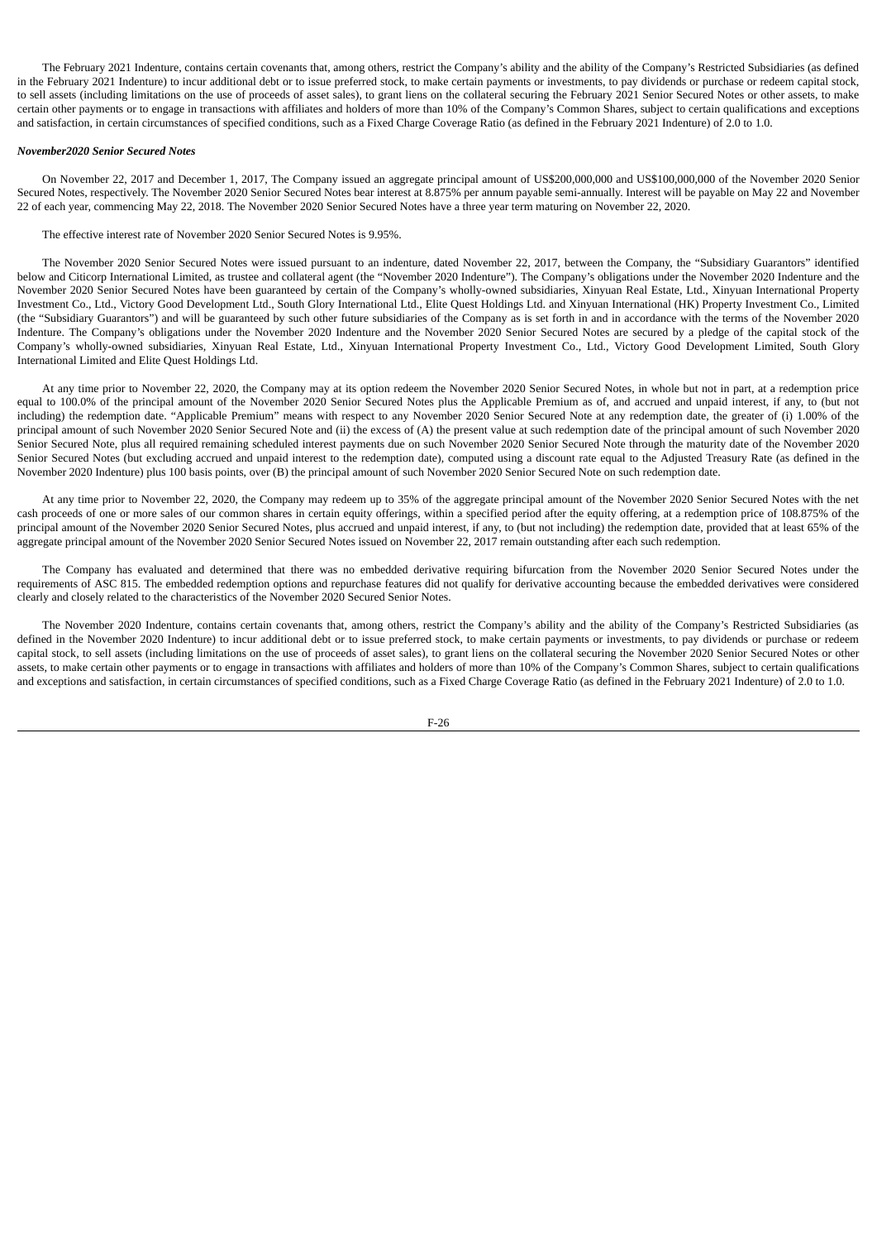The February 2021 Indenture, contains certain covenants that, among others, restrict the Company's ability and the ability of the Company's Restricted Subsidiaries (as defined in the February 2021 Indenture) to incur additional debt or to issue preferred stock, to make certain payments or investments, to pay dividends or purchase or redeem capital stock, to sell assets (including limitations on the use of proceeds of asset sales), to grant liens on the collateral securing the February 2021 Senior Secured Notes or other assets, to make certain other payments or to engage in transactions with affiliates and holders of more than 10% of the Company's Common Shares, subject to certain qualifications and exceptions and satisfaction, in certain circumstances of specified conditions, such as a Fixed Charge Coverage Ratio (as defined in the February 2021 Indenture) of 2.0 to 1.0.

### *November2020 Senior Secured Notes*

On November 22, 2017 and December 1, 2017, The Company issued an aggregate principal amount of US\$200,000,000 and US\$100,000,000 of the November 2020 Senior Secured Notes, respectively. The November 2020 Senior Secured Notes bear interest at 8.875% per annum payable semi-annually. Interest will be payable on May 22 and November 22 of each year, commencing May 22, 2018. The November 2020 Senior Secured Notes have a three year term maturing on November 22, 2020.

The effective interest rate of November 2020 Senior Secured Notes is 9.95%.

The November 2020 Senior Secured Notes were issued pursuant to an indenture, dated November 22, 2017, between the Company, the "Subsidiary Guarantors" identified below and Citicorp International Limited, as trustee and collateral agent (the "November 2020 Indenture"). The Company's obligations under the November 2020 Indenture and the November 2020 Senior Secured Notes have been guaranteed by certain of the Company's wholly-owned subsidiaries, Xinyuan Real Estate, Ltd., Xinyuan International Property Investment Co., Ltd., Victory Good Development Ltd., South Glory International Ltd., Elite Quest Holdings Ltd. and Xinyuan International (HK) Property Investment Co., Limited (the "Subsidiary Guarantors") and will be guaranteed by such other future subsidiaries of the Company as is set forth in and in accordance with the terms of the November 2020 Indenture. The Company's obligations under the November 2020 Indenture and the November 2020 Senior Secured Notes are secured by a pledge of the capital stock of the Company's wholly-owned subsidiaries, Xinyuan Real Estate, Ltd., Xinyuan International Property Investment Co., Ltd., Victory Good Development Limited, South Glory International Limited and Elite Quest Holdings Ltd.

At any time prior to November 22, 2020, the Company may at its option redeem the November 2020 Senior Secured Notes, in whole but not in part, at a redemption price equal to 100.0% of the principal amount of the November 2020 Senior Secured Notes plus the Applicable Premium as of, and accrued and unpaid interest, if any, to (but not including) the redemption date. "Applicable Premium" means with respect to any November 2020 Senior Secured Note at any redemption date, the greater of (i) 1.00% of the principal amount of such November 2020 Senior Secured Note and (ii) the excess of (A) the present value at such redemption date of the principal amount of such November 2020 Senior Secured Note, plus all required remaining scheduled interest payments due on such November 2020 Senior Secured Note through the maturity date of the November 2020 Senior Secured Notes (but excluding accrued and unpaid interest to the redemption date), computed using a discount rate equal to the Adjusted Treasury Rate (as defined in the November 2020 Indenture) plus 100 basis points, over (B) the principal amount of such November 2020 Senior Secured Note on such redemption date.

At any time prior to November 22, 2020, the Company may redeem up to 35% of the aggregate principal amount of the November 2020 Senior Secured Notes with the net cash proceeds of one or more sales of our common shares in certain equity offerings, within a specified period after the equity offering, at a redemption price of 108.875% of the principal amount of the November 2020 Senior Secured Notes, plus accrued and unpaid interest, if any, to (but not including) the redemption date, provided that at least 65% of the aggregate principal amount of the November 2020 Senior Secured Notes issued on November 22, 2017 remain outstanding after each such redemption.

The Company has evaluated and determined that there was no embedded derivative requiring bifurcation from the November 2020 Senior Secured Notes under the requirements of ASC 815. The embedded redemption options and repurchase features did not qualify for derivative accounting because the embedded derivatives were considered clearly and closely related to the characteristics of the November 2020 Secured Senior Notes.

The November 2020 Indenture, contains certain covenants that, among others, restrict the Company's ability and the ability of the Company's Restricted Subsidiaries (as defined in the November 2020 Indenture) to incur additional debt or to issue preferred stock, to make certain payments or investments, to pay dividends or purchase or redeem capital stock, to sell assets (including limitations on the use of proceeds of asset sales), to grant liens on the collateral securing the November 2020 Senior Secured Notes or other assets, to make certain other payments or to engage in transactions with affiliates and holders of more than 10% of the Company's Common Shares, subject to certain qualifications and exceptions and satisfaction, in certain circumstances of specified conditions, such as a Fixed Charge Coverage Ratio (as defined in the February 2021 Indenture) of 2.0 to 1.0.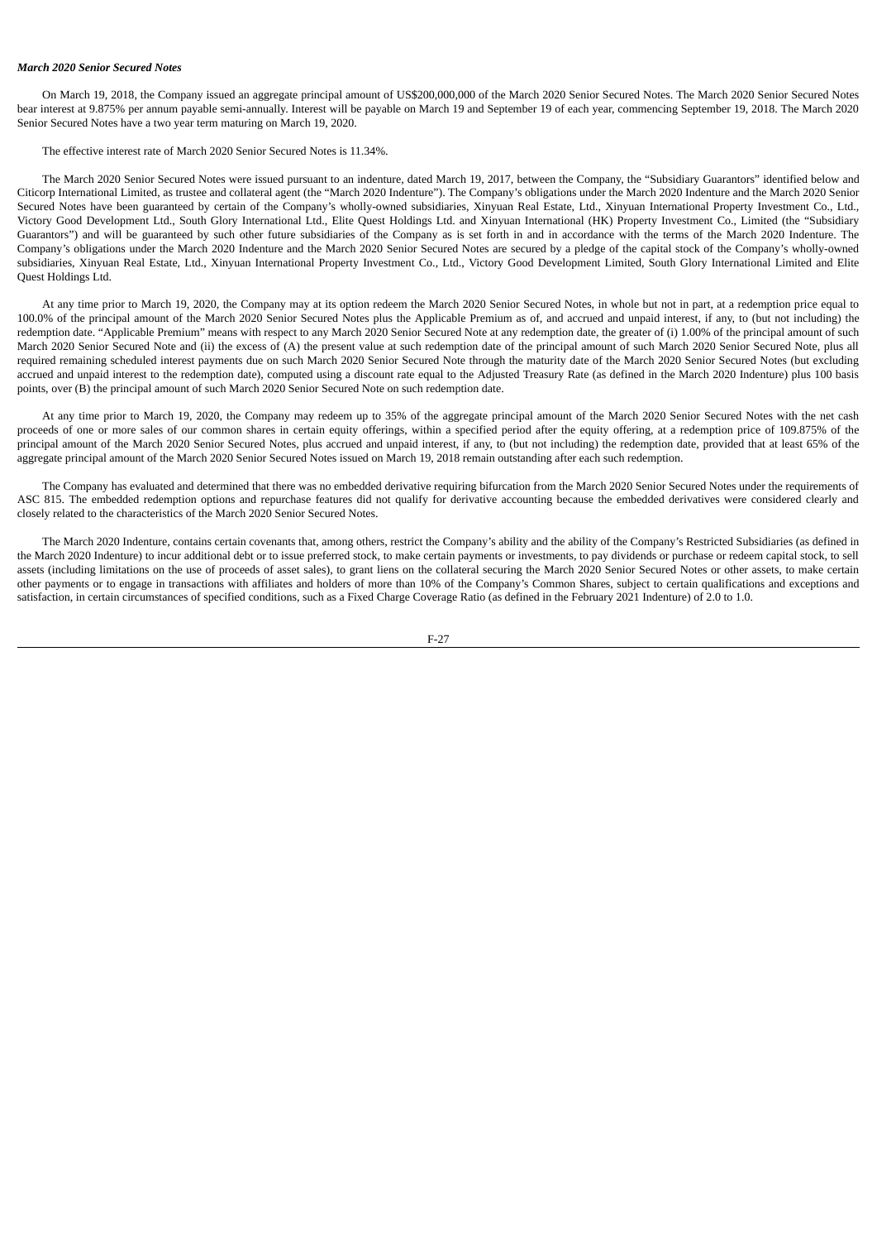#### *March 2020 Senior Secured Notes*

On March 19, 2018, the Company issued an aggregate principal amount of US\$200,000,000 of the March 2020 Senior Secured Notes. The March 2020 Senior Secured Notes bear interest at 9.875% per annum payable semi-annually. Interest will be payable on March 19 and September 19 of each year, commencing September 19, 2018. The March 2020 Senior Secured Notes have a two year term maturing on March 19, 2020.

The effective interest rate of March 2020 Senior Secured Notes is 11.34%.

The March 2020 Senior Secured Notes were issued pursuant to an indenture, dated March 19, 2017, between the Company, the "Subsidiary Guarantors" identified below and Citicorp International Limited, as trustee and collateral agent (the "March 2020 Indenture"). The Company's obligations under the March 2020 Indenture and the March 2020 Senior Secured Notes have been guaranteed by certain of the Company's wholly-owned subsidiaries, Xinyuan Real Estate, Ltd., Xinyuan International Property Investment Co., Ltd., Victory Good Development Ltd., South Glory International Ltd., Elite Quest Holdings Ltd. and Xinyuan International (HK) Property Investment Co., Limited (the "Subsidiary Guarantors") and will be guaranteed by such other future subsidiaries of the Company as is set forth in and in accordance with the terms of the March 2020 Indenture. The Company's obligations under the March 2020 Indenture and the March 2020 Senior Secured Notes are secured by a pledge of the capital stock of the Company's wholly-owned subsidiaries, Xinyuan Real Estate, Ltd., Xinyuan International Property Investment Co., Ltd., Victory Good Development Limited, South Glory International Limited and Elite Quest Holdings Ltd.

At any time prior to March 19, 2020, the Company may at its option redeem the March 2020 Senior Secured Notes, in whole but not in part, at a redemption price equal to 100.0% of the principal amount of the March 2020 Senior Secured Notes plus the Applicable Premium as of, and accrued and unpaid interest, if any, to (but not including) the redemption date. "Applicable Premium" means with respect to any March 2020 Senior Secured Note at any redemption date, the greater of (i) 1.00% of the principal amount of such March 2020 Senior Secured Note and (ii) the excess of (A) the present value at such redemption date of the principal amount of such March 2020 Senior Secured Note, plus all required remaining scheduled interest payments due on such March 2020 Senior Secured Note through the maturity date of the March 2020 Senior Secured Notes (but excluding accrued and unpaid interest to the redemption date), computed using a discount rate equal to the Adjusted Treasury Rate (as defined in the March 2020 Indenture) plus 100 basis points, over (B) the principal amount of such March 2020 Senior Secured Note on such redemption date.

At any time prior to March 19, 2020, the Company may redeem up to 35% of the aggregate principal amount of the March 2020 Senior Secured Notes with the net cash proceeds of one or more sales of our common shares in certain equity offerings, within a specified period after the equity offering, at a redemption price of 109.875% of the principal amount of the March 2020 Senior Secured Notes, plus accrued and unpaid interest, if any, to (but not including) the redemption date, provided that at least 65% of the aggregate principal amount of the March 2020 Senior Secured Notes issued on March 19, 2018 remain outstanding after each such redemption.

The Company has evaluated and determined that there was no embedded derivative requiring bifurcation from the March 2020 Senior Secured Notes under the requirements of ASC 815. The embedded redemption options and repurchase features did not qualify for derivative accounting because the embedded derivatives were considered clearly and closely related to the characteristics of the March 2020 Senior Secured Notes.

The March 2020 Indenture, contains certain covenants that, among others, restrict the Company's ability and the ability of the Company's Restricted Subsidiaries (as defined in the March 2020 Indenture) to incur additional debt or to issue preferred stock, to make certain payments or investments, to pay dividends or purchase or redeem capital stock, to sell assets (including limitations on the use of proceeds of asset sales), to grant liens on the collateral securing the March 2020 Senior Secured Notes or other assets, to make certain other payments or to engage in transactions with affiliates and holders of more than 10% of the Company's Common Shares, subject to certain qualifications and exceptions and satisfaction, in certain circumstances of specified conditions, such as a Fixed Charge Coverage Ratio (as defined in the February 2021 Indenture) of 2.0 to 1.0.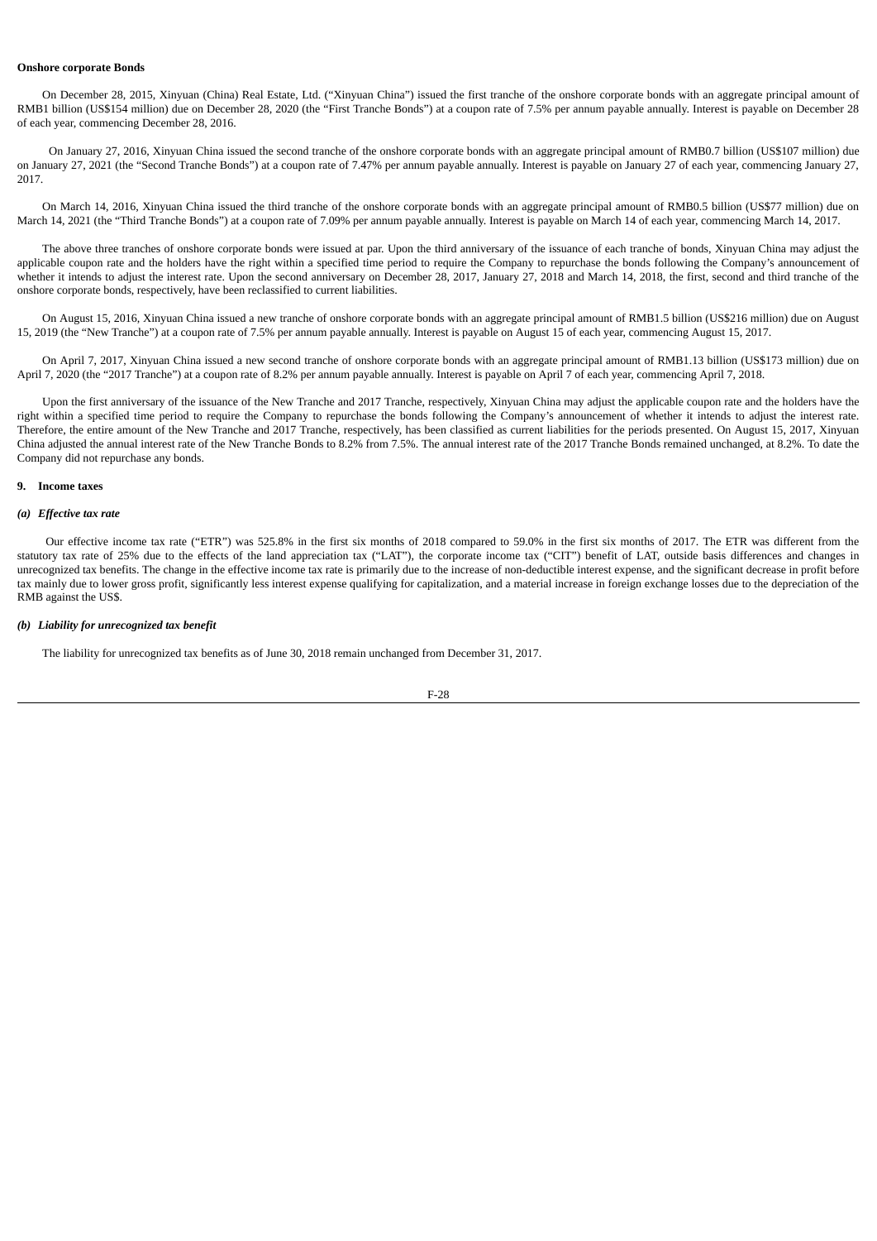# **Onshore corporate Bonds**

On December 28, 2015, Xinyuan (China) Real Estate, Ltd. ("Xinyuan China") issued the first tranche of the onshore corporate bonds with an aggregate principal amount of RMB1 billion (US\$154 million) due on December 28, 2020 (the "First Tranche Bonds") at a coupon rate of 7.5% per annum payable annually. Interest is payable on December 28 of each year, commencing December 28, 2016.

On January 27, 2016, Xinyuan China issued the second tranche of the onshore corporate bonds with an aggregate principal amount of RMB0.7 billion (US\$107 million) due on January 27, 2021 (the "Second Tranche Bonds") at a coupon rate of 7.47% per annum payable annually. Interest is payable on January 27 of each year, commencing January 27, 2017.

On March 14, 2016, Xinyuan China issued the third tranche of the onshore corporate bonds with an aggregate principal amount of RMB0.5 billion (US\$77 million) due on March 14, 2021 (the "Third Tranche Bonds") at a coupon rate of 7.09% per annum payable annually. Interest is payable on March 14 of each year, commencing March 14, 2017.

The above three tranches of onshore corporate bonds were issued at par. Upon the third anniversary of the issuance of each tranche of bonds, Xinyuan China may adjust the applicable coupon rate and the holders have the right within a specified time period to require the Company to repurchase the bonds following the Company's announcement of whether it intends to adjust the interest rate. Upon the second anniversary on December 28, 2017, January 27, 2018 and March 14, 2018, the first, second and third tranche of the onshore corporate bonds, respectively, have been reclassified to current liabilities.

On August 15, 2016, Xinyuan China issued a new tranche of onshore corporate bonds with an aggregate principal amount of RMB1.5 billion (US\$216 million) due on August 15, 2019 (the "New Tranche") at a coupon rate of 7.5% per annum payable annually. Interest is payable on August 15 of each year, commencing August 15, 2017.

On April 7, 2017, Xinyuan China issued a new second tranche of onshore corporate bonds with an aggregate principal amount of RMB1.13 billion (US\$173 million) due on April 7, 2020 (the "2017 Tranche") at a coupon rate of 8.2% per annum payable annually. Interest is payable on April 7 of each year, commencing April 7, 2018.

Upon the first anniversary of the issuance of the New Tranche and 2017 Tranche, respectively, Xinyuan China may adjust the applicable coupon rate and the holders have the right within a specified time period to require the Company to repurchase the bonds following the Company's announcement of whether it intends to adjust the interest rate. Therefore, the entire amount of the New Tranche and 2017 Tranche, respectively, has been classified as current liabilities for the periods presented. On August 15, 2017, Xinyuan China adjusted the annual interest rate of the New Tranche Bonds to 8.2% from 7.5%. The annual interest rate of the 2017 Tranche Bonds remained unchanged, at 8.2%. To date the Company did not repurchase any bonds.

### **9. Income taxes**

## *(a) Effective tax rate*

Our effective income tax rate ("ETR") was 525.8% in the first six months of 2018 compared to 59.0% in the first six months of 2017. The ETR was different from the statutory tax rate of 25% due to the effects of the land appreciation tax ("LAT"), the corporate income tax ("CIT") benefit of LAT, outside basis differences and changes in unrecognized tax benefits. The change in the effective income tax rate is primarily due to the increase of non-deductible interest expense, and the significant decrease in profit before tax mainly due to lower gross profit, significantly less interest expense qualifying for capitalization, and a material increase in foreign exchange losses due to the depreciation of the RMB against the US\$.

# *(b) Liability for unrecognized tax benefit*

The liability for unrecognized tax benefits as of June 30, 2018 remain unchanged from December 31, 2017.

$$
F-28
$$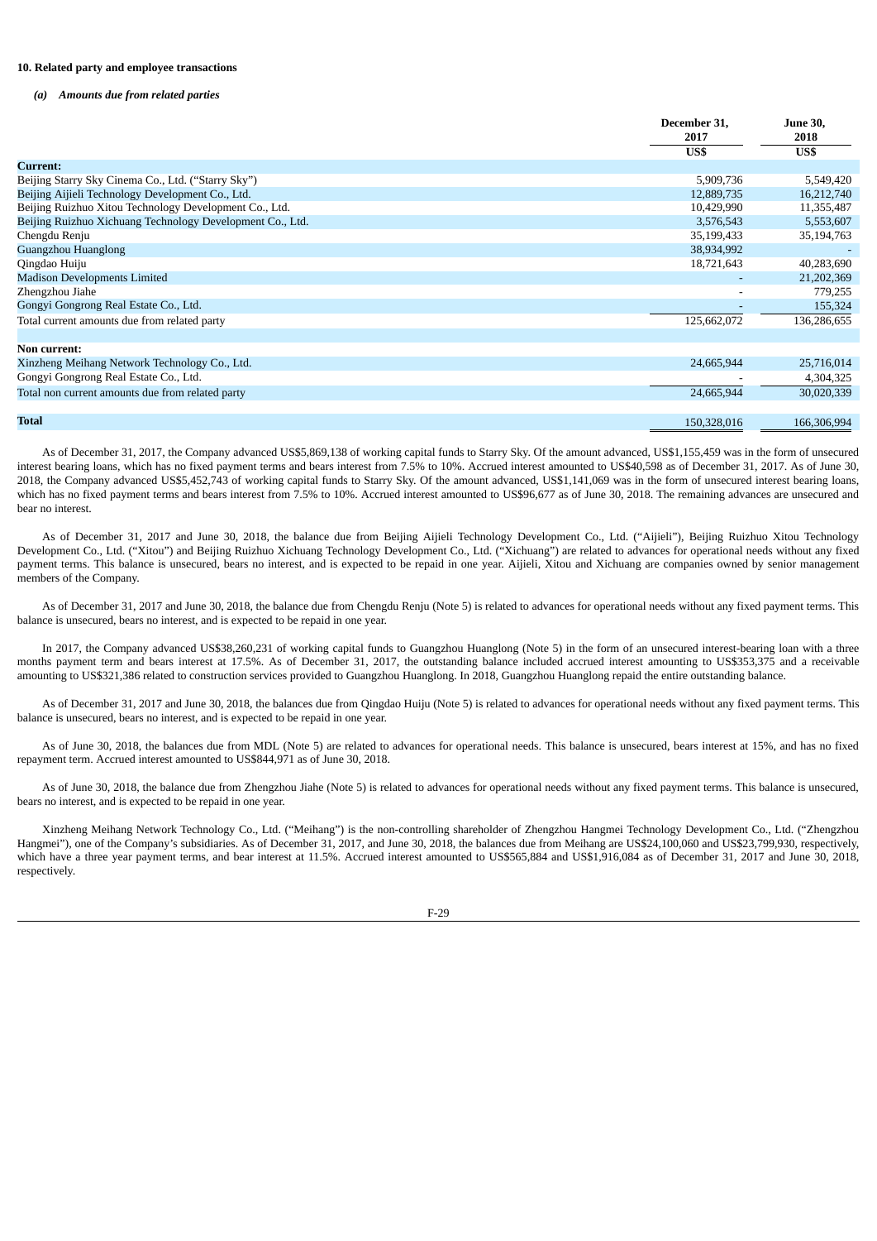### **10. Related party and employee transactions**

### *(a) Amounts due from related parties*

|                                                           | December 31,<br>2017     | <b>June 30,</b><br>2018 |
|-----------------------------------------------------------|--------------------------|-------------------------|
|                                                           | US\$                     | US\$                    |
| <b>Current:</b>                                           |                          |                         |
| Beijing Starry Sky Cinema Co., Ltd. ("Starry Sky")        | 5,909,736                | 5,549,420               |
| Beijing Aijieli Technology Development Co., Ltd.          | 12,889,735               | 16,212,740              |
| Beijing Ruizhuo Xitou Technology Development Co., Ltd.    | 10,429,990               | 11,355,487              |
| Beijing Ruizhuo Xichuang Technology Development Co., Ltd. | 3,576,543                | 5,553,607               |
| Chengdu Renju                                             | 35,199,433               | 35,194,763              |
| Guangzhou Huanglong                                       | 38,934,992               |                         |
| Qingdao Huiju                                             | 18,721,643               | 40,283,690              |
| <b>Madison Developments Limited</b>                       |                          | 21,202,369              |
| Zhengzhou Jiahe                                           |                          | 779,255                 |
| Gongyi Gongrong Real Estate Co., Ltd.                     | $\overline{\phantom{a}}$ | 155,324                 |
| Total current amounts due from related party              | 125,662,072              | 136,286,655             |
|                                                           |                          |                         |
| <b>Non current:</b>                                       |                          |                         |
| Xinzheng Meihang Network Technology Co., Ltd.             | 24,665,944               | 25,716,014              |
| Gongyi Gongrong Real Estate Co., Ltd.                     |                          | 4,304,325               |
| Total non current amounts due from related party          | 24,665,944               | 30,020,339              |
|                                                           |                          |                         |
| <b>Total</b>                                              | 150,328,016              | 166,306,994             |

As of December 31, 2017, the Company advanced US\$5,869,138 of working capital funds to Starry Sky. Of the amount advanced, US\$1,155,459 was in the form of unsecured interest bearing loans, which has no fixed payment terms and bears interest from 7.5% to 10%. Accrued interest amounted to US\$40,598 as of December 31, 2017. As of June 30, 2018, the Company advanced US\$5,452,743 of working capital funds to Starry Sky. Of the amount advanced, US\$1,141,069 was in the form of unsecured interest bearing loans, which has no fixed payment terms and bears interest from 7.5% to 10%. Accrued interest amounted to US\$96,677 as of June 30, 2018. The remaining advances are unsecured and bear no interest.

As of December 31, 2017 and June 30, 2018, the balance due from Beijing Aijieli Technology Development Co., Ltd. ("Aijieli"), Beijing Ruizhuo Xitou Technology Development Co., Ltd. ("Xitou") and Beijing Ruizhuo Xichuang Technology Development Co., Ltd. ("Xichuang") are related to advances for operational needs without any fixed payment terms. This balance is unsecured, bears no interest, and is expected to be repaid in one year. Aijieli, Xitou and Xichuang are companies owned by senior management members of the Company.

As of December 31, 2017 and June 30, 2018, the balance due from Chengdu Renju (Note 5) is related to advances for operational needs without any fixed payment terms. This balance is unsecured, bears no interest, and is expected to be repaid in one year.

In 2017, the Company advanced US\$38,260,231 of working capital funds to Guangzhou Huanglong (Note 5) in the form of an unsecured interest-bearing loan with a three months payment term and bears interest at 17.5%. As of December 31, 2017, the outstanding balance included accrued interest amounting to US\$353,375 and a receivable amounting to US\$321,386 related to construction services provided to Guangzhou Huanglong. In 2018, Guangzhou Huanglong repaid the entire outstanding balance.

As of December 31, 2017 and June 30, 2018, the balances due from Qingdao Huiju (Note 5) is related to advances for operational needs without any fixed payment terms. This balance is unsecured, bears no interest, and is expected to be repaid in one year.

As of June 30, 2018, the balances due from MDL (Note 5) are related to advances for operational needs. This balance is unsecured, bears interest at 15%, and has no fixed repayment term. Accrued interest amounted to US\$844,971 as of June 30, 2018.

As of June 30, 2018, the balance due from Zhengzhou Jiahe (Note 5) is related to advances for operational needs without any fixed payment terms. This balance is unsecured, bears no interest, and is expected to be repaid in one year.

Xinzheng Meihang Network Technology Co., Ltd. ("Meihang") is the non-controlling shareholder of Zhengzhou Hangmei Technology Development Co., Ltd. ("Zhengzhou Hangmei"), one of the Company's subsidiaries. As of December 31, 2017, and June 30, 2018, the balances due from Meihang are US\$24,100,060 and US\$23,799,930, respectively, which have a three year payment terms, and bear interest at 11.5%. Accrued interest amounted to US\$565,884 and US\$1,916,084 as of December 31, 2017 and June 30, 2018, respectively.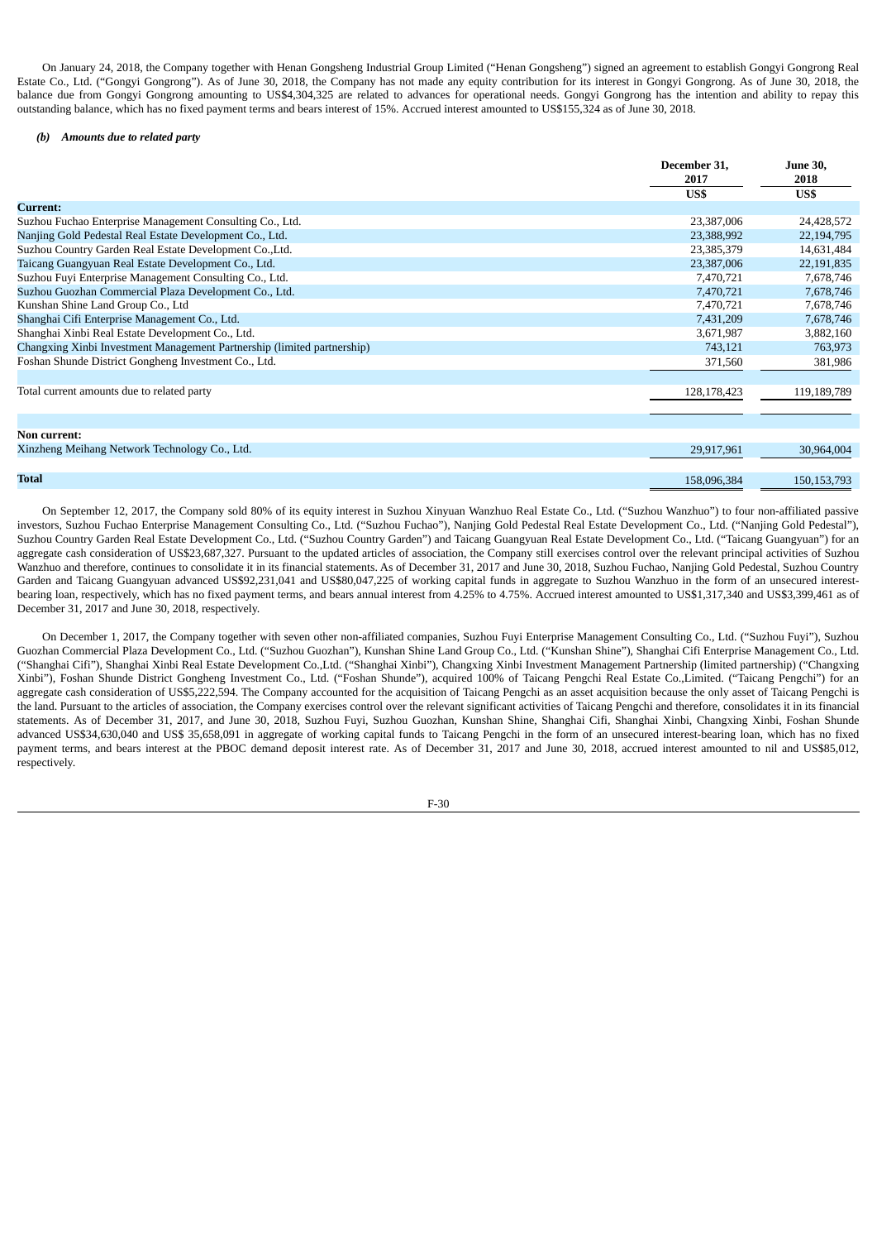On January 24, 2018, the Company together with Henan Gongsheng Industrial Group Limited ("Henan Gongsheng") signed an agreement to establish Gongyi Gongrong Real Estate Co., Ltd. ("Gongyi Gongrong"). As of June 30, 2018, the Company has not made any equity contribution for its interest in Gongyi Gongrong. As of June 30, 2018, the balance due from Gongyi Gongrong amounting to US\$4,304,325 are related to advances for operational needs. Gongyi Gongrong has the intention and ability to repay this outstanding balance, which has no fixed payment terms and bears interest of 15%. Accrued interest amounted to US\$155,324 as of June 30, 2018.

## *(b) Amounts due to related party*

|                                                                         | December 31,<br>2017<br>US\$ | <b>June 30,</b><br>2018<br>US\$ |
|-------------------------------------------------------------------------|------------------------------|---------------------------------|
| Current:                                                                |                              |                                 |
| Suzhou Fuchao Enterprise Management Consulting Co., Ltd.                | 23,387,006                   | 24,428,572                      |
| Nanjing Gold Pedestal Real Estate Development Co., Ltd.                 | 23,388,992                   | 22,194,795                      |
| Suzhou Country Garden Real Estate Development Co., Ltd.                 | 23,385,379                   | 14,631,484                      |
| Taicang Guangyuan Real Estate Development Co., Ltd.                     | 23,387,006                   | 22,191,835                      |
| Suzhou Fuyi Enterprise Management Consulting Co., Ltd.                  | 7,470,721                    | 7,678,746                       |
| Suzhou Guozhan Commercial Plaza Development Co., Ltd.                   | 7,470,721                    | 7,678,746                       |
| Kunshan Shine Land Group Co., Ltd                                       | 7,470,721                    | 7,678,746                       |
| Shanghai Cifi Enterprise Management Co., Ltd.                           | 7,431,209                    | 7,678,746                       |
| Shanghai Xinbi Real Estate Development Co., Ltd.                        | 3,671,987                    | 3,882,160                       |
| Changxing Xinbi Investment Management Partnership (limited partnership) | 743,121                      | 763,973                         |
| Foshan Shunde District Gongheng Investment Co., Ltd.                    | 371,560                      | 381,986                         |
|                                                                         |                              |                                 |
| Total current amounts due to related party                              | 128,178,423                  | 119,189,789                     |
|                                                                         |                              |                                 |
|                                                                         |                              |                                 |
| Non current:                                                            |                              |                                 |
| Xinzheng Meihang Network Technology Co., Ltd.                           | 29,917,961                   | 30,964,004                      |
|                                                                         |                              |                                 |
| <b>Total</b>                                                            | 158,096,384                  | 150, 153, 793                   |

On September 12, 2017, the Company sold 80% of its equity interest in Suzhou Xinyuan Wanzhuo Real Estate Co., Ltd. ("Suzhou Wanzhuo") to four non-affiliated passive investors, Suzhou Fuchao Enterprise Management Consulting Co., Ltd. ("Suzhou Fuchao"), Nanjing Gold Pedestal Real Estate Development Co., Ltd. ("Nanjing Gold Pedestal"), Suzhou Country Garden Real Estate Development Co., Ltd. ("Suzhou Country Garden") and Taicang Guangyuan Real Estate Development Co., Ltd. ("Taicang Guangyuan") for an aggregate cash consideration of US\$23,687,327. Pursuant to the updated articles of association, the Company still exercises control over the relevant principal activities of Suzhou Wanzhuo and therefore, continues to consolidate it in its financial statements. As of December 31, 2017 and June 30, 2018, Suzhou Fuchao, Nanjing Gold Pedestal, Suzhou Country Garden and Taicang Guangyuan advanced US\$92,231,041 and US\$80,047,225 of working capital funds in aggregate to Suzhou Wanzhuo in the form of an unsecured interestbearing loan, respectively, which has no fixed payment terms, and bears annual interest from 4.25% to 4.75%. Accrued interest amounted to US\$1,317,340 and US\$3,399,461 as of December 31, 2017 and June 30, 2018, respectively.

On December 1, 2017, the Company together with seven other non-affiliated companies, Suzhou Fuyi Enterprise Management Consulting Co., Ltd. ("Suzhou Fuyi"), Suzhou Guozhan Commercial Plaza Development Co., Ltd. ("Suzhou Guozhan"), Kunshan Shine Land Group Co., Ltd. ("Kunshan Shine"), Shanghai Cifi Enterprise Management Co., Ltd. ("Shanghai Cifi"), Shanghai Xinbi Real Estate Development Co.,Ltd. ("Shanghai Xinbi"), Changxing Xinbi Investment Management Partnership (limited partnership) ("Changxing Xinbi"), Foshan Shunde District Gongheng Investment Co., Ltd. ("Foshan Shunde"), acquired 100% of Taicang Pengchi Real Estate Co.,Limited. ("Taicang Pengchi") for an aggregate cash consideration of US\$5,222,594. The Company accounted for the acquisition of Taicang Pengchi as an asset acquisition because the only asset of Taicang Pengchi is the land. Pursuant to the articles of association, the Company exercises control over the relevant significant activities of Taicang Pengchi and therefore, consolidates it in its financial statements. As of December 31, 2017, and June 30, 2018, Suzhou Fuyi, Suzhou Guozhan, Kunshan Shine, Shanghai Cifi, Shanghai Xinbi, Changxing Xinbi, Foshan Shunde advanced US\$34,630,040 and US\$ 35,658,091 in aggregate of working capital funds to Taicang Pengchi in the form of an unsecured interest-bearing loan, which has no fixed payment terms, and bears interest at the PBOC demand deposit interest rate. As of December 31, 2017 and June 30, 2018, accrued interest amounted to nil and US\$85,012, respectively.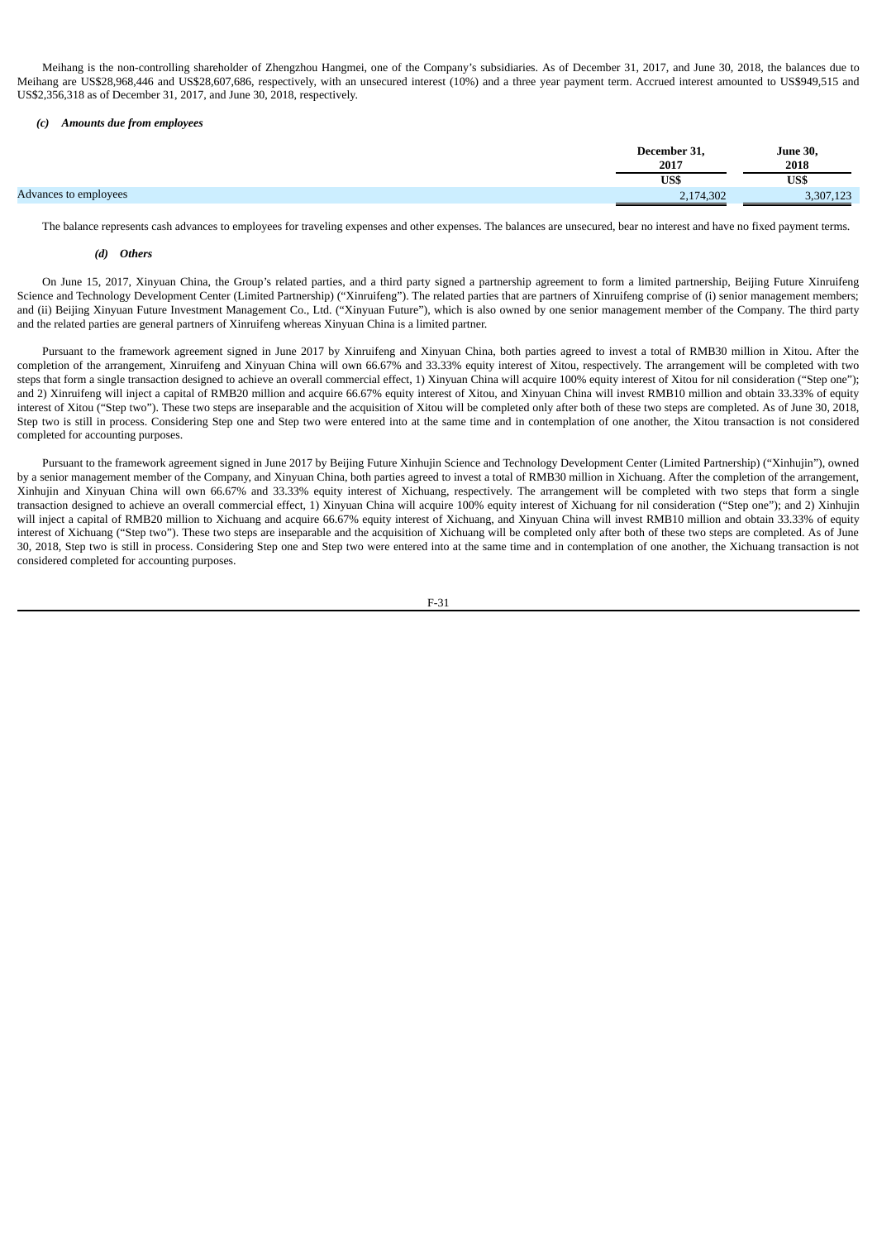Meihang is the non-controlling shareholder of Zhengzhou Hangmei, one of the Company's subsidiaries. As of December 31, 2017, and June 30, 2018, the balances due to Meihang are US\$28,968,446 and US\$28,607,686, respectively, with an unsecured interest (10%) and a three year payment term. Accrued interest amounted to US\$949,515 and US\$2,356,318 as of December 31, 2017, and June 30, 2018, respectively.

## *(c) Amounts due from employees*

|                       | December 31,<br>2017 | <b>June 30,</b><br>2018 |
|-----------------------|----------------------|-------------------------|
|                       | US\$                 | US\$                    |
| Advances to employees | 2,174,302            | 3,307,123               |

The balance represents cash advances to employees for traveling expenses and other expenses. The balances are unsecured, bear no interest and have no fixed payment terms.

## *(d) Others*

On June 15, 2017, Xinyuan China, the Group's related parties, and a third party signed a partnership agreement to form a limited partnership, Beijing Future Xinruifeng Science and Technology Development Center (Limited Partnership) ("Xinruifeng"). The related parties that are partners of Xinruifeng comprise of (i) senior management members; and (ii) Beijing Xinyuan Future Investment Management Co., Ltd. ("Xinyuan Future"), which is also owned by one senior management member of the Company. The third party and the related parties are general partners of Xinruifeng whereas Xinyuan China is a limited partner.

Pursuant to the framework agreement signed in June 2017 by Xinruifeng and Xinyuan China, both parties agreed to invest a total of RMB30 million in Xitou. After the completion of the arrangement, Xinruifeng and Xinyuan China will own 66.67% and 33.33% equity interest of Xitou, respectively. The arrangement will be completed with two steps that form a single transaction designed to achieve an overall commercial effect, 1) Xinyuan China will acquire 100% equity interest of Xitou for nil consideration ("Step one"); and 2) Xinruifeng will inject a capital of RMB20 million and acquire 66.67% equity interest of Xitou, and Xinyuan China will invest RMB10 million and obtain 33.33% of equity interest of Xitou ("Step two"). These two steps are inseparable and the acquisition of Xitou will be completed only after both of these two steps are completed. As of June 30, 2018, Step two is still in process. Considering Step one and Step two were entered into at the same time and in contemplation of one another, the Xitou transaction is not considered completed for accounting purposes.

Pursuant to the framework agreement signed in June 2017 by Beijing Future Xinhujin Science and Technology Development Center (Limited Partnership) ("Xinhujin"), owned by a senior management member of the Company, and Xinyuan China, both parties agreed to invest a total of RMB30 million in Xichuang. After the completion of the arrangement, Xinhujin and Xinyuan China will own 66.67% and 33.33% equity interest of Xichuang, respectively. The arrangement will be completed with two steps that form a single transaction designed to achieve an overall commercial effect, 1) Xinyuan China will acquire 100% equity interest of Xichuang for nil consideration ("Step one"); and 2) Xinhujin will inject a capital of RMB20 million to Xichuang and acquire 66.67% equity interest of Xichuang, and Xinyuan China will invest RMB10 million and obtain 33.33% of equity interest of Xichuang ("Step two"). These two steps are inseparable and the acquisition of Xichuang will be completed only after both of these two steps are completed. As of June 30, 2018, Step two is still in process. Considering Step one and Step two were entered into at the same time and in contemplation of one another, the Xichuang transaction is not considered completed for accounting purposes.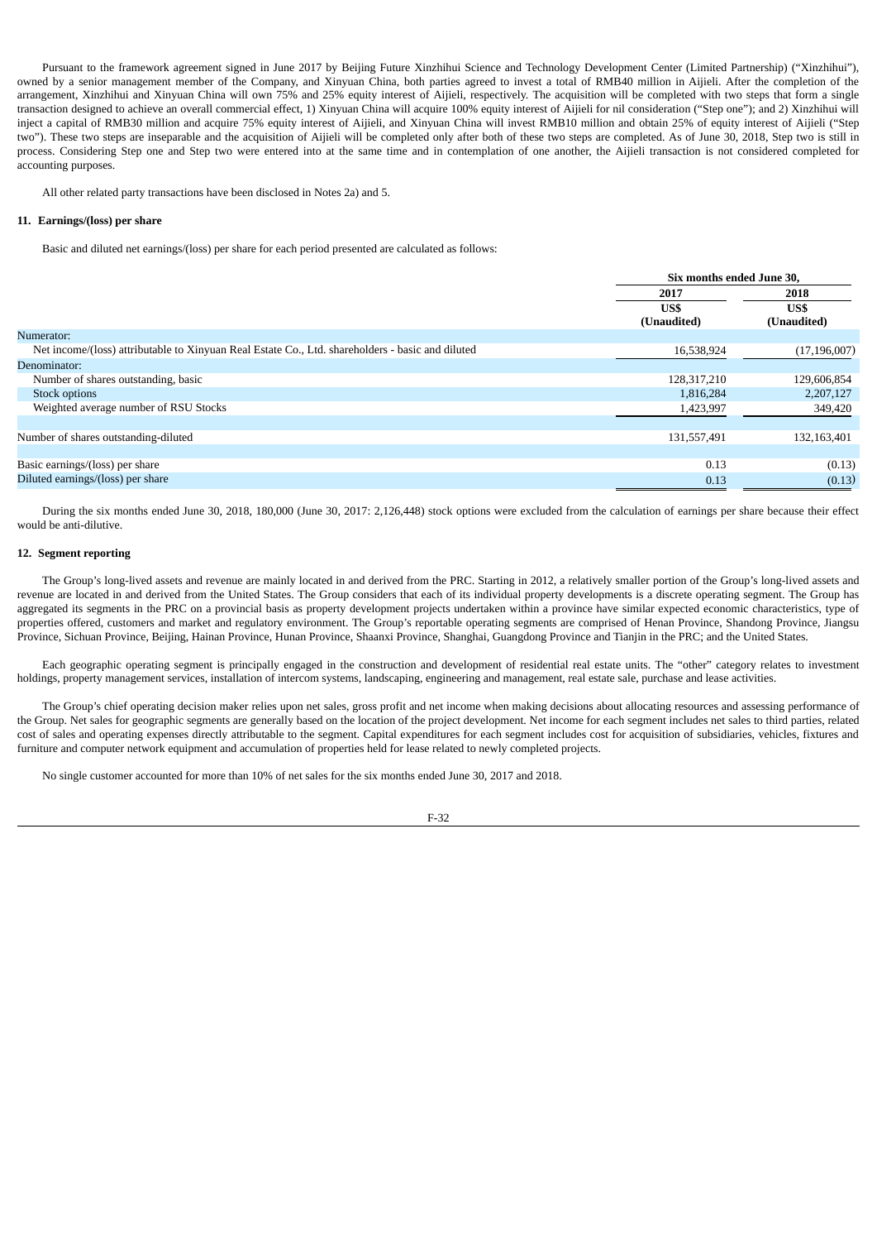Pursuant to the framework agreement signed in June 2017 by Beijing Future Xinzhihui Science and Technology Development Center (Limited Partnership) ("Xinzhihui"), owned by a senior management member of the Company, and Xinyuan China, both parties agreed to invest a total of RMB40 million in Aijieli. After the completion of the arrangement, Xinzhihui and Xinyuan China will own 75% and 25% equity interest of Aijieli, respectively. The acquisition will be completed with two steps that form a single transaction designed to achieve an overall commercial effect, 1) Xinyuan China will acquire 100% equity interest of Aijieli for nil consideration ("Step one"); and 2) Xinzhihui will inject a capital of RMB30 million and acquire 75% equity interest of Aijieli, and Xinyuan China will invest RMB10 million and obtain 25% of equity interest of Aijieli ("Step two"). These two steps are inseparable and the acquisition of Aijieli will be completed only after both of these two steps are completed. As of June 30, 2018, Step two is still in process. Considering Step one and Step two were entered into at the same time and in contemplation of one another, the Aijieli transaction is not considered completed for accounting purposes.

All other related party transactions have been disclosed in Notes 2a) and 5.

### **11. Earnings/(loss) per share**

Basic and diluted net earnings/(loss) per share for each period presented are calculated as follows:

|                                                                                                  | Six months ended June 30. |                |  |
|--------------------------------------------------------------------------------------------------|---------------------------|----------------|--|
|                                                                                                  | 2017                      | 2018           |  |
|                                                                                                  | US\$                      | US\$           |  |
|                                                                                                  | (Unaudited)               | (Unaudited)    |  |
| Numerator:                                                                                       |                           |                |  |
| Net income/(loss) attributable to Xinyuan Real Estate Co., Ltd. shareholders - basic and diluted | 16,538,924                | (17, 196, 007) |  |
| Denominator:                                                                                     |                           |                |  |
| Number of shares outstanding, basic                                                              | 128, 317, 210             | 129,606,854    |  |
| Stock options                                                                                    | 1,816,284                 | 2,207,127      |  |
| Weighted average number of RSU Stocks                                                            | 1,423,997                 | 349,420        |  |
|                                                                                                  |                           |                |  |
| Number of shares outstanding-diluted                                                             | 131,557,491               | 132,163,401    |  |
|                                                                                                  |                           |                |  |
| Basic earnings/(loss) per share                                                                  | 0.13                      | (0.13)         |  |
| Diluted earnings/(loss) per share                                                                | 0.13                      | (0.13)         |  |

During the six months ended June 30, 2018, 180,000 (June 30, 2017: 2,126,448) stock options were excluded from the calculation of earnings per share because their effect would be anti-dilutive.

## **12. Segment reporting**

The Group's long-lived assets and revenue are mainly located in and derived from the PRC. Starting in 2012, a relatively smaller portion of the Group's long-lived assets and revenue are located in and derived from the United States. The Group considers that each of its individual property developments is a discrete operating segment. The Group has aggregated its segments in the PRC on a provincial basis as property development projects undertaken within a province have similar expected economic characteristics, type of properties offered, customers and market and regulatory environment. The Group's reportable operating segments are comprised of Henan Province, Shandong Province, Jiangsu Province, Sichuan Province, Beijing, Hainan Province, Hunan Province, Shaanxi Province, Shanghai, Guangdong Province and Tianjin in the PRC; and the United States.

Each geographic operating segment is principally engaged in the construction and development of residential real estate units. The "other" category relates to investment holdings, property management services, installation of intercom systems, landscaping, engineering and management, real estate sale, purchase and lease activities.

The Group's chief operating decision maker relies upon net sales, gross profit and net income when making decisions about allocating resources and assessing performance of the Group. Net sales for geographic segments are generally based on the location of the project development. Net income for each segment includes net sales to third parties, related cost of sales and operating expenses directly attributable to the segment. Capital expenditures for each segment includes cost for acquisition of subsidiaries, vehicles, fixtures and furniture and computer network equipment and accumulation of properties held for lease related to newly completed projects.

No single customer accounted for more than 10% of net sales for the six months ended June 30, 2017 and 2018.

F-32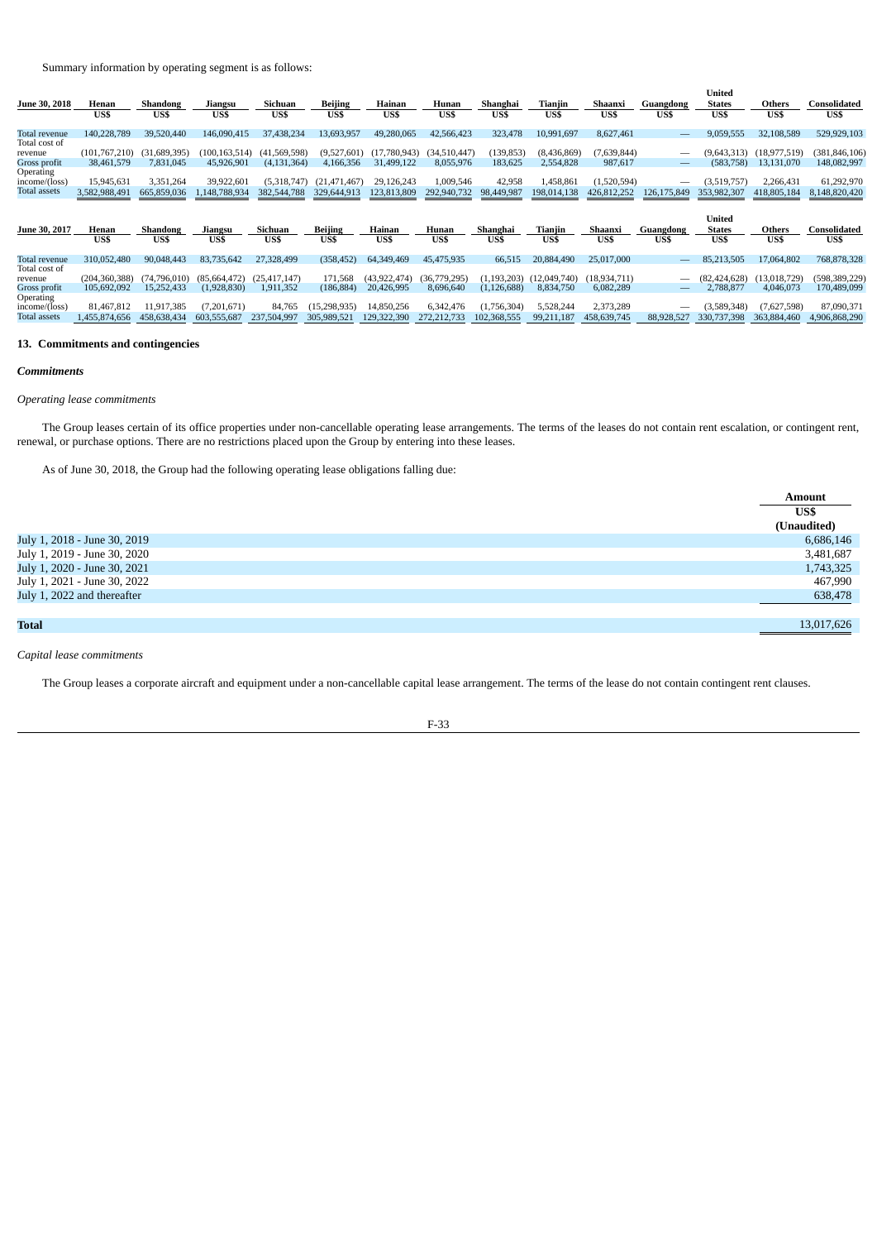Summary information by operating segment is as follows:

|                     |                 |                    |                 |                |                |                |              |                  |              |                |                                | United        |                |                 |
|---------------------|-----------------|--------------------|-----------------|----------------|----------------|----------------|--------------|------------------|--------------|----------------|--------------------------------|---------------|----------------|-----------------|
| June 30, 2018       | Henan           | Shandong           | Jiangsu         | Sichuan        | <b>Beijing</b> | Hainan         | Hunan        | Shanghai         | Tianjin      | Shaanxi        | Guangdong                      | <b>States</b> | Others         | Consolidated    |
|                     | US\$            | US\$               | US\$            | US\$           | US\$           | US\$           | US\$         | US\$             | US\$         | US\$           | US\$                           | US\$          | US\$           | US\$            |
| Total revenue       | 140.228.789     | 39,520,440         | 146.090.415     | 37,438,234     | 13,693,957     | 49,280,065     | 42,566,423   | 323,478          | 10,991,697   | 8,627,461      | $\qquad \qquad \longleftarrow$ | 9,059,555     | 32,108,589     | 529,929,103     |
| Total cost of       |                 |                    |                 |                |                |                |              |                  |              |                |                                |               |                |                 |
| revenue             | (101, 767, 210) | .,689,395)<br>(31) | (100, 163, 514) | (41,569,598)   | (9,527,601)    | (17.780.943)   | (34,510,447) | (139, 853)       | (8,436,869)  | (7,639,844)    |                                | (9,643,313)   | (18, 977, 519) | (381, 846, 106) |
| Gross profit        | 38,461,579      | 7,831,045          | 45,926,901      | (4, 131, 364)  | 4,166,356      | 31,499,122     | 8,055,976    | 183,625          | 2,554,828    | 987,617        |                                | (583, 758)    | 13,131,070     | 148,082,997     |
| Operating           |                 |                    |                 |                |                |                |              |                  |              |                |                                |               |                |                 |
| income/(loss)       | 15,945,631      | 3,351,264          | 39,922,601      | (5,318,747)    | (21, 471, 467) | 29,126,243     | 1,009,546    | 42,958           | 1,458,861    | (1,520,594)    | -                              | (3,519,757)   | 2,266,431      | 61,292,970      |
| <b>Total assets</b> | 3,582,988,491   | 665,859,036        | 1,148,788,934   | 382,544,788    | 329,644,913    | 123,813,809    | 292,940,732  | 98,449,987       | 198,014,138  | 426,812,252    | 126,175,849                    | 353,982,307   | 418,805,184    | 8,148,820,420   |
|                     |                 |                    |                 |                |                |                |              |                  |              |                |                                |               |                |                 |
|                     |                 |                    |                 |                |                |                |              |                  |              |                |                                |               |                |                 |
|                     |                 |                    |                 |                |                |                |              |                  |              |                |                                | United        |                |                 |
| June 30, 2017       | Henan           |                    |                 | Sichuan        | <b>Beijing</b> | Hainan         | Hunan        |                  | Tianjin      | Shaanxi        |                                | <b>States</b> | Others         | Consolidated    |
|                     | US\$            | Shandong<br>US\$   | Jiangsu<br>US\$ | US\$           | US\$           | US\$           | US\$         | Shanghai<br>US\$ | US\$         | US\$           | Guangdong<br>US\$              | US\$          | US\$           | US\$            |
|                     |                 |                    |                 |                |                |                |              |                  |              |                |                                |               |                |                 |
| Total revenue       | 310,052,480     | 90,048,443         | 83,735,642      | 27,328,499     | (358, 452)     | 64,349,469     | 45,475,935   | 66,515           | 20,884,490   | 25,017,000     |                                | 85,213,505    | 17,064,802     | 768,878,328     |
| Total cost of       |                 |                    |                 |                |                |                |              |                  |              |                |                                |               |                |                 |
| revenue             | (204.360.388)   | (74,796,010)       | (85,664,472)    | (25, 417, 147) | 171,568        | (43, 922, 474) | (36,779,295) | (1, 193, 203)    | (12,049,740) | (18, 934, 711) | $\overline{\phantom{0}}$       | (82,424,628)  | (13,018,729)   | (598, 389, 229) |
| Gross profit        | 105.692.092     | 15.252.433         | (1,928,830)     | 1,911,352      | (186, 884)     | 20,426,995     | 8,696,640    | (1, 126, 688)    | 8,834,750    | 6,082,289      | —                              | 2,788,877     | 4,046,073      | 170,489,099     |
| Operating           |                 |                    |                 |                |                |                |              |                  |              |                |                                |               |                |                 |
| income/(loss)       | 81.467.812      | 11,917,385         | (7,201,671)     | 84,765         | (15, 298, 935) | 14,850,256     | 6,342,476    | (1,756,304)      | 5,528,244    | 2,373,289      | -                              | (3,589,348)   | (7,627,598)    | 87,090,371      |
| <b>Total assets</b> | 1,455,874,656   | 458,638,434        | 603,555,687     | 237,504,997    | 305,989,521    | 29,322,390     | 272,212,733  | 102,368,555      | 99,211,187   | 458,639,745    | 88,928,527                     | 330,737,398   | 363,884,460    | 4,906,868,290   |

# **13. Commitments and contingencies**

## *Commitments*

# *Operating lease commitments*

The Group leases certain of its office properties under non-cancellable operating lease arrangements. The terms of the leases do not contain rent escalation, or contingent rent, renewal, or purchase options. There are no restrictions placed upon the Group by entering into these leases.

As of June 30, 2018, the Group had the following operating lease obligations falling due:

|                              | <b>Amount</b> |
|------------------------------|---------------|
|                              | US\$          |
|                              | (Unaudited)   |
| July 1, 2018 - June 30, 2019 | 6,686,146     |
| July 1, 2019 - June 30, 2020 | 3,481,687     |
| July 1, 2020 - June 30, 2021 | 1,743,325     |
| July 1, 2021 - June 30, 2022 | 467,990       |
| July 1, 2022 and thereafter  | 638,478       |
|                              |               |
| <b>Total</b>                 | 13,017,626    |

*Capital lease commitments*

The Group leases a corporate aircraft and equipment under a non-cancellable capital lease arrangement. The terms of the lease do not contain contingent rent clauses.

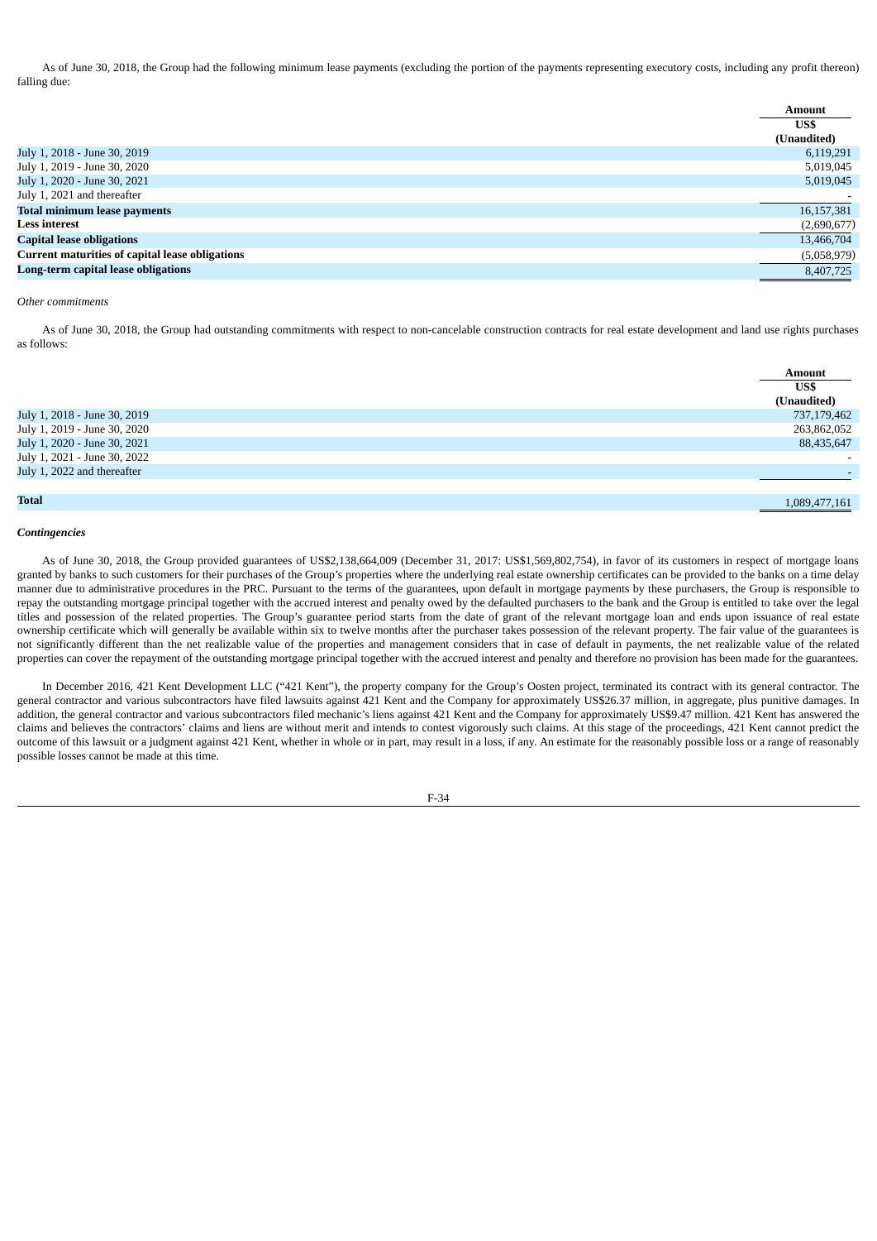As of June 30, 2018, the Group had the following minimum lease payments (excluding the portion of the payments representing executory costs, including any profit thereon) falling due:

|                                                        | <b>Amount</b> |
|--------------------------------------------------------|---------------|
|                                                        | US\$          |
|                                                        | (Unaudited)   |
| July 1, 2018 - June 30, 2019                           | 6,119,291     |
| July 1, 2019 - June 30, 2020                           | 5,019,045     |
| July 1, 2020 - June 30, 2021                           | 5,019,045     |
| July 1, 2021 and thereafter                            |               |
| <b>Total minimum lease payments</b>                    | 16,157,381    |
| <b>Less interest</b>                                   | (2,690,677)   |
| <b>Capital lease obligations</b>                       | 13,466,704    |
| <b>Current maturities of capital lease obligations</b> | (5,058,979)   |
| Long-term capital lease obligations                    | 8,407,725     |

## *Other commitments*

As of June 30, 2018, the Group had outstanding commitments with respect to non-cancelable construction contracts for real estate development and land use rights purchases as follows:

|                              | <b>Amount</b>            |
|------------------------------|--------------------------|
|                              | US\$                     |
|                              | (Unaudited)              |
| July 1, 2018 - June 30, 2019 | 737,179,462              |
| July 1, 2019 - June 30, 2020 | 263,862,052              |
| July 1, 2020 - June 30, 2021 | 88,435,647               |
| July 1, 2021 - June 30, 2022 | $\overline{\phantom{a}}$ |
| July 1, 2022 and thereafter  |                          |
|                              |                          |
| <b>Total</b>                 | 1,089,477,161            |

### *Contingencies*

As of June 30, 2018, the Group provided guarantees of US\$2,138,664,009 (December 31, 2017: US\$1,569,802,754), in favor of its customers in respect of mortgage loans granted by banks to such customers for their purchases of the Group's properties where the underlying real estate ownership certificates can be provided to the banks on a time delay manner due to administrative procedures in the PRC. Pursuant to the terms of the guarantees, upon default in mortgage payments by these purchasers, the Group is responsible to repay the outstanding mortgage principal together with the accrued interest and penalty owed by the defaulted purchasers to the bank and the Group is entitled to take over the legal titles and possession of the related properties. The Group's guarantee period starts from the date of grant of the relevant mortgage loan and ends upon issuance of real estate ownership certificate which will generally be available within six to twelve months after the purchaser takes possession of the relevant property. The fair value of the guarantees is not significantly different than the net realizable value of the properties and management considers that in case of default in payments, the net realizable value of the related properties can cover the repayment of the outstanding mortgage principal together with the accrued interest and penalty and therefore no provision has been made for the guarantees.

In December 2016, 421 Kent Development LLC ("421 Kent"), the property company for the Group's Oosten project, terminated its contract with its general contractor. The general contractor and various subcontractors have filed lawsuits against 421 Kent and the Company for approximately US\$26.37 million, in aggregate, plus punitive damages. In addition, the general contractor and various subcontractors filed mechanic's liens against 421 Kent and the Company for approximately US\$9.47 million. 421 Kent has answered the claims and believes the contractors' claims and liens are without merit and intends to contest vigorously such claims. At this stage of the proceedings, 421 Kent cannot predict the outcome of this lawsuit or a judgment against 421 Kent, whether in whole or in part, may result in a loss, if any. An estimate for the reasonably possible loss or a range of reasonably possible losses cannot be made at this time.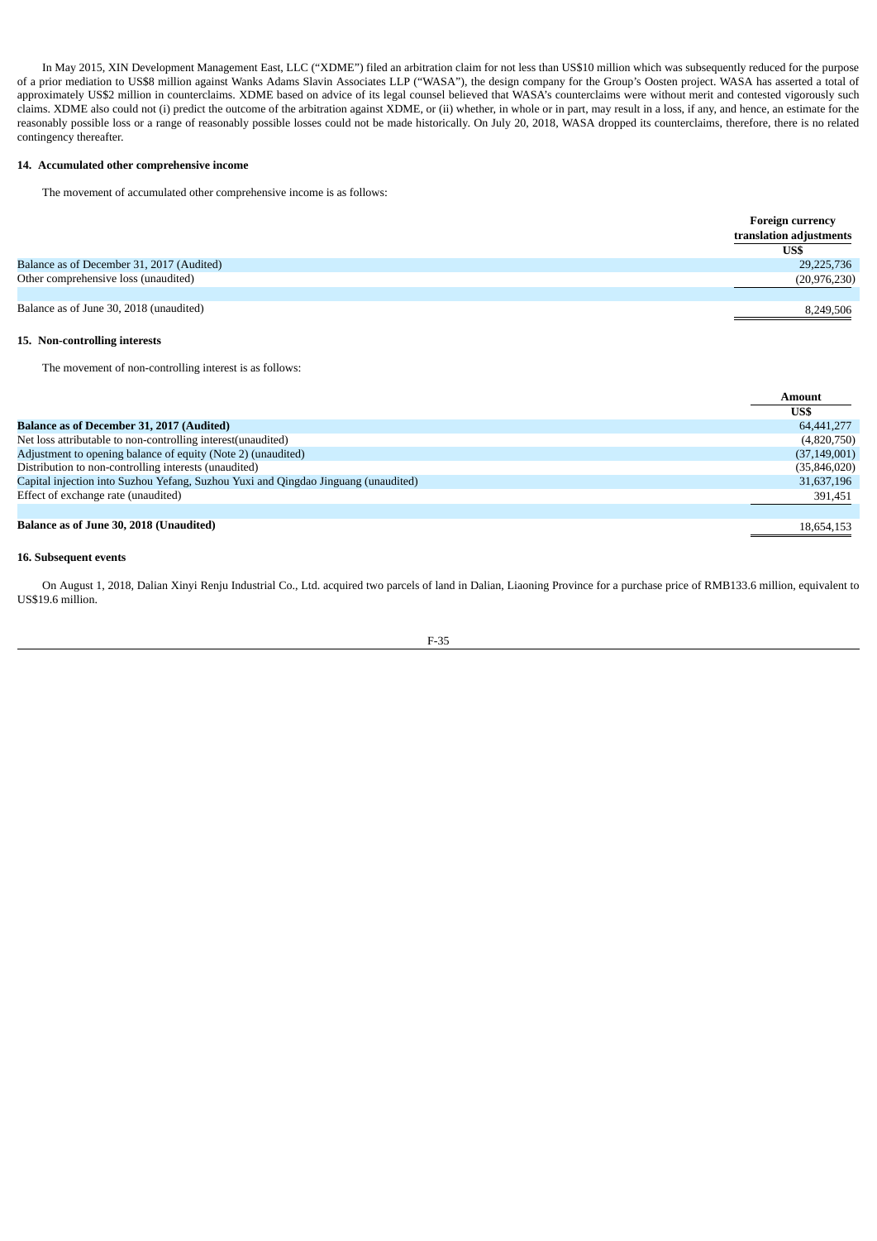In May 2015, XIN Development Management East, LLC ("XDME") filed an arbitration claim for not less than US\$10 million which was subsequently reduced for the purpose of a prior mediation to US\$8 million against Wanks Adams Slavin Associates LLP ("WASA"), the design company for the Group's Oosten project. WASA has asserted a total of approximately US\$2 million in counterclaims. XDME based on advice of its legal counsel believed that WASA's counterclaims were without merit and contested vigorously such claims. XDME also could not (i) predict the outcome of the arbitration against XDME, or (ii) whether, in whole or in part, may result in a loss, if any, and hence, an estimate for the reasonably possible loss or a range of reasonably possible losses could not be made historically. On July 20, 2018, WASA dropped its counterclaims, therefore, there is no related contingency thereafter.

## **14. Accumulated other comprehensive income**

The movement of accumulated other comprehensive income is as follows:

|                                           | <b>Foreign currency</b> |
|-------------------------------------------|-------------------------|
|                                           | translation adjustments |
|                                           | US\$                    |
| Balance as of December 31, 2017 (Audited) | 29,225,736              |
| Other comprehensive loss (unaudited)      | (20, 976, 230)          |
|                                           |                         |
| Balance as of June 30, 2018 (unaudited)   | 8,249,506               |

# **15. Non-controlling interests**

The movement of non-controlling interest is as follows:

|                                                                                    | Amount         |
|------------------------------------------------------------------------------------|----------------|
|                                                                                    | US\$           |
| <b>Balance as of December 31, 2017 (Audited)</b>                                   | 64,441,277     |
| Net loss attributable to non-controlling interest (unaudited)                      | (4,820,750)    |
| Adjustment to opening balance of equity (Note 2) (unaudited)                       | (37, 149, 001) |
| Distribution to non-controlling interests (unaudited)                              | (35,846,020)   |
| Capital injection into Suzhou Yefang, Suzhou Yuxi and Qingdao Jinguang (unaudited) | 31,637,196     |
| Effect of exchange rate (unaudited)                                                | 391,451        |
|                                                                                    |                |
| Balance as of June 30, 2018 (Unaudited)                                            | 18,654,153     |

## **16. Subsequent events**

On August 1, 2018, Dalian Xinyi Renju Industrial Co., Ltd. acquired two parcels of land in Dalian, Liaoning Province for a purchase price of RMB133.6 million, equivalent to US\$19.6 million.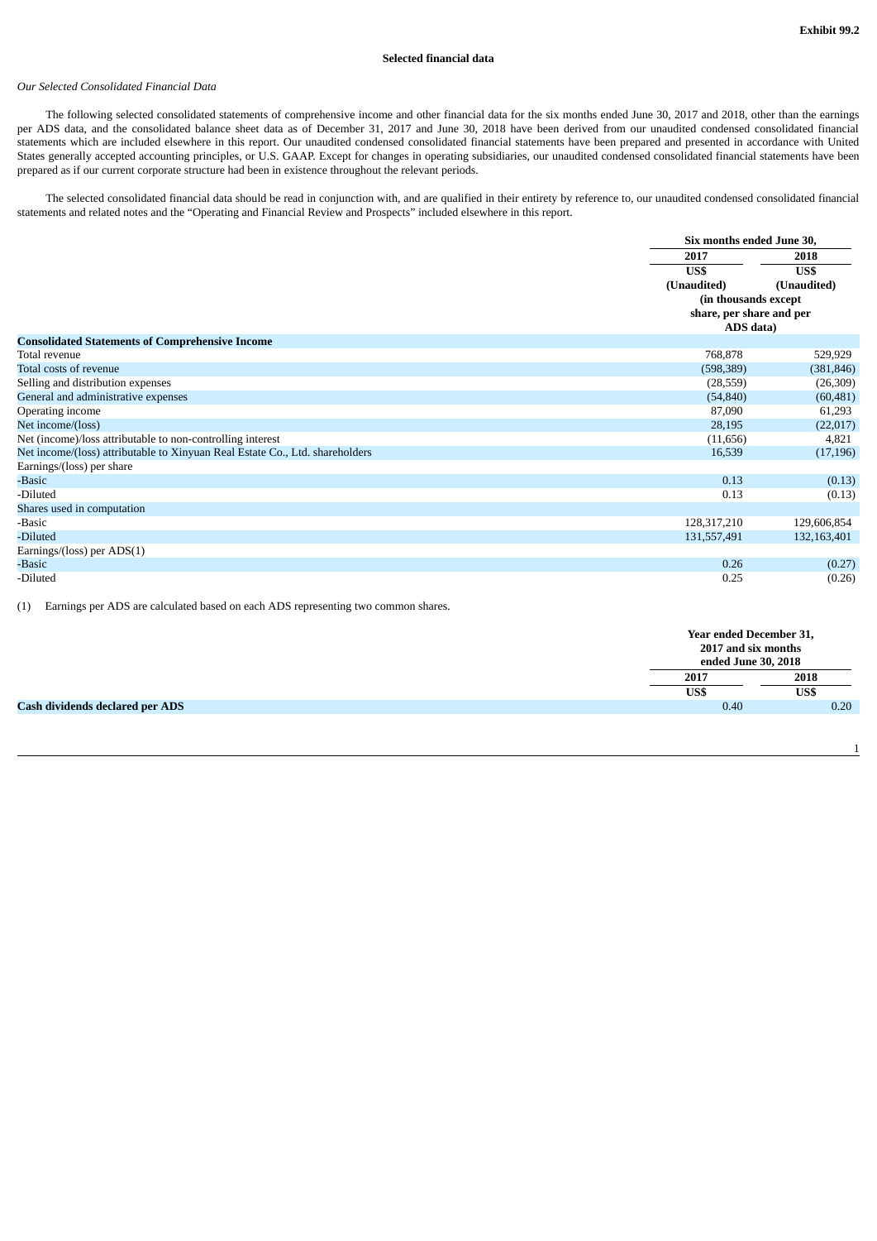# **Selected financial data**

# *Our Selected Consolidated Financial Data*

The following selected consolidated statements of comprehensive income and other financial data for the six months ended June 30, 2017 and 2018, other than the earnings per ADS data, and the consolidated balance sheet data as of December 31, 2017 and June 30, 2018 have been derived from our unaudited condensed consolidated financial statements which are included elsewhere in this report. Our unaudited condensed consolidated financial statements have been prepared and presented in accordance with United States generally accepted accounting principles, or U.S. GAAP. Except for changes in operating subsidiaries, our unaudited condensed consolidated financial statements have been prepared as if our current corporate structure had been in existence throughout the relevant periods.

The selected consolidated financial data should be read in conjunction with, and are qualified in their entirety by reference to, our unaudited condensed consolidated financial statements and related notes and the "Operating and Financial Review and Prospects" included elsewhere in this report.

|                                                                              | Six months ended June 30, |             |
|------------------------------------------------------------------------------|---------------------------|-------------|
|                                                                              | 2017                      | 2018        |
|                                                                              | US\$                      | US\$        |
|                                                                              | (Unaudited)               | (Unaudited) |
|                                                                              | (in thousands except      |             |
|                                                                              | share, per share and per  |             |
|                                                                              | ADS data)                 |             |
| <b>Consolidated Statements of Comprehensive Income</b>                       |                           |             |
| Total revenue                                                                | 768,878                   | 529,929     |
| Total costs of revenue                                                       | (598, 389)                | (381, 846)  |
| Selling and distribution expenses                                            | (28, 559)                 | (26, 309)   |
| General and administrative expenses                                          | (54, 840)                 | (60, 481)   |
| Operating income                                                             | 87,090                    | 61,293      |
| Net income/(loss)                                                            | 28,195                    | (22,017)    |
| Net (income)/loss attributable to non-controlling interest                   | (11,656)                  | 4,821       |
| Net income/(loss) attributable to Xinyuan Real Estate Co., Ltd. shareholders | 16,539                    | (17, 196)   |
| Earnings/(loss) per share                                                    |                           |             |
| -Basic                                                                       | 0.13                      | (0.13)      |
| -Diluted                                                                     | 0.13                      | (0.13)      |
| Shares used in computation                                                   |                           |             |
| -Basic                                                                       | 128,317,210               | 129,606,854 |
| -Diluted                                                                     | 131,557,491               | 132,163,401 |
| Earnings/(loss) per ADS(1)                                                   |                           |             |
| -Basic                                                                       | 0.26                      | (0.27)      |
| -Diluted                                                                     | 0.25                      | (0.26)      |

(1) Earnings per ADS are calculated based on each ADS representing two common shares.

|                                        | Year ended December 31,<br>2017 and six months<br>ended June 30, 2018 |      |  |
|----------------------------------------|-----------------------------------------------------------------------|------|--|
|                                        | 2017                                                                  | 2018 |  |
|                                        | US\$                                                                  | US\$ |  |
| <b>Cash dividends declared per ADS</b> | 0.40                                                                  | 0.20 |  |
|                                        |                                                                       |      |  |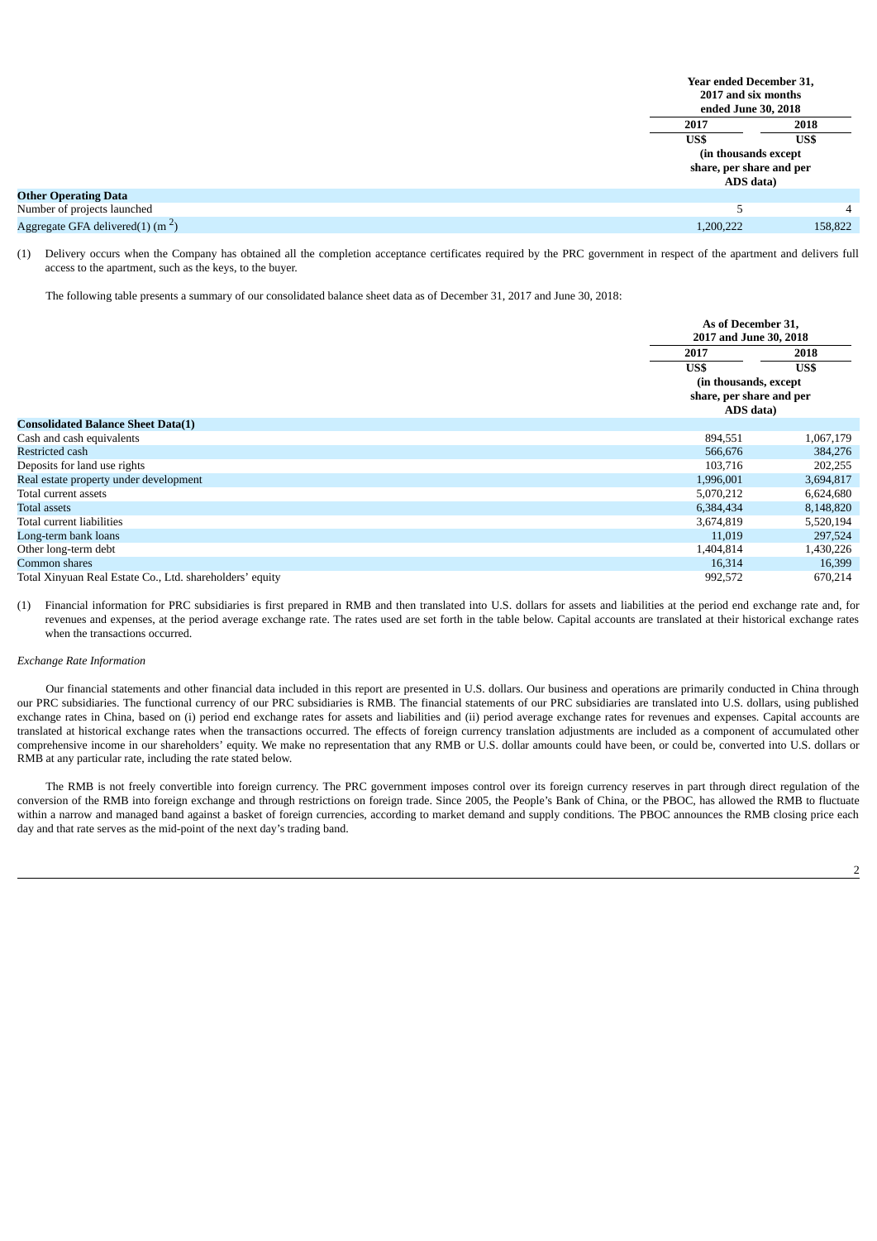| Year ended December 31,<br>2017 and six months<br>ended June 30, 2018 |         |
|-----------------------------------------------------------------------|---------|
| 2017                                                                  | 2018    |
| US\$                                                                  | US\$    |
| (in thousands except)<br>share, per share and per<br>ADS data)        |         |
|                                                                       |         |
|                                                                       | 4       |
| 1,200,222                                                             | 158,822 |

(1) Delivery occurs when the Company has obtained all the completion acceptance certificates required by the PRC government in respect of the apartment and delivers full access to the apartment, such as the keys, to the buyer.

The following table presents a summary of our consolidated balance sheet data as of December 31, 2017 and June 30, 2018:

|                                                          | As of December 31,       |           |  |
|----------------------------------------------------------|--------------------------|-----------|--|
|                                                          | 2017 and June 30, 2018   |           |  |
|                                                          | 2017                     | 2018      |  |
|                                                          | US\$                     | US\$      |  |
|                                                          | (in thousands, except    |           |  |
|                                                          | share, per share and per |           |  |
|                                                          | ADS data)                |           |  |
| <b>Consolidated Balance Sheet Data(1)</b>                |                          |           |  |
| Cash and cash equivalents                                | 894,551                  | 1,067,179 |  |
| Restricted cash                                          | 566,676                  | 384,276   |  |
| Deposits for land use rights                             | 103,716                  | 202,255   |  |
| Real estate property under development                   | 1,996,001                | 3,694,817 |  |
| Total current assets                                     | 5,070,212                | 6,624,680 |  |
| <b>Total assets</b>                                      | 6,384,434                | 8,148,820 |  |
| Total current liabilities                                | 3,674,819                | 5,520,194 |  |
| Long-term bank loans                                     | 11,019                   | 297,524   |  |
| Other long-term debt                                     | 1,404,814                | 1,430,226 |  |
| Common shares                                            | 16,314                   | 16,399    |  |
| Total Xinyuan Real Estate Co., Ltd. shareholders' equity | 992,572                  | 670,214   |  |

(1) Financial information for PRC subsidiaries is first prepared in RMB and then translated into U.S. dollars for assets and liabilities at the period end exchange rate and, for revenues and expenses, at the period average exchange rate. The rates used are set forth in the table below. Capital accounts are translated at their historical exchange rates when the transactions occurred.

# *Exchange Rate Information*

Our financial statements and other financial data included in this report are presented in U.S. dollars. Our business and operations are primarily conducted in China through our PRC subsidiaries. The functional currency of our PRC subsidiaries is RMB. The financial statements of our PRC subsidiaries are translated into U.S. dollars, using published exchange rates in China, based on (i) period end exchange rates for assets and liabilities and (ii) period average exchange rates for revenues and expenses. Capital accounts are translated at historical exchange rates when the transactions occurred. The effects of foreign currency translation adjustments are included as a component of accumulated other comprehensive income in our shareholders' equity. We make no representation that any RMB or U.S. dollar amounts could have been, or could be, converted into U.S. dollars or RMB at any particular rate, including the rate stated below.

The RMB is not freely convertible into foreign currency. The PRC government imposes control over its foreign currency reserves in part through direct regulation of the conversion of the RMB into foreign exchange and through restrictions on foreign trade. Since 2005, the People's Bank of China, or the PBOC, has allowed the RMB to fluctuate within a narrow and managed band against a basket of foreign currencies, according to market demand and supply conditions. The PBOC announces the RMB closing price each day and that rate serves as the mid-point of the next day's trading band.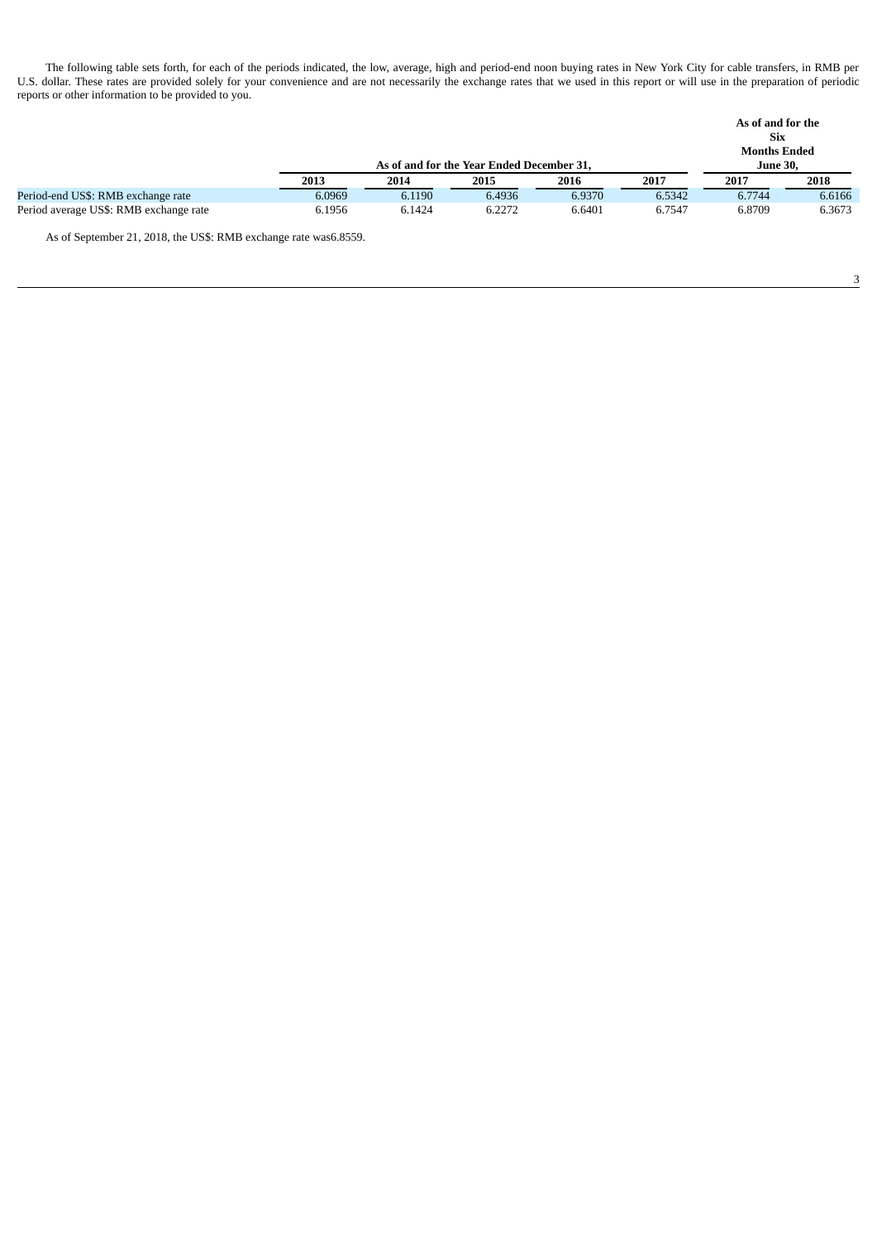The following table sets forth, for each of the periods indicated, the low, average, high and period-end noon buying rates in New York City for cable transfers, in RMB per U.S. dollar. These rates are provided solely for your convenience and are not necessarily the exchange rates that we used in this report or will use in the preparation of periodic reports or other information to be provided to you.

|                                        |        |                                           |        |        |        | As of and for the<br><b>Six</b>        |        |
|----------------------------------------|--------|-------------------------------------------|--------|--------|--------|----------------------------------------|--------|
|                                        |        | As of and for the Year Ended December 31, |        |        |        | <b>Months Ended</b><br><b>June 30.</b> |        |
|                                        | 2013   | 2014                                      | 2015   | 2016   | 2017   | 2017                                   | 2018   |
| Period-end US\$: RMB exchange rate     | 6.0969 | 6.1190                                    | 6.4936 | 6.9370 | 6.5342 | 6.7744                                 | 6.6166 |
| Period average US\$: RMB exchange rate | 6.1956 | 6.1424                                    | 6.2272 | 6.6401 | 6.7547 | 6.8709                                 | 6.3673 |

As of September 21, 2018, the US\$: RMB exchange rate was6.8559.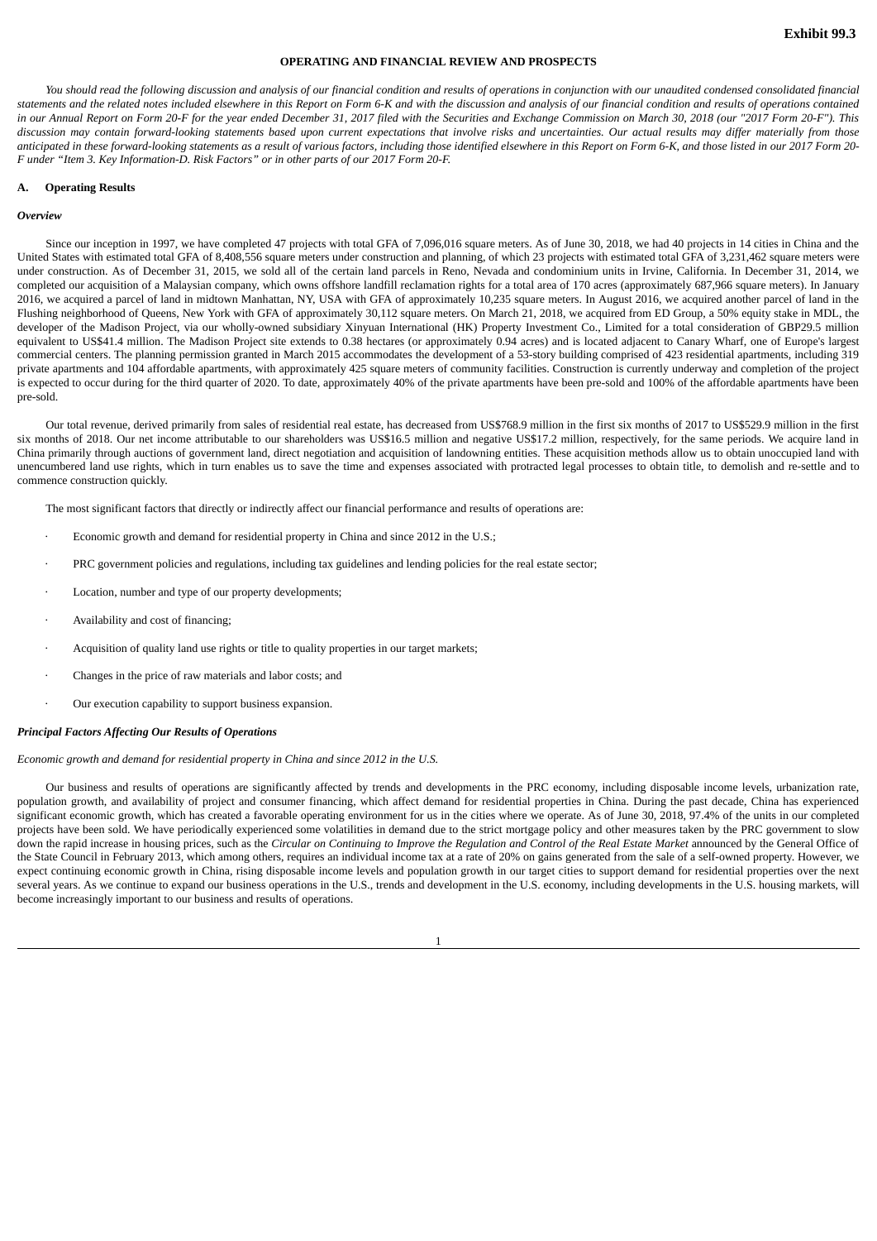# **OPERATING AND FINANCIAL REVIEW AND PROSPECTS**

You should read the following discussion and analysis of our financial condition and results of operations in conjunction with our unaudited condensed consolidated financial statements and the related notes included elsewhere in this Report on Form 6-K and with the discussion and analysis of our financial condition and results of operations contained in our Annual Report on Form 20-F for the year ended December 31, 2017 filed with the Securities and Exchange Commission on March 30, 2018 (our "2017 Form 20-F"). This discussion may contain forward-looking statements based upon current expectations that involve risks and uncertainties. Our actual results may differ materially from those anticipated in these forward-looking statements as a result of various factors, including those identified elsewhere in this Report on Form 6-K, and those listed in our 2017 Form 20-*F under "Item 3. Key Information-D. Risk Factors" or in other parts of our 2017 Form 20-F.*

## **A. Operating Results**

### *Overview*

Since our inception in 1997, we have completed 47 projects with total GFA of 7,096,016 square meters. As of June 30, 2018, we had 40 projects in 14 cities in China and the United States with estimated total GFA of 8,408,556 square meters under construction and planning, of which 23 projects with estimated total GFA of 3,231,462 square meters were under construction. As of December 31, 2015, we sold all of the certain land parcels in Reno, Nevada and condominium units in Irvine, California. In December 31, 2014, we completed our acquisition of a Malaysian company, which owns offshore landfill reclamation rights for a total area of 170 acres (approximately 687,966 square meters). In January 2016, we acquired a parcel of land in midtown Manhattan, NY, USA with GFA of approximately 10,235 square meters. In August 2016, we acquired another parcel of land in the Flushing neighborhood of Queens, New York with GFA of approximately 30,112 square meters. On March 21, 2018, we acquired from ED Group, a 50% equity stake in MDL, the developer of the Madison Project, via our wholly-owned subsidiary Xinyuan International (HK) Property Investment Co., Limited for a total consideration of GBP29.5 million equivalent to US\$41.4 million. The Madison Project site extends to 0.38 hectares (or approximately 0.94 acres) and is located adjacent to Canary Wharf, one of Europe's largest commercial centers. The planning permission granted in March 2015 accommodates the development of a 53-story building comprised of 423 residential apartments, including 319 private apartments and 104 affordable apartments, with approximately 425 square meters of community facilities. Construction is currently underway and completion of the project is expected to occur during for the third quarter of 2020. To date, approximately 40% of the private apartments have been pre-sold and 100% of the affordable apartments have been pre-sold.

Our total revenue, derived primarily from sales of residential real estate, has decreased from US\$768.9 million in the first six months of 2017 to US\$529.9 million in the first six months of 2018. Our net income attributable to our shareholders was US\$16.5 million and negative US\$17.2 million, respectively, for the same periods. We acquire land in China primarily through auctions of government land, direct negotiation and acquisition of landowning entities. These acquisition methods allow us to obtain unoccupied land with unencumbered land use rights, which in turn enables us to save the time and expenses associated with protracted legal processes to obtain title, to demolish and re-settle and to commence construction quickly.

The most significant factors that directly or indirectly affect our financial performance and results of operations are:

- Economic growth and demand for residential property in China and since 2012 in the U.S.;
- PRC government policies and regulations, including tax guidelines and lending policies for the real estate sector;
- Location, number and type of our property developments;
- Availability and cost of financing;
- Acquisition of quality land use rights or title to quality properties in our target markets;
- Changes in the price of raw materials and labor costs; and
- · Our execution capability to support business expansion.

### *Principal Factors Affecting Our Results of Operations*

*Economic growth and demand for residential property in China and since 2012 in the U.S.*

Our business and results of operations are significantly affected by trends and developments in the PRC economy, including disposable income levels, urbanization rate, population growth, and availability of project and consumer financing, which affect demand for residential properties in China. During the past decade, China has experienced significant economic growth, which has created a favorable operating environment for us in the cities where we operate. As of June 30, 2018, 97.4% of the units in our completed projects have been sold. We have periodically experienced some volatilities in demand due to the strict mortgage policy and other measures taken by the PRC government to slow down the rapid increase in housing prices, such as the Circular on Continuing to Improve the Regulation and Control of the Real Estate Market announced by the General Office of the State Council in February 2013, which among others, requires an individual income tax at a rate of 20% on gains generated from the sale of a self-owned property. However, we expect continuing economic growth in China, rising disposable income levels and population growth in our target cities to support demand for residential properties over the next several years. As we continue to expand our business operations in the U.S., trends and development in the U.S. economy, including developments in the U.S. housing markets, will become increasingly important to our business and results of operations.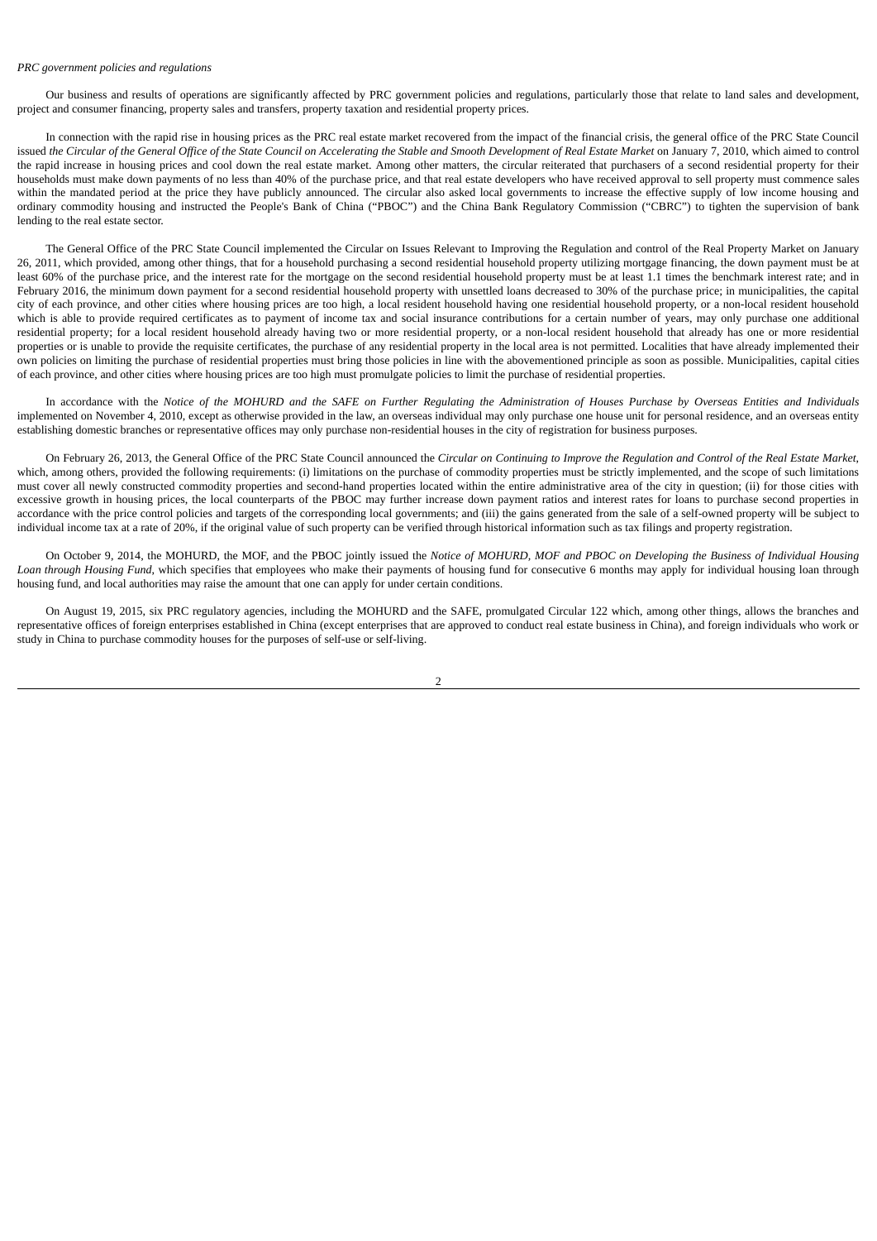#### *PRC government policies and regulations*

Our business and results of operations are significantly affected by PRC government policies and regulations, particularly those that relate to land sales and development, project and consumer financing, property sales and transfers, property taxation and residential property prices.

In connection with the rapid rise in housing prices as the PRC real estate market recovered from the impact of the financial crisis, the general office of the PRC State Council issued the Circular of the General Office of the State Council on Accelerating the Stable and Smooth Development of Real Estate Market on January 7, 2010, which aimed to control the rapid increase in housing prices and cool down the real estate market. Among other matters, the circular reiterated that purchasers of a second residential property for their households must make down payments of no less than 40% of the purchase price, and that real estate developers who have received approval to sell property must commence sales within the mandated period at the price they have publicly announced. The circular also asked local governments to increase the effective supply of low income housing and ordinary commodity housing and instructed the People's Bank of China ("PBOC") and the China Bank Regulatory Commission ("CBRC") to tighten the supervision of bank lending to the real estate sector.

The General Office of the PRC State Council implemented the Circular on Issues Relevant to Improving the Regulation and control of the Real Property Market on January 26, 2011, which provided, among other things, that for a household purchasing a second residential household property utilizing mortgage financing, the down payment must be at least 60% of the purchase price, and the interest rate for the mortgage on the second residential household property must be at least 1.1 times the benchmark interest rate; and in February 2016, the minimum down payment for a second residential household property with unsettled loans decreased to 30% of the purchase price; in municipalities, the capital city of each province, and other cities where housing prices are too high, a local resident household having one residential household property, or a non-local resident household which is able to provide required certificates as to payment of income tax and social insurance contributions for a certain number of years, may only purchase one additional residential property; for a local resident household already having two or more residential property, or a non-local resident household that already has one or more residential properties or is unable to provide the requisite certificates, the purchase of any residential property in the local area is not permitted. Localities that have already implemented their own policies on limiting the purchase of residential properties must bring those policies in line with the abovementioned principle as soon as possible. Municipalities, capital cities of each province, and other cities where housing prices are too high must promulgate policies to limit the purchase of residential properties.

In accordance with the Notice of the MOHURD and the SAFE on Further Regulating the Administration of Houses Purchase by Overseas Entities and Individuals implemented on November 4, 2010, except as otherwise provided in the law, an overseas individual may only purchase one house unit for personal residence, and an overseas entity establishing domestic branches or representative offices may only purchase non-residential houses in the city of registration for business purposes.

On February 26, 2013, the General Office of the PRC State Council announced the Circular on Continuing to Improve the Regulation and Control of the Real Estate Market, which, among others, provided the following requirements: (i) limitations on the purchase of commodity properties must be strictly implemented, and the scope of such limitations must cover all newly constructed commodity properties and second-hand properties located within the entire administrative area of the city in question; (ii) for those cities with excessive growth in housing prices, the local counterparts of the PBOC may further increase down payment ratios and interest rates for loans to purchase second properties in accordance with the price control policies and targets of the corresponding local governments; and (iii) the gains generated from the sale of a self-owned property will be subject to individual income tax at a rate of 20%, if the original value of such property can be verified through historical information such as tax filings and property registration.

On October 9, 2014, the MOHURD, the MOF, and the PBOC jointly issued the Notice of MOHURD, MOF and PBOC on Developina the Business of Individual Housina *Loan through Housing Fund*, which specifies that employees who make their payments of housing fund for consecutive 6 months may apply for individual housing loan through housing fund, and local authorities may raise the amount that one can apply for under certain conditions.

On August 19, 2015, six PRC regulatory agencies, including the MOHURD and the SAFE, promulgated Circular 122 which, among other things, allows the branches and representative offices of foreign enterprises established in China (except enterprises that are approved to conduct real estate business in China), and foreign individuals who work or study in China to purchase commodity houses for the purposes of self-use or self-living.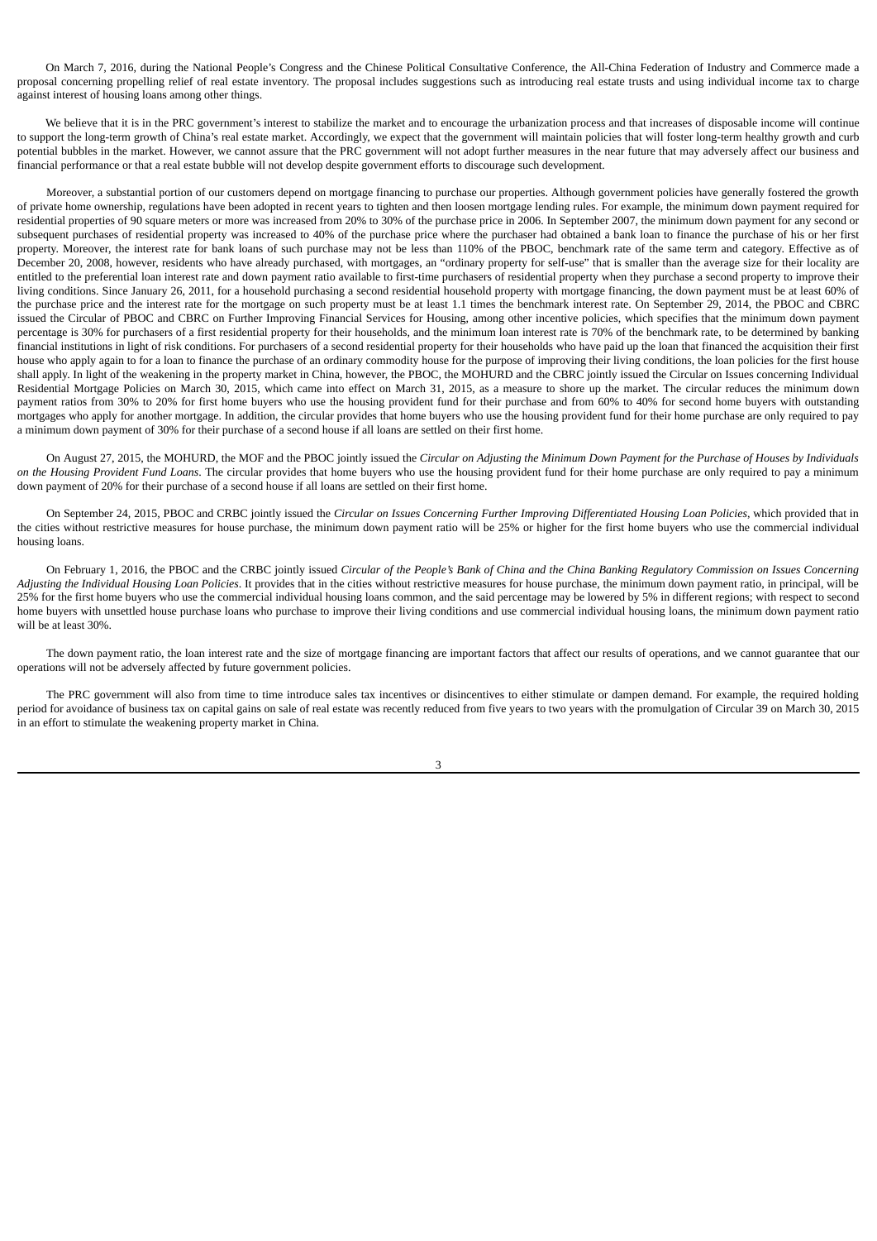On March 7, 2016, during the National People's Congress and the Chinese Political Consultative Conference, the All-China Federation of Industry and Commerce made a proposal concerning propelling relief of real estate inventory. The proposal includes suggestions such as introducing real estate trusts and using individual income tax to charge against interest of housing loans among other things.

We believe that it is in the PRC government's interest to stabilize the market and to encourage the urbanization process and that increases of disposable income will continue to support the long-term growth of China's real estate market. Accordingly, we expect that the government will maintain policies that will foster long-term healthy growth and curb potential bubbles in the market. However, we cannot assure that the PRC government will not adopt further measures in the near future that may adversely affect our business and financial performance or that a real estate bubble will not develop despite government efforts to discourage such development.

Moreover, a substantial portion of our customers depend on mortgage financing to purchase our properties. Although government policies have generally fostered the growth of private home ownership, regulations have been adopted in recent years to tighten and then loosen mortgage lending rules. For example, the minimum down payment required for residential properties of 90 square meters or more was increased from 20% to 30% of the purchase price in 2006. In September 2007, the minimum down payment for any second or subsequent purchases of residential property was increased to 40% of the purchase price where the purchaser had obtained a bank loan to finance the purchase of his or her first property. Moreover, the interest rate for bank loans of such purchase may not be less than 110% of the PBOC, benchmark rate of the same term and category. Effective as of December 20, 2008, however, residents who have already purchased, with mortgages, an "ordinary property for self-use" that is smaller than the average size for their locality are entitled to the preferential loan interest rate and down payment ratio available to first-time purchasers of residential property when they purchase a second property to improve their living conditions. Since January 26, 2011, for a household purchasing a second residential household property with mortgage financing, the down payment must be at least 60% of the purchase price and the interest rate for the mortgage on such property must be at least 1.1 times the benchmark interest rate. On September 29, 2014, the PBOC and CBRC issued the Circular of PBOC and CBRC on Further Improving Financial Services for Housing, among other incentive policies, which specifies that the minimum down payment percentage is 30% for purchasers of a first residential property for their households, and the minimum loan interest rate is 70% of the benchmark rate, to be determined by banking financial institutions in light of risk conditions. For purchasers of a second residential property for their households who have paid up the loan that financed the acquisition their first house who apply again to for a loan to finance the purchase of an ordinary commodity house for the purpose of improving their living conditions, the loan policies for the first house shall apply. In light of the weakening in the property market in China, however, the PBOC, the MOHURD and the CBRC jointly issued the Circular on Issues concerning Individual Residential Mortgage Policies on March 30, 2015, which came into effect on March 31, 2015, as a measure to shore up the market. The circular reduces the minimum down payment ratios from 30% to 20% for first home buyers who use the housing provident fund for their purchase and from 60% to 40% for second home buyers with outstanding mortgages who apply for another mortgage. In addition, the circular provides that home buyers who use the housing provident fund for their home purchase are only required to pay a minimum down payment of 30% for their purchase of a second house if all loans are settled on their first home.

On August 27, 2015, the MOHURD, the MOF and the PBOC jointly issued the Circular on Adjusting the Minimum Down Payment for the Purchase of Houses by Individuals *on the Housing Provident Fund Loans*. The circular provides that home buyers who use the housing provident fund for their home purchase are only required to pay a minimum down payment of 20% for their purchase of a second house if all loans are settled on their first home.

On September 24, 2015, PBOC and CRBC jointly issued the Circular on Issues Concerning Further Improving Differentiated Housing Loan Policies, which provided that in the cities without restrictive measures for house purchase, the minimum down payment ratio will be 25% or higher for the first home buyers who use the commercial individual housing loans.

On February 1, 2016, the PBOC and the CRBC jointly issued Circular of the People's Bank of China and the China Banking Regulatory Commission on Issues Concerning *Adjusting the Individual Housing Loan Policies*. It provides that in the cities without restrictive measures for house purchase, the minimum down payment ratio, in principal, will be 25% for the first home buyers who use the commercial individual housing loans common, and the said percentage may be lowered by 5% in different regions; with respect to second home buyers with unsettled house purchase loans who purchase to improve their living conditions and use commercial individual housing loans, the minimum down payment ratio will be at least 30%.

The down payment ratio, the loan interest rate and the size of mortgage financing are important factors that affect our results of operations, and we cannot guarantee that our operations will not be adversely affected by future government policies.

The PRC government will also from time to time introduce sales tax incentives or disincentives to either stimulate or dampen demand. For example, the required holding period for avoidance of business tax on capital gains on sale of real estate was recently reduced from five years to two years with the promulgation of Circular 39 on March 30, 2015 in an effort to stimulate the weakening property market in China.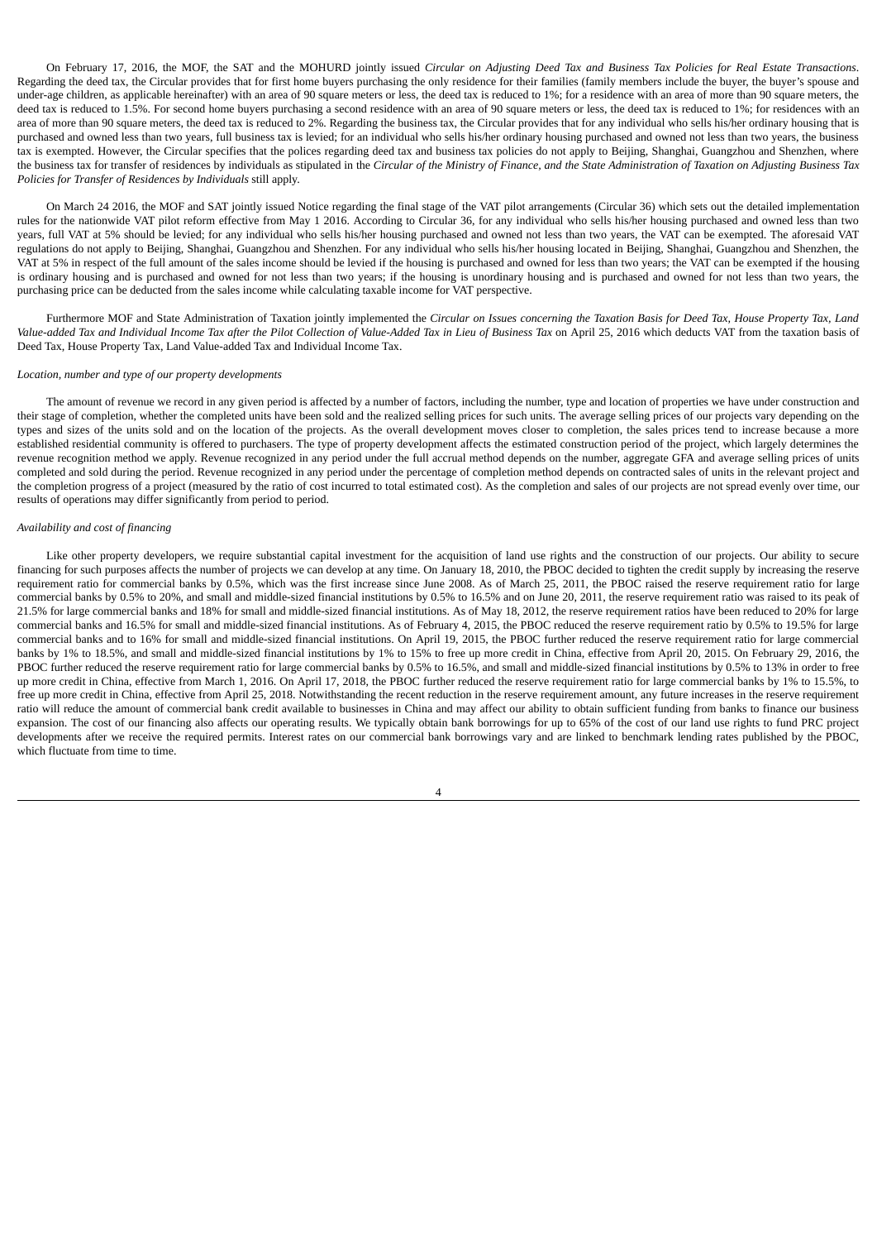On February 17, 2016, the MOF, the SAT and the MOHURD jointly issued Circular on Adjusting Deed Tax and Business Tax Policies for Real Estate Transactions. Regarding the deed tax, the Circular provides that for first home buyers purchasing the only residence for their families (family members include the buyer, the buyer's spouse and under-age children, as applicable hereinafter) with an area of 90 square meters or less, the deed tax is reduced to 1%; for a residence with an area of more than 90 square meters, the deed tax is reduced to 1.5%. For second home buyers purchasing a second residence with an area of 90 square meters or less, the deed tax is reduced to 1%; for residences with an area of more than 90 square meters, the deed tax is reduced to 2%. Regarding the business tax, the Circular provides that for any individual who sells his/her ordinary housing that is purchased and owned less than two years, full business tax is levied; for an individual who sells his/her ordinary housing purchased and owned not less than two years, the business tax is exempted. However, the Circular specifies that the polices regarding deed tax and business tax policies do not apply to Beijing, Shanghai, Guangzhou and Shenzhen, where the business tax for transfer of residences by individuals as stipulated in the Circular of the Ministry of Finance, and the State Administration of Taxation on Adjusting Business Tax *Policies for Transfer of Residences by Individuals* still apply.

On March 24 2016, the MOF and SAT jointly issued Notice regarding the final stage of the VAT pilot arrangements (Circular 36) which sets out the detailed implementation rules for the nationwide VAT pilot reform effective from May 1 2016. According to Circular 36, for any individual who sells his/her housing purchased and owned less than two years, full VAT at 5% should be levied; for any individual who sells his/her housing purchased and owned not less than two years, the VAT can be exempted. The aforesaid VAT regulations do not apply to Beijing, Shanghai, Guangzhou and Shenzhen. For any individual who sells his/her housing located in Beijing, Shanghai, Guangzhou and Shenzhen, the VAT at 5% in respect of the full amount of the sales income should be levied if the housing is purchased and owned for less than two years; the VAT can be exempted if the housing is ordinary housing and is purchased and owned for not less than two years; if the housing is unordinary housing and is purchased and owned for not less than two years, the purchasing price can be deducted from the sales income while calculating taxable income for VAT perspective.

Furthermore MOF and State Administration of Taxation jointly implemented the Circular on Issues concerning the Taxation Basis for Deed Tax, House Property Tax, Land Value-added Tax and Individual Income Tax after the Pilot Collection of Value-Added Tax in Lieu of Business Tax on April 25, 2016 which deducts VAT from the taxation basis of Deed Tax, House Property Tax, Land Value-added Tax and Individual Income Tax.

#### *Location, number and type of our property developments*

The amount of revenue we record in any given period is affected by a number of factors, including the number, type and location of properties we have under construction and their stage of completion, whether the completed units have been sold and the realized selling prices for such units. The average selling prices of our projects vary depending on the types and sizes of the units sold and on the location of the projects. As the overall development moves closer to completion, the sales prices tend to increase because a more established residential community is offered to purchasers. The type of property development affects the estimated construction period of the project, which largely determines the revenue recognition method we apply. Revenue recognized in any period under the full accrual method depends on the number, aggregate GFA and average selling prices of units completed and sold during the period. Revenue recognized in any period under the percentage of completion method depends on contracted sales of units in the relevant project and the completion progress of a project (measured by the ratio of cost incurred to total estimated cost). As the completion and sales of our projects are not spread evenly over time, our results of operations may differ significantly from period to period.

### *Availability and cost of financing*

Like other property developers, we require substantial capital investment for the acquisition of land use rights and the construction of our projects. Our ability to secure financing for such purposes affects the number of projects we can develop at any time. On January 18, 2010, the PBOC decided to tighten the credit supply by increasing the reserve requirement ratio for commercial banks by 0.5%, which was the first increase since June 2008. As of March 25, 2011, the PBOC raised the reserve requirement ratio for large commercial banks by 0.5% to 20%, and small and middle-sized financial institutions by 0.5% to 16.5% and on June 20, 2011, the reserve requirement ratio was raised to its peak of 21.5% for large commercial banks and 18% for small and middle-sized financial institutions. As of May 18, 2012, the reserve requirement ratios have been reduced to 20% for large commercial banks and 16.5% for small and middle-sized financial institutions. As of February 4, 2015, the PBOC reduced the reserve requirement ratio by 0.5% to 19.5% for large commercial banks and to 16% for small and middle-sized financial institutions. On April 19, 2015, the PBOC further reduced the reserve requirement ratio for large commercial banks by 1% to 18.5%, and small and middle-sized financial institutions by 1% to 15% to free up more credit in China, effective from April 20, 2015. On February 29, 2016, the PBOC further reduced the reserve requirement ratio for large commercial banks by 0.5% to 16.5%, and small and middle-sized financial institutions by 0.5% to 13% in order to free up more credit in China, effective from March 1, 2016. On April 17, 2018, the PBOC further reduced the reserve requirement ratio for large commercial banks by 1% to 15.5%, to free up more credit in China, effective from April 25, 2018. Notwithstanding the recent reduction in the reserve requirement amount, any future increases in the reserve requirement ratio will reduce the amount of commercial bank credit available to businesses in China and may affect our ability to obtain sufficient funding from banks to finance our business expansion. The cost of our financing also affects our operating results. We typically obtain bank borrowings for up to 65% of the cost of our land use rights to fund PRC project developments after we receive the required permits. Interest rates on our commercial bank borrowings vary and are linked to benchmark lending rates published by the PBOC, which fluctuate from time to time.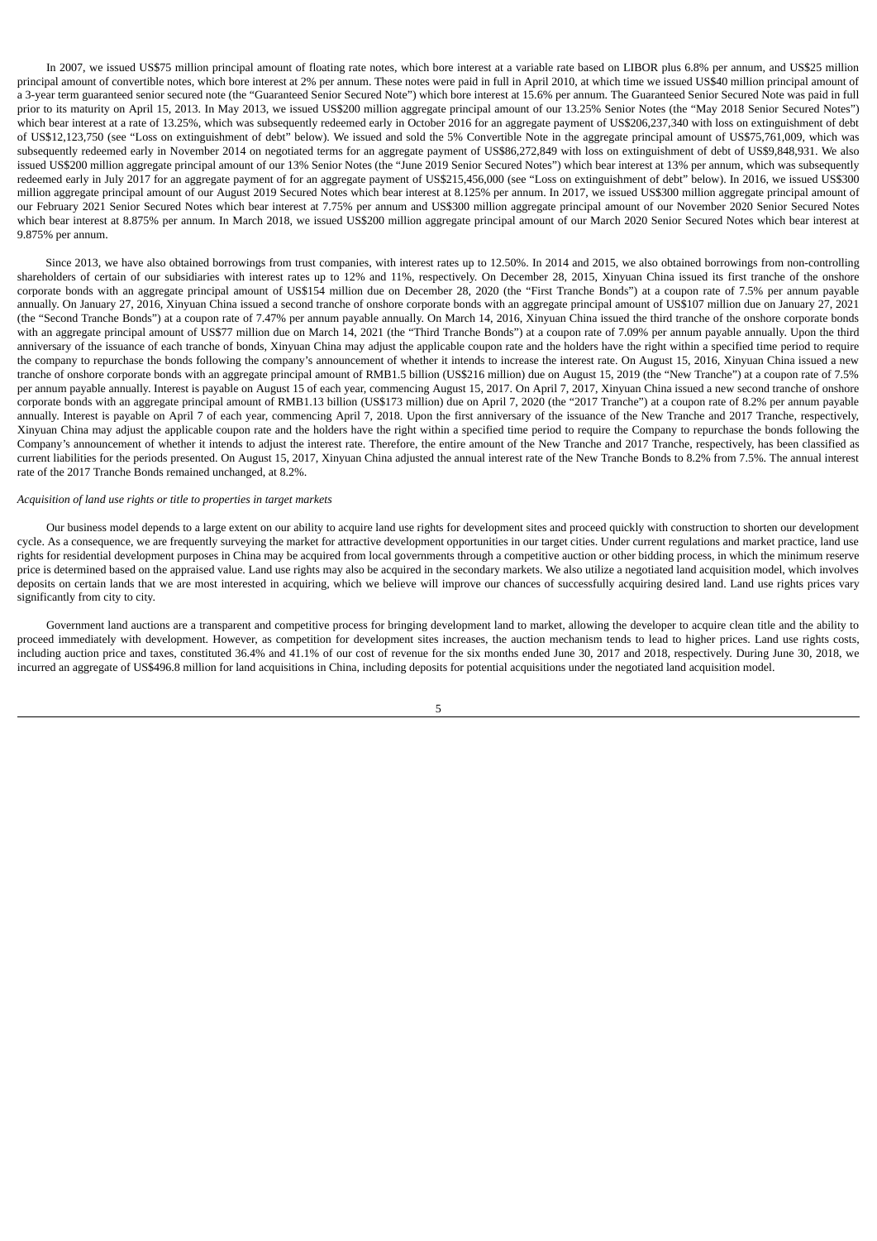In 2007, we issued US\$75 million principal amount of floating rate notes, which bore interest at a variable rate based on LIBOR plus 6.8% per annum, and US\$25 million principal amount of convertible notes, which bore interest at 2% per annum. These notes were paid in full in April 2010, at which time we issued US\$40 million principal amount of a 3-year term guaranteed senior secured note (the "Guaranteed Senior Secured Note") which bore interest at 15.6% per annum. The Guaranteed Senior Secured Note was paid in full prior to its maturity on April 15, 2013. In May 2013, we issued US\$200 million aggregate principal amount of our 13.25% Senior Notes (the "May 2018 Senior Secured Notes") which bear interest at a rate of 13.25%, which was subsequently redeemed early in October 2016 for an aggregate payment of US\$206,237,340 with loss on extinguishment of debt of US\$12,123,750 (see "Loss on extinguishment of debt" below). We issued and sold the 5% Convertible Note in the aggregate principal amount of US\$75,761,009, which was subsequently redeemed early in November 2014 on negotiated terms for an aggregate payment of US\$86,272,849 with loss on extinguishment of debt of US\$9,848,931. We also issued US\$200 million aggregate principal amount of our 13% Senior Notes (the "June 2019 Senior Secured Notes") which bear interest at 13% per annum, which was subsequently redeemed early in July 2017 for an aggregate payment of for an aggregate payment of US\$215,456,000 (see "Loss on extinguishment of debt" below). In 2016, we issued US\$300 million aggregate principal amount of our August 2019 Secured Notes which bear interest at 8.125% per annum. In 2017, we issued US\$300 million aggregate principal amount of our February 2021 Senior Secured Notes which bear interest at 7.75% per annum and US\$300 million aggregate principal amount of our November 2020 Senior Secured Notes which bear interest at 8.875% per annum. In March 2018, we issued US\$200 million aggregate principal amount of our March 2020 Senior Secured Notes which bear interest at 9.875% per annum.

Since 2013, we have also obtained borrowings from trust companies, with interest rates up to 12.50%. In 2014 and 2015, we also obtained borrowings from non-controlling shareholders of certain of our subsidiaries with interest rates up to 12% and 11%, respectively. On December 28, 2015, Xinyuan China issued its first tranche of the onshore corporate bonds with an aggregate principal amount of US\$154 million due on December 28, 2020 (the "First Tranche Bonds") at a coupon rate of 7.5% per annum payable annually. On January 27, 2016, Xinyuan China issued a second tranche of onshore corporate bonds with an aggregate principal amount of US\$107 million due on January 27, 2021 (the "Second Tranche Bonds") at a coupon rate of 7.47% per annum payable annually. On March 14, 2016, Xinyuan China issued the third tranche of the onshore corporate bonds with an aggregate principal amount of US\$77 million due on March 14, 2021 (the "Third Tranche Bonds") at a coupon rate of 7.09% per annum payable annually. Upon the third anniversary of the issuance of each tranche of bonds, Xinyuan China may adjust the applicable coupon rate and the holders have the right within a specified time period to require the company to repurchase the bonds following the company's announcement of whether it intends to increase the interest rate. On August 15, 2016, Xinyuan China issued a new tranche of onshore corporate bonds with an aggregate principal amount of RMB1.5 billion (US\$216 million) due on August 15, 2019 (the "New Tranche") at a coupon rate of 7.5% per annum payable annually. Interest is payable on August 15 of each year, commencing August 15, 2017. On April 7, 2017, Xinyuan China issued a new second tranche of onshore corporate bonds with an aggregate principal amount of RMB1.13 billion (US\$173 million) due on April 7, 2020 (the "2017 Tranche") at a coupon rate of 8.2% per annum payable annually. Interest is payable on April 7 of each year, commencing April 7, 2018. Upon the first anniversary of the issuance of the New Tranche and 2017 Tranche, respectively, Xinyuan China may adjust the applicable coupon rate and the holders have the right within a specified time period to require the Company to repurchase the bonds following the Company's announcement of whether it intends to adjust the interest rate. Therefore, the entire amount of the New Tranche and 2017 Tranche, respectively, has been classified as current liabilities for the periods presented. On August 15, 2017, Xinyuan China adjusted the annual interest rate of the New Tranche Bonds to 8.2% from 7.5%. The annual interest rate of the 2017 Tranche Bonds remained unchanged, at 8.2%.

## *Acquisition of land use rights or title to properties in target markets*

Our business model depends to a large extent on our ability to acquire land use rights for development sites and proceed quickly with construction to shorten our development cycle. As a consequence, we are frequently surveying the market for attractive development opportunities in our target cities. Under current regulations and market practice, land use rights for residential development purposes in China may be acquired from local governments through a competitive auction or other bidding process, in which the minimum reserve price is determined based on the appraised value. Land use rights may also be acquired in the secondary markets. We also utilize a negotiated land acquisition model, which involves deposits on certain lands that we are most interested in acquiring, which we believe will improve our chances of successfully acquiring desired land. Land use rights prices vary significantly from city to city.

Government land auctions are a transparent and competitive process for bringing development land to market, allowing the developer to acquire clean title and the ability to proceed immediately with development. However, as competition for development sites increases, the auction mechanism tends to lead to higher prices. Land use rights costs, including auction price and taxes, constituted 36.4% and 41.1% of our cost of revenue for the six months ended June 30, 2017 and 2018, respectively. During June 30, 2018, we incurred an aggregate of US\$496.8 million for land acquisitions in China, including deposits for potential acquisitions under the negotiated land acquisition model.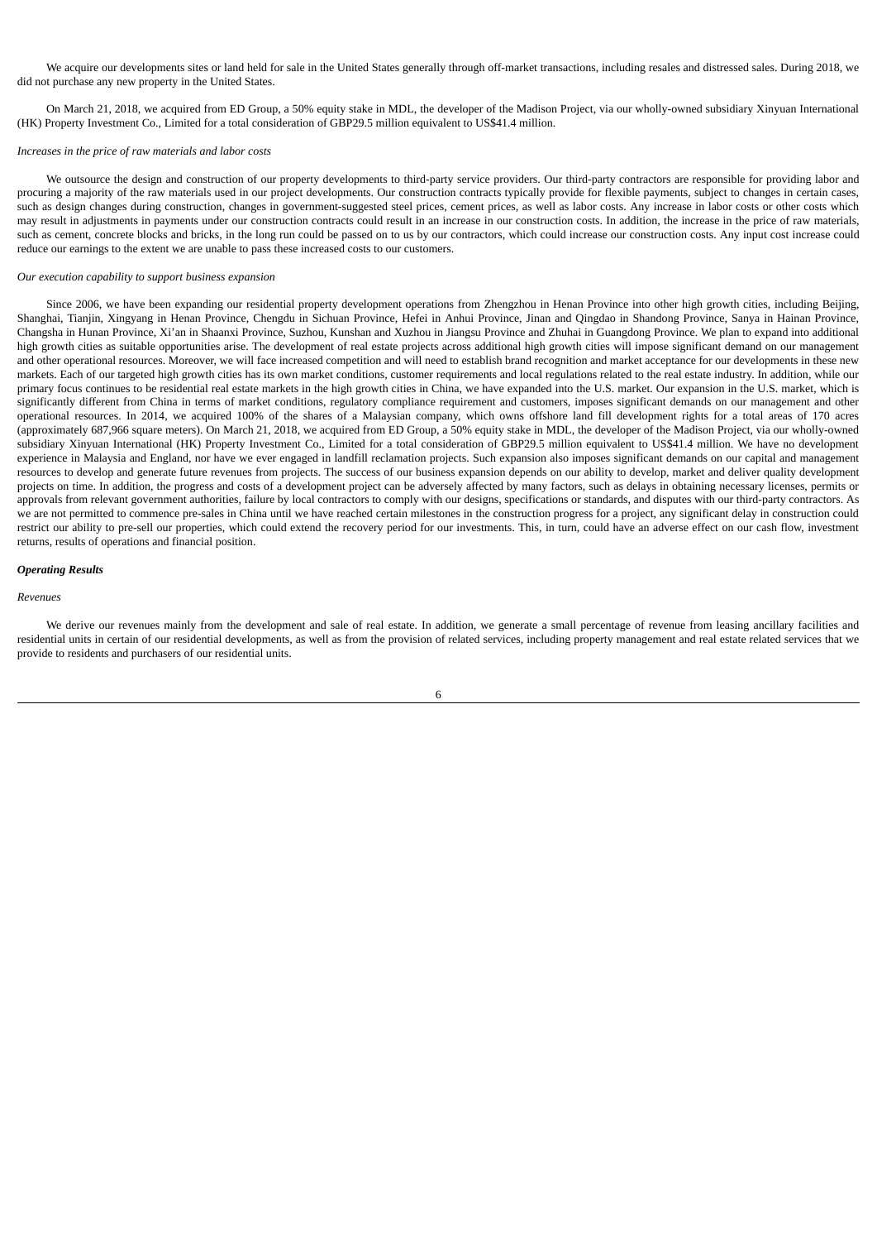We acquire our developments sites or land held for sale in the United States generally through off-market transactions, including resales and distressed sales. During 2018, we did not purchase any new property in the United States.

On March 21, 2018, we acquired from ED Group, a 50% equity stake in MDL, the developer of the Madison Project, via our wholly-owned subsidiary Xinyuan International (HK) Property Investment Co., Limited for a total consideration of GBP29.5 million equivalent to US\$41.4 million.

## *Increases in the price of raw materials and labor costs*

We outsource the design and construction of our property developments to third-party service providers. Our third-party contractors are responsible for providing labor and procuring a majority of the raw materials used in our project developments. Our construction contracts typically provide for flexible payments, subject to changes in certain cases, such as design changes during construction, changes in government-suggested steel prices, cement prices, as well as labor costs. Any increase in labor costs or other costs which may result in adjustments in payments under our construction contracts could result in an increase in our construction costs. In addition, the increase in the price of raw materials, such as cement, concrete blocks and bricks, in the long run could be passed on to us by our contractors, which could increase our construction costs. Any input cost increase could reduce our earnings to the extent we are unable to pass these increased costs to our customers.

## *Our execution capability to support business expansion*

Since 2006, we have been expanding our residential property development operations from Zhengzhou in Henan Province into other high growth cities, including Beijing, Shanghai, Tianjin, Xingyang in Henan Province, Chengdu in Sichuan Province, Hefei in Anhui Province, Jinan and Qingdao in Shandong Province, Sanya in Hainan Province, Changsha in Hunan Province, Xi'an in Shaanxi Province, Suzhou, Kunshan and Xuzhou in Jiangsu Province and Zhuhai in Guangdong Province. We plan to expand into additional high growth cities as suitable opportunities arise. The development of real estate projects across additional high growth cities will impose significant demand on our management and other operational resources. Moreover, we will face increased competition and will need to establish brand recognition and market acceptance for our developments in these new markets. Each of our targeted high growth cities has its own market conditions, customer requirements and local regulations related to the real estate industry. In addition, while our primary focus continues to be residential real estate markets in the high growth cities in China, we have expanded into the U.S. market. Our expansion in the U.S. market, which is significantly different from China in terms of market conditions, regulatory compliance requirement and customers, imposes significant demands on our management and other operational resources. In 2014, we acquired 100% of the shares of a Malaysian company, which owns offshore land fill development rights for a total areas of 170 acres (approximately 687,966 square meters). On March 21, 2018, we acquired from ED Group, a 50% equity stake in MDL, the developer of the Madison Project, via our wholly-owned subsidiary Xinyuan International (HK) Property Investment Co., Limited for a total consideration of GBP29.5 million equivalent to US\$41.4 million. We have no development experience in Malaysia and England, nor have we ever engaged in landfill reclamation projects. Such expansion also imposes significant demands on our capital and management resources to develop and generate future revenues from projects. The success of our business expansion depends on our ability to develop, market and deliver quality development projects on time. In addition, the progress and costs of a development project can be adversely affected by many factors, such as delays in obtaining necessary licenses, permits or approvals from relevant government authorities, failure by local contractors to comply with our designs, specifications or standards, and disputes with our third-party contractors. As we are not permitted to commence pre-sales in China until we have reached certain milestones in the construction progress for a project, any significant delay in construction could restrict our ability to pre-sell our properties, which could extend the recovery period for our investments. This, in turn, could have an adverse effect on our cash flow, investment returns, results of operations and financial position.

### *Operating Results*

#### *Revenues*

We derive our revenues mainly from the development and sale of real estate. In addition, we generate a small percentage of revenue from leasing ancillary facilities and residential units in certain of our residential developments, as well as from the provision of related services, including property management and real estate related services that we provide to residents and purchasers of our residential units.

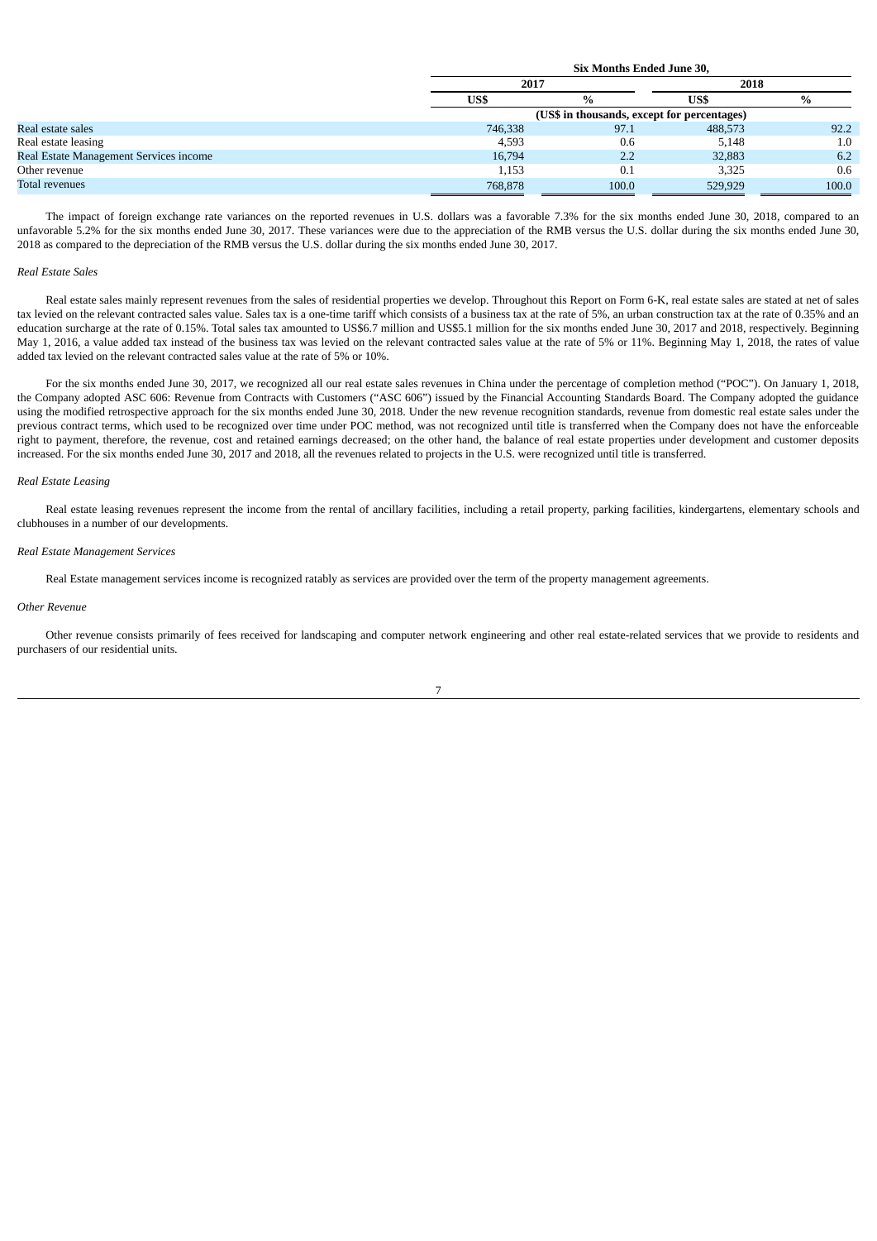|                                        |         | <b>Six Months Ended June 30.</b>            |         |       |  |  |  |  |  |
|----------------------------------------|---------|---------------------------------------------|---------|-------|--|--|--|--|--|
|                                        | 2017    |                                             | 2018    |       |  |  |  |  |  |
|                                        | US\$    | $\%$                                        | US\$    | $\%$  |  |  |  |  |  |
|                                        |         | (US\$ in thousands, except for percentages) |         |       |  |  |  |  |  |
| Real estate sales                      | 746,338 | 97.1                                        | 488,573 | 92.2  |  |  |  |  |  |
| Real estate leasing                    | 4,593   | 0.6                                         | 5,148   | 1.0   |  |  |  |  |  |
| Real Estate Management Services income | 16,794  | 2.2                                         | 32,883  | 6.2   |  |  |  |  |  |
| Other revenue                          | 1,153   | 0.1                                         | 3,325   | 0.6   |  |  |  |  |  |
| Total revenues                         | 768,878 | 100.0                                       | 529,929 | 100.0 |  |  |  |  |  |

The impact of foreign exchange rate variances on the reported revenues in U.S. dollars was a favorable 7.3% for the six months ended June 30, 2018, compared to an unfavorable 5.2% for the six months ended June 30, 2017. These variances were due to the appreciation of the RMB versus the U.S. dollar during the six months ended June 30, 2018 as compared to the depreciation of the RMB versus the U.S. dollar during the six months ended June 30, 2017.

#### *Real Estate Sales*

Real estate sales mainly represent revenues from the sales of residential properties we develop. Throughout this Report on Form 6-K, real estate sales are stated at net of sales tax levied on the relevant contracted sales value. Sales tax is a one-time tariff which consists of a business tax at the rate of 5%, an urban construction tax at the rate of 0.35% and an education surcharge at the rate of 0.15%. Total sales tax amounted to US\$6.7 million and US\$5.1 million for the six months ended June 30, 2017 and 2018, respectively. Beginning May 1, 2016, a value added tax instead of the business tax was levied on the relevant contracted sales value at the rate of 5% or 11%. Beginning May 1, 2018, the rates of value added tax levied on the relevant contracted sales value at the rate of 5% or 10%.

For the six months ended June 30, 2017, we recognized all our real estate sales revenues in China under the percentage of completion method ("POC"). On January 1, 2018, the Company adopted ASC 606: Revenue from Contracts with Customers ("ASC 606") issued by the Financial Accounting Standards Board. The Company adopted the guidance using the modified retrospective approach for the six months ended June 30, 2018. Under the new revenue recognition standards, revenue from domestic real estate sales under the previous contract terms, which used to be recognized over time under POC method, was not recognized until title is transferred when the Company does not have the enforceable right to payment, therefore, the revenue, cost and retained earnings decreased; on the other hand, the balance of real estate properties under development and customer deposits increased. For the six months ended June 30, 2017 and 2018, all the revenues related to projects in the U.S. were recognized until title is transferred.

### *Real Estate Leasing*

Real estate leasing revenues represent the income from the rental of ancillary facilities, including a retail property, parking facilities, kindergartens, elementary schools and clubhouses in a number of our developments.

#### *Real Estate Management Services*

Real Estate management services income is recognized ratably as services are provided over the term of the property management agreements.

#### *Other Revenue*

Other revenue consists primarily of fees received for landscaping and computer network engineering and other real estate-related services that we provide to residents and purchasers of our residential units.

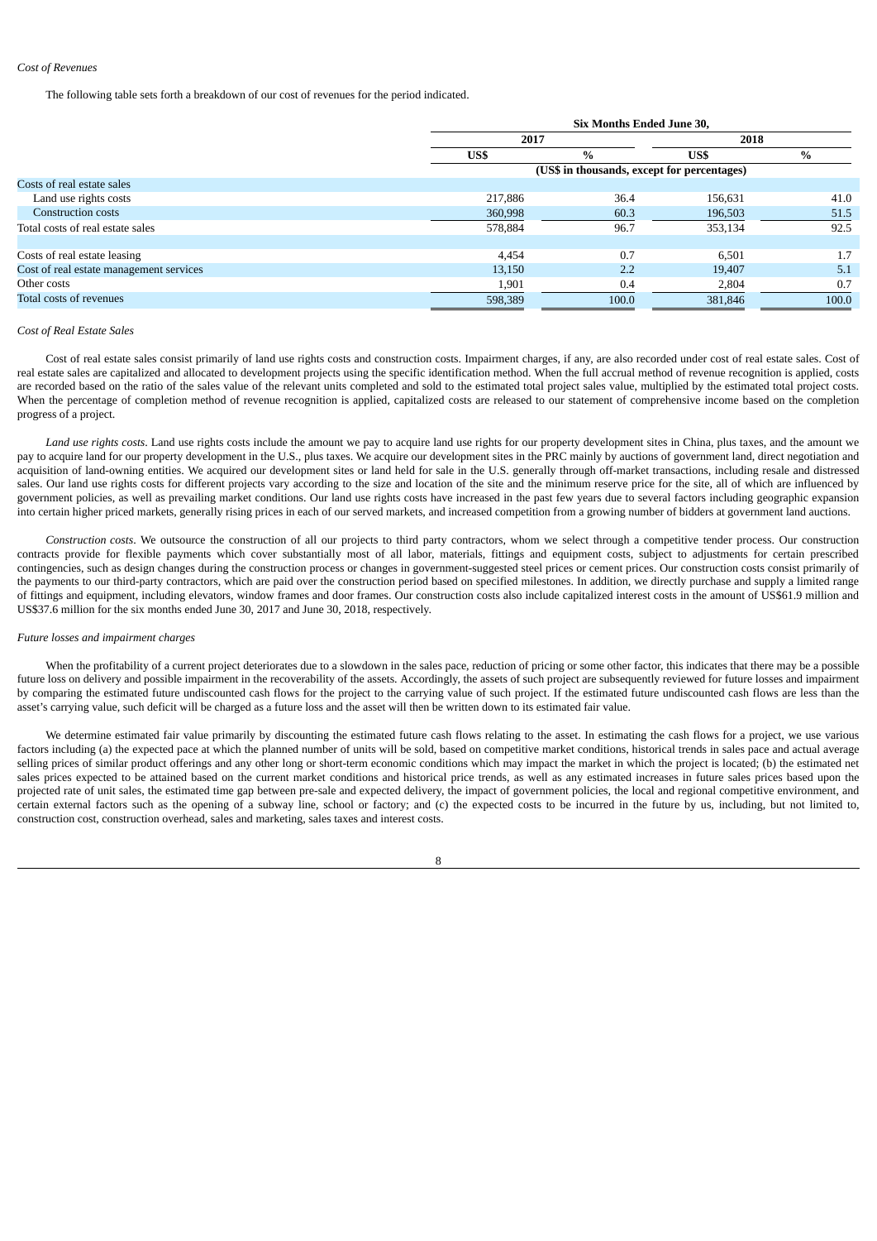#### *Cost of Revenues*

The following table sets forth a breakdown of our cost of revenues for the period indicated.

| 2017<br>2018<br>$\%$<br>US\$<br>$\%$<br>US\$<br>(US\$ in thousands, except for percentages)<br>Costs of real estate sales<br>Land use rights costs<br>36.4<br>156,631<br>217,886 |                           |         | Six Months Ended June 30, |         |       |  |  |  |
|----------------------------------------------------------------------------------------------------------------------------------------------------------------------------------|---------------------------|---------|---------------------------|---------|-------|--|--|--|
|                                                                                                                                                                                  |                           |         |                           |         |       |  |  |  |
|                                                                                                                                                                                  |                           |         |                           |         |       |  |  |  |
|                                                                                                                                                                                  |                           |         |                           |         |       |  |  |  |
|                                                                                                                                                                                  |                           |         |                           |         |       |  |  |  |
|                                                                                                                                                                                  |                           |         |                           |         | 41.0  |  |  |  |
|                                                                                                                                                                                  | <b>Construction costs</b> | 360,998 | 60.3                      | 196,503 | 51.5  |  |  |  |
| 96.7<br>Total costs of real estate sales<br>578,884<br>353,134                                                                                                                   |                           |         |                           |         | 92.5  |  |  |  |
|                                                                                                                                                                                  |                           |         |                           |         |       |  |  |  |
| 0.7<br>Costs of real estate leasing<br>4,454<br>6,501                                                                                                                            |                           |         |                           |         | 1.7   |  |  |  |
| Cost of real estate management services<br>2.2<br>13,150<br>19,407                                                                                                               |                           |         |                           |         | 5.1   |  |  |  |
| Other costs<br>0.4<br>1,901<br>2,804                                                                                                                                             |                           |         |                           |         | 0.7   |  |  |  |
| Total costs of revenues<br>598,389<br>100.0<br>381,846                                                                                                                           |                           |         |                           |         | 100.0 |  |  |  |

### *Cost of Real Estate Sales*

Cost of real estate sales consist primarily of land use rights costs and construction costs. Impairment charges, if any, are also recorded under cost of real estate sales. Cost of real estate sales are capitalized and allocated to development projects using the specific identification method. When the full accrual method of revenue recognition is applied, costs are recorded based on the ratio of the sales value of the relevant units completed and sold to the estimated total project sales value, multiplied by the estimated total project costs. When the percentage of completion method of revenue recognition is applied, capitalized costs are released to our statement of comprehensive income based on the completion progress of a project.

*Land use rights costs*. Land use rights costs include the amount we pay to acquire land use rights for our property development sites in China, plus taxes, and the amount we pay to acquire land for our property development in the U.S., plus taxes. We acquire our development sites in the PRC mainly by auctions of government land, direct negotiation and acquisition of land-owning entities. We acquired our development sites or land held for sale in the U.S. generally through off-market transactions, including resale and distressed sales. Our land use rights costs for different projects vary according to the size and location of the site and the minimum reserve price for the site, all of which are influenced by government policies, as well as prevailing market conditions. Our land use rights costs have increased in the past few years due to several factors including geographic expansion into certain higher priced markets, generally rising prices in each of our served markets, and increased competition from a growing number of bidders at government land auctions.

*Construction costs*. We outsource the construction of all our projects to third party contractors, whom we select through a competitive tender process. Our construction contracts provide for flexible payments which cover substantially most of all labor, materials, fittings and equipment costs, subject to adjustments for certain prescribed contingencies, such as design changes during the construction process or changes in government-suggested steel prices or cement prices. Our construction costs consist primarily of the payments to our third-party contractors, which are paid over the construction period based on specified milestones. In addition, we directly purchase and supply a limited range of fittings and equipment, including elevators, window frames and door frames. Our construction costs also include capitalized interest costs in the amount of US\$61.9 million and US\$37.6 million for the six months ended June 30, 2017 and June 30, 2018, respectively.

## *Future losses and impairment charges*

When the profitability of a current project deteriorates due to a slowdown in the sales pace, reduction of pricing or some other factor, this indicates that there may be a possible future loss on delivery and possible impairment in the recoverability of the assets. Accordingly, the assets of such project are subsequently reviewed for future losses and impairment by comparing the estimated future undiscounted cash flows for the project to the carrying value of such project. If the estimated future undiscounted cash flows are less than the asset's carrying value, such deficit will be charged as a future loss and the asset will then be written down to its estimated fair value.

We determine estimated fair value primarily by discounting the estimated future cash flows relating to the asset. In estimating the cash flows for a project, we use various factors including (a) the expected pace at which the planned number of units will be sold, based on competitive market conditions, historical trends in sales pace and actual average selling prices of similar product offerings and any other long or short-term economic conditions which may impact the market in which the project is located; (b) the estimated net sales prices expected to be attained based on the current market conditions and historical price trends, as well as any estimated increases in future sales prices based upon the projected rate of unit sales, the estimated time gap between pre-sale and expected delivery, the impact of government policies, the local and regional competitive environment, and certain external factors such as the opening of a subway line, school or factory; and (c) the expected costs to be incurred in the future by us, including, but not limited to, construction cost, construction overhead, sales and marketing, sales taxes and interest costs.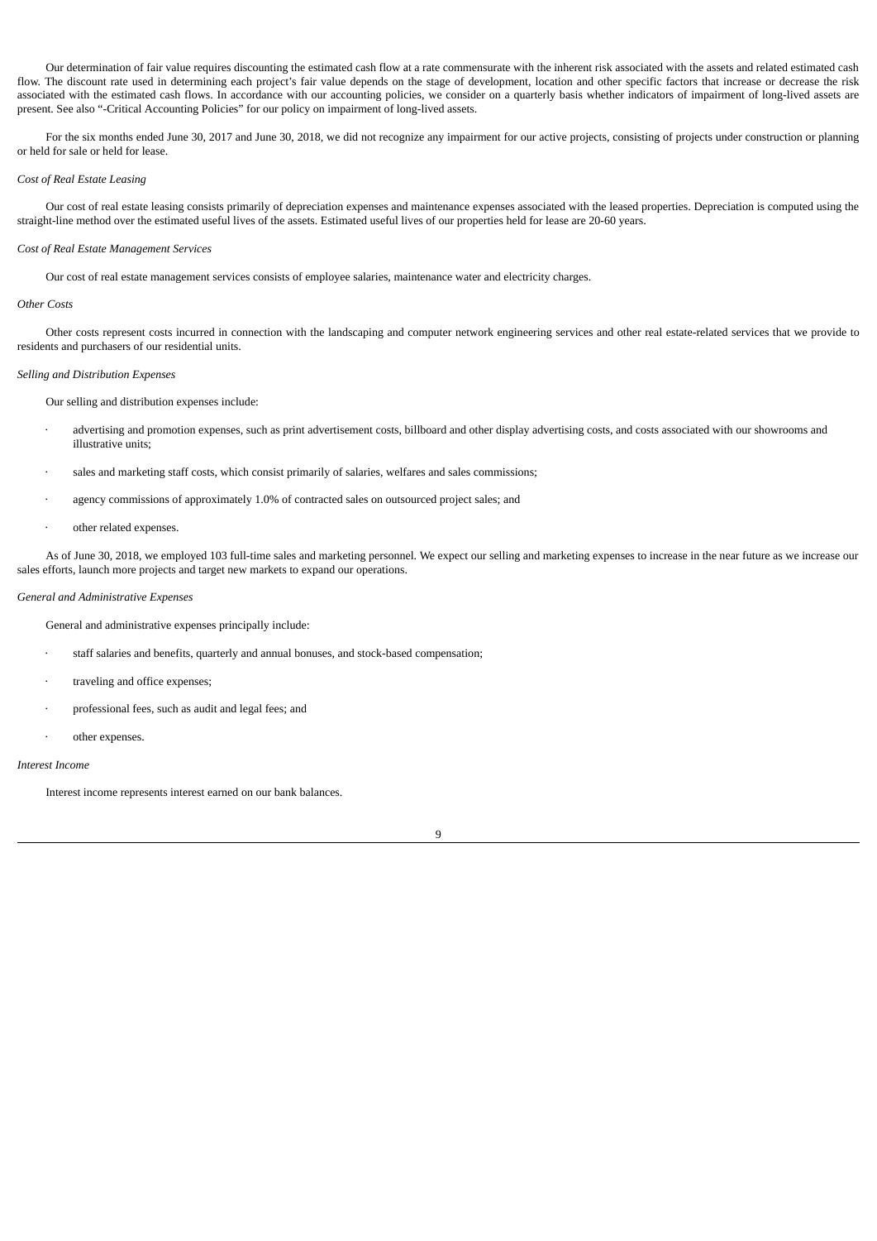Our determination of fair value requires discounting the estimated cash flow at a rate commensurate with the inherent risk associated with the assets and related estimated cash flow. The discount rate used in determining each project's fair value depends on the stage of development, location and other specific factors that increase or decrease the risk associated with the estimated cash flows. In accordance with our accounting policies, we consider on a quarterly basis whether indicators of impairment of long-lived assets are present. See also "-Critical Accounting Policies" for our policy on impairment of long-lived assets.

For the six months ended June 30, 2017 and June 30, 2018, we did not recognize any impairment for our active projects, consisting of projects under construction or planning or held for sale or held for lease.

## *Cost of Real Estate Leasing*

Our cost of real estate leasing consists primarily of depreciation expenses and maintenance expenses associated with the leased properties. Depreciation is computed using the straight-line method over the estimated useful lives of the assets. Estimated useful lives of our properties held for lease are 20-60 years.

### *Cost of Real Estate Management Services*

Our cost of real estate management services consists of employee salaries, maintenance water and electricity charges.

#### *Other Costs*

Other costs represent costs incurred in connection with the landscaping and computer network engineering services and other real estate-related services that we provide to residents and purchasers of our residential units.

### *Selling and Distribution Expenses*

Our selling and distribution expenses include:

- advertising and promotion expenses, such as print advertisement costs, billboard and other display advertising costs, and costs associated with our showrooms and illustrative units;
- sales and marketing staff costs, which consist primarily of salaries, welfares and sales commissions;
- agency commissions of approximately 1.0% of contracted sales on outsourced project sales; and
- other related expenses.

As of June 30, 2018, we employed 103 full-time sales and marketing personnel. We expect our selling and marketing expenses to increase in the near future as we increase our sales efforts, launch more projects and target new markets to expand our operations.

#### *General and Administrative Expenses*

General and administrative expenses principally include:

- staff salaries and benefits, quarterly and annual bonuses, and stock-based compensation;
- traveling and office expenses;
- professional fees, such as audit and legal fees; and
- other expenses.

## *Interest Income*

Interest income represents interest earned on our bank balances.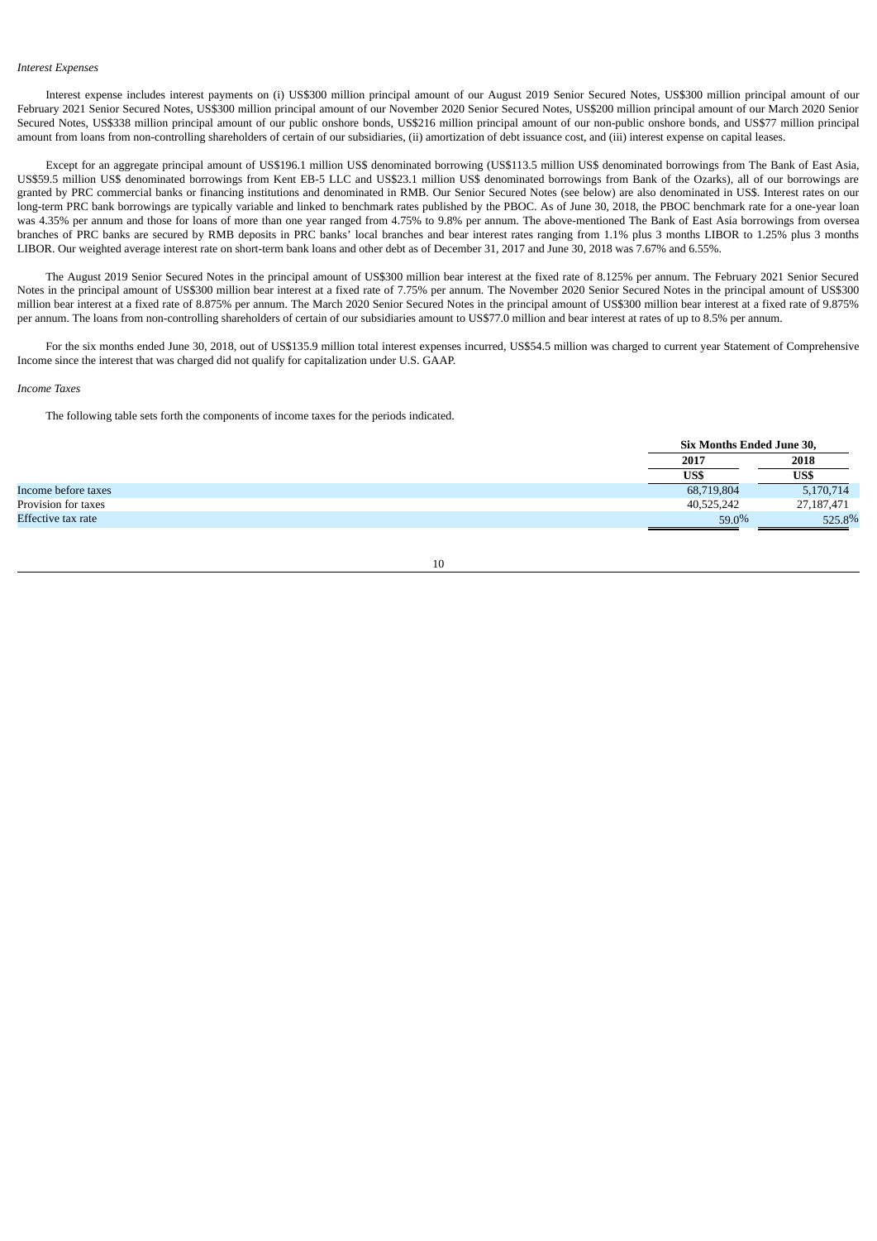#### *Interest Expenses*

Interest expense includes interest payments on (i) US\$300 million principal amount of our August 2019 Senior Secured Notes, US\$300 million principal amount of our February 2021 Senior Secured Notes, US\$300 million principal amount of our November 2020 Senior Secured Notes, US\$200 million principal amount of our March 2020 Senior Secured Notes, US\$338 million principal amount of our public onshore bonds, US\$216 million principal amount of our non-public onshore bonds, and US\$77 million principal amount from loans from non-controlling shareholders of certain of our subsidiaries, (ii) amortization of debt issuance cost, and (iii) interest expense on capital leases.

Except for an aggregate principal amount of US\$196.1 million US\$ denominated borrowing (US\$113.5 million US\$ denominated borrowings from The Bank of East Asia, US\$59.5 million US\$ denominated borrowings from Kent EB-5 LLC and US\$23.1 million US\$ denominated borrowings from Bank of the Ozarks), all of our borrowings are granted by PRC commercial banks or financing institutions and denominated in RMB. Our Senior Secured Notes (see below) are also denominated in US\$. Interest rates on our long-term PRC bank borrowings are typically variable and linked to benchmark rates published by the PBOC. As of June 30, 2018, the PBOC benchmark rate for a one-year loan was 4.35% per annum and those for loans of more than one year ranged from 4.75% to 9.8% per annum. The above-mentioned The Bank of East Asia borrowings from oversea branches of PRC banks are secured by RMB deposits in PRC banks' local branches and bear interest rates ranging from 1.1% plus 3 months LIBOR to 1.25% plus 3 months LIBOR. Our weighted average interest rate on short-term bank loans and other debt as of December 31, 2017 and June 30, 2018 was 7.67% and 6.55%.

The August 2019 Senior Secured Notes in the principal amount of US\$300 million bear interest at the fixed rate of 8.125% per annum. The February 2021 Senior Secured Notes in the principal amount of US\$300 million bear interest at a fixed rate of 7.75% per annum. The November 2020 Senior Secured Notes in the principal amount of US\$300 million bear interest at a fixed rate of 8.875% per annum. The March 2020 Senior Secured Notes in the principal amount of US\$300 million bear interest at a fixed rate of 9.875% per annum. The loans from non-controlling shareholders of certain of our subsidiaries amount to US\$77.0 million and bear interest at rates of up to 8.5% per annum.

For the six months ended June 30, 2018, out of US\$135.9 million total interest expenses incurred, US\$54.5 million was charged to current year Statement of Comprehensive Income since the interest that was charged did not qualify for capitalization under U.S. GAAP.

#### *Income Taxes*

The following table sets forth the components of income taxes for the periods indicated.

|                     | Six Months Ended June 30, |            |
|---------------------|---------------------------|------------|
|                     | 2017                      | 2018       |
|                     | US\$                      | US\$       |
| Income before taxes | 68,719,804                | 5,170,714  |
| Provision for taxes | 40,525,242                | 27,187,471 |
| Effective tax rate  | $59.0\%$                  | 525.8%     |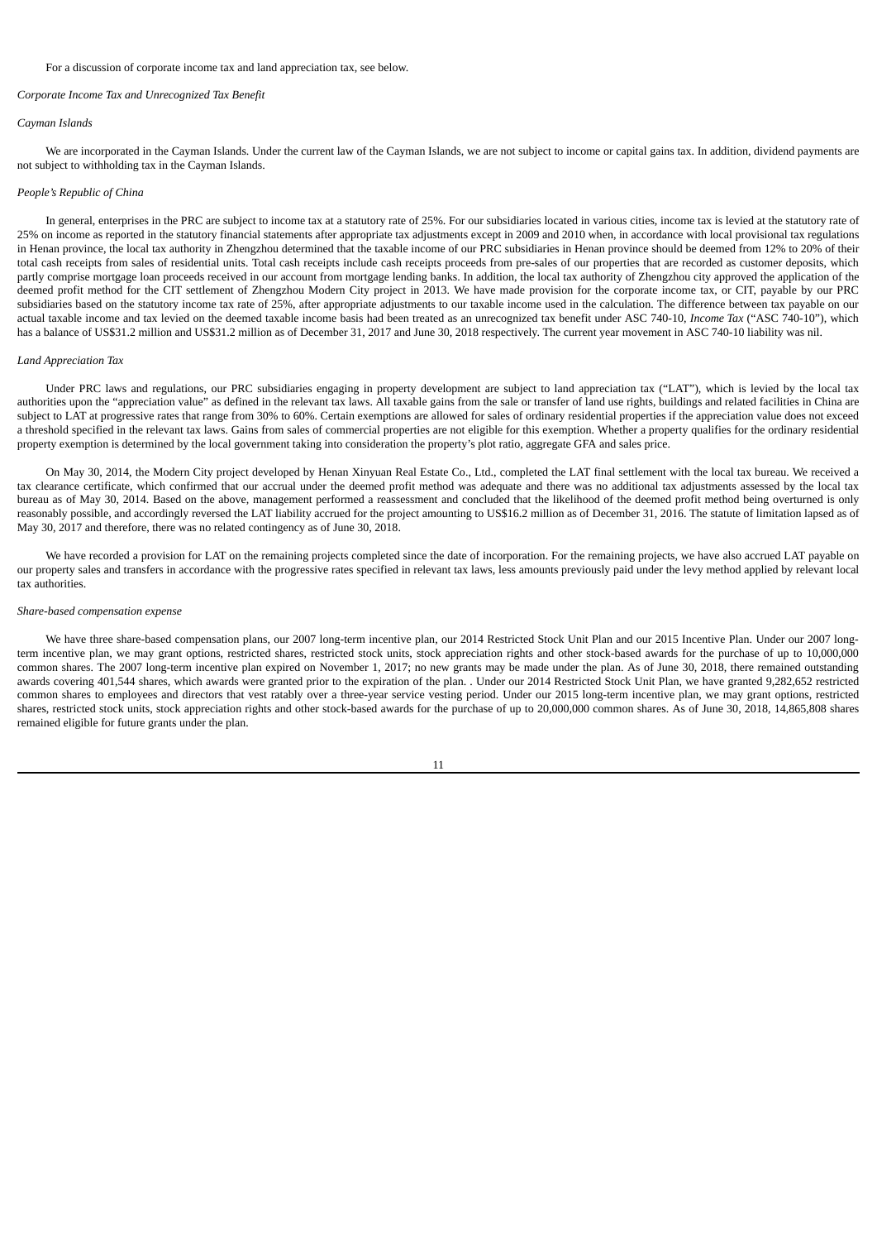#### For a discussion of corporate income tax and land appreciation tax, see below.

### *Corporate Income Tax and Unrecognized Tax Benefit*

### *Cayman Islands*

We are incorporated in the Cayman Islands. Under the current law of the Cayman Islands, we are not subject to income or capital gains tax. In addition, dividend payments are not subject to withholding tax in the Cayman Islands.

### *People's Republic of China*

In general, enterprises in the PRC are subject to income tax at a statutory rate of 25%. For our subsidiaries located in various cities, income tax is levied at the statutory rate of 25% on income as reported in the statutory financial statements after appropriate tax adjustments except in 2009 and 2010 when, in accordance with local provisional tax regulations in Henan province, the local tax authority in Zhengzhou determined that the taxable income of our PRC subsidiaries in Henan province should be deemed from 12% to 20% of their total cash receipts from sales of residential units. Total cash receipts include cash receipts proceeds from pre-sales of our properties that are recorded as customer deposits, which partly comprise mortgage loan proceeds received in our account from mortgage lending banks. In addition, the local tax authority of Zhengzhou city approved the application of the deemed profit method for the CIT settlement of Zhengzhou Modern City project in 2013. We have made provision for the corporate income tax, or CIT, payable by our PRC subsidiaries based on the statutory income tax rate of 25%, after appropriate adjustments to our taxable income used in the calculation. The difference between tax payable on our actual taxable income and tax levied on the deemed taxable income basis had been treated as an unrecognized tax benefit under ASC 740-10, *Income Tax* ("ASC 740-10"), which has a balance of US\$31.2 million and US\$31.2 million as of December 31, 2017 and June 30, 2018 respectively. The current year movement in ASC 740-10 liability was nil.

### *Land Appreciation Tax*

Under PRC laws and regulations, our PRC subsidiaries engaging in property development are subject to land appreciation tax ("LAT"), which is levied by the local tax authorities upon the "appreciation value" as defined in the relevant tax laws. All taxable gains from the sale or transfer of land use rights, buildings and related facilities in China are subject to LAT at progressive rates that range from 30% to 60%. Certain exemptions are allowed for sales of ordinary residential properties if the appreciation value does not exceed a threshold specified in the relevant tax laws. Gains from sales of commercial properties are not eligible for this exemption. Whether a property qualifies for the ordinary residential property exemption is determined by the local government taking into consideration the property's plot ratio, aggregate GFA and sales price.

On May 30, 2014, the Modern City project developed by Henan Xinyuan Real Estate Co., Ltd., completed the LAT final settlement with the local tax bureau. We received a tax clearance certificate, which confirmed that our accrual under the deemed profit method was adequate and there was no additional tax adjustments assessed by the local tax bureau as of May 30, 2014. Based on the above, management performed a reassessment and concluded that the likelihood of the deemed profit method being overturned is only reasonably possible, and accordingly reversed the LAT liability accrued for the project amounting to US\$16.2 million as of December 31, 2016. The statute of limitation lapsed as of May 30, 2017 and therefore, there was no related contingency as of June 30, 2018.

We have recorded a provision for LAT on the remaining projects completed since the date of incorporation. For the remaining projects, we have also accrued LAT payable on our property sales and transfers in accordance with the progressive rates specified in relevant tax laws, less amounts previously paid under the levy method applied by relevant local tax authorities.

### *Share-based compensation expense*

We have three share-based compensation plans, our 2007 long-term incentive plan, our 2014 Restricted Stock Unit Plan and our 2015 Incentive Plan. Under our 2007 longterm incentive plan, we may grant options, restricted shares, restricted stock units, stock appreciation rights and other stock-based awards for the purchase of up to 10,000,000 common shares. The 2007 long-term incentive plan expired on November 1, 2017; no new grants may be made under the plan. As of June 30, 2018, there remained outstanding awards covering 401,544 shares, which awards were granted prior to the expiration of the plan. . Under our 2014 Restricted Stock Unit Plan, we have granted 9,282,652 restricted common shares to employees and directors that vest ratably over a three-year service vesting period. Under our 2015 long-term incentive plan, we may grant options, restricted shares, restricted stock units, stock appreciation rights and other stock-based awards for the purchase of up to 20,000,000 common shares. As of June 30, 2018, 14,865,808 shares remained eligible for future grants under the plan.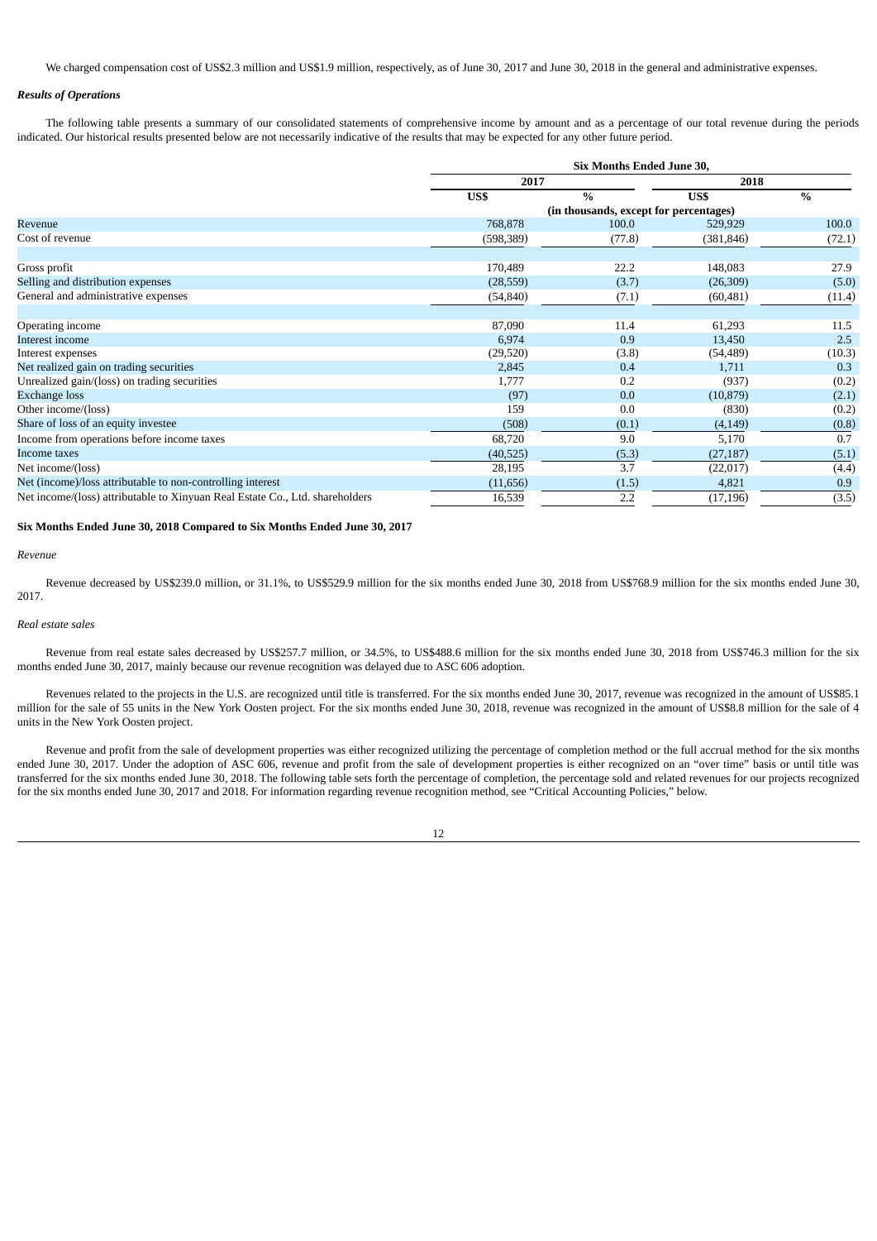We charged compensation cost of US\$2.3 million and US\$1.9 million, respectively, as of June 30, 2017 and June 30, 2018 in the general and administrative expenses.

## *Results of Operations*

The following table presents a summary of our consolidated statements of comprehensive income by amount and as a percentage of our total revenue during the periods indicated. Our historical results presented below are not necessarily indicative of the results that may be expected for any other future period.

|                                                                              | <b>Six Months Ended June 30,</b> |                                        |            |        |  |  |
|------------------------------------------------------------------------------|----------------------------------|----------------------------------------|------------|--------|--|--|
|                                                                              | 2017                             |                                        | 2018       |        |  |  |
|                                                                              | US\$                             | $\frac{0}{0}$                          | US\$       | $\%$   |  |  |
|                                                                              |                                  | (in thousands, except for percentages) |            |        |  |  |
| Revenue                                                                      | 768,878                          | 100.0                                  | 529,929    | 100.0  |  |  |
| Cost of revenue                                                              | (598, 389)                       | (77.8)                                 | (381, 846) | (72.1) |  |  |
| Gross profit                                                                 | 170,489                          | 22.2                                   | 148,083    | 27.9   |  |  |
| Selling and distribution expenses                                            | (28, 559)                        | (3.7)                                  | (26,309)   | (5.0)  |  |  |
| General and administrative expenses                                          | (54, 840)                        | (7.1)                                  | (60, 481)  | (11.4) |  |  |
|                                                                              |                                  |                                        |            |        |  |  |
| Operating income                                                             | 87,090                           | 11.4                                   | 61,293     | 11.5   |  |  |
| Interest income                                                              | 6,974                            | 0.9                                    | 13,450     | 2.5    |  |  |
| Interest expenses                                                            | (29,520)                         | (3.8)                                  | (54, 489)  | (10.3) |  |  |
| Net realized gain on trading securities                                      | 2,845                            | 0.4                                    | 1,711      | 0.3    |  |  |
| Unrealized gain/(loss) on trading securities                                 | 1,777                            | 0.2                                    | (937)      | (0.2)  |  |  |
| <b>Exchange loss</b>                                                         | (97)                             | 0.0                                    | (10, 879)  | (2.1)  |  |  |
| Other income/(loss)                                                          | 159                              | 0.0                                    | (830)      | (0.2)  |  |  |
| Share of loss of an equity investee                                          | (508)                            | (0.1)                                  | (4, 149)   | (0.8)  |  |  |
| Income from operations before income taxes                                   | 68,720                           | 9.0                                    | 5,170      | 0.7    |  |  |
| Income taxes                                                                 | (40,525)                         | (5.3)                                  | (27, 187)  | (5.1)  |  |  |
| Net income/(loss)                                                            | 28,195                           | 3.7                                    | (22,017)   | (4.4)  |  |  |
| Net (income)/loss attributable to non-controlling interest                   | (11,656)                         | (1.5)                                  | 4,821      | 0.9    |  |  |
| Net income/(loss) attributable to Xinyuan Real Estate Co., Ltd. shareholders | 16,539                           | 2.2                                    | (17, 196)  | (3.5)  |  |  |

## **Six Months Ended June 30, 2018 Compared to Six Months Ended June 30, 2017**

### *Revenue*

Revenue decreased by US\$239.0 million, or 31.1%, to US\$529.9 million for the six months ended June 30, 2018 from US\$768.9 million for the six months ended June 30, 2017.

### *Real estate sales*

Revenue from real estate sales decreased by US\$257.7 million, or 34.5%, to US\$488.6 million for the six months ended June 30, 2018 from US\$746.3 million for the six months ended June 30, 2017, mainly because our revenue recognition was delayed due to ASC 606 adoption.

Revenues related to the projects in the U.S. are recognized until title is transferred. For the six months ended June 30, 2017, revenue was recognized in the amount of US\$85.1 million for the sale of 55 units in the New York Oosten project. For the six months ended June 30, 2018, revenue was recognized in the amount of US\$8.8 million for the sale of 4 units in the New York Oosten project.

Revenue and profit from the sale of development properties was either recognized utilizing the percentage of completion method or the full accrual method for the six months ended June 30, 2017. Under the adoption of ASC 606, revenue and profit from the sale of development properties is either recognized on an "over time" basis or until title was transferred for the six months ended June 30, 2018. The following table sets forth the percentage of completion, the percentage sold and related revenues for our projects recognized for the six months ended June 30, 2017 and 2018. For information regarding revenue recognition method, see "Critical Accounting Policies," below.

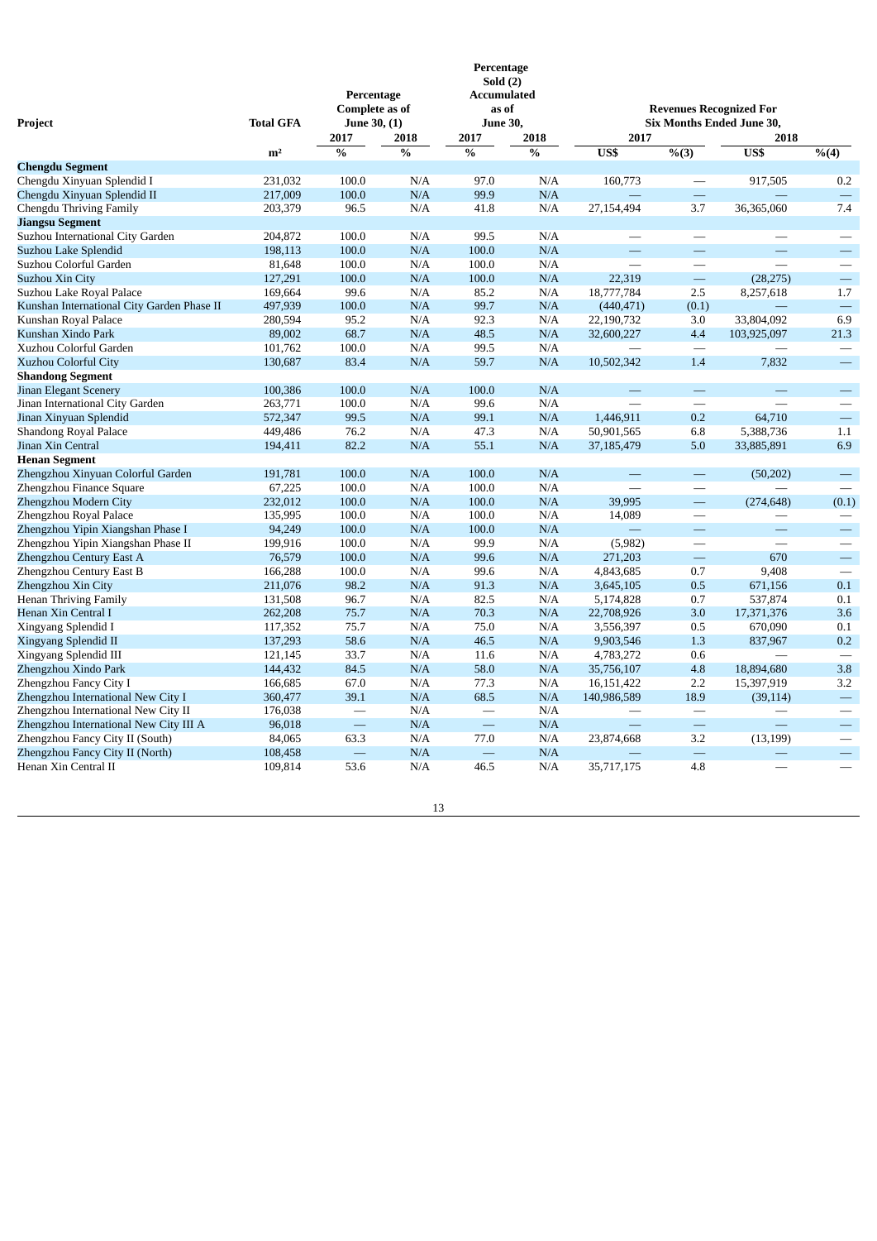| Project                                    | <b>Total GFA</b> | Percentage<br><b>Complete as of</b><br>June 30, (1) |               | Percentage<br>Sold(2)<br><b>Accumulated</b><br>as of<br>June 30, |               | <b>Revenues Recognized For</b><br><b>Six Months Ended June 30,</b> |                          |                          |                          |
|--------------------------------------------|------------------|-----------------------------------------------------|---------------|------------------------------------------------------------------|---------------|--------------------------------------------------------------------|--------------------------|--------------------------|--------------------------|
|                                            |                  | 2017                                                | 2018          | 2017                                                             | 2018          | 2017                                                               |                          | 2018                     |                          |
|                                            | m <sup>2</sup>   | $\frac{0}{0}$                                       | $\frac{0}{0}$ | $\%$                                                             | $\frac{0}{0}$ | US\$                                                               | % (3)                    | US\$                     | $\sqrt[9]{6(4)}$         |
| <b>Chengdu Segment</b>                     |                  |                                                     |               |                                                                  |               |                                                                    |                          |                          |                          |
| Chengdu Xinyuan Splendid I                 | 231.032          | 100.0                                               | N/A           | 97.0                                                             | N/A           | 160,773                                                            |                          | 917,505                  | 0.2                      |
| Chengdu Xinyuan Splendid II                | 217,009          | 100.0                                               | N/A           | 99.9                                                             | N/A           |                                                                    | $\qquad \qquad$          |                          | $\equiv$                 |
| Chengdu Thriving Family                    | 203,379          | 96.5                                                | N/A           | 41.8                                                             | N/A           | 27,154,494                                                         | 3.7                      | 36,365,060               | 7.4                      |
| <b>Jiangsu Segment</b>                     |                  |                                                     |               |                                                                  |               |                                                                    |                          |                          |                          |
| Suzhou International City Garden           | 204,872          | 100.0                                               | N/A           | 99.5                                                             | N/A           | $\overline{\phantom{0}}$                                           | $\overline{\phantom{0}}$ | $\overline{\phantom{0}}$ | $\overline{\phantom{0}}$ |
| Suzhou Lake Splendid                       | 198,113          | 100.0                                               | N/A           | 100.0                                                            | N/A           | ÷.                                                                 |                          |                          | $\overline{\phantom{0}}$ |
| Suzhou Colorful Garden                     | 81,648           | 100.0                                               | N/A           | 100.0                                                            | N/A           | $\overline{\phantom{0}}$                                           |                          |                          |                          |
| Suzhou Xin City                            | 127,291          | 100.0                                               | N/A           | 100.0                                                            | N/A           | 22,319                                                             | $\equiv$                 | (28, 275)                |                          |
| Suzhou Lake Royal Palace                   | 169,664          | 99.6                                                | N/A           | 85.2                                                             | N/A           | 18,777,784                                                         | 2.5                      | 8,257,618                | 1.7                      |
| Kunshan International City Garden Phase II | 497,939          | 100.0                                               | N/A           | 99.7                                                             | N/A           | (440, 471)                                                         | (0.1)                    |                          | $\overline{\phantom{0}}$ |
| Kunshan Royal Palace                       | 280,594          | 95.2                                                | N/A           | 92.3                                                             | N/A           | 22,190,732                                                         | 3.0                      | 33,804,092               | 6.9                      |
| Kunshan Xindo Park                         | 89,002           | 68.7                                                | N/A           | 48.5                                                             | N/A           | 32,600,227                                                         | 4.4                      | 103,925,097              | 21.3                     |
| Xuzhou Colorful Garden                     | 101,762          | 100.0                                               | N/A           | 99.5                                                             | N/A           |                                                                    | $\overline{\phantom{0}}$ |                          |                          |
| Xuzhou Colorful City                       | 130,687          | 83.4                                                | N/A           | 59.7                                                             | N/A           | 10,502,342                                                         | 1.4                      | 7,832                    | $\overline{\phantom{0}}$ |
| <b>Shandong Segment</b>                    |                  |                                                     |               |                                                                  |               |                                                                    |                          |                          |                          |
| Jinan Elegant Scenery                      | 100,386          | 100.0                                               | N/A           | 100.0                                                            | N/A           |                                                                    | $\overline{\phantom{0}}$ |                          |                          |
| Jinan International City Garden            | 263,771          | 100.0                                               | N/A           | 99.6                                                             | N/A           |                                                                    |                          |                          |                          |
| Jinan Xinyuan Splendid                     | 572,347          | 99.5                                                | N/A           | 99.1                                                             | N/A           | 1,446,911                                                          | 0.2                      | 64,710                   |                          |
| <b>Shandong Royal Palace</b>               | 449,486          | 76.2                                                | N/A           | 47.3                                                             | N/A           | 50,901,565                                                         | 6.8                      | 5,388,736                | 1.1                      |
| Jinan Xin Central                          | 194,411          | 82.2                                                | N/A           | 55.1                                                             | N/A           | 37,185,479                                                         | 5.0                      | 33,885,891               | 6.9                      |
| <b>Henan Segment</b>                       |                  |                                                     |               |                                                                  |               |                                                                    |                          |                          |                          |
| Zhengzhou Xinyuan Colorful Garden          | 191,781          | 100.0                                               | N/A           | 100.0                                                            | N/A           | $\equiv$                                                           | $\qquad \qquad -$        | (50, 202)                | $\overline{\phantom{0}}$ |
| Zhengzhou Finance Square                   | 67,225           | 100.0                                               | N/A           | 100.0                                                            | N/A           |                                                                    | $\overline{\phantom{0}}$ |                          |                          |
| Zhengzhou Modern City                      | 232,012          | 100.0                                               | N/A           | 100.0                                                            | N/A           | 39,995                                                             | $\equiv$                 | (274, 648)               | (0.1)                    |
| Zhengzhou Royal Palace                     | 135,995          | 100.0                                               | N/A           | 100.0                                                            | N/A           | 14,089                                                             |                          |                          |                          |
| Zhengzhou Yipin Xiangshan Phase I          | 94,249           | 100.0                                               | N/A           | 100.0                                                            | N/A           | $\equiv$                                                           |                          |                          |                          |
| Zhengzhou Yipin Xiangshan Phase II         | 199,916          | 100.0                                               | N/A           | 99.9                                                             | N/A           | (5,982)                                                            |                          | $\overline{\phantom{0}}$ | $\overline{\phantom{0}}$ |
| Zhengzhou Century East A                   | 76,579           | 100.0                                               | N/A           | 99.6                                                             | N/A           | 271,203                                                            | $\equiv$                 | 670                      | $\equiv$                 |
| Zhengzhou Century East B                   | 166,288          | 100.0                                               | N/A           | 99.6                                                             | N/A           | 4,843,685                                                          | 0.7                      | 9,408                    | $\overline{\phantom{0}}$ |
| Zhengzhou Xin City                         | 211,076          | 98.2                                                | N/A           | 91.3                                                             | N/A           | 3,645,105                                                          | 0.5                      | 671,156                  | 0.1                      |
| <b>Henan Thriving Family</b>               | 131,508          | 96.7                                                | N/A           | 82.5                                                             | N/A           | 5,174,828                                                          | 0.7                      | 537,874                  | 0.1                      |
| Henan Xin Central I                        | 262,208          | 75.7                                                | N/A           | 70.3                                                             | N/A           | 22,708,926                                                         | 3.0                      | 17,371,376               | 3.6                      |
| Xingyang Splendid I                        | 117,352          | 75.7                                                | N/A           | 75.0                                                             | N/A           | 3,556,397                                                          | 0.5                      | 670,090                  | 0.1                      |
| Xingyang Splendid II                       | 137,293          | 58.6                                                | N/A           | 46.5                                                             | N/A           | 9,903,546                                                          | 1.3                      | 837,967                  | 0.2                      |
| Xingyang Splendid III                      | 121,145          | 33.7                                                | N/A           | 11.6                                                             | N/A           | 4,783,272                                                          | 0.6                      |                          |                          |
| Zhengzhou Xindo Park                       | 144,432          | 84.5                                                | N/A           | 58.0                                                             | N/A           | 35,756,107                                                         | 4.8                      | 18,894,680               | 3.8                      |
| Zhengzhou Fancy City I                     | 166,685          | 67.0                                                | N/A           | 77.3                                                             | N/A           | 16,151,422                                                         | 2.2                      | 15,397,919               | 3.2                      |
| Zhengzhou International New City I         | 360,477          | 39.1                                                | N/A           | 68.5                                                             | N/A           | 140,986,589                                                        | 18.9                     | (39, 114)                | $\overline{\phantom{0}}$ |
| Zhengzhou International New City II        | 176,038          | $\overline{\phantom{a}}$                            | N/A           |                                                                  | N/A           |                                                                    | $\overline{\phantom{0}}$ |                          |                          |
| Zhengzhou International New City III A     | 96,018           |                                                     | N/A           |                                                                  | N/A           | $\equiv$                                                           |                          | $\overline{\phantom{a}}$ | $\overline{\phantom{0}}$ |
| Zhengzhou Fancy City II (South)            | 84,065           | 63.3                                                | N/A           | 77.0                                                             | N/A           | 23,874,668                                                         | 3.2                      | (13, 199)                |                          |
| Zhengzhou Fancy City II (North)            | 108,458          |                                                     | N/A           |                                                                  | N/A           |                                                                    | $\overline{\phantom{0}}$ |                          | —                        |
| Henan Xin Central II                       | 109,814          | 53.6                                                | N/A           | 46.5                                                             | N/A           | 35,717,175                                                         | 4.8                      |                          |                          |
|                                            |                  |                                                     |               |                                                                  |               |                                                                    |                          |                          |                          |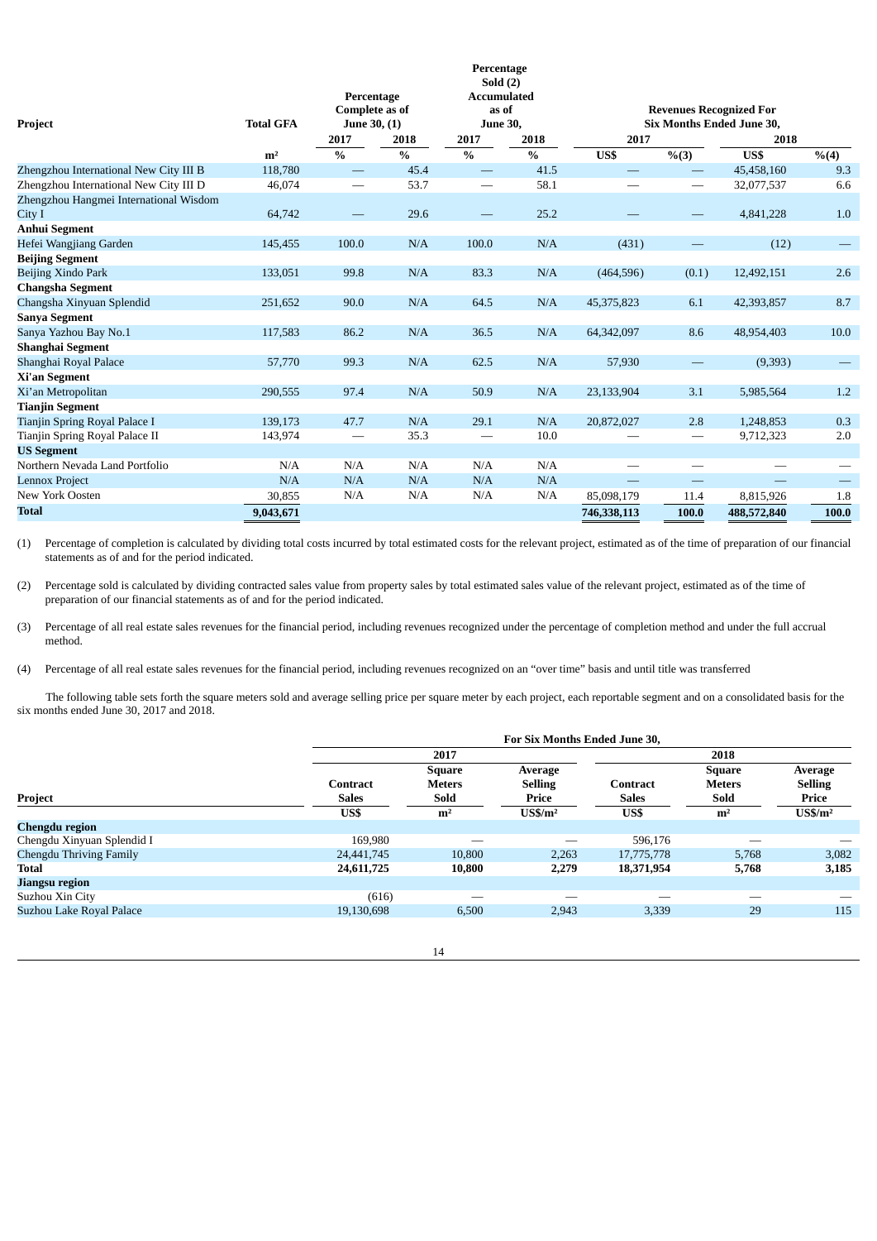|                                        |                  |                       |               | Percentage                       |               |             |                                 |                                  |       |
|----------------------------------------|------------------|-----------------------|---------------|----------------------------------|---------------|-------------|---------------------------------|----------------------------------|-------|
|                                        |                  | Percentage            |               | Sold $(2)$<br><b>Accumulated</b> |               |             |                                 |                                  |       |
|                                        |                  | <b>Complete as of</b> |               | as of                            |               |             | <b>Revenues Recognized For</b>  |                                  |       |
| Project                                | <b>Total GFA</b> | June 30, (1)          |               | <b>June 30,</b>                  |               |             |                                 | <b>Six Months Ended June 30,</b> |       |
|                                        |                  | 2017                  | 2018          | 2017                             | 2018          | 2017        |                                 | 2018                             |       |
|                                        | m <sup>2</sup>   | $\%$                  | $\frac{0}{0}$ | $\%$                             | $\frac{0}{0}$ | US\$        | % (3)                           | US\$                             | % (4) |
| Zhengzhou International New City III B | 118,780          |                       | 45.4          | $\overbrace{\phantom{12332}}$    | 41.5          |             | $\overline{\phantom{0}}$        | 45,458,160                       | 9.3   |
| Zhengzhou International New City III D | 46,074           |                       | 53.7          | $\qquad \qquad -$                | 58.1          |             |                                 | 32,077,537                       | 6.6   |
| Zhengzhou Hangmei International Wisdom |                  |                       |               |                                  |               |             |                                 |                                  |       |
| City I                                 | 64,742           |                       | 29.6          |                                  | 25.2          |             |                                 | 4,841,228                        | 1.0   |
| Anhui Segment                          |                  |                       |               |                                  |               |             |                                 |                                  |       |
| Hefei Wangjiang Garden                 | 145,455          | 100.0                 | N/A           | 100.0                            | N/A           | (431)       |                                 | (12)                             |       |
| <b>Beijing Segment</b>                 |                  |                       |               |                                  |               |             |                                 |                                  |       |
| Beijing Xindo Park                     | 133,051          | 99.8                  | N/A           | 83.3                             | N/A           | (464, 596)  | (0.1)                           | 12,492,151                       | 2.6   |
| <b>Changsha Segment</b>                |                  |                       |               |                                  |               |             |                                 |                                  |       |
| Changsha Xinyuan Splendid              | 251,652          | 90.0                  | N/A           | 64.5                             | N/A           | 45,375,823  | 6.1                             | 42,393,857                       | 8.7   |
| <b>Sanya Segment</b>                   |                  |                       |               |                                  |               |             |                                 |                                  |       |
| Sanya Yazhou Bay No.1                  | 117,583          | 86.2                  | N/A           | 36.5                             | N/A           | 64,342,097  | 8.6                             | 48,954,403                       | 10.0  |
| Shanghai Segment                       |                  |                       |               |                                  |               |             |                                 |                                  |       |
| Shanghai Royal Palace                  | 57,770           | 99.3                  | N/A           | 62.5                             | N/A           | 57,930      | —                               | (9,393)                          |       |
| Xi'an Segment                          |                  |                       |               |                                  |               |             |                                 |                                  |       |
| Xi'an Metropolitan                     | 290,555          | 97.4                  | N/A           | 50.9                             | N/A           | 23,133,904  | 3.1                             | 5,985,564                        | 1.2   |
| <b>Tianjin Segment</b>                 |                  |                       |               |                                  |               |             |                                 |                                  |       |
| Tianjin Spring Royal Palace I          | 139,173          | 47.7                  | N/A           | 29.1                             | N/A           | 20,872,027  | 2.8                             | 1,248,853                        | 0.3   |
| Tianjin Spring Royal Palace II         | 143,974          |                       | 35.3          | $\hspace{0.1mm}-\hspace{0.1mm}$  | 10.0          |             | $\hspace{0.1mm}-\hspace{0.1mm}$ | 9,712,323                        | 2.0   |
| <b>US Segment</b>                      |                  |                       |               |                                  |               |             |                                 |                                  |       |
| Northern Nevada Land Portfolio         | N/A              | N/A                   | N/A           | N/A                              | N/A           |             |                                 |                                  |       |
| <b>Lennox Project</b>                  | N/A              | N/A                   | N/A           | N/A                              | N/A           |             |                                 |                                  |       |
| <b>New York Oosten</b>                 | 30,855           | N/A                   | N/A           | N/A                              | N/A           | 85,098,179  | 11.4                            | 8,815,926                        | 1.8   |
| <b>Total</b>                           | 9,043,671        |                       |               |                                  |               | 746,338,113 | 100.0                           | 488,572,840                      | 100.0 |

(1) Percentage of completion is calculated by dividing total costs incurred by total estimated costs for the relevant project, estimated as of the time of preparation of our financial statements as of and for the period indicated.

(2) Percentage sold is calculated by dividing contracted sales value from property sales by total estimated sales value of the relevant project, estimated as of the time of preparation of our financial statements as of and for the period indicated.

(3) Percentage of all real estate sales revenues for the financial period, including revenues recognized under the percentage of completion method and under the full accrual method.

(4) Percentage of all real estate sales revenues for the financial period, including revenues recognized on an "over time" basis and until title was transferred

The following table sets forth the square meters sold and average selling price per square meter by each project, each reportable segment and on a consolidated basis for the six months ended June 30, 2017 and 2018.

|                            | For Six Months Ended June 30,   |                                        |                                    |                          |                                        |                                    |  |  |
|----------------------------|---------------------------------|----------------------------------------|------------------------------------|--------------------------|----------------------------------------|------------------------------------|--|--|
|                            |                                 | 2017                                   |                                    |                          | 2018                                   |                                    |  |  |
| Project                    | <b>Contract</b><br><b>Sales</b> | <b>Square</b><br><b>Meters</b><br>Sold | Average<br><b>Selling</b><br>Price | Contract<br><b>Sales</b> | <b>Square</b><br><b>Meters</b><br>Sold | Average<br><b>Selling</b><br>Price |  |  |
|                            | US\$                            | m <sup>2</sup>                         | $\mathbf{U}$ S\$/m <sup>2</sup>    | US\$                     | m <sup>2</sup>                         | $\mathbf{U}$ S\$/m <sup>2</sup>    |  |  |
| Chengdu region             |                                 |                                        |                                    |                          |                                        |                                    |  |  |
| Chengdu Xinyuan Splendid I | 169,980                         |                                        |                                    | 596,176                  |                                        |                                    |  |  |
| Chengdu Thriving Family    | 24,441,745                      | 10,800                                 | 2,263                              | 17,775,778               | 5,768                                  | 3,082                              |  |  |
| <b>Total</b>               | 24,611,725                      | 10,800                                 | 2,279                              | 18,371,954               | 5,768                                  | 3,185                              |  |  |
| Jiangsu region             |                                 |                                        |                                    |                          |                                        |                                    |  |  |
| Suzhou Xin City            | (616)                           |                                        |                                    |                          |                                        |                                    |  |  |
| Suzhou Lake Royal Palace   | 19,130,698                      | 6,500                                  | 2,943                              | 3,339                    | 29                                     | 115                                |  |  |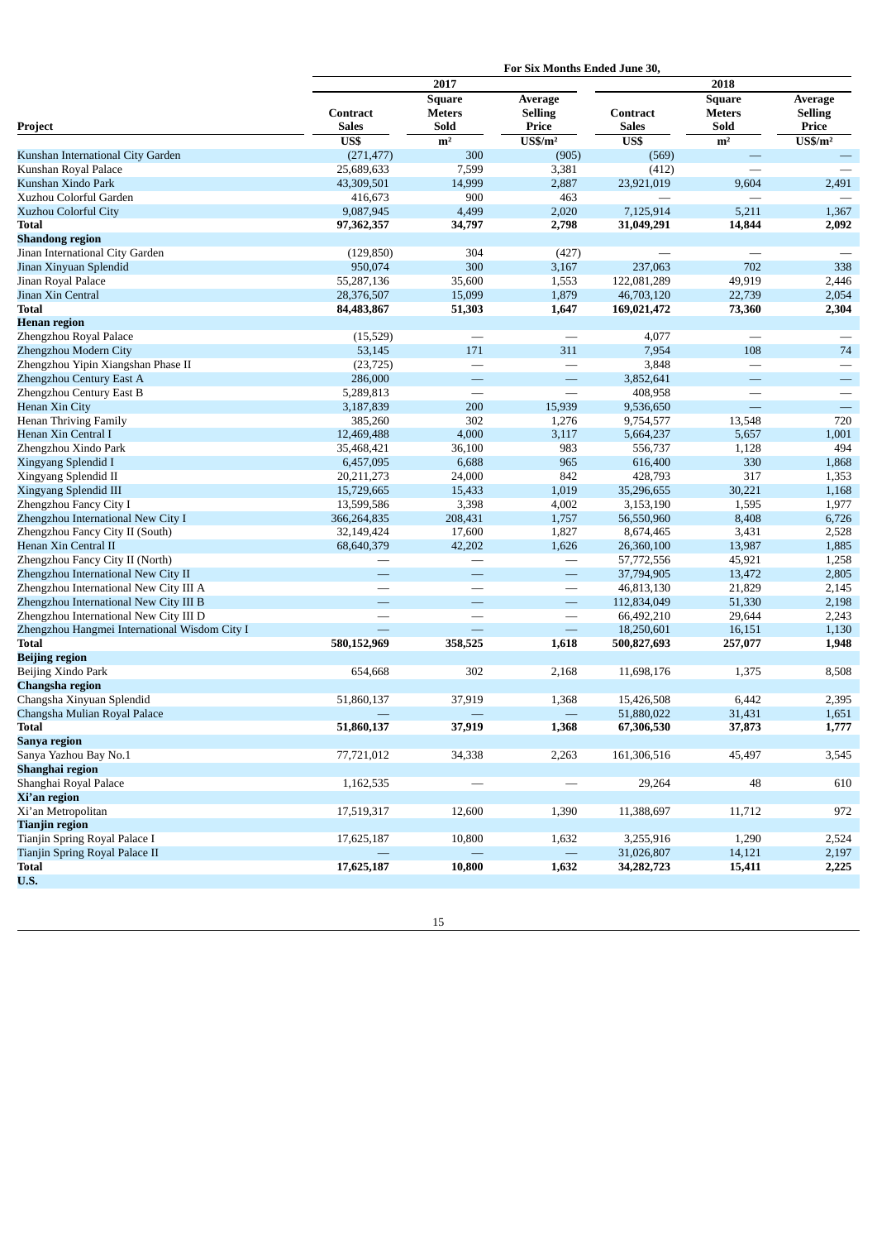|                                               | For Six Months Ended June 30, |                                        |                                    |                          |                                        |                                    |  |  |
|-----------------------------------------------|-------------------------------|----------------------------------------|------------------------------------|--------------------------|----------------------------------------|------------------------------------|--|--|
|                                               |                               | 2017                                   |                                    | 2018                     |                                        |                                    |  |  |
| Project                                       | Contract<br><b>Sales</b>      | <b>Square</b><br><b>Meters</b><br>Sold | Average<br><b>Selling</b><br>Price | Contract<br><b>Sales</b> | <b>Square</b><br><b>Meters</b><br>Sold | Average<br><b>Selling</b><br>Price |  |  |
|                                               | US\$                          | m <sup>2</sup>                         | $\overline{\text{USS}}/\text{m}^2$ | US\$                     | m <sup>2</sup>                         | $US\frac{m^2}{2}$                  |  |  |
| Kunshan International City Garden             | (271, 477)                    | 300                                    | (905)                              | (569)                    |                                        |                                    |  |  |
| Kunshan Royal Palace                          | 25,689,633                    | 7,599                                  | 3,381                              | (412)                    |                                        |                                    |  |  |
| Kunshan Xindo Park                            | 43,309,501                    | 14,999                                 | 2,887                              | 23,921,019               | 9,604                                  | 2,491                              |  |  |
| Xuzhou Colorful Garden                        | 416,673                       | 900                                    | 463                                |                          |                                        |                                    |  |  |
| Xuzhou Colorful City                          | 9,087,945                     | 4,499                                  | 2,020                              | 7,125,914                | 5,211                                  | 1,367                              |  |  |
| <b>Total</b>                                  | 97,362,357                    | 34,797                                 | 2,798                              | 31,049,291               | 14,844                                 | 2,092                              |  |  |
| <b>Shandong region</b>                        |                               |                                        |                                    |                          |                                        |                                    |  |  |
| Jinan International City Garden               | (129, 850)                    | 304                                    | (427)                              |                          | $\overline{\phantom{0}}$               |                                    |  |  |
| Jinan Xinyuan Splendid                        | 950,074                       | 300                                    | 3,167                              | 237,063                  | 702                                    | 338                                |  |  |
| Jinan Royal Palace                            | 55,287,136                    | 35,600                                 | 1,553                              | 122,081,289              | 49,919                                 | 2,446                              |  |  |
| Jinan Xin Central                             | 28,376,507                    | 15,099                                 | 1,879                              | 46,703,120               | 22,739                                 | 2,054                              |  |  |
| <b>Total</b>                                  | 84,483,867                    | 51,303                                 | 1,647                              | 169,021,472              | 73,360                                 | 2,304                              |  |  |
| <b>Henan region</b>                           |                               |                                        |                                    |                          |                                        |                                    |  |  |
| Zhengzhou Royal Palace                        | (15, 529)                     |                                        |                                    | 4,077                    |                                        |                                    |  |  |
| Zhengzhou Modern City                         | 53,145                        | 171                                    | 311                                | 7,954                    | 108                                    | 74                                 |  |  |
| Zhengzhou Yipin Xiangshan Phase II            | (23, 725)                     |                                        | $\overline{\phantom{0}}$           | 3,848                    | -                                      |                                    |  |  |
| Zhengzhou Century East A                      | 286,000                       | $\qquad \qquad -$                      | $\overline{\phantom{0}}$           | 3,852,641                |                                        |                                    |  |  |
| Zhengzhou Century East B                      | 5,289,813                     |                                        | $\overline{\phantom{0}}$           | 408,958                  |                                        |                                    |  |  |
| Henan Xin City                                | 3,187,839                     | 200                                    | 15,939                             | 9,536,650                | $\overline{\phantom{0}}$               | $\qquad \qquad -$                  |  |  |
| Henan Thriving Family                         | 385,260                       | 302                                    | 1,276                              | 9,754,577                | 13,548                                 | 720                                |  |  |
| Henan Xin Central I                           | 12,469,488                    | 4,000                                  | 3,117                              | 5,664,237                | 5,657                                  | 1,001                              |  |  |
| Zhengzhou Xindo Park                          | 35,468,421                    | 36,100                                 | 983                                | 556,737                  | 1,128                                  | 494                                |  |  |
| Xingyang Splendid I                           | 6,457,095                     | 6,688                                  | 965                                | 616,400                  | 330                                    | 1,868                              |  |  |
| Xingyang Splendid II                          | 20,211,273                    | 24,000                                 | 842                                | 428,793                  | 317                                    | 1,353                              |  |  |
| Xingyang Splendid III                         | 15,729,665                    | 15,433                                 | 1,019                              | 35,296,655               | 30,221                                 | 1,168                              |  |  |
| Zhengzhou Fancy City I                        | 13,599,586                    | 3,398                                  | 4,002                              | 3,153,190                | 1,595                                  | 1,977                              |  |  |
| Zhengzhou International New City I            | 366,264,835                   | 208,431                                | 1,757                              | 56,550,960               | 8,408                                  | 6,726                              |  |  |
| Zhengzhou Fancy City II (South)               | 32,149,424                    | 17,600                                 | 1,827                              | 8,674,465                | 3,431                                  | 2,528                              |  |  |
| Henan Xin Central II                          | 68,640,379                    | 42,202                                 | 1,626                              | 26,360,100               | 13,987                                 | 1,885                              |  |  |
| Zhengzhou Fancy City II (North)               |                               |                                        | $\overline{\phantom{0}}$           | 57,772,556               | 45,921                                 | 1,258                              |  |  |
| Zhengzhou International New City II           |                               |                                        | $\overline{\phantom{0}}$           | 37,794,905               | 13,472                                 | 2,805                              |  |  |
| Zhengzhou International New City III A        |                               |                                        |                                    | 46,813,130               | 21,829                                 | 2,145                              |  |  |
| Zhengzhou International New City III B        |                               | $\overline{\phantom{0}}$               |                                    | 112,834,049              | 51,330                                 | 2,198                              |  |  |
| Zhengzhou International New City III D        |                               |                                        | $\overline{\phantom{0}}$           | 66,492,210               | 29,644                                 | 2,243                              |  |  |
| Zhengzhou Hangmei International Wisdom City I |                               |                                        | $\overline{\phantom{0}}$           | 18,250,601               | 16,151                                 | 1,130                              |  |  |
| <b>Total</b>                                  | 580,152,969                   | 358,525                                | 1,618                              | 500,827,693              | 257,077                                | 1,948                              |  |  |
| <b>Beijing region</b>                         |                               |                                        |                                    |                          |                                        |                                    |  |  |
| Beijing Xindo Park                            | 654,668                       | 302                                    | 2,168                              | 11,698,176               | 1,375                                  | 8,508                              |  |  |
| <b>Changsha region</b>                        |                               |                                        |                                    |                          |                                        |                                    |  |  |
| Changsha Xinyuan Splendid                     | 51,860,137                    | 37,919                                 | 1,368                              | 15,426,508               | 6,442                                  | 2,395                              |  |  |
| Changsha Mulian Royal Palace                  |                               |                                        | $\overline{\phantom{0}}$           | 51,880,022               | 31,431                                 | 1,651                              |  |  |
| <b>Total</b>                                  | 51,860,137                    | 37,919                                 | 1,368                              | 67,306,530               | 37,873                                 | 1,777                              |  |  |
| <b>Sanya region</b>                           |                               |                                        |                                    |                          |                                        |                                    |  |  |
| Sanya Yazhou Bay No.1                         | 77,721,012                    | 34,338                                 | 2,263                              | 161,306,516              | 45,497                                 | 3,545                              |  |  |
| Shanghai region                               |                               |                                        |                                    |                          |                                        |                                    |  |  |
| Shanghai Royal Palace                         | 1,162,535                     |                                        |                                    | 29,264                   | 48                                     | 610                                |  |  |
| Xi'an region                                  |                               |                                        |                                    |                          |                                        |                                    |  |  |
| Xi'an Metropolitan                            | 17,519,317                    | 12,600                                 | 1,390                              | 11,388,697               | 11,712                                 | 972                                |  |  |
| <b>Tianjin region</b>                         |                               |                                        |                                    |                          |                                        |                                    |  |  |
| Tianjin Spring Royal Palace I                 | 17,625,187                    | 10,800                                 | 1,632                              | 3,255,916                | 1,290                                  | 2,524                              |  |  |
| Tianjin Spring Royal Palace II                |                               |                                        |                                    | 31,026,807               | 14,121                                 | 2,197                              |  |  |
| <b>Total</b>                                  | 17,625,187                    | 10,800                                 | 1,632                              | 34,282,723               | 15,411                                 | 2,225                              |  |  |
| <b>U.S.</b>                                   |                               |                                        |                                    |                          |                                        |                                    |  |  |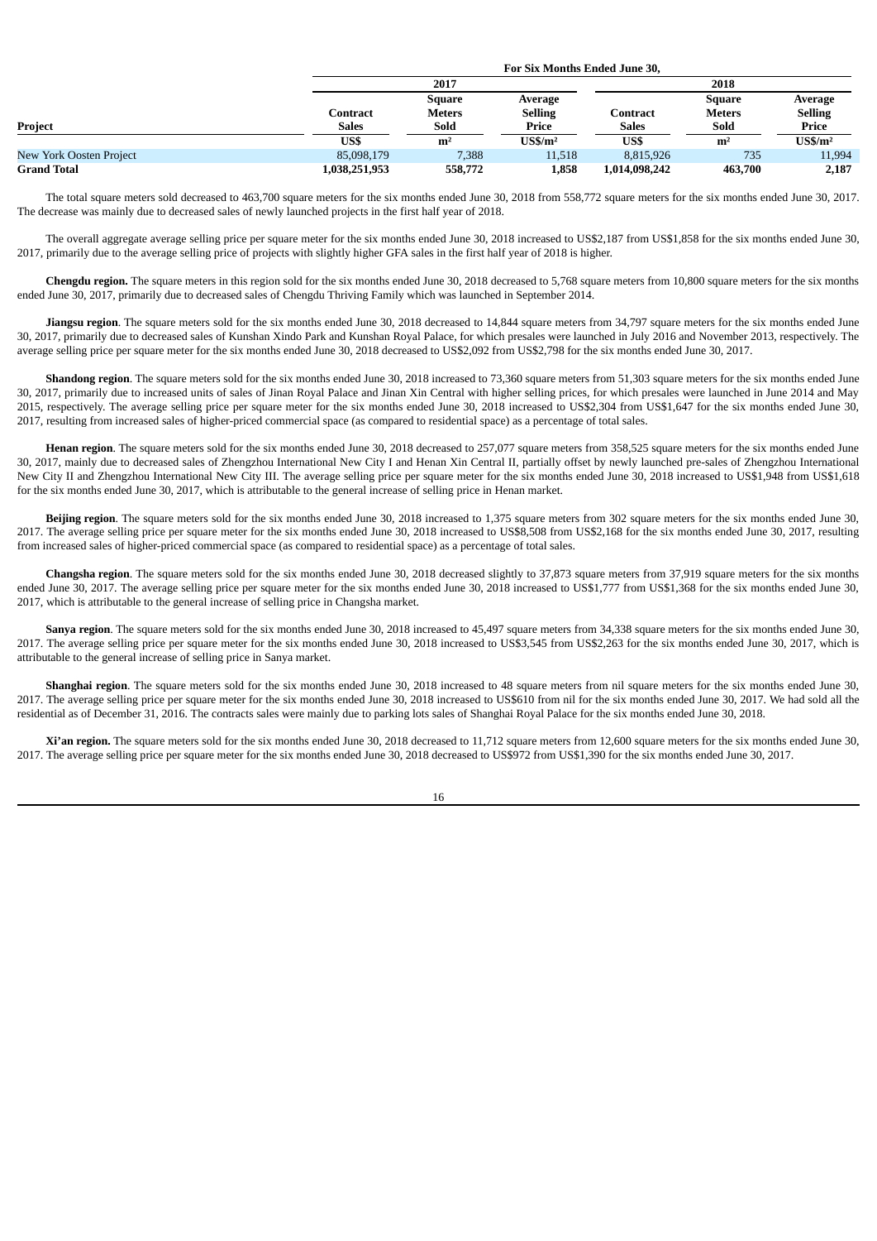|                         |                   | For Six Months Ended June 30.   |                                    |                          |                                 |                                    |  |  |  |
|-------------------------|-------------------|---------------------------------|------------------------------------|--------------------------|---------------------------------|------------------------------------|--|--|--|
|                         |                   | 2017                            |                                    | 2018                     |                                 |                                    |  |  |  |
| Project                 | Contract<br>Sales | Square<br><b>Meters</b><br>Sold | Average<br><b>Selling</b><br>Price | Contract<br><b>Sales</b> | Square<br><b>Meters</b><br>Sold | Average<br><b>Selling</b><br>Price |  |  |  |
|                         | US\$              | m <sup>2</sup>                  | $\mathbf{U}$ S\$/m <sup>2</sup>    | US\$                     | m <sup>2</sup>                  | $\mathbf{U}$ S\$/m <sup>2</sup>    |  |  |  |
| New York Oosten Project | 85,098,179        | 7,388                           | 11,518                             | 8,815,926                | 735                             | 11,994                             |  |  |  |
| <b>Grand Total</b>      | 1,038,251,953     | 558,772                         | 1,858                              | 1,014,098,242            | 463,700                         | 2,187                              |  |  |  |

The total square meters sold decreased to 463,700 square meters for the six months ended June 30, 2018 from 558,772 square meters for the six months ended June 30, 2017. The decrease was mainly due to decreased sales of newly launched projects in the first half year of 2018.

The overall aggregate average selling price per square meter for the six months ended June 30, 2018 increased to US\$2,187 from US\$1,858 for the six months ended June 30, 2017, primarily due to the average selling price of projects with slightly higher GFA sales in the first half year of 2018 is higher.

**Chengdu region.** The square meters in this region sold for the six months ended June 30, 2018 decreased to 5,768 square meters from 10,800 square meters for the six months ended June 30, 2017, primarily due to decreased sales of Chengdu Thriving Family which was launched in September 2014.

**Jiangsu region**. The square meters sold for the six months ended June 30, 2018 decreased to 14,844 square meters from 34,797 square meters for the six months ended June 30, 2017, primarily due to decreased sales of Kunshan Xindo Park and Kunshan Royal Palace, for which presales were launched in July 2016 and November 2013, respectively. The average selling price per square meter for the six months ended June 30, 2018 decreased to US\$2,092 from US\$2,798 for the six months ended June 30, 2017.

**Shandong region**. The square meters sold for the six months ended June 30, 2018 increased to 73,360 square meters from 51,303 square meters for the six months ended June 30, 2017, primarily due to increased units of sales of Jinan Royal Palace and Jinan Xin Central with higher selling prices, for which presales were launched in June 2014 and May 2015, respectively. The average selling price per square meter for the six months ended June 30, 2018 increased to US\$2,304 from US\$1,647 for the six months ended June 30, 2017, resulting from increased sales of higher-priced commercial space (as compared to residential space) as a percentage of total sales.

**Henan region**. The square meters sold for the six months ended June 30, 2018 decreased to 257,077 square meters from 358,525 square meters for the six months ended June 30, 2017, mainly due to decreased sales of Zhengzhou International New City I and Henan Xin Central II, partially offset by newly launched pre-sales of Zhengzhou International New City II and Zhengzhou International New City III. The average selling price per square meter for the six months ended June 30, 2018 increased to US\$1,948 from US\$1,618 for the six months ended June 30, 2017, which is attributable to the general increase of selling price in Henan market.

**Beijing region**. The square meters sold for the six months ended June 30, 2018 increased to 1,375 square meters from 302 square meters for the six months ended June 30, 2017. The average selling price per square meter for the six months ended June 30, 2018 increased to US\$8,508 from US\$2,168 for the six months ended June 30, 2017, resulting from increased sales of higher-priced commercial space (as compared to residential space) as a percentage of total sales.

**Changsha region**. The square meters sold for the six months ended June 30, 2018 decreased slightly to 37,873 square meters from 37,919 square meters for the six months ended June 30, 2017. The average selling price per square meter for the six months ended June 30, 2018 increased to US\$1,777 from US\$1,368 for the six months ended June 30, 2017, which is attributable to the general increase of selling price in Changsha market.

Sanya region. The square meters sold for the six months ended June 30, 2018 increased to 45,497 square meters from 34,338 square meters for the six months ended June 30, 2017. The average selling price per square meter for the six months ended June 30, 2018 increased to US\$3,545 from US\$2,263 for the six months ended June 30, 2017, which is attributable to the general increase of selling price in Sanya market.

Shanghai region. The square meters sold for the six months ended June 30, 2018 increased to 48 square meters from nil square meters for the six months ended June 30, 2017. The average selling price per square meter for the six months ended June 30, 2018 increased to US\$610 from nil for the six months ended June 30, 2017. We had sold all the residential as of December 31, 2016. The contracts sales were mainly due to parking lots sales of Shanghai Royal Palace for the six months ended June 30, 2018.

Xi'an region. The square meters sold for the six months ended June 30, 2018 decreased to 11.712 square meters from 12,600 square meters for the six months ended June 30, 2017. The average selling price per square meter for the six months ended June 30, 2018 decreased to US\$972 from US\$1,390 for the six months ended June 30, 2017.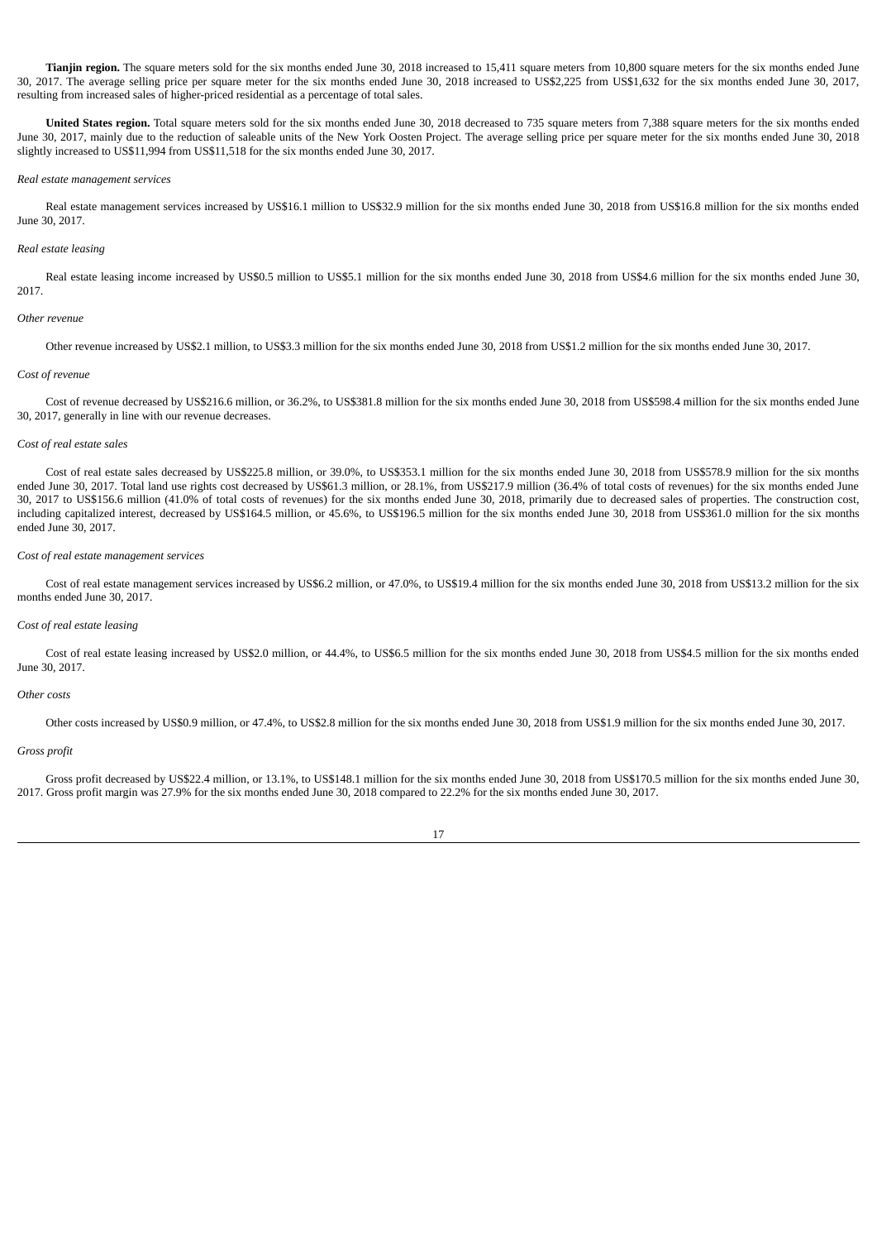Tianjin region. The square meters sold for the six months ended June 30, 2018 increased to 15,411 square meters from 10,800 square meters for the six months ended June 30, 2017. The average selling price per square meter for the six months ended June 30, 2018 increased to US\$2,225 from US\$1,632 for the six months ended June 30, 2017, resulting from increased sales of higher-priced residential as a percentage of total sales.

**United States region.** Total square meters sold for the six months ended June 30, 2018 decreased to 735 square meters from 7,388 square meters for the six months ended June 30, 2017, mainly due to the reduction of saleable units of the New York Oosten Project. The average selling price per square meter for the six months ended June 30, 2018 slightly increased to US\$11,994 from US\$11,518 for the six months ended June 30, 2017.

## *Real estate management services*

Real estate management services increased by US\$16.1 million to US\$32.9 million for the six months ended June 30, 2018 from US\$16.8 million for the six months ended June 30, 2017.

## *Real estate leasing*

Real estate leasing income increased by US\$0.5 million to US\$5.1 million for the six months ended June 30, 2018 from US\$4.6 million for the six months ended June 30, 2017.

## *Other revenue*

Other revenue increased by US\$2.1 million, to US\$3.3 million for the six months ended June 30, 2018 from US\$1.2 million for the six months ended June 30, 2017.

### *Cost of revenue*

Cost of revenue decreased by US\$216.6 million, or 36.2%, to US\$381.8 million for the six months ended June 30, 2018 from US\$598.4 million for the six months ended June 30, 2017, generally in line with our revenue decreases.

## *Cost of real estate sales*

Cost of real estate sales decreased by US\$225.8 million, or 39.0%, to US\$353.1 million for the six months ended June 30, 2018 from US\$578.9 million for the six months ended June 30, 2017. Total land use rights cost decreased by US\$61.3 million, or 28.1%, from US\$217.9 million (36.4% of total costs of revenues) for the six months ended June 30, 2017 to US\$156.6 million (41.0% of total costs of revenues) for the six months ended June 30, 2018, primarily due to decreased sales of properties. The construction cost, including capitalized interest, decreased by US\$164.5 million, or 45.6%, to US\$196.5 million for the six months ended June 30, 2018 from US\$361.0 million for the six months ended June 30, 2017.

## *Cost of real estate management services*

Cost of real estate management services increased by US\$6.2 million, or 47.0%, to US\$19.4 million for the six months ended June 30, 2018 from US\$13.2 million for the six months ended June 30, 2017.

## *Cost of real estate leasing*

Cost of real estate leasing increased by US\$2.0 million, or 44.4%, to US\$6.5 million for the six months ended June 30, 2018 from US\$4.5 million for the six months ended June 30, 2017.

#### *Other costs*

Other costs increased by US\$0.9 million, or 47.4%, to US\$2.8 million for the six months ended June 30, 2018 from US\$1.9 million for the six months ended June 30, 2017.

#### *Gross profit*

Gross profit decreased by US\$22.4 million, or 13.1%, to US\$148.1 million for the six months ended June 30, 2018 from US\$170.5 million for the six months ended June 30, 2017. Gross profit margin was 27.9% for the six months ended June 30, 2018 compared to 22.2% for the six months ended June 30, 2017.

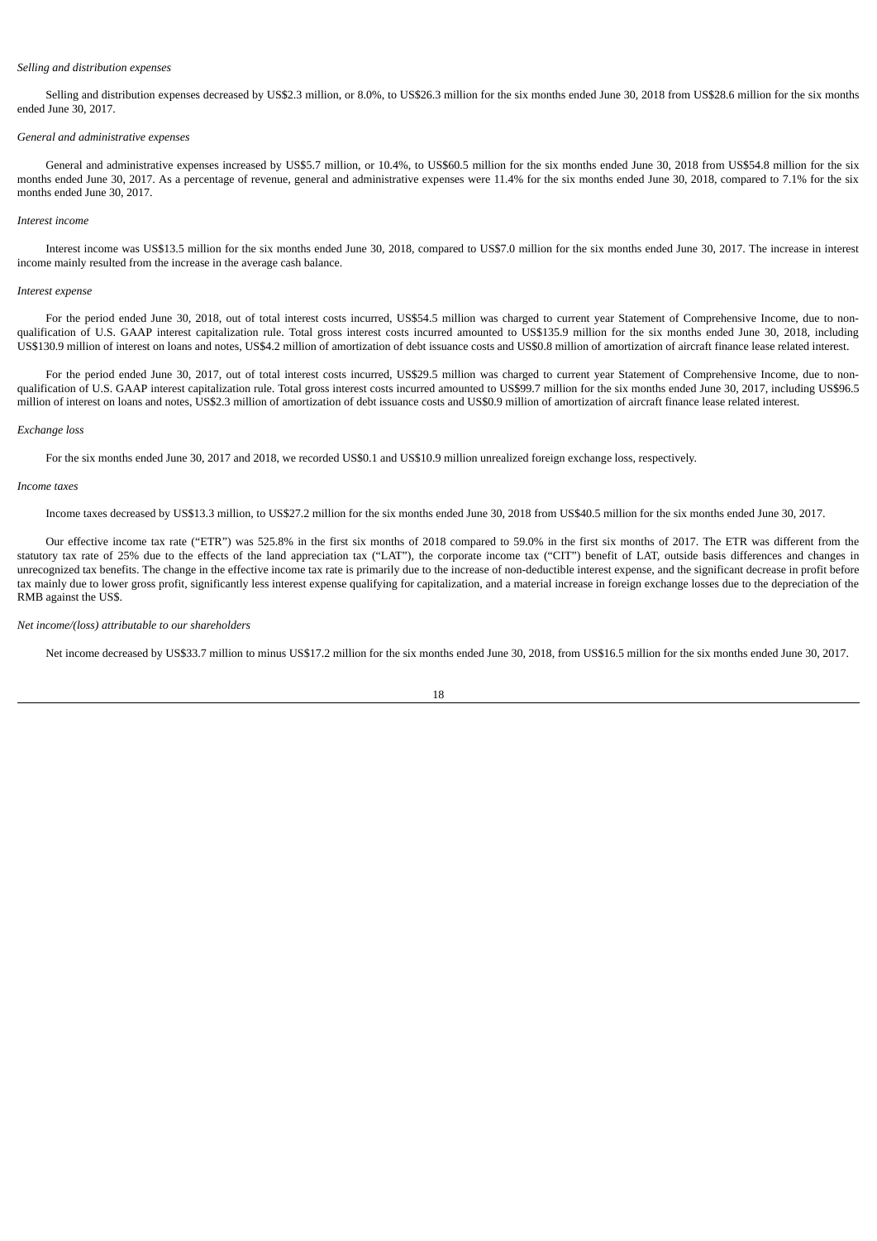#### *Selling and distribution expenses*

Selling and distribution expenses decreased by US\$2.3 million, or 8.0%, to US\$26.3 million for the six months ended June 30, 2018 from US\$28.6 million for the six months ended June 30, 2017.

### *General and administrative expenses*

General and administrative expenses increased by US\$5.7 million, or 10.4%, to US\$60.5 million for the six months ended June 30, 2018 from US\$54.8 million for the six months ended June 30, 2017. As a percentage of revenue, general and administrative expenses were 11.4% for the six months ended June 30, 2018, compared to 7.1% for the six months ended June 30, 2017.

### *Interest income*

Interest income was US\$13.5 million for the six months ended June 30, 2018, compared to US\$7.0 million for the six months ended June 30, 2017. The increase in interest income mainly resulted from the increase in the average cash balance.

#### *Interest expense*

For the period ended June 30, 2018, out of total interest costs incurred, US\$54.5 million was charged to current year Statement of Comprehensive Income, due to nonqualification of U.S. GAAP interest capitalization rule. Total gross interest costs incurred amounted to US\$135.9 million for the six months ended June 30, 2018, including US\$130.9 million of interest on loans and notes, US\$4.2 million of amortization of debt issuance costs and US\$0.8 million of amortization of aircraft finance lease related interest.

For the period ended June 30, 2017, out of total interest costs incurred, US\$29.5 million was charged to current year Statement of Comprehensive Income, due to nonqualification of U.S. GAAP interest capitalization rule. Total gross interest costs incurred amounted to US\$99.7 million for the six months ended June 30, 2017, including US\$96.5 million of interest on loans and notes, US\$2.3 million of amortization of debt issuance costs and US\$0.9 million of amortization of aircraft finance lease related interest.

### *Exchange loss*

For the six months ended June 30, 2017 and 2018, we recorded US\$0.1 and US\$10.9 million unrealized foreign exchange loss, respectively.

#### *Income taxes*

Income taxes decreased by US\$13.3 million, to US\$27.2 million for the six months ended June 30, 2018 from US\$40.5 million for the six months ended June 30, 2017.

Our effective income tax rate ("ETR") was 525.8% in the first six months of 2018 compared to 59.0% in the first six months of 2017. The ETR was different from the statutory tax rate of 25% due to the effects of the land appreciation tax ("LAT"), the corporate income tax ("CIT") benefit of LAT, outside basis differences and changes in unrecognized tax benefits. The change in the effective income tax rate is primarily due to the increase of non-deductible interest expense, and the significant decrease in profit before tax mainly due to lower gross profit, significantly less interest expense qualifying for capitalization, and a material increase in foreign exchange losses due to the depreciation of the RMB against the US\$.

### *Net income/(loss) attributable to our shareholders*

Net income decreased by US\$33.7 million to minus US\$17.2 million for the six months ended June 30, 2018, from US\$16.5 million for the six months ended June 30, 2017.

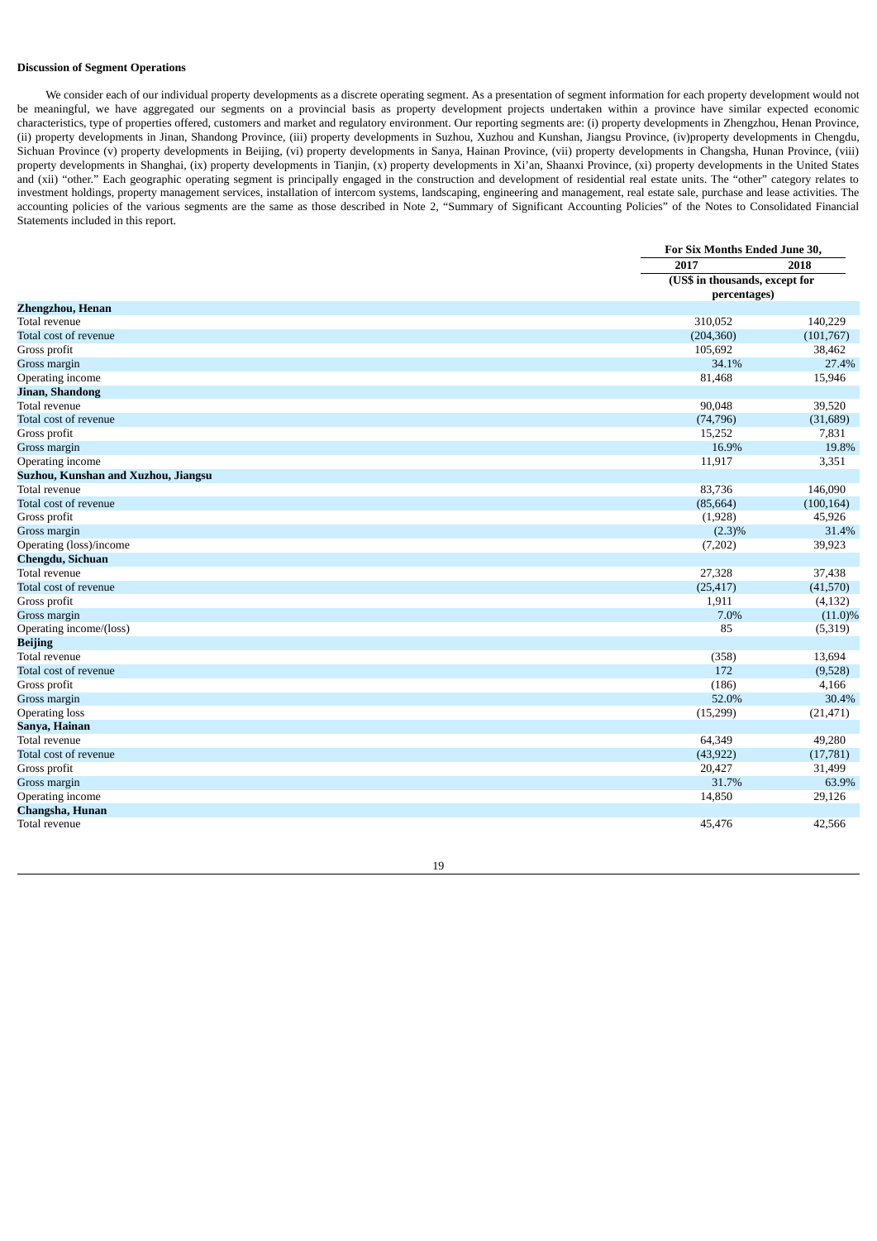## **Discussion of Segment Operations**

We consider each of our individual property developments as a discrete operating segment. As a presentation of segment information for each property development would not be meaningful, we have aggregated our segments on a provincial basis as property development projects undertaken within a province have similar expected economic characteristics, type of properties offered, customers and market and regulatory environment. Our reporting segments are: (i) property developments in Zhengzhou, Henan Province, (ii) property developments in Jinan, Shandong Province, (iii) property developments in Suzhou, Xuzhou and Kunshan, Jiangsu Province, (iv)property developments in Chengdu, Sichuan Province (v) property developments in Beijing, (vi) property developments in Sanya, Hainan Province, (vii) property developments in Changsha, Hunan Province, (viii) property developments in Shanghai, (ix) property developments in Tianjin, (x) property developments in Xi'an, Shaanxi Province, (xi) property developments in the United States and (xii) "other." Each geographic operating segment is principally engaged in the construction and development of residential real estate units. The "other" category relates to investment holdings, property management services, installation of intercom systems, landscaping, engineering and management, real estate sale, purchase and lease activities. The accounting policies of the various segments are the same as those described in Note 2, "Summary of Significant Accounting Policies" of the Notes to Consolidated Financial Statements included in this report.

|                                     | For Six Months Ended June 30,  |            |  |
|-------------------------------------|--------------------------------|------------|--|
|                                     | 2017                           | 2018       |  |
|                                     | (US\$ in thousands, except for |            |  |
|                                     | percentages)                   |            |  |
| <b>Zhengzhou, Henan</b>             |                                |            |  |
| Total revenue                       | 310,052                        | 140,229    |  |
| Total cost of revenue               | (204, 360)                     | (101,767)  |  |
| Gross profit                        | 105,692                        | 38,462     |  |
| Gross margin                        | 34.1%                          | 27.4%      |  |
| Operating income                    | 81,468                         | 15,946     |  |
| Jinan, Shandong                     |                                |            |  |
| Total revenue                       | 90,048                         | 39,520     |  |
| Total cost of revenue               | (74, 796)                      | (31,689)   |  |
| Gross profit                        | 15,252                         | 7,831      |  |
| Gross margin                        | 16.9%                          | 19.8%      |  |
| Operating income                    | 11,917                         | 3,351      |  |
| Suzhou, Kunshan and Xuzhou, Jiangsu |                                |            |  |
| Total revenue                       | 83,736                         | 146,090    |  |
| Total cost of revenue               | (85, 664)                      | (100, 164) |  |
| Gross profit                        | (1,928)                        | 45,926     |  |
| Gross margin                        | $(2.3)\%$                      | 31.4%      |  |
| Operating (loss)/income             | (7,202)                        | 39,923     |  |
| Chengdu, Sichuan                    |                                |            |  |
| Total revenue                       | 27,328                         | 37,438     |  |
| Total cost of revenue               | (25, 417)                      | (41,570)   |  |
| Gross profit                        | 1,911                          | (4, 132)   |  |
| Gross margin                        | 7.0%                           | $(11.0)\%$ |  |
| Operating income/(loss)             | 85                             | (5,319)    |  |
| <b>Beijing</b>                      |                                |            |  |
| Total revenue                       | (358)                          | 13,694     |  |
| Total cost of revenue               | 172                            | (9,528)    |  |
| Gross profit                        | (186)                          | 4,166      |  |
| Gross margin                        | 52.0%                          | 30.4%      |  |
| <b>Operating loss</b>               | (15,299)                       | (21, 471)  |  |
| Sanya, Hainan                       |                                |            |  |
| Total revenue                       | 64,349                         | 49,280     |  |
| Total cost of revenue               | (43, 922)                      | (17,781)   |  |
| Gross profit                        | 20,427                         | 31,499     |  |
| Gross margin                        | 31.7%                          | 63.9%      |  |
| Operating income                    | 14,850                         | 29,126     |  |
| Changsha, Hunan                     |                                |            |  |
| Total revenue                       | 45,476                         | 42,566     |  |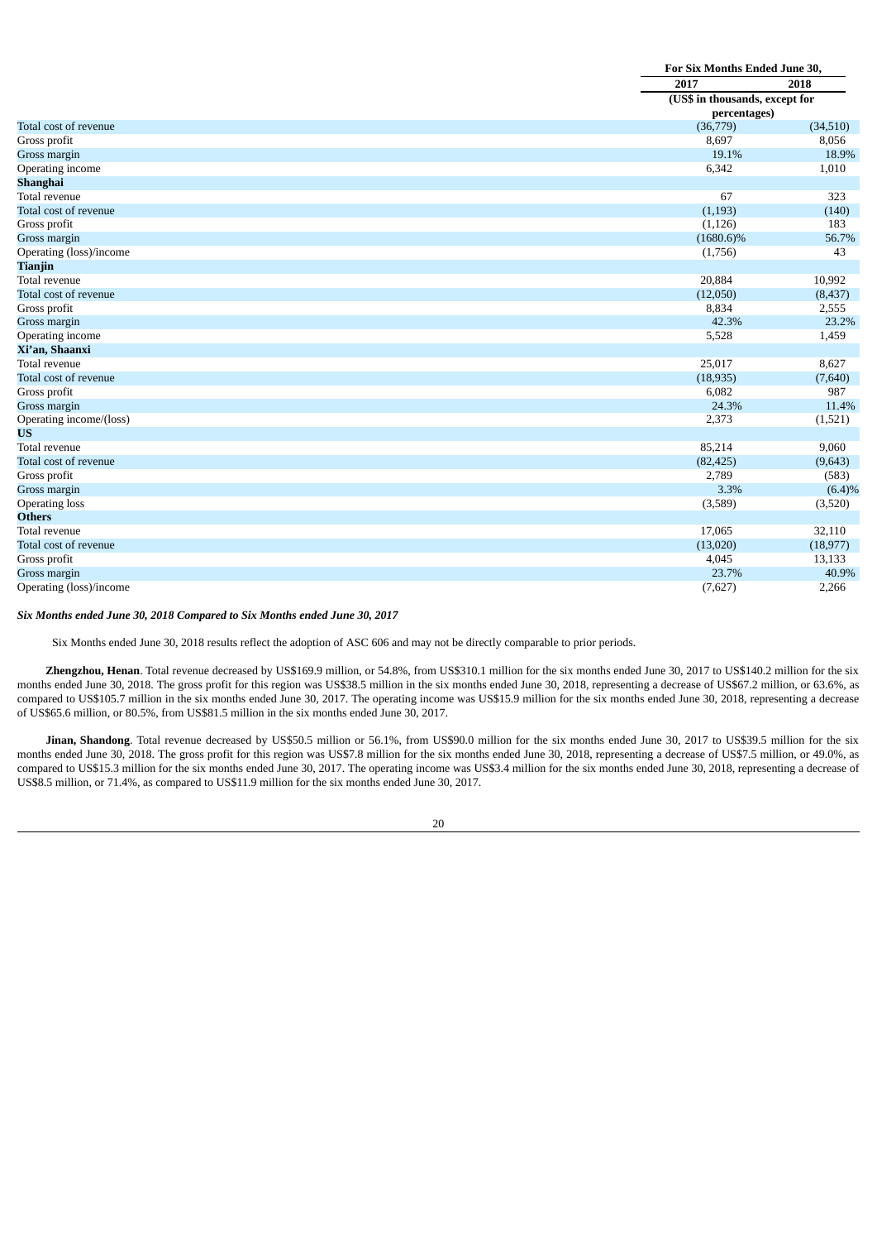|                         | For Six Months Ended June 30,  |           |  |
|-------------------------|--------------------------------|-----------|--|
|                         | 2017<br>2018                   |           |  |
|                         | (US\$ in thousands, except for |           |  |
|                         | percentages)                   |           |  |
| Total cost of revenue   | (36,779)                       | (34, 510) |  |
| Gross profit            | 8,697                          | 8,056     |  |
| Gross margin            | 19.1%                          | 18.9%     |  |
| Operating income        | 6,342                          | 1,010     |  |
| Shanghai                |                                |           |  |
| Total revenue           | 67                             | 323       |  |
| Total cost of revenue   | (1, 193)                       | (140)     |  |
| Gross profit            | (1, 126)                       | 183       |  |
| Gross margin            | $(1680.6)\%$                   | 56.7%     |  |
| Operating (loss)/income | (1,756)                        | 43        |  |
| <b>Tianjin</b>          |                                |           |  |
| Total revenue           | 20,884                         | 10,992    |  |
| Total cost of revenue   | (12,050)                       | (8, 437)  |  |
| Gross profit            | 8,834                          | 2,555     |  |
| Gross margin            | 42.3%                          | 23.2%     |  |
| Operating income        | 5,528                          | 1,459     |  |
| Xi'an, Shaanxi          |                                |           |  |
| Total revenue           | 25,017                         | 8,627     |  |
| Total cost of revenue   | (18, 935)                      | (7,640)   |  |
| Gross profit            | 6,082                          | 987       |  |
| Gross margin            | 24.3%                          | 11.4%     |  |
| Operating income/(loss) | 2,373                          | (1,521)   |  |
| <b>US</b>               |                                |           |  |
| Total revenue           | 85,214                         | 9,060     |  |
| Total cost of revenue   | (82, 425)                      | (9,643)   |  |
| Gross profit            | 2,789                          | (583)     |  |
| Gross margin            | 3.3%                           | (6.4)%    |  |
| <b>Operating loss</b>   | (3,589)                        | (3,520)   |  |
| <b>Others</b>           |                                |           |  |
| Total revenue           | 17,065                         | 32,110    |  |
| Total cost of revenue   | (13,020)                       | (18, 977) |  |
| Gross profit            | 4,045                          | 13,133    |  |
| Gross margin            | 23.7%                          | 40.9%     |  |
| Operating (loss)/income | (7,627)                        | 2,266     |  |

## *Six Months ended June 30, 2018 Compared to Six Months ended June 30, 2017*

Six Months ended June 30, 2018 results reflect the adoption of ASC 606 and may not be directly comparable to prior periods.

**Zhengzhou, Henan**. Total revenue decreased by US\$169.9 million, or 54.8%, from US\$310.1 million for the six months ended June 30, 2017 to US\$140.2 million for the six months ended June 30, 2018. The gross profit for this region was US\$38.5 million in the six months ended June 30, 2018, representing a decrease of US\$67.2 million, or 63.6%, as compared to US\$105.7 million in the six months ended June 30, 2017. The operating income was US\$15.9 million for the six months ended June 30, 2018, representing a decrease of US\$65.6 million, or 80.5%, from US\$81.5 million in the six months ended June 30, 2017.

Jinan, Shandong. Total revenue decreased by US\$50.5 million or 56.1%, from US\$90.0 million for the six months ended June 30, 2017 to US\$39.5 million for the six months ended June 30, 2018. The gross profit for this region was US\$7.8 million for the six months ended June 30, 2018, representing a decrease of US\$7.5 million, or 49.0%, as compared to US\$15.3 million for the six months ended June 30, 2017. The operating income was US\$3.4 million for the six months ended June 30, 2018, representing a decrease of US\$8.5 million, or 71.4%, as compared to US\$11.9 million for the six months ended June 30, 2017.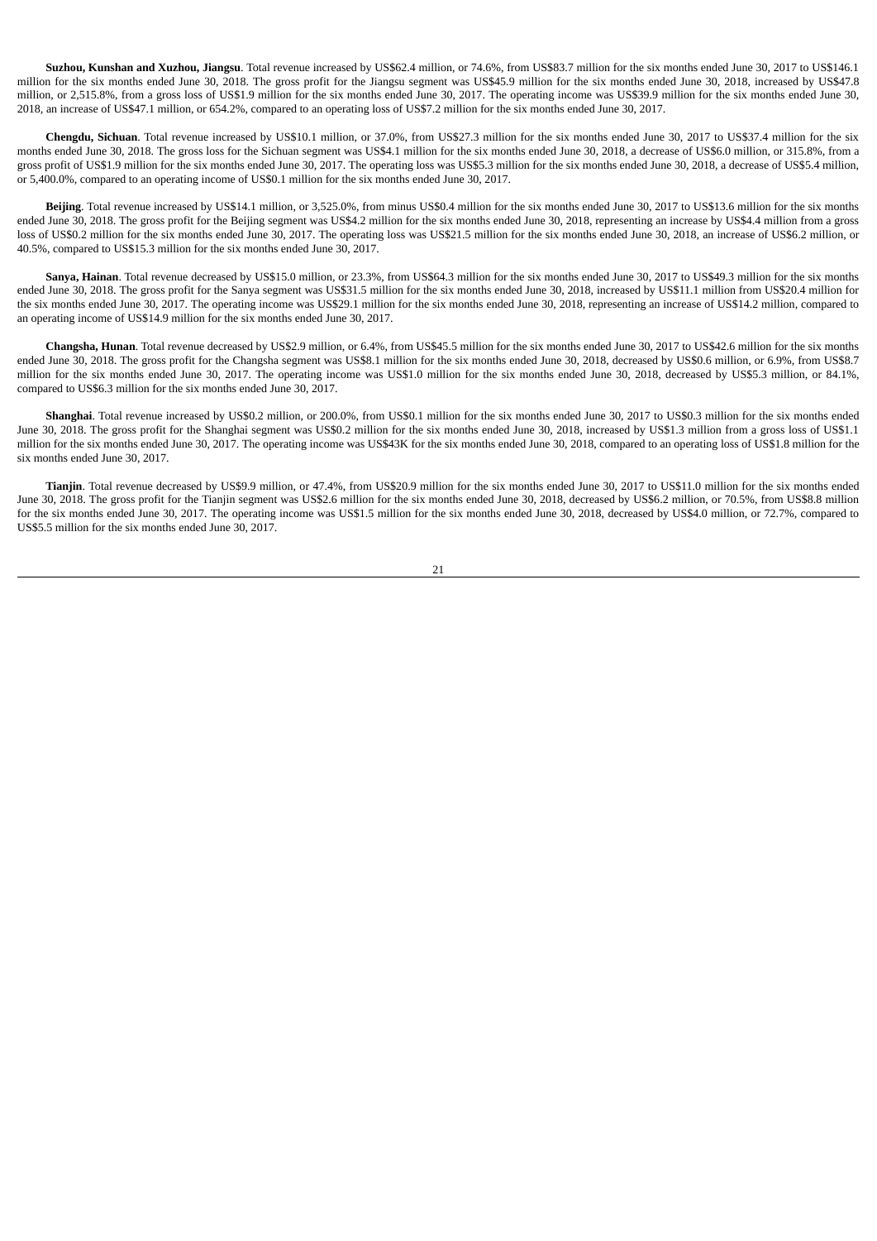**Suzhou, Kunshan and Xuzhou, Jiangsu**. Total revenue increased by US\$62.4 million, or 74.6%, from US\$83.7 million for the six months ended June 30, 2017 to US\$146.1 million for the six months ended June 30, 2018. The gross profit for the Jiangsu segment was US\$45.9 million for the six months ended June 30, 2018, increased by US\$47.8 million, or 2,515.8%, from a gross loss of US\$1.9 million for the six months ended June 30, 2017. The operating income was US\$39.9 million for the six months ended June 30, 2018, an increase of US\$47.1 million, or 654.2%, compared to an operating loss of US\$7.2 million for the six months ended June 30, 2017.

**Chengdu, Sichuan**. Total revenue increased by US\$10.1 million, or 37.0%, from US\$27.3 million for the six months ended June 30, 2017 to US\$37.4 million for the six months ended June 30, 2018. The gross loss for the Sichuan segment was US\$4.1 million for the six months ended June 30, 2018, a decrease of US\$6.0 million, or 315.8%, from a gross profit of US\$1.9 million for the six months ended June 30, 2017. The operating loss was US\$5.3 million for the six months ended June 30, 2018, a decrease of US\$5.4 million, or 5,400.0%, compared to an operating income of US\$0.1 million for the six months ended June 30, 2017.

**Beijing**. Total revenue increased by US\$14.1 million, or 3,525.0%, from minus US\$0.4 million for the six months ended June 30, 2017 to US\$13.6 million for the six months ended June 30, 2018. The gross profit for the Beijing segment was US\$4.2 million for the six months ended June 30, 2018, representing an increase by US\$4.4 million from a gross loss of US\$0.2 million for the six months ended June 30, 2017. The operating loss was US\$21.5 million for the six months ended June 30, 2018, an increase of US\$6.2 million, or 40.5%, compared to US\$15.3 million for the six months ended June 30, 2017.

**Sanya, Hainan**. Total revenue decreased by US\$15.0 million, or 23.3%, from US\$64.3 million for the six months ended June 30, 2017 to US\$49.3 million for the six months ended June 30, 2018. The gross profit for the Sanya segment was US\$31.5 million for the six months ended June 30, 2018, increased by US\$11.1 million from US\$20.4 million for the six months ended June 30, 2017. The operating income was US\$29.1 million for the six months ended June 30, 2018, representing an increase of US\$14.2 million, compared to an operating income of US\$14.9 million for the six months ended June 30, 2017.

**Changsha, Hunan**. Total revenue decreased by US\$2.9 million, or 6.4%, from US\$45.5 million for the six months ended June 30, 2017 to US\$42.6 million for the six months ended June 30, 2018. The gross profit for the Changsha segment was US\$8.1 million for the six months ended June 30, 2018, decreased by US\$0.6 million, or 6.9%, from US\$8.7 million for the six months ended June 30, 2017. The operating income was US\$1.0 million for the six months ended June 30, 2018, decreased by US\$5.3 million, or 84.1%, compared to US\$6.3 million for the six months ended June 30, 2017.

**Shanghai**. Total revenue increased by US\$0.2 million, or 200.0%, from US\$0.1 million for the six months ended June 30, 2017 to US\$0.3 million for the six months ended June 30, 2018. The gross profit for the Shanghai segment was US\$0.2 million for the six months ended June 30, 2018, increased by US\$1.3 million from a gross loss of US\$1.1 million for the six months ended June 30, 2017. The operating income was US\$43K for the six months ended June 30, 2018, compared to an operating loss of US\$1.8 million for the six months ended June 30, 2017.

**Tianjin**. Total revenue decreased by US\$9.9 million, or 47.4%, from US\$20.9 million for the six months ended June 30, 2017 to US\$11.0 million for the six months ended June 30, 2018. The gross profit for the Tianjin segment was US\$2.6 million for the six months ended June 30, 2018, decreased by US\$6.2 million, or 70.5%, from US\$8.8 million for the six months ended June 30, 2017. The operating income was US\$1.5 million for the six months ended June 30, 2018, decreased by US\$4.0 million, or 72.7%, compared to US\$5.5 million for the six months ended June 30, 2017.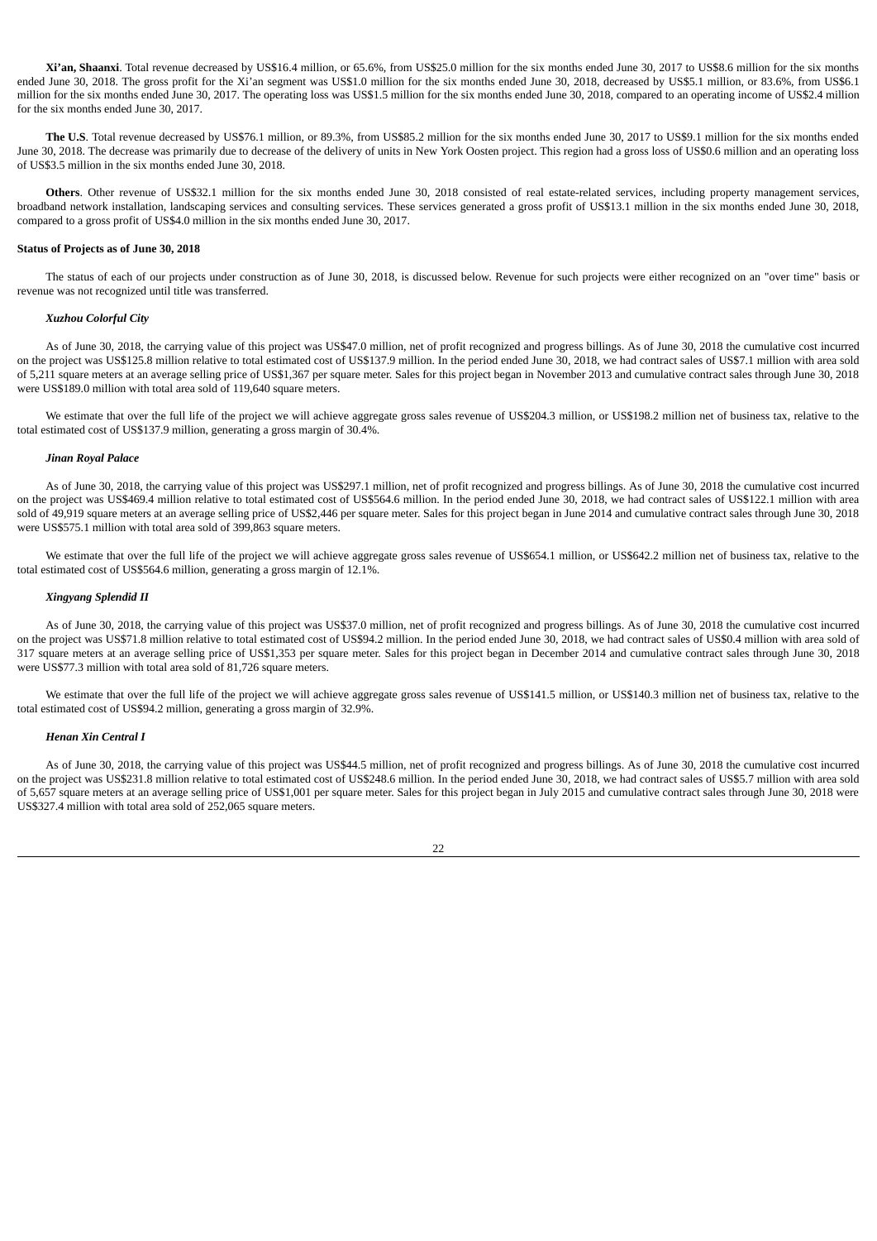**Xi'an, Shaanxi**. Total revenue decreased by US\$16.4 million, or 65.6%, from US\$25.0 million for the six months ended June 30, 2017 to US\$8.6 million for the six months ended June 30, 2018. The gross profit for the Xi'an segment was US\$1.0 million for the six months ended June 30, 2018, decreased by US\$5.1 million, or 83.6%, from US\$6.1 million for the six months ended June 30, 2017. The operating loss was US\$1.5 million for the six months ended June 30, 2018, compared to an operating income of US\$2.4 million for the six months ended June 30, 2017.

**The U.S**. Total revenue decreased by US\$76.1 million, or 89.3%, from US\$85.2 million for the six months ended June 30, 2017 to US\$9.1 million for the six months ended June 30, 2018. The decrease was primarily due to decrease of the delivery of units in New York Oosten project. This region had a gross loss of US\$0.6 million and an operating loss of US\$3.5 million in the six months ended June 30, 2018.

**Others**. Other revenue of US\$32.1 million for the six months ended June 30, 2018 consisted of real estate-related services, including property management services, broadband network installation, landscaping services and consulting services. These services generated a gross profit of US\$13.1 million in the six months ended June 30, 2018, compared to a gross profit of US\$4.0 million in the six months ended June 30, 2017.

## **Status of Projects as of June 30, 2018**

The status of each of our projects under construction as of June 30, 2018, is discussed below. Revenue for such projects were either recognized on an "over time" basis or revenue was not recognized until title was transferred.

### *Xuzhou Colorful City*

As of June 30, 2018, the carrying value of this project was US\$47.0 million, net of profit recognized and progress billings. As of June 30, 2018 the cumulative cost incurred on the project was US\$125.8 million relative to total estimated cost of US\$137.9 million. In the period ended June 30, 2018, we had contract sales of US\$7.1 million with area sold of 5,211 square meters at an average selling price of US\$1,367 per square meter. Sales for this project began in November 2013 and cumulative contract sales through June 30, 2018 were US\$189.0 million with total area sold of 119,640 square meters.

We estimate that over the full life of the project we will achieve aggregate gross sales revenue of US\$204.3 million, or US\$198.2 million net of business tax, relative to the total estimated cost of US\$137.9 million, generating a gross margin of 30.4%.

### *Jinan Royal Palace*

As of June 30, 2018, the carrying value of this project was US\$297.1 million, net of profit recognized and progress billings. As of June 30, 2018 the cumulative cost incurred on the project was US\$469.4 million relative to total estimated cost of US\$564.6 million. In the period ended June 30, 2018, we had contract sales of US\$122.1 million with area sold of 49,919 square meters at an average selling price of US\$2,446 per square meter. Sales for this project began in June 2014 and cumulative contract sales through June 30, 2018 were US\$575.1 million with total area sold of 399,863 square meters.

We estimate that over the full life of the project we will achieve aggregate gross sales revenue of US\$654.1 million, or US\$642.2 million net of business tax, relative to the total estimated cost of US\$564.6 million, generating a gross margin of 12.1%.

#### *Xingyang Splendid II*

As of June 30, 2018, the carrying value of this project was US\$37.0 million, net of profit recognized and progress billings. As of June 30, 2018 the cumulative cost incurred on the project was US\$71.8 million relative to total estimated cost of US\$94.2 million. In the period ended June 30, 2018, we had contract sales of US\$0.4 million with area sold of 317 square meters at an average selling price of US\$1,353 per square meter. Sales for this project began in December 2014 and cumulative contract sales through June 30, 2018 were US\$77.3 million with total area sold of 81,726 square meters.

We estimate that over the full life of the project we will achieve aggregate gross sales revenue of US\$141.5 million, or US\$140.3 million net of business tax, relative to the total estimated cost of US\$94.2 million, generating a gross margin of 32.9%.

#### *Henan Xin Central I*

As of June 30, 2018, the carrying value of this project was US\$44.5 million, net of profit recognized and progress billings. As of June 30, 2018 the cumulative cost incurred on the project was US\$231.8 million relative to total estimated cost of US\$248.6 million. In the period ended June 30, 2018, we had contract sales of US\$5.7 million with area sold of 5,657 square meters at an average selling price of US\$1,001 per square meter. Sales for this project began in July 2015 and cumulative contract sales through June 30, 2018 were US\$327.4 million with total area sold of 252,065 square meters.

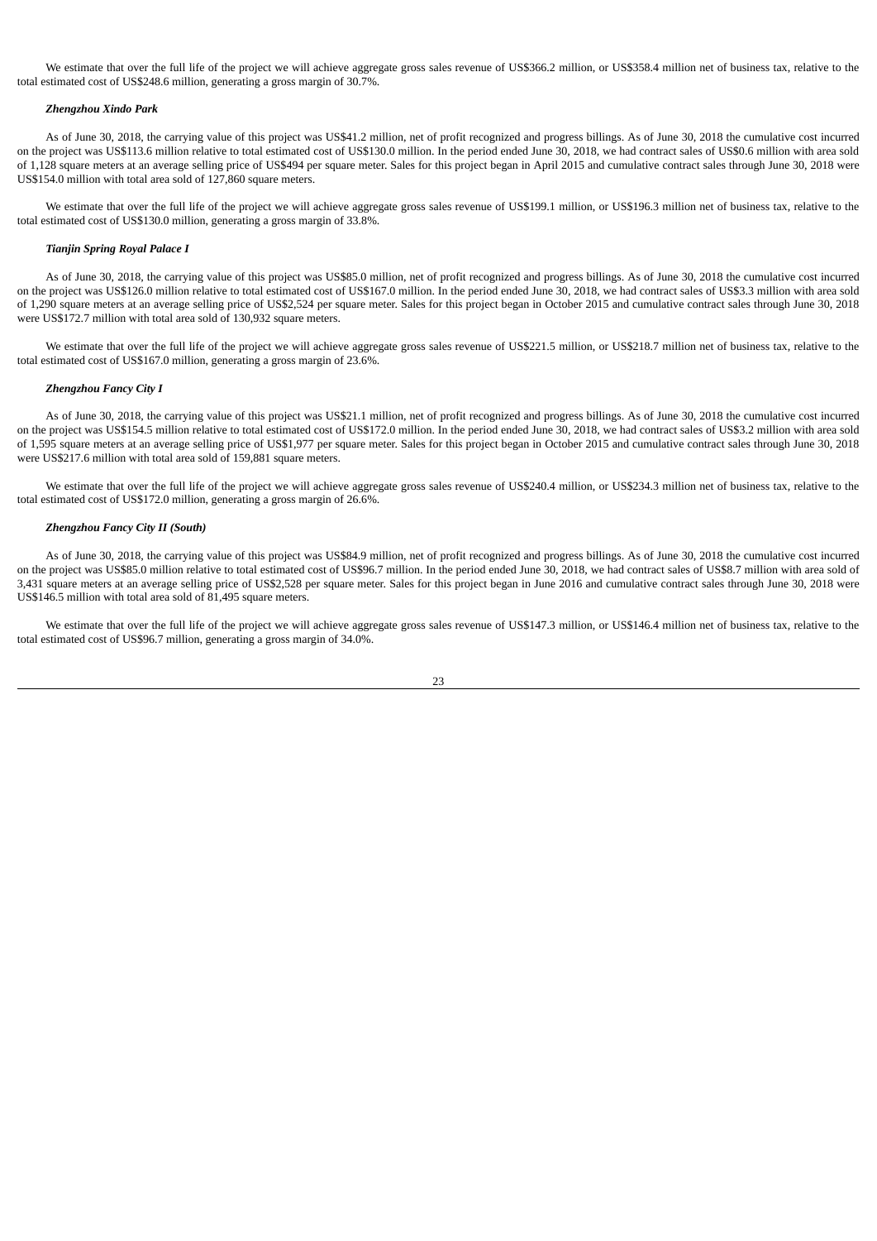We estimate that over the full life of the project we will achieve aggregate gross sales revenue of US\$366.2 million, or US\$358.4 million net of business tax, relative to the total estimated cost of US\$248.6 million, generating a gross margin of 30.7%.

### *Zhengzhou Xindo Park*

As of June 30, 2018, the carrying value of this project was US\$41.2 million, net of profit recognized and progress billings. As of June 30, 2018 the cumulative cost incurred on the project was US\$113.6 million relative to total estimated cost of US\$130.0 million. In the period ended June 30, 2018, we had contract sales of US\$0.6 million with area sold of 1,128 square meters at an average selling price of US\$494 per square meter. Sales for this project began in April 2015 and cumulative contract sales through June 30, 2018 were US\$154.0 million with total area sold of 127,860 square meters.

We estimate that over the full life of the project we will achieve aggregate gross sales revenue of US\$199.1 million, or US\$196.3 million net of business tax, relative to the total estimated cost of US\$130.0 million, generating a gross margin of 33.8%.

### *Tianjin Spring Royal Palace I*

As of June 30, 2018, the carrying value of this project was US\$85.0 million, net of profit recognized and progress billings. As of June 30, 2018 the cumulative cost incurred on the project was US\$126.0 million relative to total estimated cost of US\$167.0 million. In the period ended June 30, 2018, we had contract sales of US\$3.3 million with area sold of 1,290 square meters at an average selling price of US\$2,524 per square meter. Sales for this project began in October 2015 and cumulative contract sales through June 30, 2018 were US\$172.7 million with total area sold of 130,932 square meters.

We estimate that over the full life of the project we will achieve aggregate gross sales revenue of US\$221.5 million, or US\$218.7 million net of business tax, relative to the total estimated cost of US\$167.0 million, generating a gross margin of 23.6%.

# *Zhengzhou Fancy City I*

As of June 30, 2018, the carrying value of this project was US\$21.1 million, net of profit recognized and progress billings. As of June 30, 2018 the cumulative cost incurred on the project was US\$154.5 million relative to total estimated cost of US\$172.0 million. In the period ended June 30, 2018, we had contract sales of US\$3.2 million with area sold of 1,595 square meters at an average selling price of US\$1,977 per square meter. Sales for this project began in October 2015 and cumulative contract sales through June 30, 2018 were US\$217.6 million with total area sold of 159,881 square meters.

We estimate that over the full life of the project we will achieve aggregate gross sales revenue of US\$240.4 million, or US\$234.3 million net of business tax, relative to the total estimated cost of US\$172.0 million, generating a gross margin of 26.6%.

#### *Zhengzhou Fancy City II (South)*

As of June 30, 2018, the carrying value of this project was US\$84.9 million, net of profit recognized and progress billings. As of June 30, 2018 the cumulative cost incurred on the project was US\$85.0 million relative to total estimated cost of US\$96.7 million. In the period ended June 30, 2018, we had contract sales of US\$8.7 million with area sold of 3,431 square meters at an average selling price of US\$2,528 per square meter. Sales for this project began in June 2016 and cumulative contract sales through June 30, 2018 were US\$146.5 million with total area sold of 81,495 square meters.

We estimate that over the full life of the project we will achieve aggregate gross sales revenue of US\$147.3 million, or US\$146.4 million net of business tax, relative to the total estimated cost of US\$96.7 million, generating a gross margin of 34.0%.

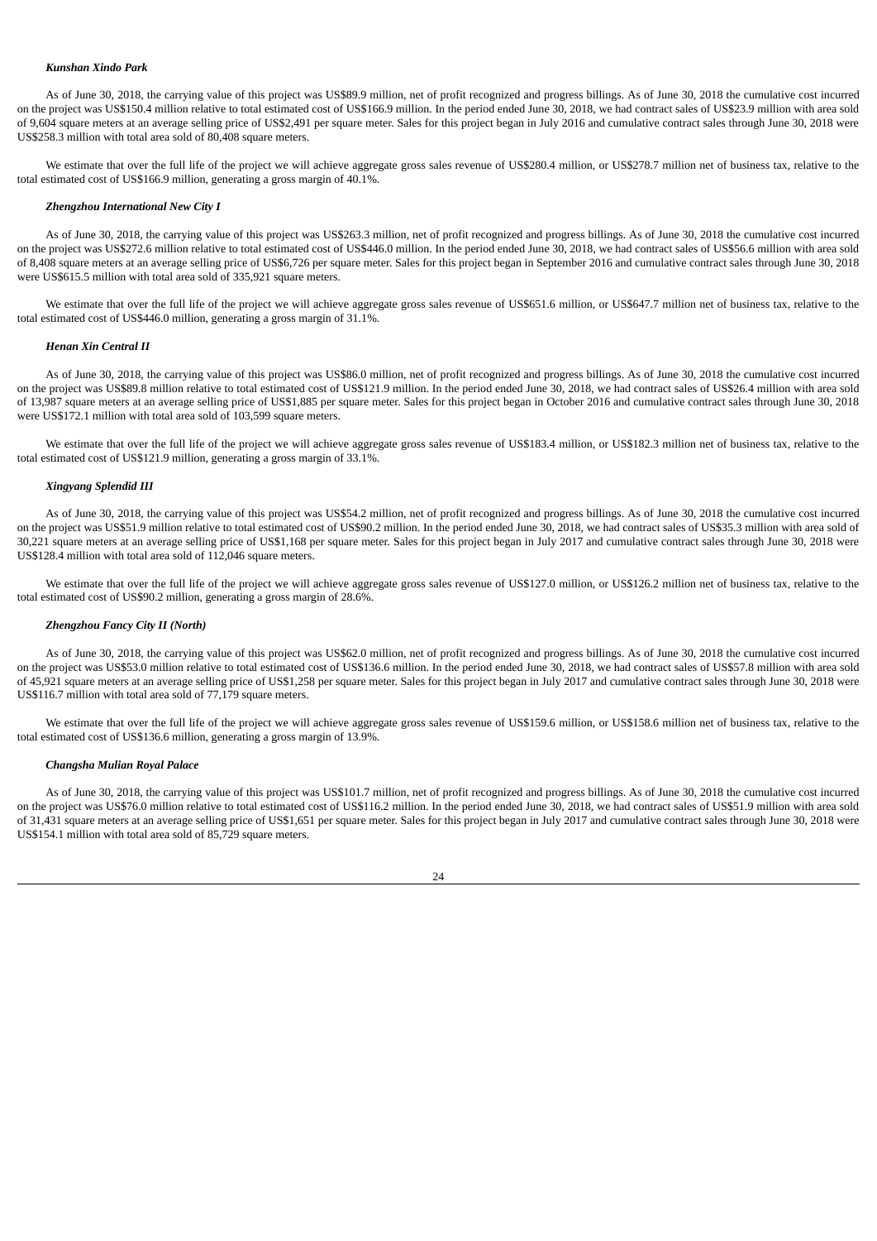#### *Kunshan Xindo Park*

As of June 30, 2018, the carrying value of this project was US\$89.9 million, net of profit recognized and progress billings. As of June 30, 2018 the cumulative cost incurred on the project was US\$150.4 million relative to total estimated cost of US\$166.9 million. In the period ended June 30, 2018, we had contract sales of US\$23.9 million with area sold of 9,604 square meters at an average selling price of US\$2,491 per square meter. Sales for this project began in July 2016 and cumulative contract sales through June 30, 2018 were US\$258.3 million with total area sold of 80,408 square meters.

We estimate that over the full life of the project we will achieve aggregate gross sales revenue of US\$280.4 million, or US\$278.7 million net of business tax, relative to the total estimated cost of US\$166.9 million, generating a gross margin of 40.1%.

### *Zhengzhou International New City I*

As of June 30, 2018, the carrying value of this project was US\$263.3 million, net of profit recognized and progress billings. As of June 30, 2018 the cumulative cost incurred on the project was US\$272.6 million relative to total estimated cost of US\$446.0 million. In the period ended June 30, 2018, we had contract sales of US\$56.6 million with area sold of 8,408 square meters at an average selling price of US\$6,726 per square meter. Sales for this project began in September 2016 and cumulative contract sales through June 30, 2018 were US\$615.5 million with total area sold of 335,921 square meters.

We estimate that over the full life of the project we will achieve aggregate gross sales revenue of US\$651.6 million, or US\$647.7 million net of business tax, relative to the total estimated cost of US\$446.0 million, generating a gross margin of 31.1%.

#### *Henan Xin Central II*

As of June 30, 2018, the carrying value of this project was US\$86.0 million, net of profit recognized and progress billings. As of June 30, 2018 the cumulative cost incurred on the project was US\$89.8 million relative to total estimated cost of US\$121.9 million. In the period ended June 30, 2018, we had contract sales of US\$26.4 million with area sold of 13,987 square meters at an average selling price of US\$1,885 per square meter. Sales for this project began in October 2016 and cumulative contract sales through June 30, 2018 were US\$172.1 million with total area sold of 103,599 square meters.

We estimate that over the full life of the project we will achieve aggregate gross sales revenue of US\$183.4 million, or US\$182.3 million net of business tax, relative to the total estimated cost of US\$121.9 million, generating a gross margin of 33.1%.

#### *Xingyang Splendid III*

As of June 30, 2018, the carrying value of this project was US\$54.2 million, net of profit recognized and progress billings. As of June 30, 2018 the cumulative cost incurred on the project was US\$51.9 million relative to total estimated cost of US\$90.2 million. In the period ended June 30, 2018, we had contract sales of US\$35.3 million with area sold of 30,221 square meters at an average selling price of US\$1,168 per square meter. Sales for this project began in July 2017 and cumulative contract sales through June 30, 2018 were US\$128.4 million with total area sold of 112,046 square meters.

We estimate that over the full life of the project we will achieve aggregate gross sales revenue of US\$127.0 million, or US\$126.2 million net of business tax, relative to the total estimated cost of US\$90.2 million, generating a gross margin of 28.6%.

### *Zhengzhou Fancy City II (North)*

As of June 30, 2018, the carrying value of this project was US\$62.0 million, net of profit recognized and progress billings. As of June 30, 2018 the cumulative cost incurred on the project was US\$53.0 million relative to total estimated cost of US\$136.6 million. In the period ended June 30, 2018, we had contract sales of US\$57.8 million with area sold of 45,921 square meters at an average selling price of US\$1,258 per square meter. Sales for this project began in July 2017 and cumulative contract sales through June 30, 2018 were US\$116.7 million with total area sold of 77,179 square meters.

We estimate that over the full life of the project we will achieve aggregate gross sales revenue of US\$159.6 million, or US\$158.6 million net of business tax, relative to the total estimated cost of US\$136.6 million, generating a gross margin of 13.9%.

### *Changsha Mulian Royal Palace*

As of June 30, 2018, the carrying value of this project was US\$101.7 million, net of profit recognized and progress billings. As of June 30, 2018 the cumulative cost incurred on the project was US\$76.0 million relative to total estimated cost of US\$116.2 million. In the period ended June 30, 2018, we had contract sales of US\$51.9 million with area sold of 31,431 square meters at an average selling price of US\$1,651 per square meter. Sales for this project began in July 2017 and cumulative contract sales through June 30, 2018 were US\$154.1 million with total area sold of 85,729 square meters.

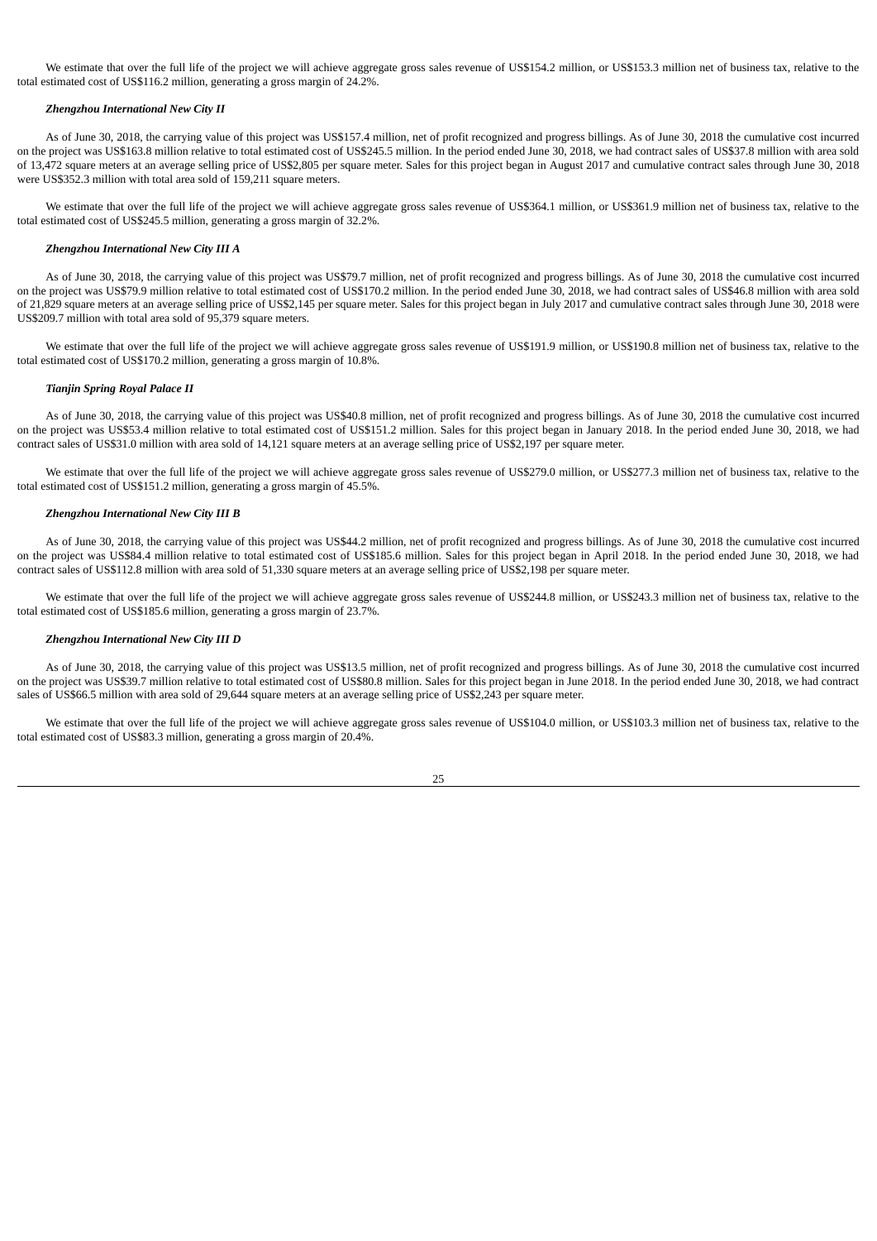We estimate that over the full life of the project we will achieve aggregate gross sales revenue of US\$154.2 million, or US\$153.3 million net of business tax, relative to the total estimated cost of US\$116.2 million, generating a gross margin of 24.2%.

## *Zhengzhou International New City II*

As of June 30, 2018, the carrying value of this project was US\$157.4 million, net of profit recognized and progress billings. As of June 30, 2018 the cumulative cost incurred on the project was US\$163.8 million relative to total estimated cost of US\$245.5 million. In the period ended June 30, 2018, we had contract sales of US\$37.8 million with area sold of 13,472 square meters at an average selling price of US\$2,805 per square meter. Sales for this project began in August 2017 and cumulative contract sales through June 30, 2018 were US\$352.3 million with total area sold of 159,211 square meters.

We estimate that over the full life of the project we will achieve aggregate gross sales revenue of US\$364.1 million, or US\$361.9 million net of business tax, relative to the total estimated cost of US\$245.5 million, generating a gross margin of 32.2%.

### *Zhengzhou International New City III A*

As of June 30, 2018, the carrying value of this project was US\$79.7 million, net of profit recognized and progress billings. As of June 30, 2018 the cumulative cost incurred on the project was US\$79.9 million relative to total estimated cost of US\$170.2 million. In the period ended June 30, 2018, we had contract sales of US\$46.8 million with area sold of 21,829 square meters at an average selling price of US\$2,145 per square meter. Sales for this project began in July 2017 and cumulative contract sales through June 30, 2018 were US\$209.7 million with total area sold of 95,379 square meters.

We estimate that over the full life of the project we will achieve aggregate gross sales revenue of US\$191.9 million, or US\$190.8 million net of business tax, relative to the total estimated cost of US\$170.2 million, generating a gross margin of 10.8%.

# *Tianjin Spring Royal Palace II*

As of June 30, 2018, the carrying value of this project was US\$40.8 million, net of profit recognized and progress billings. As of June 30, 2018 the cumulative cost incurred on the project was US\$53.4 million relative to total estimated cost of US\$151.2 million. Sales for this project began in January 2018. In the period ended June 30, 2018, we had contract sales of US\$31.0 million with area sold of 14,121 square meters at an average selling price of US\$2,197 per square meter.

We estimate that over the full life of the project we will achieve aggregate gross sales revenue of US\$279.0 million, or US\$277.3 million net of business tax, relative to the total estimated cost of US\$151.2 million, generating a gross margin of 45.5%.

### *Zhengzhou International New City III B*

As of June 30, 2018, the carrying value of this project was US\$44.2 million, net of profit recognized and progress billings. As of June 30, 2018 the cumulative cost incurred on the project was US\$84.4 million relative to total estimated cost of US\$185.6 million. Sales for this project began in April 2018. In the period ended June 30, 2018, we had contract sales of US\$112.8 million with area sold of 51,330 square meters at an average selling price of US\$2,198 per square meter.

We estimate that over the full life of the project we will achieve aggregate gross sales revenue of US\$244.8 million, or US\$243.3 million net of business tax, relative to the total estimated cost of US\$185.6 million, generating a gross margin of 23.7%.

### *Zhengzhou International New City III D*

As of June 30, 2018, the carrying value of this project was US\$13.5 million, net of profit recognized and progress billings. As of June 30, 2018 the cumulative cost incurred on the project was US\$39.7 million relative to total estimated cost of US\$80.8 million. Sales for this project began in June 2018. In the period ended June 30, 2018, we had contract sales of US\$66.5 million with area sold of 29,644 square meters at an average selling price of US\$2,243 per square meter.

We estimate that over the full life of the project we will achieve aggregate gross sales revenue of US\$104.0 million, or US\$103.3 million net of business tax, relative to the total estimated cost of US\$83.3 million, generating a gross margin of 20.4%.

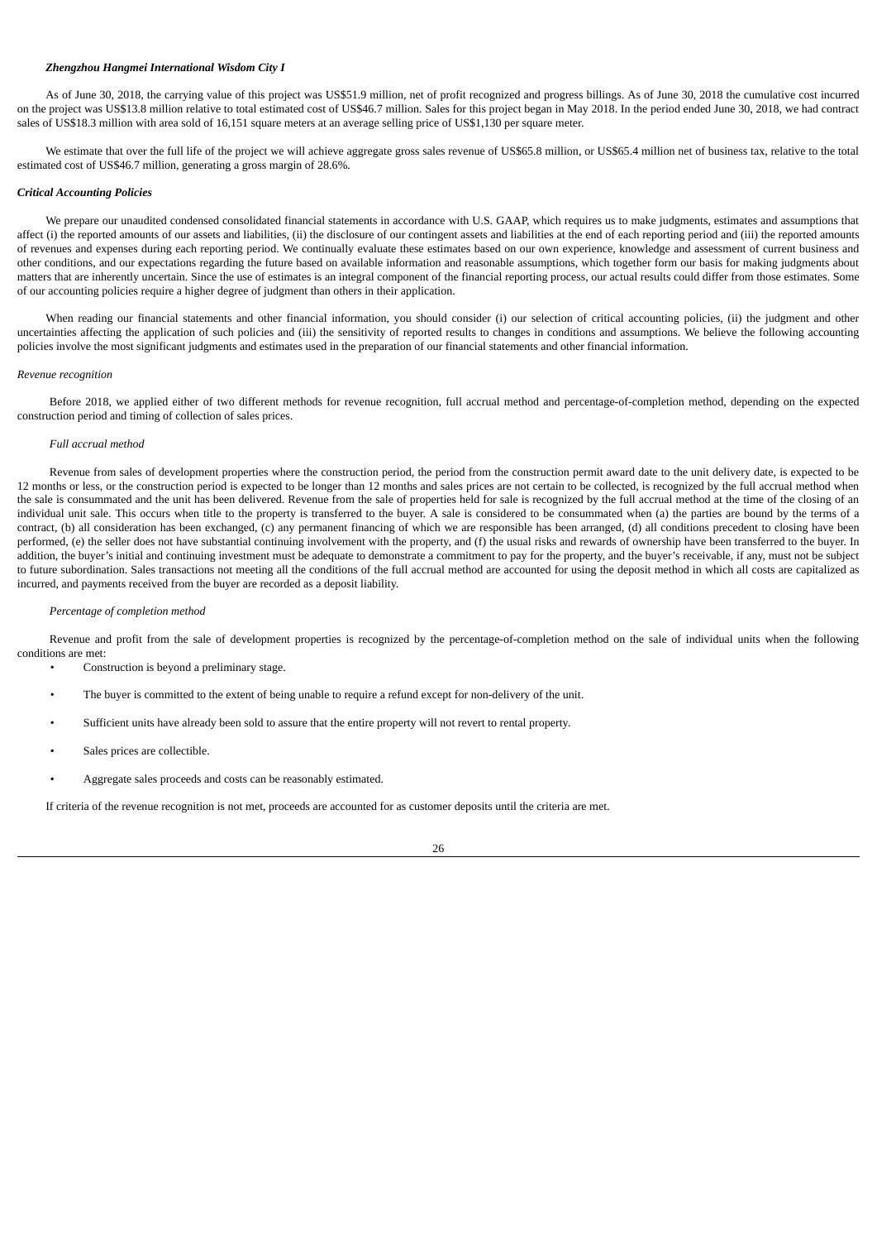#### *Zhengzhou Hangmei International Wisdom City I*

As of June 30, 2018, the carrying value of this project was US\$51.9 million, net of profit recognized and progress billings. As of June 30, 2018 the cumulative cost incurred on the project was US\$13.8 million relative to total estimated cost of US\$46.7 million. Sales for this project began in May 2018. In the period ended June 30, 2018, we had contract sales of US\$18.3 million with area sold of 16,151 square meters at an average selling price of US\$1,130 per square meter.

We estimate that over the full life of the project we will achieve aggregate gross sales revenue of US\$65.8 million, or US\$65.4 million net of business tax, relative to the total estimated cost of US\$46.7 million, generating a gross margin of 28.6%.

### *Critical Accounting Policies*

We prepare our unaudited condensed consolidated financial statements in accordance with U.S. GAAP, which requires us to make judgments, estimates and assumptions that affect (i) the reported amounts of our assets and liabilities, (ii) the disclosure of our contingent assets and liabilities at the end of each reporting period and (iii) the reported amounts of revenues and expenses during each reporting period. We continually evaluate these estimates based on our own experience, knowledge and assessment of current business and other conditions, and our expectations regarding the future based on available information and reasonable assumptions, which together form our basis for making judgments about matters that are inherently uncertain. Since the use of estimates is an integral component of the financial reporting process, our actual results could differ from those estimates. Some of our accounting policies require a higher degree of judgment than others in their application.

When reading our financial statements and other financial information, you should consider (i) our selection of critical accounting policies, (ii) the judgment and other uncertainties affecting the application of such policies and (iii) the sensitivity of reported results to changes in conditions and assumptions. We believe the following accounting policies involve the most significant judgments and estimates used in the preparation of our financial statements and other financial information.

#### *Revenue recognition*

Before 2018, we applied either of two different methods for revenue recognition, full accrual method and percentage-of-completion method, depending on the expected construction period and timing of collection of sales prices.

### *Full accrual method*

Revenue from sales of development properties where the construction period, the period from the construction permit award date to the unit delivery date, is expected to be 12 months or less, or the construction period is expected to be longer than 12 months and sales prices are not certain to be collected, is recognized by the full accrual method when the sale is consummated and the unit has been delivered. Revenue from the sale of properties held for sale is recognized by the full accrual method at the time of the closing of an individual unit sale. This occurs when title to the property is transferred to the buyer. A sale is considered to be consummated when (a) the parties are bound by the terms of a contract, (b) all consideration has been exchanged, (c) any permanent financing of which we are responsible has been arranged, (d) all conditions precedent to closing have been performed, (e) the seller does not have substantial continuing involvement with the property, and (f) the usual risks and rewards of ownership have been transferred to the buyer. In addition, the buyer's initial and continuing investment must be adequate to demonstrate a commitment to pay for the property, and the buyer's receivable, if any, must not be subject to future subordination. Sales transactions not meeting all the conditions of the full accrual method are accounted for using the deposit method in which all costs are capitalized as incurred, and payments received from the buyer are recorded as a deposit liability.

#### *Percentage of completion method*

Revenue and profit from the sale of development properties is recognized by the percentage-of-completion method on the sale of individual units when the following conditions are met:

• Construction is beyond a preliminary stage.

- The buyer is committed to the extent of being unable to require a refund except for non-delivery of the unit.
- Sufficient units have already been sold to assure that the entire property will not revert to rental property.
- Sales prices are collectible.
- Aggregate sales proceeds and costs can be reasonably estimated.

If criteria of the revenue recognition is not met, proceeds are accounted for as customer deposits until the criteria are met.

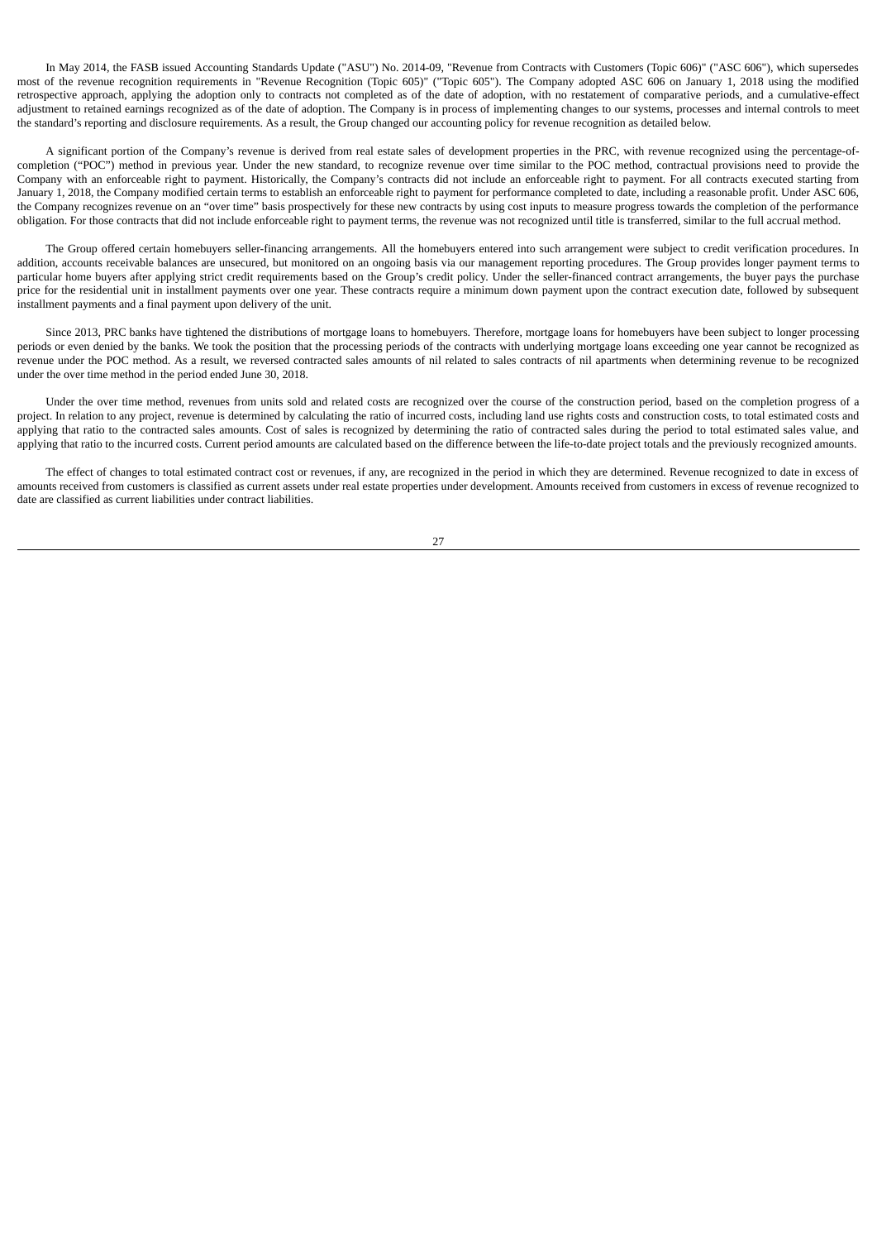In May 2014, the FASB issued Accounting Standards Update ("ASU") No. 2014-09, "Revenue from Contracts with Customers (Topic 606)" ("ASC 606"), which supersedes most of the revenue recognition requirements in "Revenue Recognition (Topic 605)" ("Topic 605"). The Company adopted ASC 606 on January 1, 2018 using the modified retrospective approach, applying the adoption only to contracts not completed as of the date of adoption, with no restatement of comparative periods, and a cumulative-effect adjustment to retained earnings recognized as of the date of adoption. The Company is in process of implementing changes to our systems, processes and internal controls to meet the standard's reporting and disclosure requirements. As a result, the Group changed our accounting policy for revenue recognition as detailed below.

A significant portion of the Company's revenue is derived from real estate sales of development properties in the PRC, with revenue recognized using the percentage-ofcompletion ("POC") method in previous year. Under the new standard, to recognize revenue over time similar to the POC method, contractual provisions need to provide the Company with an enforceable right to payment. Historically, the Company's contracts did not include an enforceable right to payment. For all contracts executed starting from January 1, 2018, the Company modified certain terms to establish an enforceable right to payment for performance completed to date, including a reasonable profit. Under ASC 606, the Company recognizes revenue on an "over time" basis prospectively for these new contracts by using cost inputs to measure progress towards the completion of the performance obligation. For those contracts that did not include enforceable right to payment terms, the revenue was not recognized until title is transferred, similar to the full accrual method.

The Group offered certain homebuyers seller-financing arrangements. All the homebuyers entered into such arrangement were subject to credit verification procedures. In addition, accounts receivable balances are unsecured, but monitored on an ongoing basis via our management reporting procedures. The Group provides longer payment terms to particular home buyers after applying strict credit requirements based on the Group's credit policy. Under the seller-financed contract arrangements, the buyer pays the purchase price for the residential unit in installment payments over one year. These contracts require a minimum down payment upon the contract execution date, followed by subsequent installment payments and a final payment upon delivery of the unit.

Since 2013, PRC banks have tightened the distributions of mortgage loans to homebuyers. Therefore, mortgage loans for homebuyers have been subject to longer processing periods or even denied by the banks. We took the position that the processing periods of the contracts with underlying mortgage loans exceeding one year cannot be recognized as revenue under the POC method. As a result, we reversed contracted sales amounts of nil related to sales contracts of nil apartments when determining revenue to be recognized under the over time method in the period ended June 30, 2018.

Under the over time method, revenues from units sold and related costs are recognized over the course of the construction period, based on the completion progress of a project. In relation to any project, revenue is determined by calculating the ratio of incurred costs, including land use rights costs and construction costs, to total estimated costs and applying that ratio to the contracted sales amounts. Cost of sales is recognized by determining the ratio of contracted sales during the period to total estimated sales value, and applying that ratio to the incurred costs. Current period amounts are calculated based on the difference between the life-to-date project totals and the previously recognized amounts.

The effect of changes to total estimated contract cost or revenues, if any, are recognized in the period in which they are determined. Revenue recognized to date in excess of amounts received from customers is classified as current assets under real estate properties under development. Amounts received from customers in excess of revenue recognized to date are classified as current liabilities under contract liabilities.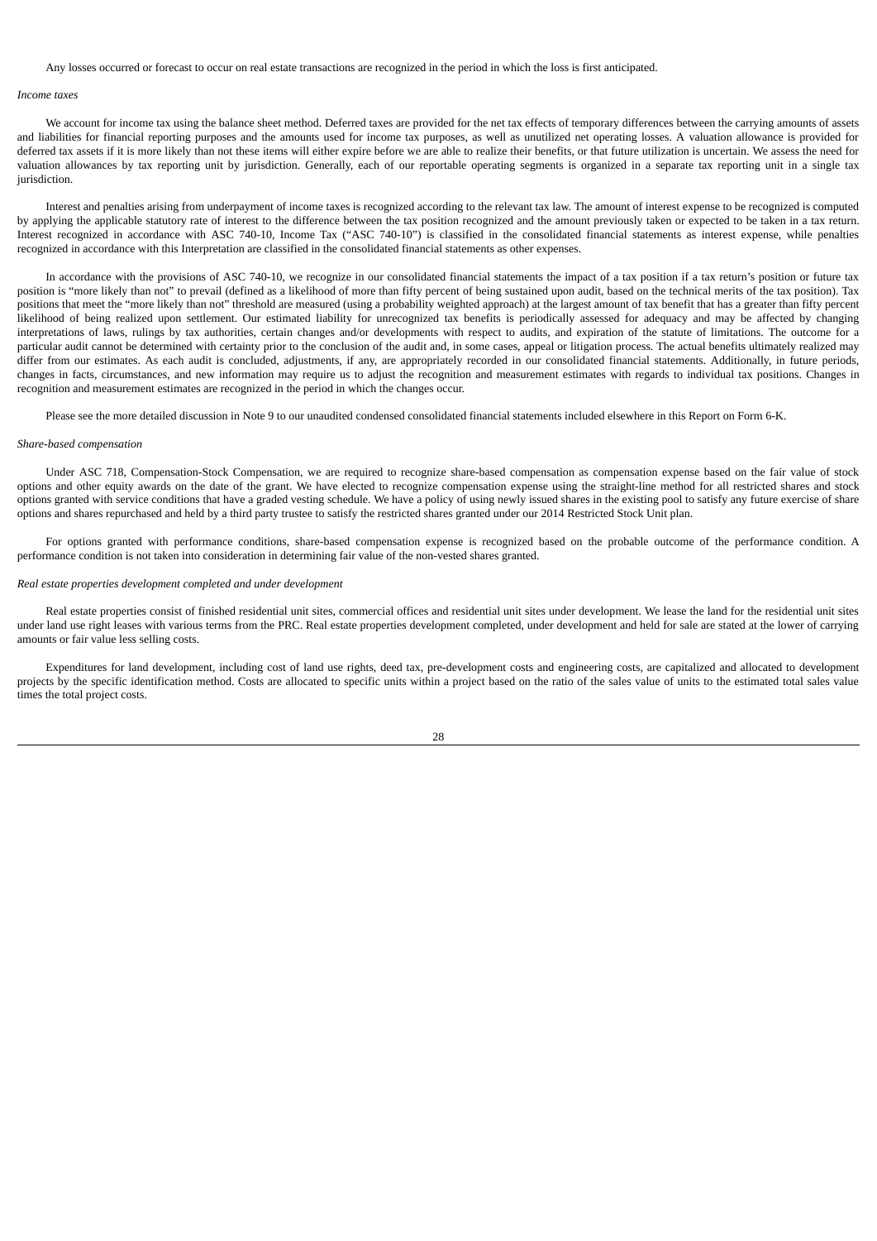Any losses occurred or forecast to occur on real estate transactions are recognized in the period in which the loss is first anticipated.

#### *Income taxes*

We account for income tax using the balance sheet method. Deferred taxes are provided for the net tax effects of temporary differences between the carrying amounts of assets and liabilities for financial reporting purposes and the amounts used for income tax purposes, as well as unutilized net operating losses. A valuation allowance is provided for deferred tax assets if it is more likely than not these items will either expire before we are able to realize their benefits, or that future utilization is uncertain. We assess the need for valuation allowances by tax reporting unit by jurisdiction. Generally, each of our reportable operating segments is organized in a separate tax reporting unit in a single tax jurisdiction.

Interest and penalties arising from underpayment of income taxes is recognized according to the relevant tax law. The amount of interest expense to be recognized is computed by applying the applicable statutory rate of interest to the difference between the tax position recognized and the amount previously taken or expected to be taken in a tax return. Interest recognized in accordance with ASC 740-10, Income Tax ("ASC 740-10") is classified in the consolidated financial statements as interest expense, while penalties recognized in accordance with this Interpretation are classified in the consolidated financial statements as other expenses.

In accordance with the provisions of ASC 740-10, we recognize in our consolidated financial statements the impact of a tax position if a tax return's position or future tax position is "more likely than not" to prevail (defined as a likelihood of more than fifty percent of being sustained upon audit, based on the technical merits of the tax position). Tax positions that meet the "more likely than not" threshold are measured (using a probability weighted approach) at the largest amount of tax benefit that has a greater than fifty percent likelihood of being realized upon settlement. Our estimated liability for unrecognized tax benefits is periodically assessed for adequacy and may be affected by changing interpretations of laws, rulings by tax authorities, certain changes and/or developments with respect to audits, and expiration of the statute of limitations. The outcome for a particular audit cannot be determined with certainty prior to the conclusion of the audit and, in some cases, appeal or litigation process. The actual benefits ultimately realized may differ from our estimates. As each audit is concluded, adjustments, if any, are appropriately recorded in our consolidated financial statements. Additionally, in future periods, changes in facts, circumstances, and new information may require us to adjust the recognition and measurement estimates with regards to individual tax positions. Changes in recognition and measurement estimates are recognized in the period in which the changes occur.

Please see the more detailed discussion in Note 9 to our unaudited condensed consolidated financial statements included elsewhere in this Report on Form 6-K.

### *Share-based compensation*

Under ASC 718, Compensation-Stock Compensation, we are required to recognize share-based compensation as compensation expense based on the fair value of stock options and other equity awards on the date of the grant. We have elected to recognize compensation expense using the straight-line method for all restricted shares and stock options granted with service conditions that have a graded vesting schedule. We have a policy of using newly issued shares in the existing pool to satisfy any future exercise of share options and shares repurchased and held by a third party trustee to satisfy the restricted shares granted under our 2014 Restricted Stock Unit plan.

For options granted with performance conditions, share-based compensation expense is recognized based on the probable outcome of the performance condition. A performance condition is not taken into consideration in determining fair value of the non-vested shares granted.

#### *Real estate properties development completed and under development*

Real estate properties consist of finished residential unit sites, commercial offices and residential unit sites under development. We lease the land for the residential unit sites under land use right leases with various terms from the PRC. Real estate properties development completed, under development and held for sale are stated at the lower of carrying amounts or fair value less selling costs.

Expenditures for land development, including cost of land use rights, deed tax, pre-development costs and engineering costs, are capitalized and allocated to development projects by the specific identification method. Costs are allocated to specific units within a project based on the ratio of the sales value of units to the estimated total sales value times the total project costs.

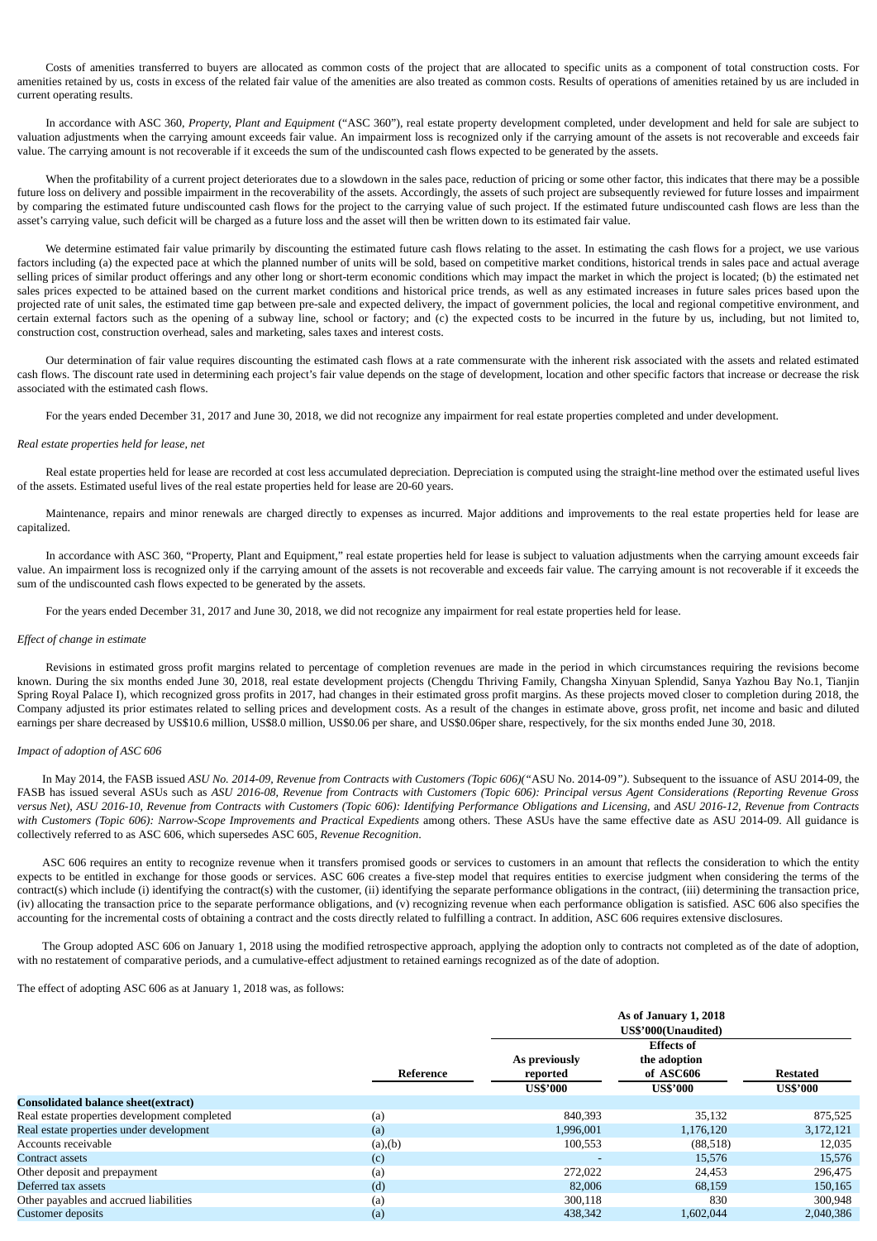Costs of amenities transferred to buyers are allocated as common costs of the project that are allocated to specific units as a component of total construction costs. For amenities retained by us, costs in excess of the related fair value of the amenities are also treated as common costs. Results of operations of amenities retained by us are included in current operating results.

In accordance with ASC 360, *Property, Plant and Equipment* ("ASC 360"), real estate property development completed, under development and held for sale are subject to valuation adjustments when the carrying amount exceeds fair value. An impairment loss is recognized only if the carrying amount of the assets is not recoverable and exceeds fair value. The carrying amount is not recoverable if it exceeds the sum of the undiscounted cash flows expected to be generated by the assets.

When the profitability of a current project deteriorates due to a slowdown in the sales pace, reduction of pricing or some other factor, this indicates that there may be a possible future loss on delivery and possible impairment in the recoverability of the assets. Accordingly, the assets of such project are subsequently reviewed for future losses and impairment by comparing the estimated future undiscounted cash flows for the project to the carrying value of such project. If the estimated future undiscounted cash flows are less than the asset's carrying value, such deficit will be charged as a future loss and the asset will then be written down to its estimated fair value.

We determine estimated fair value primarily by discounting the estimated future cash flows relating to the asset. In estimating the cash flows for a project, we use various factors including (a) the expected pace at which the planned number of units will be sold, based on competitive market conditions, historical trends in sales pace and actual average selling prices of similar product offerings and any other long or short-term economic conditions which may impact the market in which the project is located; (b) the estimated net sales prices expected to be attained based on the current market conditions and historical price trends, as well as any estimated increases in future sales prices based upon the projected rate of unit sales, the estimated time gap between pre-sale and expected delivery, the impact of government policies, the local and regional competitive environment, and certain external factors such as the opening of a subway line, school or factory; and (c) the expected costs to be incurred in the future by us, including, but not limited to, construction cost, construction overhead, sales and marketing, sales taxes and interest costs.

Our determination of fair value requires discounting the estimated cash flows at a rate commensurate with the inherent risk associated with the assets and related estimated cash flows. The discount rate used in determining each project's fair value depends on the stage of development, location and other specific factors that increase or decrease the risk associated with the estimated cash flows.

For the years ended December 31, 2017 and June 30, 2018, we did not recognize any impairment for real estate properties completed and under development.

### *Real estate properties held for lease, net*

Real estate properties held for lease are recorded at cost less accumulated depreciation. Depreciation is computed using the straight-line method over the estimated useful lives of the assets. Estimated useful lives of the real estate properties held for lease are 20-60 years.

Maintenance, repairs and minor renewals are charged directly to expenses as incurred. Major additions and improvements to the real estate properties held for lease are capitalized.

In accordance with ASC 360, "Property, Plant and Equipment," real estate properties held for lease is subject to valuation adjustments when the carrying amount exceeds fair value. An impairment loss is recognized only if the carrying amount of the assets is not recoverable and exceeds fair value. The carrying amount is not recoverable if it exceeds the sum of the undiscounted cash flows expected to be generated by the assets.

For the years ended December 31, 2017 and June 30, 2018, we did not recognize any impairment for real estate properties held for lease.

### *Effect of change in estimate*

Revisions in estimated gross profit margins related to percentage of completion revenues are made in the period in which circumstances requiring the revisions become known. During the six months ended June 30, 2018, real estate development projects (Chengdu Thriving Family, Changsha Xinyuan Splendid, Sanya Yazhou Bay No.1, Tianjin Spring Royal Palace I), which recognized gross profits in 2017, had changes in their estimated gross profit margins. As these projects moved closer to completion during 2018, the Company adjusted its prior estimates related to selling prices and development costs. As a result of the changes in estimate above, gross profit, net income and basic and diluted earnings per share decreased by US\$10.6 million, US\$8.0 million, US\$0.06 per share, and US\$0.06per share, respectively, for the six months ended June 30, 2018.

### *Impact of adoption of ASC 606*

In May 2014, the FASB issued ASU No. 2014-09, Revenue from Contracts with Customers (Topic 606)("ASU No. 2014-09"). Subsequent to the issuance of ASU 2014-09, the FASB has issued several ASUs such as ASU 2016-08, Revenue from Contracts with Customers (Topic 606): Principal versus Agent Considerations (Reporting Revenue Gross versus Net), ASU 2016-10, Revenue from Contracts with Customers (Topic 606): Identifying Performance Obligations and Licensing, and ASU 2016-12, Revenue from Contracts with Customers (Topic 606): Narrow-Scope Improvements and Practical Expedients among others. These ASUs have the same effective date as ASU 2014-09. All guidance is collectively referred to as ASC 606, which supersedes ASC 605, *Revenue Recognition*.

ASC 606 requires an entity to recognize revenue when it transfers promised goods or services to customers in an amount that reflects the consideration to which the entity expects to be entitled in exchange for those goods or services. ASC 606 creates a five-step model that requires entities to exercise judgment when considering the terms of the contract(s) which include (i) identifying the contract(s) with the customer, (ii) identifying the separate performance obligations in the contract, (iii) determining the transaction price, (iv) allocating the transaction price to the separate performance obligations, and (v) recognizing revenue when each performance obligation is satisfied. ASC 606 also specifies the accounting for the incremental costs of obtaining a contract and the costs directly related to fulfilling a contract. In addition, ASC 606 requires extensive disclosures.

The Group adopted ASC 606 on January 1, 2018 using the modified retrospective approach, applying the adoption only to contracts not completed as of the date of adoption, with no restatement of comparative periods, and a cumulative-effect adjustment to retained earnings recognized as of the date of adoption.

The effect of adopting ASC 606 as at January 1, 2018 was, as follows:

|                                              |           | As of January 1, 2018<br>US\$'000(Unaudited) |                                                                   |                                    |  |  |
|----------------------------------------------|-----------|----------------------------------------------|-------------------------------------------------------------------|------------------------------------|--|--|
|                                              | Reference | As previously<br>reported<br><b>US\$'000</b> | <b>Effects of</b><br>the adoption<br>of ASC606<br><b>US\$'000</b> | <b>Restated</b><br><b>US\$'000</b> |  |  |
| <b>Consolidated balance sheet(extract)</b>   |           |                                              |                                                                   |                                    |  |  |
| Real estate properties development completed | (a)       | 840,393                                      | 35,132                                                            | 875,525                            |  |  |
| Real estate properties under development     | (a)       | 1,996,001                                    | 1,176,120                                                         | 3,172,121                          |  |  |
| Accounts receivable                          | (a), (b)  | 100,553                                      | (88,518)                                                          | 12,035                             |  |  |
| Contract assets                              | (c)       |                                              | 15,576                                                            | 15,576                             |  |  |
| Other deposit and prepayment                 | (a)       | 272,022                                      | 24,453                                                            | 296,475                            |  |  |
| Deferred tax assets                          | (d)       | 82,006                                       | 68,159                                                            | 150,165                            |  |  |
| Other payables and accrued liabilities       | (a)       | 300,118                                      | 830                                                               | 300,948                            |  |  |
| <b>Customer deposits</b>                     | (a)       | 438,342                                      | 1,602,044                                                         | 2.040.386                          |  |  |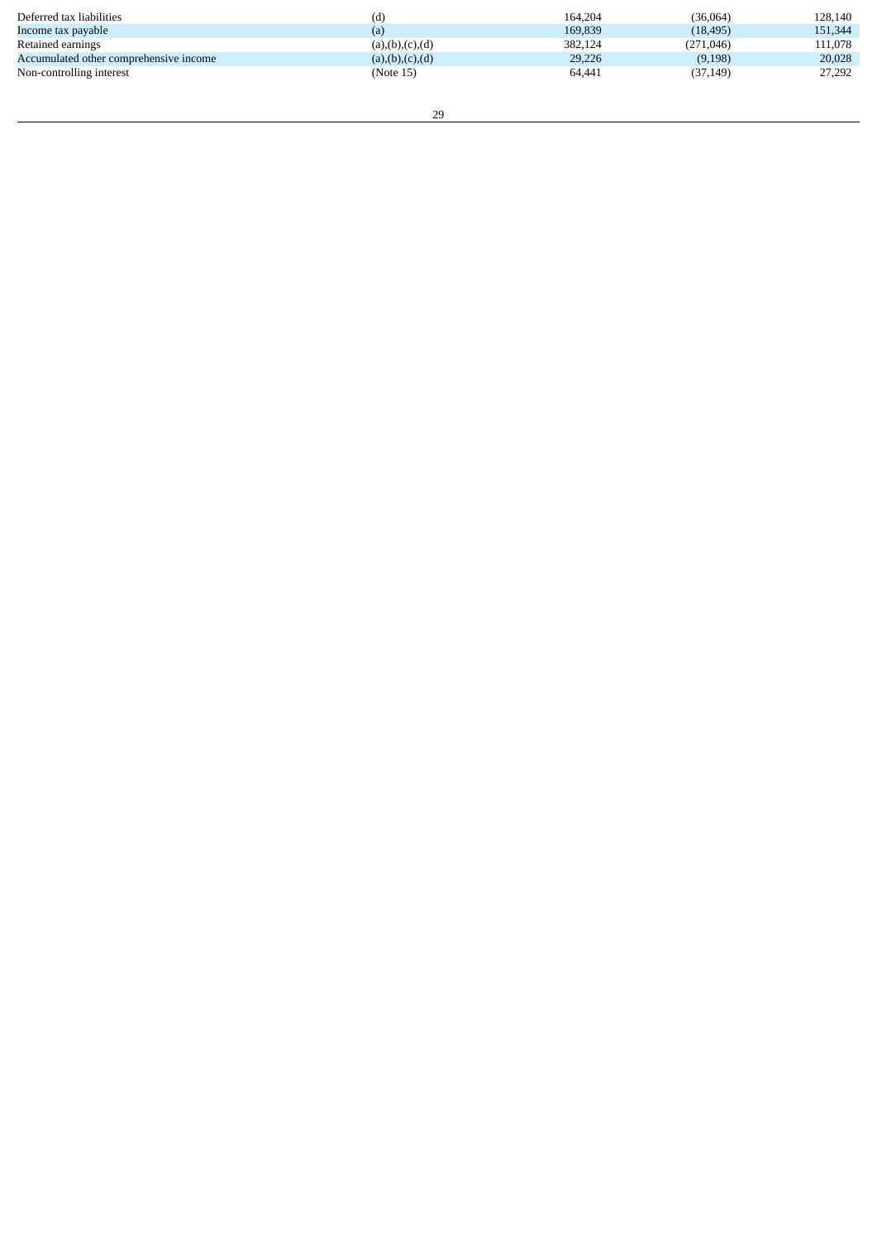| Deferred tax liabilities               | (d)                | 164.204 | (36,064)   | 128,140 |
|----------------------------------------|--------------------|---------|------------|---------|
| Income tax payable                     | (a)                | 169.839 | (18, 495)  | 151,344 |
| Retained earnings                      | (a), (b), (c), (d) | 382,124 | (271, 046) | 111.078 |
| Accumulated other comprehensive income | (a), (b), (c), (d) | 29,226  | (9, 198)   | 20,028  |
| Non-controlling interest               | (Note 15)          | 64,441  | (37, 149)  | 27,292  |
|                                        |                    |         |            |         |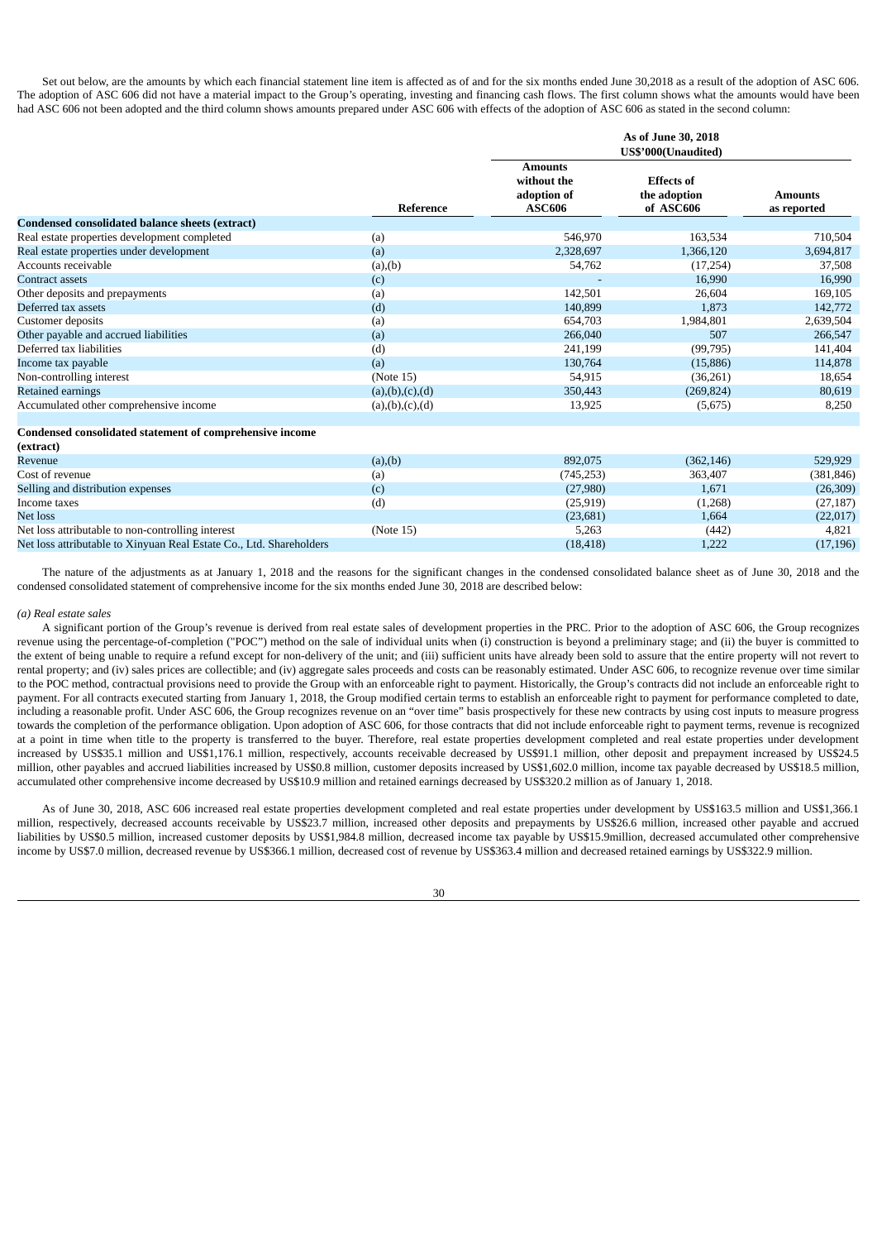Set out below, are the amounts by which each financial statement line item is affected as of and for the six months ended June 30,2018 as a result of the adoption of ASC 606. The adoption of ASC 606 did not have a material impact to the Group's operating, investing and financing cash flows. The first column shows what the amounts would have been had ASC 606 not been adopted and the third column shows amounts prepared under ASC 606 with effects of the adoption of ASC 606 as stated in the second column:

|                                                                       |                    | As of June 30, 2018<br>US\$'000(Unaudited)                    |                                                |                               |  |
|-----------------------------------------------------------------------|--------------------|---------------------------------------------------------------|------------------------------------------------|-------------------------------|--|
|                                                                       | Reference          | <b>Amounts</b><br>without the<br>adoption of<br><b>ASC606</b> | <b>Effects of</b><br>the adoption<br>of ASC606 | <b>Amounts</b><br>as reported |  |
| Condensed consolidated balance sheets (extract)                       |                    |                                                               |                                                |                               |  |
| Real estate properties development completed                          | (a)                | 546,970                                                       | 163,534                                        | 710,504                       |  |
| Real estate properties under development                              | (a)                | 2,328,697                                                     | 1,366,120                                      | 3,694,817                     |  |
| Accounts receivable                                                   | (a), (b)           | 54,762                                                        | (17,254)                                       | 37,508                        |  |
| <b>Contract assets</b>                                                | (c)                |                                                               | 16,990                                         | 16,990                        |  |
| Other deposits and prepayments                                        | (a)                | 142,501                                                       | 26,604                                         | 169,105                       |  |
| Deferred tax assets                                                   | (d)                | 140,899                                                       | 1,873                                          | 142,772                       |  |
| Customer deposits                                                     | (a)                | 654,703                                                       | 1,984,801                                      | 2,639,504                     |  |
| Other payable and accrued liabilities                                 | (a)                | 266,040                                                       | 507                                            | 266,547                       |  |
| Deferred tax liabilities                                              | (d)                | 241,199                                                       | (99, 795)                                      | 141,404                       |  |
| Income tax payable                                                    | (a)                | 130,764                                                       | (15,886)                                       | 114,878                       |  |
| Non-controlling interest                                              | (Note 15)          | 54,915                                                        | (36,261)                                       | 18,654                        |  |
| Retained earnings                                                     | (a), (b), (c), (d) | 350,443                                                       | (269, 824)                                     | 80,619                        |  |
| Accumulated other comprehensive income                                | (a), (b), (c), (d) | 13,925                                                        | (5,675)                                        | 8,250                         |  |
| Condensed consolidated statement of comprehensive income<br>(extract) |                    |                                                               |                                                |                               |  |
| Revenue                                                               | (a), (b)           | 892,075                                                       | (362, 146)                                     | 529,929                       |  |
| Cost of revenue                                                       | (a)                | (745, 253)                                                    | 363,407                                        | (381, 846)                    |  |
| Selling and distribution expenses                                     | (c)                | (27,980)                                                      | 1,671                                          | (26, 309)                     |  |
| Income taxes                                                          | (d)                | (25, 919)                                                     | (1,268)                                        | (27, 187)                     |  |
| <b>Net loss</b>                                                       |                    | (23, 681)                                                     | 1,664                                          | (22,017)                      |  |
| Net loss attributable to non-controlling interest                     | (Note 15)          | 5,263                                                         | (442)                                          | 4,821                         |  |

Net loss attributable to Xinyuan Real Estate Co., Ltd. Shareholders (18,418) (18,418) (17,196) (17,196) 1,222 (17,196)

The nature of the adjustments as at January 1, 2018 and the reasons for the significant changes in the condensed consolidated balance sheet as of June 30, 2018 and the condensed consolidated statement of comprehensive income for the six months ended June 30, 2018 are described below:

### *(a) Real estate sales*

A significant portion of the Group's revenue is derived from real estate sales of development properties in the PRC. Prior to the adoption of ASC 606, the Group recognizes revenue using the percentage-of-completion ("POC") method on the sale of individual units when (i) construction is beyond a preliminary stage; and (ii) the buyer is committed to the extent of being unable to require a refund except for non-delivery of the unit; and (iii) sufficient units have already been sold to assure that the entire property will not revert to rental property; and (iv) sales prices are collectible; and (iv) aggregate sales proceeds and costs can be reasonably estimated. Under ASC 606, to recognize revenue over time similar to the POC method, contractual provisions need to provide the Group with an enforceable right to payment. Historically, the Group's contracts did not include an enforceable right to payment. For all contracts executed starting from January 1, 2018, the Group modified certain terms to establish an enforceable right to payment for performance completed to date, including a reasonable profit. Under ASC 606, the Group recognizes revenue on an "over time" basis prospectively for these new contracts by using cost inputs to measure progress towards the completion of the performance obligation. Upon adoption of ASC 606, for those contracts that did not include enforceable right to payment terms, revenue is recognized at a point in time when title to the property is transferred to the buyer. Therefore, real estate properties development completed and real estate properties under development increased by US\$35.1 million and US\$1,176.1 million, respectively, accounts receivable decreased by US\$91.1 million, other deposit and prepayment increased by US\$24.5 million, other payables and accrued liabilities increased by US\$0.8 million, customer deposits increased by US\$1,602.0 million, income tax payable decreased by US\$18.5 million, accumulated other comprehensive income decreased by US\$10.9 million and retained earnings decreased by US\$320.2 million as of January 1, 2018.

As of June 30, 2018, ASC 606 increased real estate properties development completed and real estate properties under development by US\$163.5 million and US\$1,366.1 million, respectively, decreased accounts receivable by US\$23.7 million, increased other deposits and prepayments by US\$26.6 million, increased other payable and accrued liabilities by US\$0.5 million, increased customer deposits by US\$1,984.8 million, decreased income tax payable by US\$15.9million, decreased accumulated other comprehensive income by US\$7.0 million, decreased revenue by US\$366.1 million, decreased cost of revenue by US\$363.4 million and decreased retained earnings by US\$322.9 million.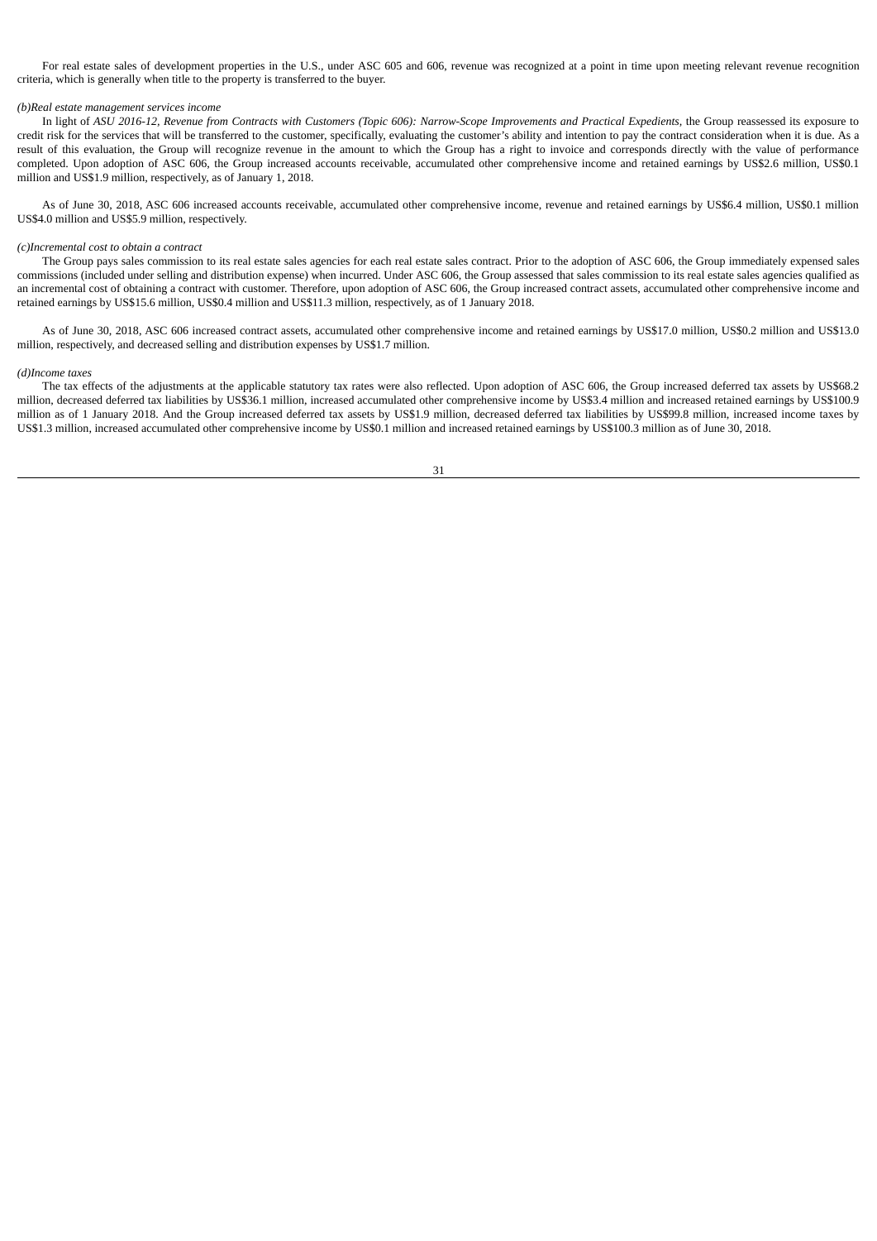For real estate sales of development properties in the U.S., under ASC 605 and 606, revenue was recognized at a point in time upon meeting relevant revenue recognition criteria, which is generally when title to the property is transferred to the buyer.

### *(b)Real estate management services income*

In light of ASU 2016-12, Revenue from Contracts with Customers (Topic 606): Narrow-Scope Improvements and Practical Expedients, the Group reassessed its exposure to credit risk for the services that will be transferred to the customer, specifically, evaluating the customer's ability and intention to pay the contract consideration when it is due. As a result of this evaluation, the Group will recognize revenue in the amount to which the Group has a right to invoice and corresponds directly with the value of performance completed. Upon adoption of ASC 606, the Group increased accounts receivable, accumulated other comprehensive income and retained earnings by US\$2.6 million, US\$0.1 million and US\$1.9 million, respectively, as of January 1, 2018.

As of June 30, 2018, ASC 606 increased accounts receivable, accumulated other comprehensive income, revenue and retained earnings by US\$6.4 million, US\$0.1 million US\$4.0 million and US\$5.9 million, respectively.

### *(c)Incremental cost to obtain a contract*

The Group pays sales commission to its real estate sales agencies for each real estate sales contract. Prior to the adoption of ASC 606, the Group immediately expensed sales commissions (included under selling and distribution expense) when incurred. Under ASC 606, the Group assessed that sales commission to its real estate sales agencies qualified as an incremental cost of obtaining a contract with customer. Therefore, upon adoption of ASC 606, the Group increased contract assets, accumulated other comprehensive income and retained earnings by US\$15.6 million, US\$0.4 million and US\$11.3 million, respectively, as of 1 January 2018.

As of June 30, 2018, ASC 606 increased contract assets, accumulated other comprehensive income and retained earnings by US\$17.0 million, US\$0.2 million and US\$13.0 million, respectively, and decreased selling and distribution expenses by US\$1.7 million.

#### *(d)Income taxes*

The tax effects of the adjustments at the applicable statutory tax rates were also reflected. Upon adoption of ASC 606, the Group increased deferred tax assets by US\$68.2 million, decreased deferred tax liabilities by US\$36.1 million, increased accumulated other comprehensive income by US\$3.4 million and increased retained earnings by US\$100.9 million as of 1 January 2018. And the Group increased deferred tax assets by US\$1.9 million, decreased deferred tax liabilities by US\$99.8 million, increased income taxes by US\$1.3 million, increased accumulated other comprehensive income by US\$0.1 million and increased retained earnings by US\$100.3 million as of June 30, 2018.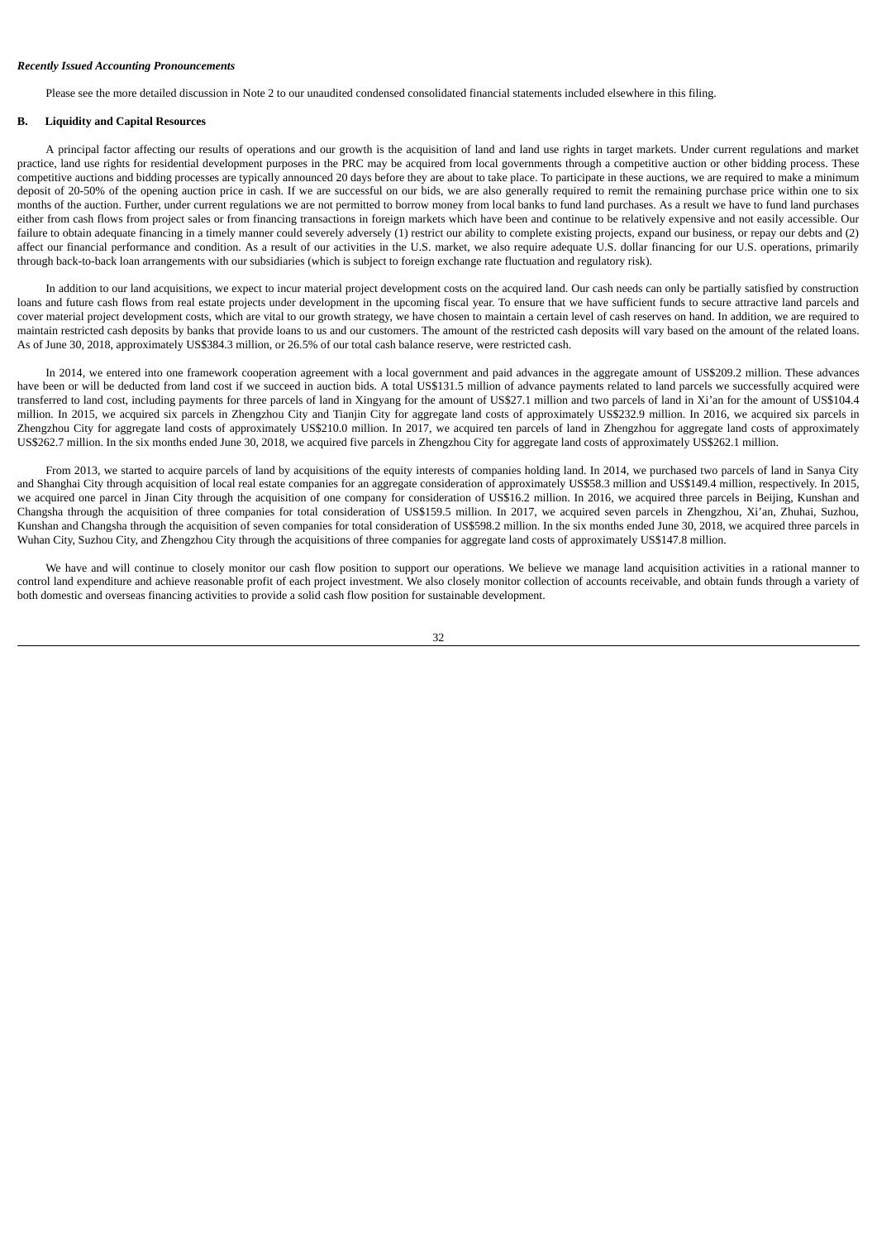## *Recently Issued Accounting Pronouncements*

Please see the more detailed discussion in Note 2 to our unaudited condensed consolidated financial statements included elsewhere in this filing.

# **B. Liquidity and Capital Resources**

A principal factor affecting our results of operations and our growth is the acquisition of land and land use rights in target markets. Under current regulations and market practice, land use rights for residential development purposes in the PRC may be acquired from local governments through a competitive auction or other bidding process. These competitive auctions and bidding processes are typically announced 20 days before they are about to take place. To participate in these auctions, we are required to make a minimum deposit of 20-50% of the opening auction price in cash. If we are successful on our bids, we are also generally required to remit the remaining purchase price within one to six months of the auction. Further, under current regulations we are not permitted to borrow money from local banks to fund land purchases. As a result we have to fund land purchases either from cash flows from project sales or from financing transactions in foreign markets which have been and continue to be relatively expensive and not easily accessible. Our failure to obtain adequate financing in a timely manner could severely adversely (1) restrict our ability to complete existing projects, expand our business, or repay our debts and (2) affect our financial performance and condition. As a result of our activities in the U.S. market, we also require adequate U.S. dollar financing for our U.S. operations, primarily through back-to-back loan arrangements with our subsidiaries (which is subject to foreign exchange rate fluctuation and regulatory risk).

In addition to our land acquisitions, we expect to incur material project development costs on the acquired land. Our cash needs can only be partially satisfied by construction loans and future cash flows from real estate projects under development in the upcoming fiscal year. To ensure that we have sufficient funds to secure attractive land parcels and cover material project development costs, which are vital to our growth strategy, we have chosen to maintain a certain level of cash reserves on hand. In addition, we are required to maintain restricted cash deposits by banks that provide loans to us and our customers. The amount of the restricted cash deposits will vary based on the amount of the related loans. As of June 30, 2018, approximately US\$384.3 million, or 26.5% of our total cash balance reserve, were restricted cash.

In 2014, we entered into one framework cooperation agreement with a local government and paid advances in the aggregate amount of US\$209.2 million. These advances have been or will be deducted from land cost if we succeed in auction bids. A total US\$131.5 million of advance payments related to land parcels we successfully acquired were transferred to land cost, including payments for three parcels of land in Xingyang for the amount of US\$27.1 million and two parcels of land in Xi'an for the amount of US\$104.4 million. In 2015, we acquired six parcels in Zhengzhou City and Tianjin City for aggregate land costs of approximately US\$232.9 million. In 2016, we acquired six parcels in Zhengzhou City for aggregate land costs of approximately US\$210.0 million. In 2017, we acquired ten parcels of land in Zhengzhou for aggregate land costs of approximately US\$262.7 million. In the six months ended June 30, 2018, we acquired five parcels in Zhengzhou City for aggregate land costs of approximately US\$262.1 million.

From 2013, we started to acquire parcels of land by acquisitions of the equity interests of companies holding land. In 2014, we purchased two parcels of land in Sanya City and Shanghai City through acquisition of local real estate companies for an aggregate consideration of approximately US\$58.3 million and US\$149.4 million, respectively. In 2015, we acquired one parcel in Jinan City through the acquisition of one company for consideration of US\$16.2 million. In 2016, we acquired three parcels in Beijing, Kunshan and Changsha through the acquisition of three companies for total consideration of US\$159.5 million. In 2017, we acquired seven parcels in Zhengzhou, Xi'an, Zhuhai, Suzhou, Kunshan and Changsha through the acquisition of seven companies for total consideration of US\$598.2 million. In the six months ended June 30, 2018, we acquired three parcels in Wuhan City, Suzhou City, and Zhengzhou City through the acquisitions of three companies for aggregate land costs of approximately US\$147.8 million.

We have and will continue to closely monitor our cash flow position to support our operations. We believe we manage land acquisition activities in a rational manner to control land expenditure and achieve reasonable profit of each project investment. We also closely monitor collection of accounts receivable, and obtain funds through a variety of both domestic and overseas financing activities to provide a solid cash flow position for sustainable development.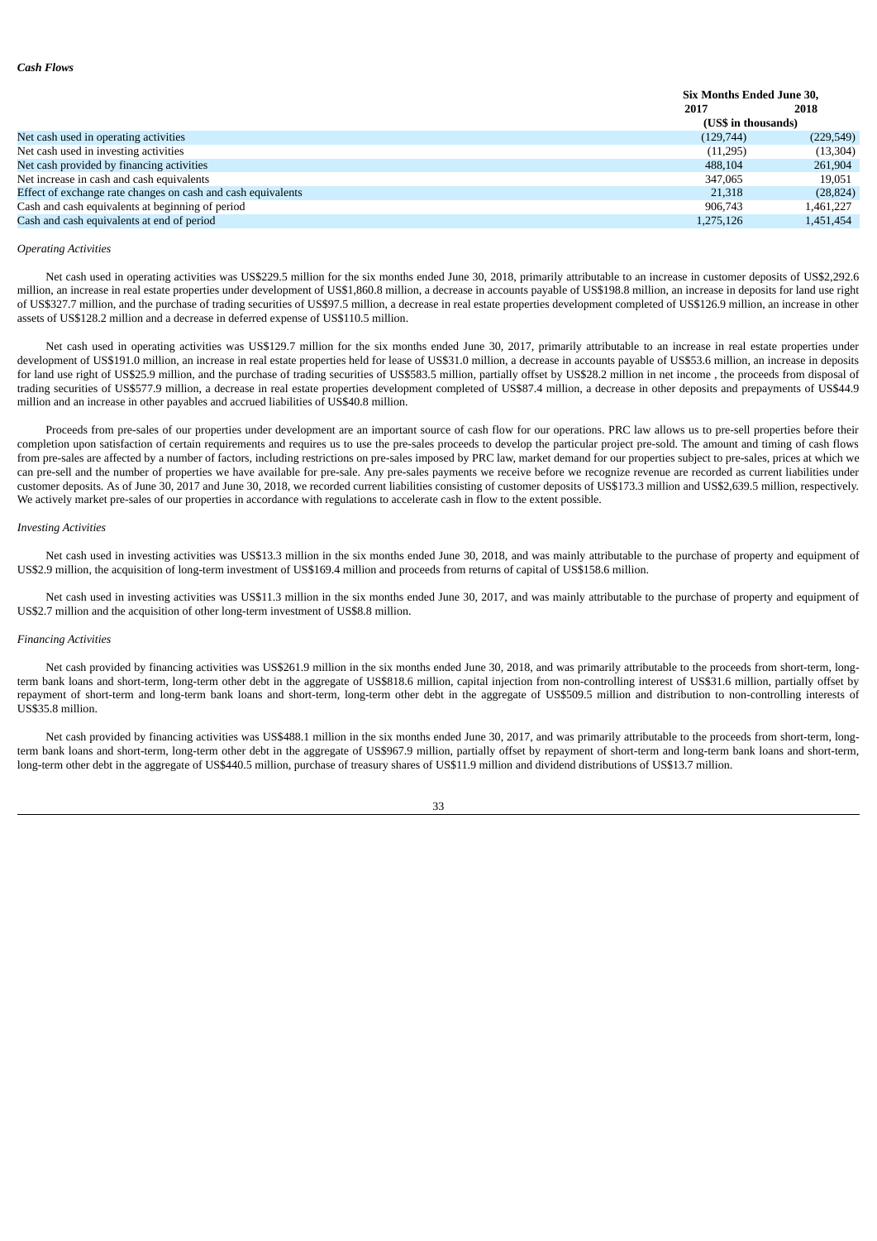|                                                              | 2017                | 2018       |
|--------------------------------------------------------------|---------------------|------------|
|                                                              | (US\$ in thousands) |            |
| Net cash used in operating activities                        | (129,744)           | (229, 549) |
| Net cash used in investing activities                        | (11,295)            | (13, 304)  |
| Net cash provided by financing activities                    | 488,104             | 261,904    |
| Net increase in cash and cash equivalents                    | 347,065             | 19.051     |
| Effect of exchange rate changes on cash and cash equivalents | 21,318              | (28, 824)  |
| Cash and cash equivalents at beginning of period             | 906,743             | 1,461,227  |
| Cash and cash equivalents at end of period                   | 1,275,126           | 1,451,454  |

**Six Months Ended June 30,**

# *Operating Activities*

Net cash used in operating activities was US\$229.5 million for the six months ended June 30, 2018, primarily attributable to an increase in customer deposits of US\$2,292.6 million, an increase in real estate properties under development of US\$1,860.8 million, a decrease in accounts payable of US\$198.8 million, an increase in deposits for land use right of US\$327.7 million, and the purchase of trading securities of US\$97.5 million, a decrease in real estate properties development completed of US\$126.9 million, an increase in other assets of US\$128.2 million and a decrease in deferred expense of US\$110.5 million.

Net cash used in operating activities was US\$129.7 million for the six months ended June 30, 2017, primarily attributable to an increase in real estate properties under development of US\$191.0 million, an increase in real estate properties held for lease of US\$31.0 million, a decrease in accounts payable of US\$53.6 million, an increase in deposits for land use right of US\$25.9 million, and the purchase of trading securities of US\$583.5 million, partially offset by US\$28.2 million in net income, the proceeds from disposal of trading securities of US\$577.9 million, a decrease in real estate properties development completed of US\$87.4 million, a decrease in other deposits and prepayments of US\$44.9 million and an increase in other payables and accrued liabilities of US\$40.8 million.

Proceeds from pre-sales of our properties under development are an important source of cash flow for our operations. PRC law allows us to pre-sell properties before their completion upon satisfaction of certain requirements and requires us to use the pre-sales proceeds to develop the particular project pre-sold. The amount and timing of cash flows from pre-sales are affected by a number of factors, including restrictions on pre-sales imposed by PRC law, market demand for our properties subject to pre-sales, prices at which we can pre-sell and the number of properties we have available for pre-sale. Any pre-sales payments we receive before we recognize revenue are recorded as current liabilities under customer deposits. As of June 30, 2017 and June 30, 2018, we recorded current liabilities consisting of customer deposits of US\$173.3 million and US\$2,639.5 million, respectively. We actively market pre-sales of our properties in accordance with regulations to accelerate cash in flow to the extent possible.

#### *Investing Activities*

Net cash used in investing activities was US\$13.3 million in the six months ended June 30, 2018, and was mainly attributable to the purchase of property and equipment of US\$2.9 million, the acquisition of long-term investment of US\$169.4 million and proceeds from returns of capital of US\$158.6 million.

Net cash used in investing activities was US\$11.3 million in the six months ended June 30, 2017, and was mainly attributable to the purchase of property and equipment of US\$2.7 million and the acquisition of other long-term investment of US\$8.8 million.

### *Financing Activities*

Net cash provided by financing activities was US\$261.9 million in the six months ended June 30, 2018, and was primarily attributable to the proceeds from short-term, longterm bank loans and short-term, long-term other debt in the aggregate of US\$818.6 million, capital injection from non-controlling interest of US\$31.6 million, partially offset by repayment of short-term and long-term bank loans and short-term, long-term other debt in the aggregate of US\$509.5 million and distribution to non-controlling interests of US\$35.8 million.

Net cash provided by financing activities was US\$488.1 million in the six months ended June 30, 2017, and was primarily attributable to the proceeds from short-term, longterm bank loans and short-term, long-term other debt in the aggregate of US\$967.9 million, partially offset by repayment of short-term and long-term bank loans and short-term, long-term other debt in the aggregate of US\$440.5 million, purchase of treasury shares of US\$11.9 million and dividend distributions of US\$13.7 million.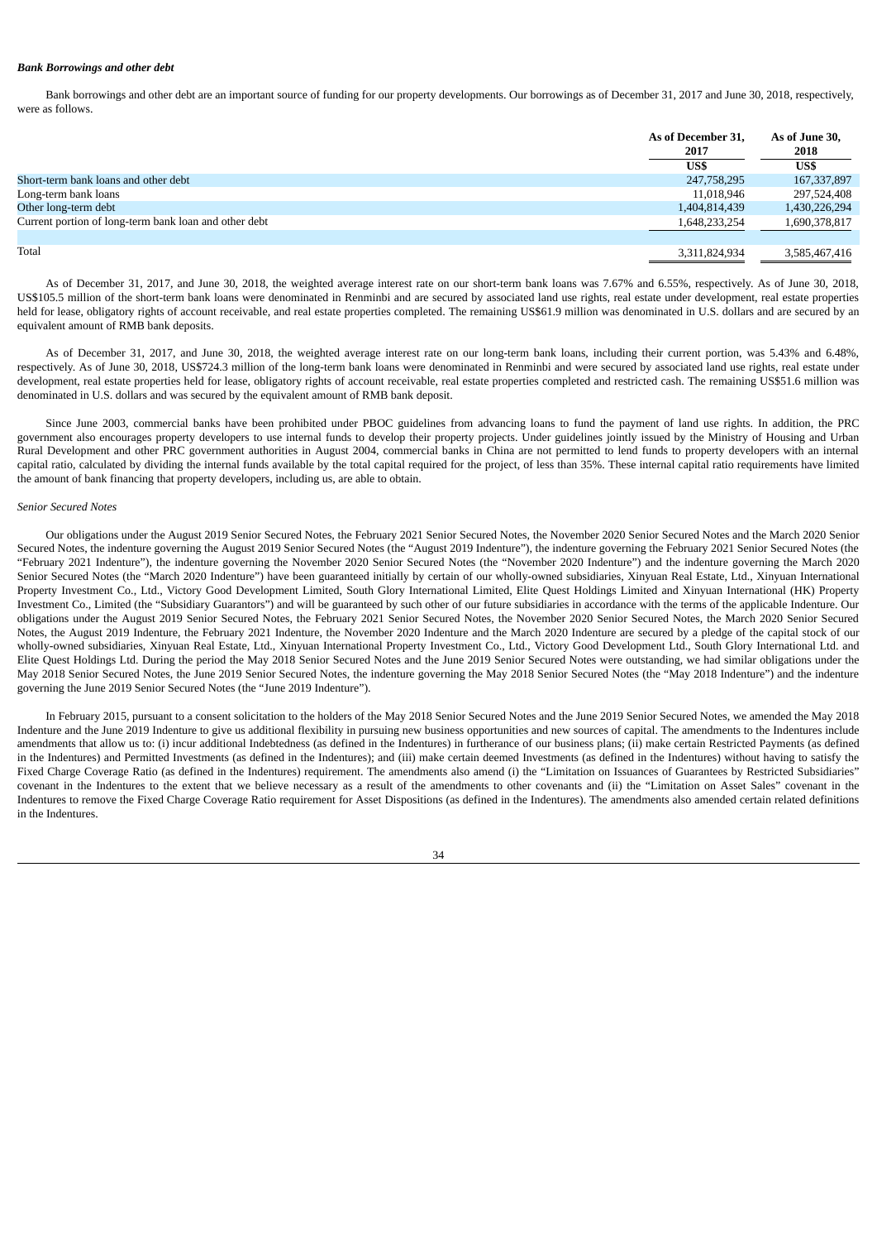#### *Bank Borrowings and other debt*

Bank borrowings and other debt are an important source of funding for our property developments. Our borrowings as of December 31, 2017 and June 30, 2018, respectively, were as follows.

|                                                       | As of December 31, | As of June 30,<br>2018 |  |
|-------------------------------------------------------|--------------------|------------------------|--|
|                                                       | 2017               |                        |  |
|                                                       | US\$               | US\$                   |  |
| Short-term bank loans and other debt                  | 247,758,295        | 167, 337, 897          |  |
| Long-term bank loans                                  | 11,018,946         | 297,524,408            |  |
| Other long-term debt                                  | 1,404,814,439      | 1,430,226,294          |  |
| Current portion of long-term bank loan and other debt | 1,648,233,254      | 1,690,378,817          |  |
| Total                                                 | 3,311,824,934      | 3,585,467,416          |  |

As of December 31, 2017, and June 30, 2018, the weighted average interest rate on our short-term bank loans was 7.67% and 6.55%, respectively. As of June 30, 2018, US\$105.5 million of the short-term bank loans were denominated in Renminbi and are secured by associated land use rights, real estate under development, real estate properties held for lease, obligatory rights of account receivable, and real estate properties completed. The remaining US\$61.9 million was denominated in U.S. dollars and are secured by an equivalent amount of RMB bank deposits.

As of December 31, 2017, and June 30, 2018, the weighted average interest rate on our long-term bank loans, including their current portion, was 5.43% and 6.48%, respectively. As of June 30, 2018, US\$724.3 million of the long-term bank loans were denominated in Renminbi and were secured by associated land use rights, real estate under development, real estate properties held for lease, obligatory rights of account receivable, real estate properties completed and restricted cash. The remaining US\$51.6 million was denominated in U.S. dollars and was secured by the equivalent amount of RMB bank deposit.

Since June 2003, commercial banks have been prohibited under PBOC guidelines from advancing loans to fund the payment of land use rights. In addition, the PRC government also encourages property developers to use internal funds to develop their property projects. Under guidelines jointly issued by the Ministry of Housing and Urban Rural Development and other PRC government authorities in August 2004, commercial banks in China are not permitted to lend funds to property developers with an internal capital ratio, calculated by dividing the internal funds available by the total capital required for the project, of less than 35%. These internal capital ratio requirements have limited the amount of bank financing that property developers, including us, are able to obtain.

### *Senior Secured Notes*

Our obligations under the August 2019 Senior Secured Notes, the February 2021 Senior Secured Notes, the November 2020 Senior Secured Notes and the March 2020 Senior Secured Notes, the indenture governing the August 2019 Senior Secured Notes (the "August 2019 Indenture"), the indenture governing the February 2021 Senior Secured Notes (the "February 2021 Indenture"), the indenture governing the November 2020 Senior Secured Notes (the "November 2020 Indenture") and the indenture governing the March 2020 Senior Secured Notes (the "March 2020 Indenture") have been guaranteed initially by certain of our wholly-owned subsidiaries, Xinyuan Real Estate, Ltd., Xinyuan International Property Investment Co., Ltd., Victory Good Development Limited, South Glory International Limited, Elite Quest Holdings Limited and Xinyuan International (HK) Property Investment Co., Limited (the "Subsidiary Guarantors") and will be guaranteed by such other of our future subsidiaries in accordance with the terms of the applicable Indenture. Our obligations under the August 2019 Senior Secured Notes, the February 2021 Senior Secured Notes, the November 2020 Senior Secured Notes, the March 2020 Senior Secured Notes, the August 2019 Indenture, the February 2021 Indenture, the November 2020 Indenture and the March 2020 Indenture are secured by a pledge of the capital stock of our wholly-owned subsidiaries, Xinyuan Real Estate, Ltd., Xinyuan International Property Investment Co., Ltd., Victory Good Development Ltd., South Glory International Ltd. and Elite Quest Holdings Ltd. During the period the May 2018 Senior Secured Notes and the June 2019 Senior Secured Notes were outstanding, we had similar obligations under the May 2018 Senior Secured Notes, the June 2019 Senior Secured Notes, the indenture governing the May 2018 Senior Secured Notes (the "May 2018 Indenture") and the indenture governing the June 2019 Senior Secured Notes (the "June 2019 Indenture").

In February 2015, pursuant to a consent solicitation to the holders of the May 2018 Senior Secured Notes and the June 2019 Senior Secured Notes, we amended the May 2018 Indenture and the June 2019 Indenture to give us additional flexibility in pursuing new business opportunities and new sources of capital. The amendments to the Indentures include amendments that allow us to: (i) incur additional Indebtedness (as defined in the Indentures) in furtherance of our business plans; (ii) make certain Restricted Payments (as defined in the Indentures) and Permitted Investments (as defined in the Indentures); and (iii) make certain deemed Investments (as defined in the Indentures) without having to satisfy the Fixed Charge Coverage Ratio (as defined in the Indentures) requirement. The amendments also amend (i) the "Limitation on Issuances of Guarantees by Restricted Subsidiaries" covenant in the Indentures to the extent that we believe necessary as a result of the amendments to other covenants and (ii) the "Limitation on Asset Sales" covenant in the Indentures to remove the Fixed Charge Coverage Ratio requirement for Asset Dispositions (as defined in the Indentures). The amendments also amended certain related definitions in the Indentures.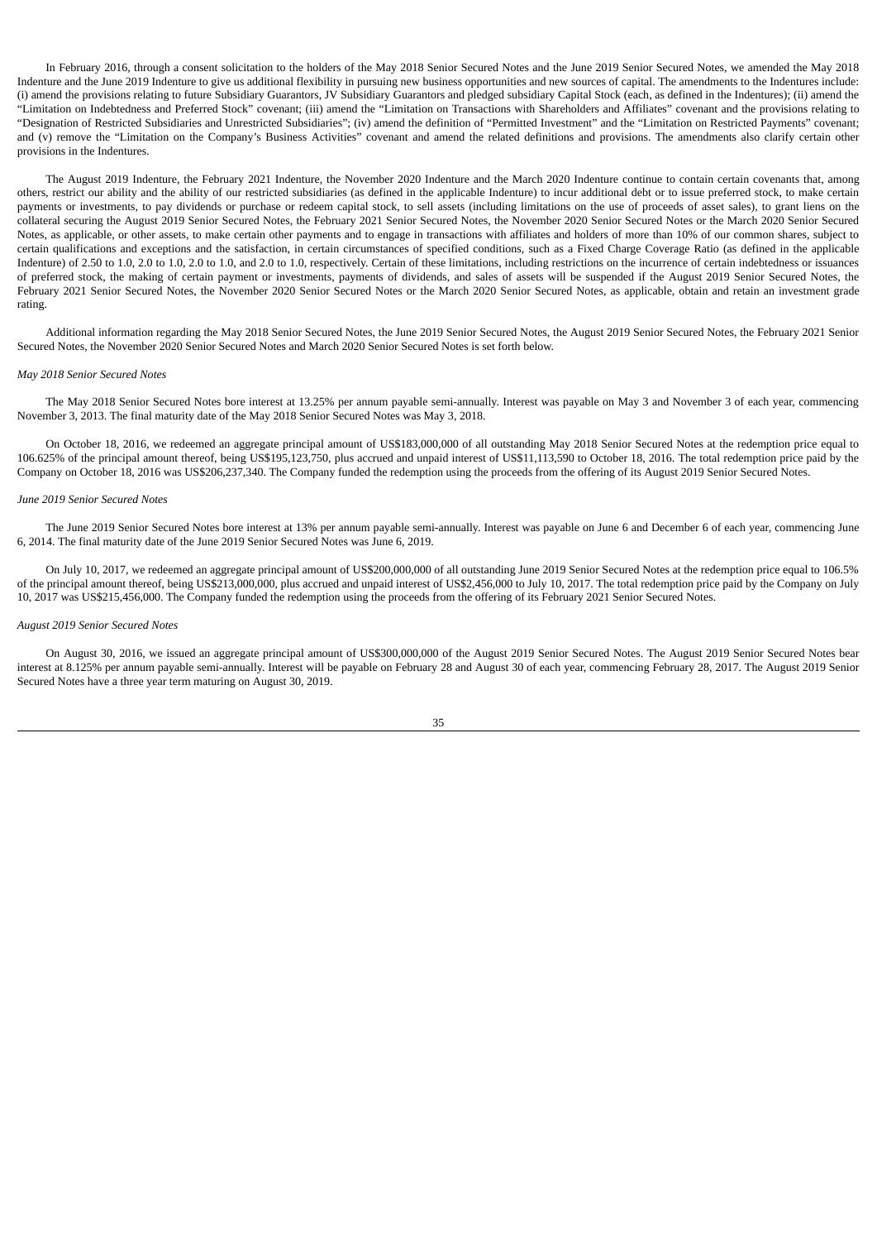In February 2016, through a consent solicitation to the holders of the May 2018 Senior Secured Notes and the June 2019 Senior Secured Notes, we amended the May 2018 Indenture and the June 2019 Indenture to give us additional flexibility in pursuing new business opportunities and new sources of capital. The amendments to the Indentures include: (i) amend the provisions relating to future Subsidiary Guarantors, JV Subsidiary Guarantors and pledged subsidiary Capital Stock (each, as defined in the Indentures); (ii) amend the "Limitation on Indebtedness and Preferred Stock" covenant; (iii) amend the "Limitation on Transactions with Shareholders and Affiliates" covenant and the provisions relating to "Designation of Restricted Subsidiaries and Unrestricted Subsidiaries"; (iv) amend the definition of "Permitted Investment" and the "Limitation on Restricted Payments" covenant; and (v) remove the "Limitation on the Company's Business Activities" covenant and amend the related definitions and provisions. The amendments also clarify certain other provisions in the Indentures.

The August 2019 Indenture, the February 2021 Indenture, the November 2020 Indenture and the March 2020 Indenture continue to contain certain covenants that, among others, restrict our ability and the ability of our restricted subsidiaries (as defined in the applicable Indenture) to incur additional debt or to issue preferred stock, to make certain payments or investments, to pay dividends or purchase or redeem capital stock, to sell assets (including limitations on the use of proceeds of asset sales), to grant liens on the collateral securing the August 2019 Senior Secured Notes, the February 2021 Senior Secured Notes, the November 2020 Senior Secured Notes or the March 2020 Senior Secured Notes, as applicable, or other assets, to make certain other payments and to engage in transactions with affiliates and holders of more than 10% of our common shares, subject to certain qualifications and exceptions and the satisfaction, in certain circumstances of specified conditions, such as a Fixed Charge Coverage Ratio (as defined in the applicable Indenture) of 2.50 to 1.0, 2.0 to 1.0, 2.0 to 1.0, and 2.0 to 1.0, respectively. Certain of these limitations, including restrictions on the incurrence of certain indebtedness or issuances of preferred stock, the making of certain payment or investments, payments of dividends, and sales of assets will be suspended if the August 2019 Senior Secured Notes, the February 2021 Senior Secured Notes, the November 2020 Senior Secured Notes or the March 2020 Senior Secured Notes, as applicable, obtain and retain an investment grade rating.

Additional information regarding the May 2018 Senior Secured Notes, the June 2019 Senior Secured Notes, the August 2019 Senior Secured Notes, the February 2021 Senior Secured Notes, the November 2020 Senior Secured Notes and March 2020 Senior Secured Notes is set forth below.

#### *May 2018 Senior Secured Notes*

The May 2018 Senior Secured Notes bore interest at 13.25% per annum payable semi-annually. Interest was payable on May 3 and November 3 of each year, commencing November 3, 2013. The final maturity date of the May 2018 Senior Secured Notes was May 3, 2018.

On October 18, 2016, we redeemed an aggregate principal amount of US\$183,000,000 of all outstanding May 2018 Senior Secured Notes at the redemption price equal to 106.625% of the principal amount thereof, being US\$195,123,750, plus accrued and unpaid interest of US\$11,113,590 to October 18, 2016. The total redemption price paid by the Company on October 18, 2016 was US\$206,237,340. The Company funded the redemption using the proceeds from the offering of its August 2019 Senior Secured Notes.

### *June 2019 Senior Secured Notes*

The June 2019 Senior Secured Notes bore interest at 13% per annum payable semi-annually. Interest was payable on June 6 and December 6 of each year, commencing June 6, 2014. The final maturity date of the June 2019 Senior Secured Notes was June 6, 2019.

On July 10, 2017, we redeemed an aggregate principal amount of US\$200,000,000 of all outstanding June 2019 Senior Secured Notes at the redemption price equal to 106.5% of the principal amount thereof, being US\$213,000,000, plus accrued and unpaid interest of US\$2,456,000 to July 10, 2017. The total redemption price paid by the Company on July 10, 2017 was US\$215,456,000. The Company funded the redemption using the proceeds from the offering of its February 2021 Senior Secured Notes.

### *August 2019 Senior Secured Notes*

On August 30, 2016, we issued an aggregate principal amount of US\$300,000,000 of the August 2019 Senior Secured Notes. The August 2019 Senior Secured Notes bear interest at 8.125% per annum payable semi-annually. Interest will be payable on February 28 and August 30 of each year, commencing February 28, 2017. The August 2019 Senior Secured Notes have a three year term maturing on August 30, 2019.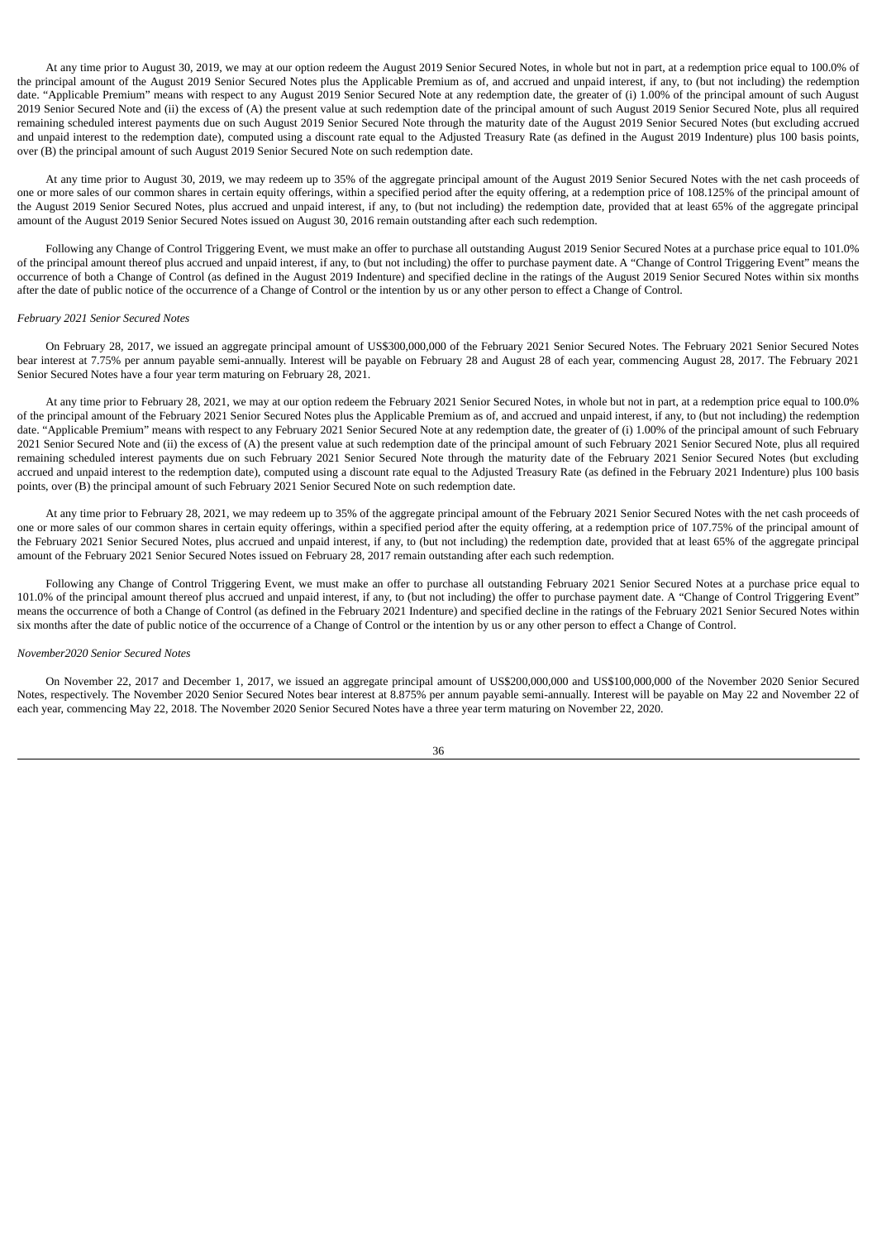At any time prior to August 30, 2019, we may at our option redeem the August 2019 Senior Secured Notes, in whole but not in part, at a redemption price equal to 100.0% of the principal amount of the August 2019 Senior Secured Notes plus the Applicable Premium as of, and accrued and unpaid interest, if any, to (but not including) the redemption date. "Applicable Premium" means with respect to any August 2019 Senior Secured Note at any redemption date, the greater of (i) 1.00% of the principal amount of such August 2019 Senior Secured Note and (ii) the excess of (A) the present value at such redemption date of the principal amount of such August 2019 Senior Secured Note, plus all required remaining scheduled interest payments due on such August 2019 Senior Secured Note through the maturity date of the August 2019 Senior Secured Notes (but excluding accrued and unpaid interest to the redemption date), computed using a discount rate equal to the Adjusted Treasury Rate (as defined in the August 2019 Indenture) plus 100 basis points, over (B) the principal amount of such August 2019 Senior Secured Note on such redemption date.

At any time prior to August 30, 2019, we may redeem up to 35% of the aggregate principal amount of the August 2019 Senior Secured Notes with the net cash proceeds of one or more sales of our common shares in certain equity offerings, within a specified period after the equity offering, at a redemption price of 108.125% of the principal amount of the August 2019 Senior Secured Notes, plus accrued and unpaid interest, if any, to (but not including) the redemption date, provided that at least 65% of the aggregate principal amount of the August 2019 Senior Secured Notes issued on August 30, 2016 remain outstanding after each such redemption.

Following any Change of Control Triggering Event, we must make an offer to purchase all outstanding August 2019 Senior Secured Notes at a purchase price equal to 101.0% of the principal amount thereof plus accrued and unpaid interest, if any, to (but not including) the offer to purchase payment date. A "Change of Control Triggering Event" means the occurrence of both a Change of Control (as defined in the August 2019 Indenture) and specified decline in the ratings of the August 2019 Senior Secured Notes within six months after the date of public notice of the occurrence of a Change of Control or the intention by us or any other person to effect a Change of Control.

### *February 2021 Senior Secured Notes*

On February 28, 2017, we issued an aggregate principal amount of US\$300,000,000 of the February 2021 Senior Secured Notes. The February 2021 Senior Secured Notes bear interest at 7.75% per annum payable semi-annually. Interest will be payable on February 28 and August 28 of each year, commencing August 28, 2017. The February 2021 Senior Secured Notes have a four year term maturing on February 28, 2021.

At any time prior to February 28, 2021, we may at our option redeem the February 2021 Senior Secured Notes, in whole but not in part, at a redemption price equal to 100.0% of the principal amount of the February 2021 Senior Secured Notes plus the Applicable Premium as of, and accrued and unpaid interest, if any, to (but not including) the redemption date. "Applicable Premium" means with respect to any February 2021 Senior Secured Note at any redemption date, the greater of (i) 1.00% of the principal amount of such February 2021 Senior Secured Note and (ii) the excess of (A) the present value at such redemption date of the principal amount of such February 2021 Senior Secured Note, plus all required remaining scheduled interest payments due on such February 2021 Senior Secured Note through the maturity date of the February 2021 Senior Secured Notes (but excluding accrued and unpaid interest to the redemption date), computed using a discount rate equal to the Adjusted Treasury Rate (as defined in the February 2021 Indenture) plus 100 basis points, over (B) the principal amount of such February 2021 Senior Secured Note on such redemption date.

At any time prior to February 28, 2021, we may redeem up to 35% of the aggregate principal amount of the February 2021 Senior Secured Notes with the net cash proceeds of one or more sales of our common shares in certain equity offerings, within a specified period after the equity offering, at a redemption price of 107.75% of the principal amount of the February 2021 Senior Secured Notes, plus accrued and unpaid interest, if any, to (but not including) the redemption date, provided that at least 65% of the aggregate principal amount of the February 2021 Senior Secured Notes issued on February 28, 2017 remain outstanding after each such redemption.

Following any Change of Control Triggering Event, we must make an offer to purchase all outstanding February 2021 Senior Secured Notes at a purchase price equal to 101.0% of the principal amount thereof plus accrued and unpaid interest, if any, to (but not including) the offer to purchase payment date. A "Change of Control Triggering Event" means the occurrence of both a Change of Control (as defined in the February 2021 Indenture) and specified decline in the ratings of the February 2021 Senior Secured Notes within six months after the date of public notice of the occurrence of a Change of Control or the intention by us or any other person to effect a Change of Control.

### *November2020 Senior Secured Notes*

On November 22, 2017 and December 1, 2017, we issued an aggregate principal amount of US\$200,000,000 and US\$100,000,000 of the November 2020 Senior Secured Notes, respectively. The November 2020 Senior Secured Notes bear interest at 8.875% per annum payable semi-annually. Interest will be payable on May 22 and November 22 of each year, commencing May 22, 2018. The November 2020 Senior Secured Notes have a three year term maturing on November 22, 2020.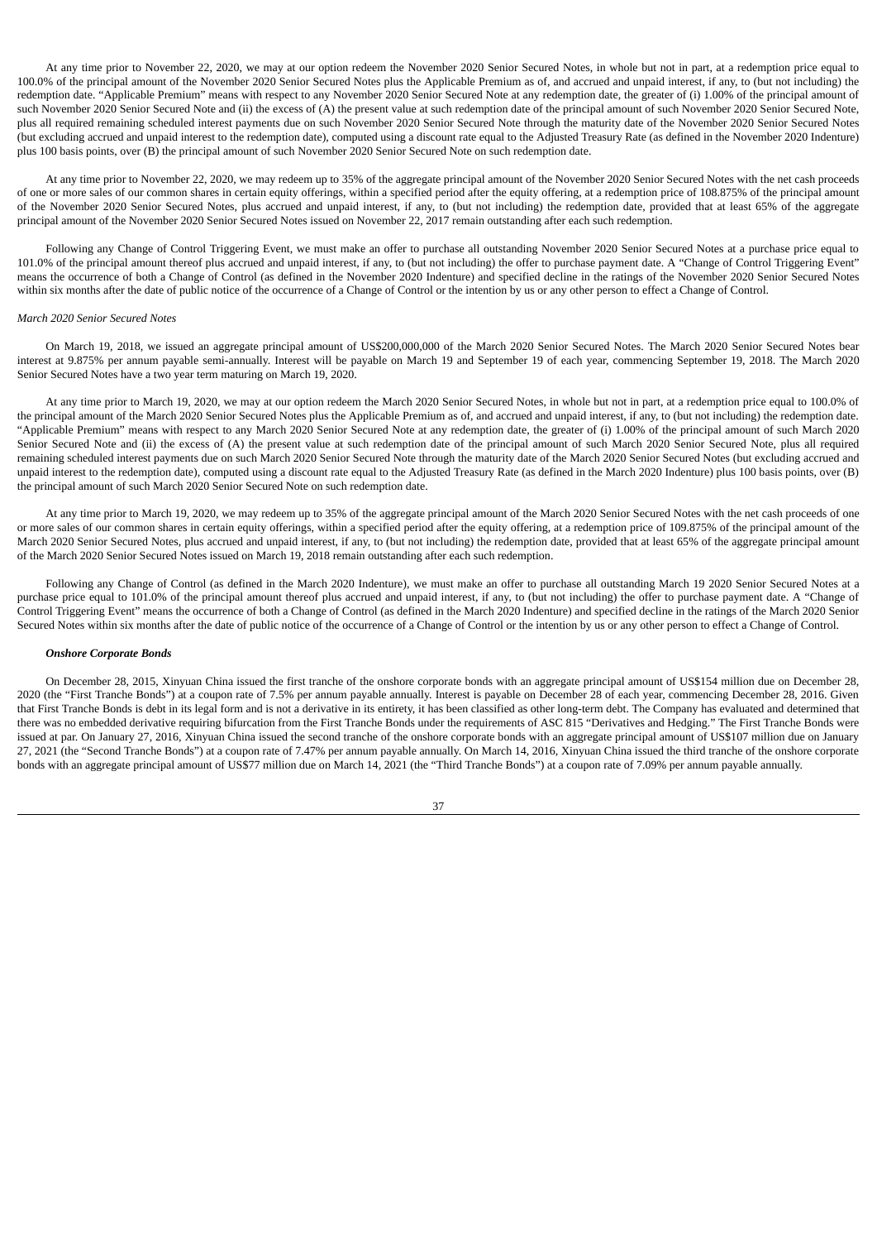At any time prior to November 22, 2020, we may at our option redeem the November 2020 Senior Secured Notes, in whole but not in part, at a redemption price equal to 100.0% of the principal amount of the November 2020 Senior Secured Notes plus the Applicable Premium as of, and accrued and unpaid interest, if any, to (but not including) the redemption date. "Applicable Premium" means with respect to any November 2020 Senior Secured Note at any redemption date, the greater of (i) 1.00% of the principal amount of such November 2020 Senior Secured Note and (ii) the excess of (A) the present value at such redemption date of the principal amount of such November 2020 Senior Secured Note, plus all required remaining scheduled interest payments due on such November 2020 Senior Secured Note through the maturity date of the November 2020 Senior Secured Notes (but excluding accrued and unpaid interest to the redemption date), computed using a discount rate equal to the Adjusted Treasury Rate (as defined in the November 2020 Indenture) plus 100 basis points, over (B) the principal amount of such November 2020 Senior Secured Note on such redemption date.

At any time prior to November 22, 2020, we may redeem up to 35% of the aggregate principal amount of the November 2020 Senior Secured Notes with the net cash proceeds of one or more sales of our common shares in certain equity offerings, within a specified period after the equity offering, at a redemption price of 108.875% of the principal amount of the November 2020 Senior Secured Notes, plus accrued and unpaid interest, if any, to (but not including) the redemption date, provided that at least 65% of the aggregate principal amount of the November 2020 Senior Secured Notes issued on November 22, 2017 remain outstanding after each such redemption.

Following any Change of Control Triggering Event, we must make an offer to purchase all outstanding November 2020 Senior Secured Notes at a purchase price equal to 101.0% of the principal amount thereof plus accrued and unpaid interest, if any, to (but not including) the offer to purchase payment date. A "Change of Control Triggering Event" means the occurrence of both a Change of Control (as defined in the November 2020 Indenture) and specified decline in the ratings of the November 2020 Senior Secured Notes within six months after the date of public notice of the occurrence of a Change of Control or the intention by us or any other person to effect a Change of Control.

### *March 2020 Senior Secured Notes*

On March 19, 2018, we issued an aggregate principal amount of US\$200,000,000 of the March 2020 Senior Secured Notes. The March 2020 Senior Secured Notes bear interest at 9.875% per annum payable semi-annually. Interest will be payable on March 19 and September 19 of each year, commencing September 19, 2018. The March 2020 Senior Secured Notes have a two year term maturing on March 19, 2020.

At any time prior to March 19, 2020, we may at our option redeem the March 2020 Senior Secured Notes, in whole but not in part, at a redemption price equal to 100.0% of the principal amount of the March 2020 Senior Secured Notes plus the Applicable Premium as of, and accrued and unpaid interest, if any, to (but not including) the redemption date. "Applicable Premium" means with respect to any March 2020 Senior Secured Note at any redemption date, the greater of (i) 1.00% of the principal amount of such March 2020 Senior Secured Note and (ii) the excess of (A) the present value at such redemption date of the principal amount of such March 2020 Senior Secured Note, plus all required remaining scheduled interest payments due on such March 2020 Senior Secured Note through the maturity date of the March 2020 Senior Secured Notes (but excluding accrued and unpaid interest to the redemption date), computed using a discount rate equal to the Adjusted Treasury Rate (as defined in the March 2020 Indenture) plus 100 basis points, over (B) the principal amount of such March 2020 Senior Secured Note on such redemption date.

At any time prior to March 19, 2020, we may redeem up to 35% of the aggregate principal amount of the March 2020 Senior Secured Notes with the net cash proceeds of one or more sales of our common shares in certain equity offerings, within a specified period after the equity offering, at a redemption price of 109.875% of the principal amount of the March 2020 Senior Secured Notes, plus accrued and unpaid interest, if any, to (but not including) the redemption date, provided that at least 65% of the aggregate principal amount of the March 2020 Senior Secured Notes issued on March 19, 2018 remain outstanding after each such redemption.

Following any Change of Control (as defined in the March 2020 Indenture), we must make an offer to purchase all outstanding March 19 2020 Senior Secured Notes at a purchase price equal to 101.0% of the principal amount thereof plus accrued and unpaid interest, if any, to (but not including) the offer to purchase payment date. A "Change of Control Triggering Event" means the occurrence of both a Change of Control (as defined in the March 2020 Indenture) and specified decline in the ratings of the March 2020 Senior Secured Notes within six months after the date of public notice of the occurrence of a Change of Control or the intention by us or any other person to effect a Change of Control.

### *Onshore Corporate Bonds*

On December 28, 2015, Xinyuan China issued the first tranche of the onshore corporate bonds with an aggregate principal amount of US\$154 million due on December 28, 2020 (the "First Tranche Bonds") at a coupon rate of 7.5% per annum payable annually. Interest is payable on December 28 of each year, commencing December 28, 2016. Given that First Tranche Bonds is debt in its legal form and is not a derivative in its entirety, it has been classified as other long-term debt. The Company has evaluated and determined that there was no embedded derivative requiring bifurcation from the First Tranche Bonds under the requirements of ASC 815 "Derivatives and Hedging." The First Tranche Bonds were issued at par. On January 27, 2016, Xinyuan China issued the second tranche of the onshore corporate bonds with an aggregate principal amount of US\$107 million due on January 27, 2021 (the "Second Tranche Bonds") at a coupon rate of 7.47% per annum payable annually. On March 14, 2016, Xinyuan China issued the third tranche of the onshore corporate bonds with an aggregate principal amount of US\$77 million due on March 14, 2021 (the "Third Tranche Bonds") at a coupon rate of 7.09% per annum payable annually.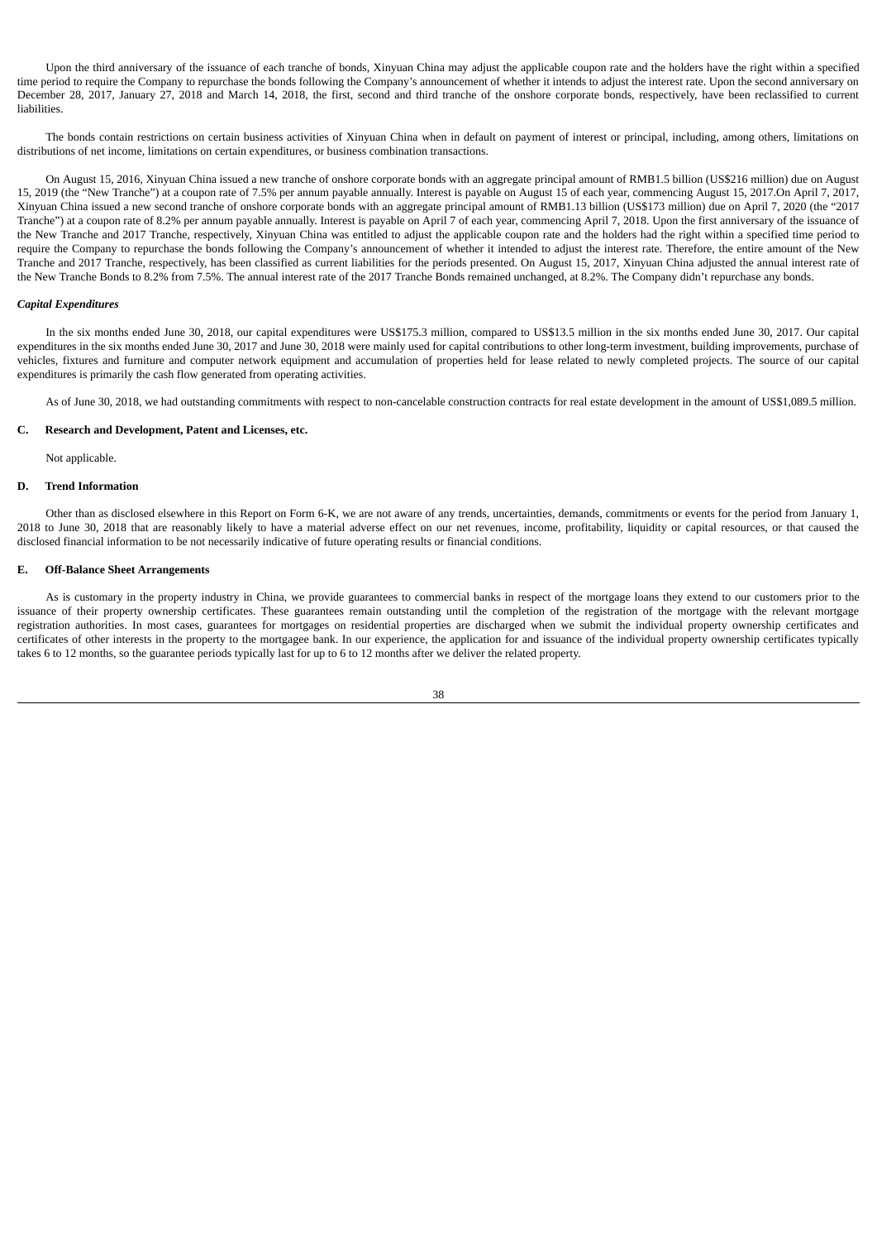Upon the third anniversary of the issuance of each tranche of bonds, Xinyuan China may adjust the applicable coupon rate and the holders have the right within a specified time period to require the Company to repurchase the bonds following the Company's announcement of whether it intends to adjust the interest rate. Upon the second anniversary on December 28, 2017, January 27, 2018 and March 14, 2018, the first, second and third tranche of the onshore corporate bonds, respectively, have been reclassified to current liabilities.

The bonds contain restrictions on certain business activities of Xinyuan China when in default on payment of interest or principal, including, among others, limitations on distributions of net income, limitations on certain expenditures, or business combination transactions.

On August 15, 2016, Xinyuan China issued a new tranche of onshore corporate bonds with an aggregate principal amount of RMB1.5 billion (US\$216 million) due on August 15, 2019 (the "New Tranche") at a coupon rate of 7.5% per annum payable annually. Interest is payable on August 15 of each year, commencing August 15, 2017.On April 7, 2017, Xinyuan China issued a new second tranche of onshore corporate bonds with an aggregate principal amount of RMB1.13 billion (US\$173 million) due on April 7, 2020 (the "2017 Tranche") at a coupon rate of 8.2% per annum payable annually. Interest is payable on April 7 of each year, commencing April 7, 2018. Upon the first anniversary of the issuance of the New Tranche and 2017 Tranche, respectively, Xinyuan China was entitled to adjust the applicable coupon rate and the holders had the right within a specified time period to require the Company to repurchase the bonds following the Company's announcement of whether it intended to adjust the interest rate. Therefore, the entire amount of the New Tranche and 2017 Tranche, respectively, has been classified as current liabilities for the periods presented. On August 15, 2017, Xinyuan China adjusted the annual interest rate of the New Tranche Bonds to 8.2% from 7.5%. The annual interest rate of the 2017 Tranche Bonds remained unchanged, at 8.2%. The Company didn't repurchase any bonds.

## *Capital Expenditures*

In the six months ended June 30, 2018, our capital expenditures were US\$175.3 million, compared to US\$13.5 million in the six months ended June 30, 2017. Our capital expenditures in the six months ended June 30, 2017 and June 30, 2018 were mainly used for capital contributions to other long-term investment, building improvements, purchase of vehicles, fixtures and furniture and computer network equipment and accumulation of properties held for lease related to newly completed projects. The source of our capital expenditures is primarily the cash flow generated from operating activities.

As of June 30, 2018, we had outstanding commitments with respect to non-cancelable construction contracts for real estate development in the amount of US\$1,089.5 million.

# **C. Research and Development, Patent and Licenses, etc.**

Not applicable.

### **D. Trend Information**

Other than as disclosed elsewhere in this Report on Form 6-K, we are not aware of any trends, uncertainties, demands, commitments or events for the period from January 1, 2018 to June 30, 2018 that are reasonably likely to have a material adverse effect on our net revenues, income, profitability, liquidity or capital resources, or that caused the disclosed financial information to be not necessarily indicative of future operating results or financial conditions.

## **E. Off-Balance Sheet Arrangements**

As is customary in the property industry in China, we provide guarantees to commercial banks in respect of the mortgage loans they extend to our customers prior to the issuance of their property ownership certificates. These guarantees remain outstanding until the completion of the registration of the mortgage with the relevant mortgage registration authorities. In most cases, guarantees for mortgages on residential properties are discharged when we submit the individual property ownership certificates and certificates of other interests in the property to the mortgagee bank. In our experience, the application for and issuance of the individual property ownership certificates typically takes 6 to 12 months, so the guarantee periods typically last for up to 6 to 12 months after we deliver the related property.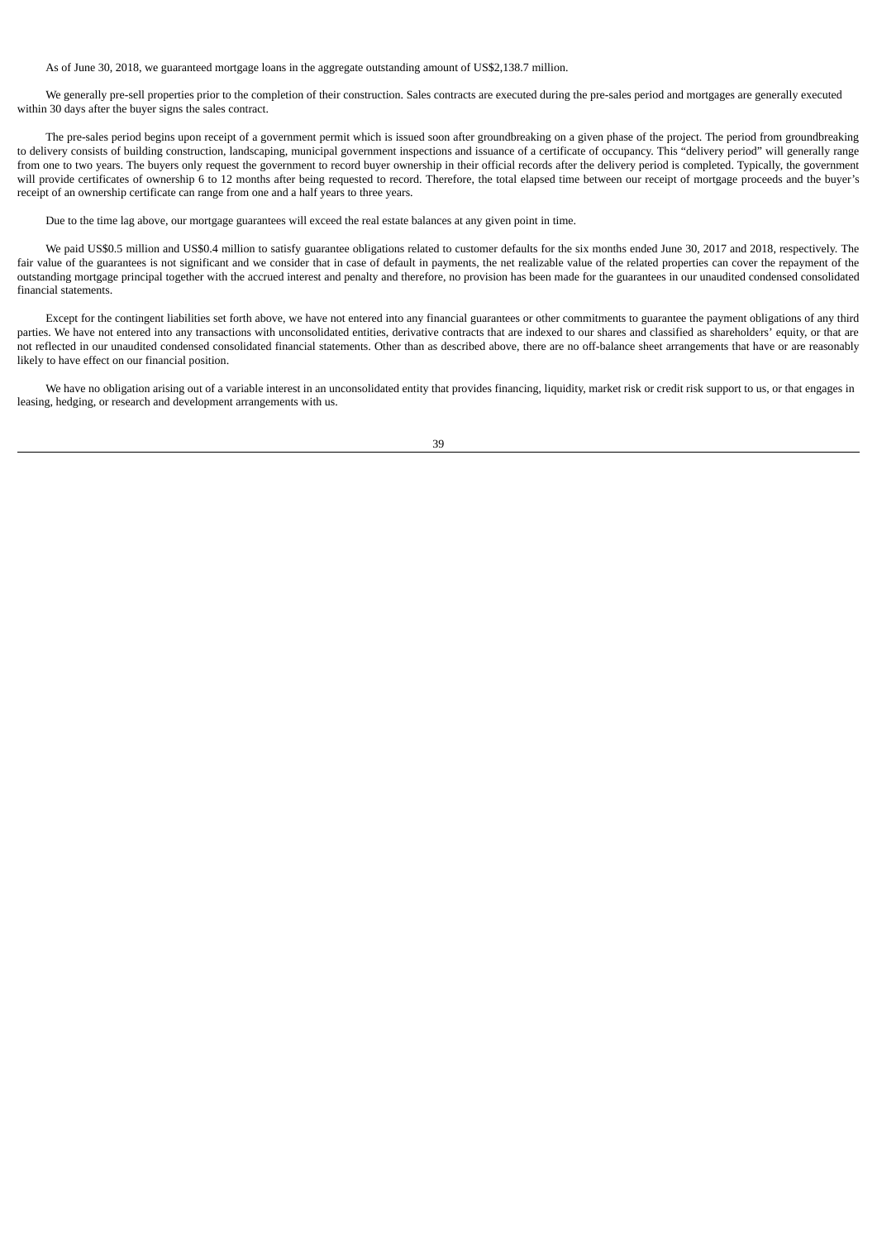As of June 30, 2018, we guaranteed mortgage loans in the aggregate outstanding amount of US\$2,138.7 million.

We generally pre-sell properties prior to the completion of their construction. Sales contracts are executed during the pre-sales period and mortgages are generally executed within 30 days after the buyer signs the sales contract.

The pre-sales period begins upon receipt of a government permit which is issued soon after groundbreaking on a given phase of the project. The period from groundbreaking to delivery consists of building construction, landscaping, municipal government inspections and issuance of a certificate of occupancy. This "delivery period" will generally range from one to two years. The buyers only request the government to record buyer ownership in their official records after the delivery period is completed. Typically, the government will provide certificates of ownership 6 to 12 months after being requested to record. Therefore, the total elapsed time between our receipt of mortgage proceeds and the buyer's receipt of an ownership certificate can range from one and a half years to three years.

Due to the time lag above, our mortgage guarantees will exceed the real estate balances at any given point in time.

We paid US\$0.5 million and US\$0.4 million to satisfy guarantee obligations related to customer defaults for the six months ended June 30, 2017 and 2018, respectively. The fair value of the guarantees is not significant and we consider that in case of default in payments, the net realizable value of the related properties can cover the repayment of the outstanding mortgage principal together with the accrued interest and penalty and therefore, no provision has been made for the guarantees in our unaudited condensed consolidated financial statements.

Except for the contingent liabilities set forth above, we have not entered into any financial guarantees or other commitments to guarantee the payment obligations of any third parties. We have not entered into any transactions with unconsolidated entities, derivative contracts that are indexed to our shares and classified as shareholders' equity, or that are not reflected in our unaudited condensed consolidated financial statements. Other than as described above, there are no off-balance sheet arrangements that have or are reasonably likely to have effect on our financial position.

We have no obligation arising out of a variable interest in an unconsolidated entity that provides financing, liquidity, market risk or credit risk support to us, or that engages in leasing, hedging, or research and development arrangements with us.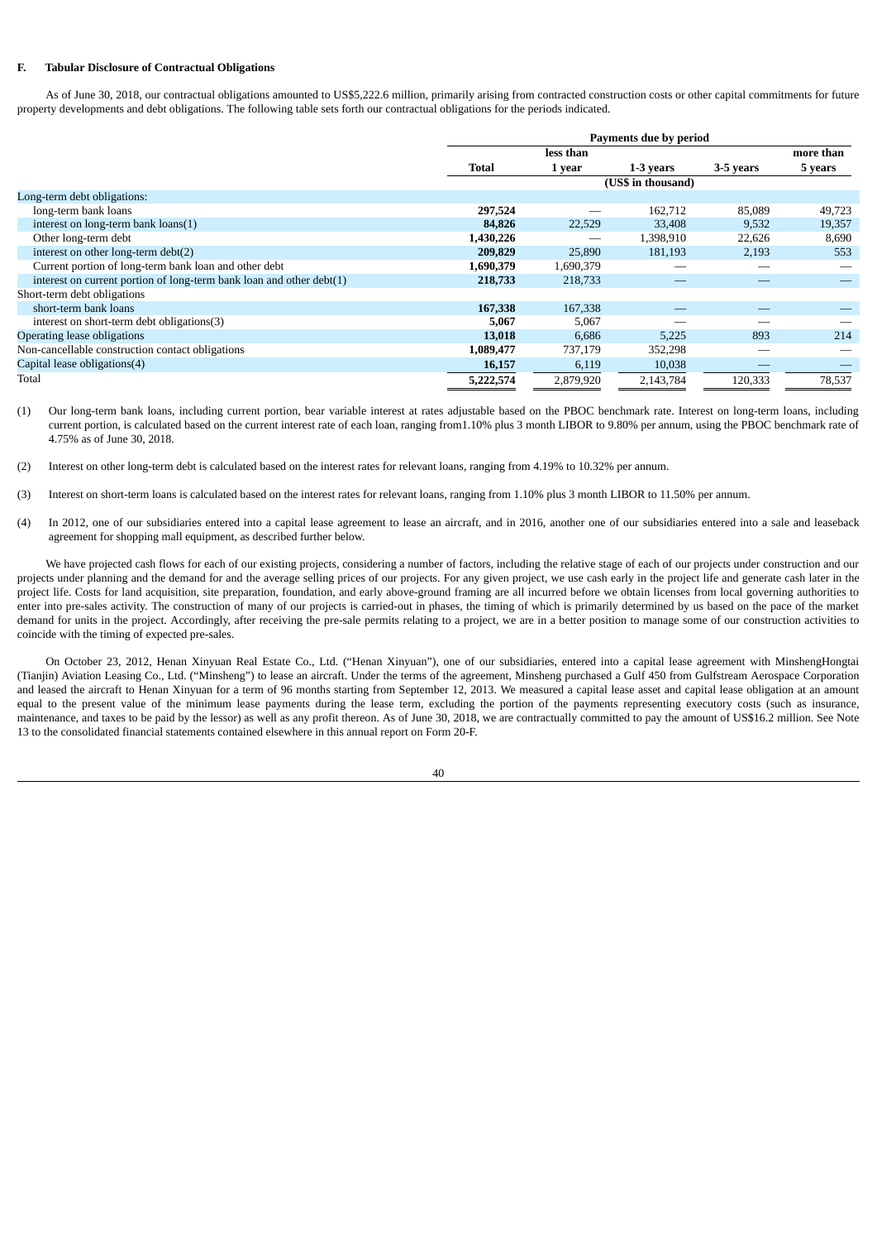## **F. Tabular Disclosure of Contractual Obligations**

As of June 30, 2018, our contractual obligations amounted to US\$5,222.6 million, primarily arising from contracted construction costs or other capital commitments for future property developments and debt obligations. The following table sets forth our contractual obligations for the periods indicated.

|                                                                      |           | Payments due by period |           |           |           |
|----------------------------------------------------------------------|-----------|------------------------|-----------|-----------|-----------|
|                                                                      |           | less than              |           |           | more than |
|                                                                      | Total     | 1 year                 | 1-3 years | 3-5 years | 5 years   |
|                                                                      |           | (US\$ in thousand)     |           |           |           |
| Long-term debt obligations:                                          |           |                        |           |           |           |
| long-term bank loans                                                 | 297,524   | --                     | 162,712   | 85,089    | 49,723    |
| interest on long-term bank loans(1)                                  | 84,826    | 22,529                 | 33,408    | 9,532     | 19,357    |
| Other long-term debt                                                 | 1,430,226 | --                     | 1,398,910 | 22,626    | 8,690     |
| interest on other long-term debt(2)                                  | 209,829   | 25,890                 | 181,193   | 2,193     | 553       |
| Current portion of long-term bank loan and other debt                | 1,690,379 | 1,690,379              |           |           |           |
| interest on current portion of long-term bank loan and other debt(1) | 218,733   | 218,733                |           |           |           |
| Short-term debt obligations                                          |           |                        |           |           |           |
| short-term bank loans                                                | 167,338   | 167,338                |           |           |           |
| interest on short-term debt obligations(3)                           | 5,067     | 5,067                  |           |           |           |
| Operating lease obligations                                          | 13,018    | 6,686                  | 5,225     | 893       | 214       |
| Non-cancellable construction contact obligations                     | 1,089,477 | 737,179                | 352,298   |           |           |
| Capital lease obligations(4)                                         | 16,157    | 6,119                  | 10,038    | _         |           |
| Total                                                                | 5.222,574 | 2,879,920              | 2,143,784 | 120,333   | 78,537    |

(1) Our long-term bank loans, including current portion, bear variable interest at rates adjustable based on the PBOC benchmark rate. Interest on long-term loans, including current portion, is calculated based on the current interest rate of each loan, ranging from1.10% plus 3 month LIBOR to 9.80% per annum, using the PBOC benchmark rate of 4.75% as of June 30, 2018.

(2) Interest on other long-term debt is calculated based on the interest rates for relevant loans, ranging from 4.19% to 10.32% per annum.

- (3) Interest on short-term loans is calculated based on the interest rates for relevant loans, ranging from 1.10% plus 3 month LIBOR to 11.50% per annum.
- (4) In 2012, one of our subsidiaries entered into a capital lease agreement to lease an aircraft, and in 2016, another one of our subsidiaries entered into a sale and leaseback agreement for shopping mall equipment, as described further below.

We have projected cash flows for each of our existing projects, considering a number of factors, including the relative stage of each of our projects under construction and our projects under planning and the demand for and the average selling prices of our projects. For any given project, we use cash early in the project life and generate cash later in the project life. Costs for land acquisition, site preparation, foundation, and early above-ground framing are all incurred before we obtain licenses from local governing authorities to enter into pre-sales activity. The construction of many of our projects is carried-out in phases, the timing of which is primarily determined by us based on the pace of the market demand for units in the project. Accordingly, after receiving the pre-sale permits relating to a project, we are in a better position to manage some of our construction activities to coincide with the timing of expected pre-sales.

On October 23, 2012, Henan Xinyuan Real Estate Co., Ltd. ("Henan Xinyuan"), one of our subsidiaries, entered into a capital lease agreement with MinshengHongtai (Tianjin) Aviation Leasing Co., Ltd. ("Minsheng") to lease an aircraft. Under the terms of the agreement, Minsheng purchased a Gulf 450 from Gulfstream Aerospace Corporation and leased the aircraft to Henan Xinyuan for a term of 96 months starting from September 12, 2013. We measured a capital lease asset and capital lease obligation at an amount equal to the present value of the minimum lease payments during the lease term, excluding the portion of the payments representing executory costs (such as insurance, maintenance, and taxes to be paid by the lessor) as well as any profit thereon. As of June 30, 2018, we are contractually committed to pay the amount of US\$16.2 million. See Note 13 to the consolidated financial statements contained elsewhere in this annual report on Form 20-F.